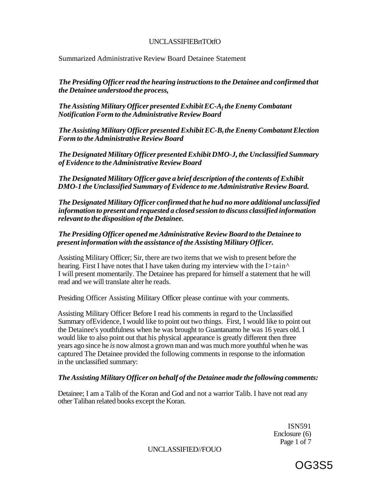## UNCLASSIFIEBrtTOtfO

Summarized Administrative Review Board Detainee Statement

*The Presiding Officer read the hearing instructions to the Detainee and confirmed that the Detainee understood the process,* 

*The Assisting Military Officer presented Exhibit EC-A<sup>f</sup> the Enemy Combatant Notification Form to the Administrative Review Board* 

*The Assisting Military Officer presented Exhibit EC-B<sup>t</sup> the Enemy Combatant Election Form to the Administrative Review Board* 

*The Designated Military Officer presented Exhibit DMO-J, the Unclassified Summary of Evidence to the Administrative Review Board* 

*The Designated Military Officer gave a brief description of the contents of Exhibit DMO-1 the Unclassified Summary of Evidence to me Administrative Review Board.* 

*The Designated Military Officer confirmed that he hud no more additional unclassified information to present and requested a closed session to discuss classified information relevant to the disposition of the Detainee.* 

## *The Presiding Officer opened me Administrative Review Board to the Detainee to present information with the assistance of the Assisting Military Officer.*

Assisting Military Officer; Sir, there are two items that we wish to present before the hearing. First I have notes that I have taken during my interview with the I>tain^ I will present momentarily. The Detainee has prepared for himself a statement that he will read and we will translate alter he reads.

Presiding Officer Assisting Military Officer please continue with your comments.

Assisting Military Officer Before I read his comments in regard to the Unclassified Summary ofEvidence, I would like to point out two things. First, I would like to point out the Detainee's youthfulness when he was brought to Guantanamo he was 16 years old. I would like to also point out that his physical appearance is greatly different then three years ago since he *is* now almost a grown man and was much more youthful when he was captured The Detainee provided the following comments in response to the information in the unclassified summary:

#### *The Assisting Military Officer on behalf of the Detainee made the following comments:*

Detainee; I am a Talib of the Koran and God and not a warrior Talib. I have not read any other Taliban related books except the Koran.

> ISN591 Enclosure (6) Page 1 of 7

UNCLASSIFIED//FOUO

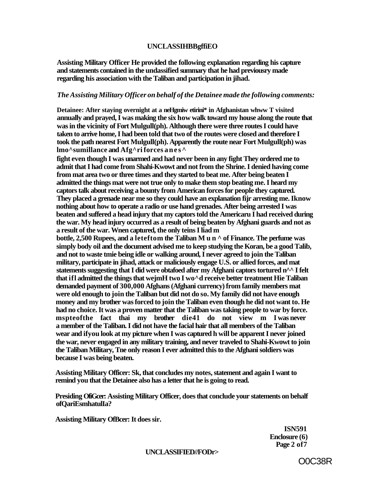#### **UNCLASSIHBBgffiEO**

**Assisting Military Officer He provided the following explanation regarding his capture and statements contained in the undassified summary that he had previousry made regarding his association with the Taliban and participation in jihad.** 

#### *The Assisting Military Officer on behalf of the Detainee made the following comments:*

Detainee: After staying overnight at a neHgmiw etirini\* in Afghanistan whww T visited **annually and prayed, I was making the six how walk toward my house along the route that was in the vicinity of Fort Mulgull(ph). Although there were three routes I could have taken to arrive home, I had been told that two of the routes were closed and therefore I took the path nearest Fort Mulgull(ph). Apparently the route near Fort Mulgull(ph) was lmo^sumillance and Afg^ri forces anes^** 

**fight even though I was unarmed and had never been in any fight They ordered me to admit that I had come from Shahi-Kwowt and not from the Shrine. I denied having come from mat area two or three times and they started to beat me. After being beaten I admitted the things mat were not true only to make them stop beating me. I heard my captors talk about receiving a bounty from American forces for people they captured. They placed a grenade near me so they could have an explanation fijr arresting me. Iknow nothing about how to operate a radio or use hand grenades. After being arrested I was beaten and suffered a head injury that my captors told the Americaru I had received during the war. My head injury occurred as a result of being beaten by Afghani guards and not as a result of the war. Wnen captured, the only teins I liad m** 

**bottle, 2,500 Rupees, and a leteftom the Taliban Mun ^ of Finance. The perfume was simply body oil and the document advised me to keep studying the Koran, be a good Talib, and not to waste tmie being idle or walking around, I never agreed to join the Taliban military, participate in jihad, attack or maliciously engage U.S. or allied forces, and mat statements suggesting that I did were obtafoed after my Afghani captors tortured n^^ I felt that ifl admitted the things that wejmH two I wo^d receive better treatment Hie Taliban demanded payment of 300,000 Afghans (Afghani currency) from family members mat were old enough to join the Taliban but did not do so. My family did not have enough money and my brother was forced to join the Taliban even though he did not want to. He had no choice. It was a proven matter that the Taliban was taking people to war by force. mspteofthe fact thai my brother die41 do not view m I was never a member of the Taliban. I did not have the facial hair that all members of the Taliban wear and ifyou look at my picture when I was captured h will be apparent I never joined the war, never engaged in any military training, and never traveled to Shahi-Kwowt to join the Taliban Military, Tne only reason I ever admitted this to the Afghani soldiers was because I was being beaten.** 

**Assisting Military Officer: Sk, that concludes my notes, statement and again I want to remind you that the Detainee also has a letter that he is going to read.** 

**Presiding OfiGcer: Assisting Military Officer, does that conclude your statements on behalf ofQariEsmhatulIa?** 

**Assisting Military OfBcer: It does sir.** 

**ISN591 Enclosure (6) Page 2 of7** 

**UNCLASSIFIED//FODr>** 

O0C38R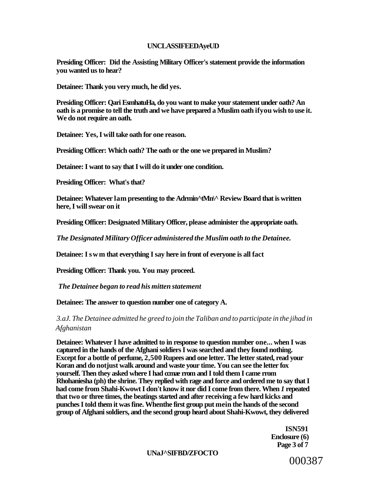#### **UNCLASSIFEEDAyeUD**

**Presiding Officer: Did the Assisting Military Officer's statement provide the information you wanted us to hear?** 

**Detainee: Thank you very much, he did yes.** 

**Presiding Officer: Qari EsmhatuHa, do you want to make your statement under oath? An oath is a promise to tell the truth and we have prepared a Muslim oath ifyou wish to use it. We do not require an oath.** 

**Detainee: Yes, I will take oath for one reason.** 

**Presiding Officer: Which oath? The oath or the one we prepared in Muslim?** 

**Detainee: I want to say that I will do it under one condition.** 

**Presiding Officer: What's that?** 

**Detainee: Whatever lam presenting to the Adrmin^tMn\^ Review Board that is written here, I will swear on it** 

**Presiding Officer: Designated Military Officer, please administer the appropriate oath.** 

*The Designated Military Officer administered the Muslim oath to the Detainee.* 

**Detainee: I swm that everything I say here in front of everyone is all fact** 

**Presiding Officer: Thank you. You may proceed.** 

*The Detainee began to read his mitten statement* 

**Detainee: The answer to question number one of category A.** 

*3.aJ. The Detainee admitted he greed to join the Taliban and to participate in the jihad in Afghanistan* 

**Detainee: Whatever I have admitted to in response to question number one... when I was captured in the hands of the Afghani soldiers I was searched and they found nothing. Except for a bottle of perfume, 2,500 Rupees and one letter. The letter stated, read your Koran and do notjust walk around and waste your time. You can see the letter fox yourself. Then they asked where I had ccmae rrom and I told them I came rrom Rhohaniesha (ph) the shrine. They replied with rage and force and ordered me to say that I had come from Shahi-Kwowt I don't know it nor did I come from there. When** *1* **repeated that two or three times, the beatings started and after receiving a few hard kicks and punches I told them it was fine. Whenthe first group put mein the hands of the second group of Afghani soldiers, and the second group heard about Shahi-Kwowt, they delivered** 

> **ISN591 Enclosure (6) Page 3 of 7**

#### **UNaJ^SIFBD/ZFOCTO**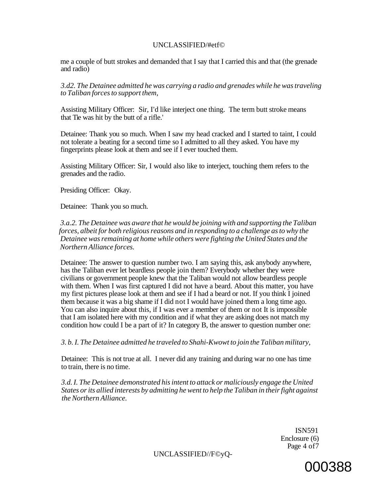### UNCLASSlFIED/#etf©

me a couple of butt strokes and demanded that I say that I carried this and that (the grenade and radio)

*3.d2. The Detainee admitted he was carrying a radio and grenades while he was traveling to Taliban forces to support them,* 

Assisting Military Officer: Sir, I'd like interject one thing. The term butt stroke means that Tie was hit by the butt of a rifle.'

Detainee: Thank you so much. When I saw my head cracked and I started to taint, I could not tolerate a beating for a second time so I admitted to all they asked. You have my fingerprints please look at them and see if I ever touched them.

Assisting Military Officer: Sir, I would also like to interject, touching them refers to the grenades and the radio.

Presiding Officer: Okay.

Detainee: Thank you so much.

*3.a.2. The Detainee was aware that he would be joining with and supporting the Taliban forces, albeit for both religious reasons and in responding to a challenge as to why the Detainee was remaining at home while others were fighting the United States and the Northern Alliance forces.* 

Detainee: The answer to question number two. I am saying this, ask anybody anywhere, has the Taliban ever let beardless people join them? Everybody whether they were civilians or government people knew that the Taliban would not allow beardless people with them. When I was first captured I did not have a beard. About this matter, you have my first pictures please look at them and see if I had a beard or not. If you think I joined them because it was a big shame if I did not I would have joined them a long time ago. You can also inquire about this, if I was ever a member of them or not It is impossible that I am isolated here with my condition and if what they are asking does not match my condition how could I be a part of it? In category B, the answer to question number one:

*3. b. I. The Detainee admitted he traveled to Shahi-Kwowt to join the Taliban military,* 

Detainee: This is not true at all. I never did any training and during war no one has time to train, there is no time.

*3.d. I. The Detainee demonstrated his intent to attack or maliciously engage the United States or its allied interests by admitting he went to help the Taliban in their fight against the Northern Alliance.* 

> ISN591 Enclosure (6) Page 4 of7

UNCLASSIFIED//F©yQ-

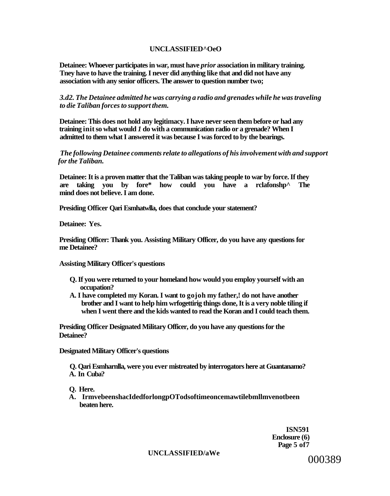### **UNCLASSIFIED^OeO**

**Detainee: Whoever participates in war, must have** *prior* **association in military training. Tney have to have the training. I never did anything like that and did not have any association with any senior officers. The answer to question number two;** 

*3.d2. The Detainee admitted he was carrying a radio and grenades while he was traveling to die Taliban forces to support them.* 

**Detainee: This does not hold any legitimacy. I have never seen them before or had any training init so what would** *1* **do with a communication radio or a grenade? When I admitted to them what I answered it was because I was forced to by the bearings.** 

*The following Detainee comments relate to allegations of his involvement with and support for the Taliban.* 

**Detainee: It is a proven matter that the Taliban was taking people to war by force. If they are taking vou by fore\*** how could vou have a relafonsho<sup> $\wedge$ </sup> The **are taking you by fore\* how could you have a rclafonshp^ The mind does not believe. I am done.** 

**Presiding Officer Qari Esmhatwlla, does that conclude your statement?** 

**Detainee: Yes.** 

**Presiding Officer: Thank you. Assisting Military Officer, do you have any questions for me Detainee?** 

**Assisting Military Officer's questions** 

- **Q. If you were returned to your homeland how would you employ yourself with an occupation?**
- **A. I have completed my Koran. I want to gojoh my father,! do not have another brother and I want to help him wrfogettirig things done, It is a very noble tiling if when I went there and the kids wanted to read the Koran and I could teach them.**

**Presiding Officer Designated Military Officer, do you have any questions for the Detainee?** 

**Designated Military Officer's questions** 

**Q. Qari Esmharnlla, were you ever mistreated by interrogators here at Guantanamo? A. In Cuba?** 

**Q. Here.** 

**A. IrmvebeenshacIdedforlongpOTodsoftimeoncemawtilebmllmvenotbeen beaten here.** 

> **ISN591 Enclosure (6) Page 5 of7**

#### **UNCLASSIFIED/aWe**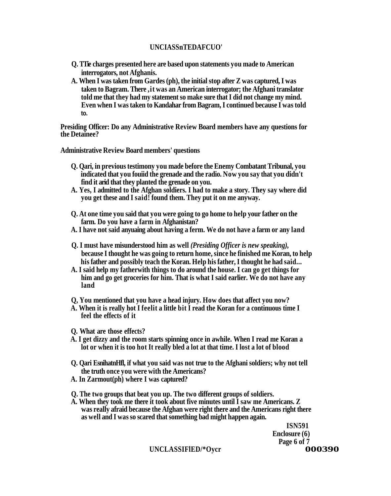## **UNCIASSnTEDAFCUO'**

- **Q. TTie charges presented here are based upon statements you made to American interrogators, not Afghanis.**
- **A. When I was taken from Gardes (ph), the initial stop after Z was captured, I was taken to Bagram. There ,it was an American interrogator; the Afghani translator told me that they had my statement so make sure that I did not change my mind. Even when I was taken to Kandahar from Bagram, I continued because I was told to.**

**Presiding Officer: Do any Administrative Review Board members have any questions for the Detainee?** 

**Administrative Review Board members' questions** 

- **Q. Qari, in previous testimony you made before the Enemy Combatant Tribunal, you indicated that you fouiid the grenade and the radio. Now you say that you didn't find it arid that they planted the grenade on you.**
- **A. Yes, I admitted to the Afghan soldiers. I had to make a story. They say where did you get these and I said! found them. They put it on me anyway.**
- **Q. At one time you said that you were going to go home to help your father on the farm. Do you have a farm in Afghanistan?**
- **A. I have not said anyuaing about having a ferm. We do not have a farm or any land**
- **Q. I must have misunderstood him as well** *(Presiding Officer is new speaking),*  **because I thought he was going to return home, since he finished me Koran, to help his father and possibly teach the Koran. Help his father, I thought he had said...**
- **A. I said help my fatherwith things to do around the house. I can go get things for him and go get groceries for him. That is what I said earlier. We do not have any land**
- **Q, You mentioned that you have a head injury. How does that affect you now?**
- **A. When it is really hot I feelit a little bit I read the Koran for a continuous time I feel the effects of it**
- **Q. What are those effects?**
- **A. I get dizzy and the room starts spinning once in awhile. When I read me Koran a lot or when it is too hot It really bled a lot at that time. I lost a lot of blood**
- **Q. Qari EsnihatnHfl, if what you said was not true to the Afghani soldiers; why not tell the truth once you were with the Americans?**
- **A. In Zarmout(ph) where I was captured?**
- **Q. The two groups that beat you up. The two different groups of soldiers.**
- **A. When they took me there it took about five minutes until I saw me Americans. Z was really afraid because the Afghan were right there and the Americans right there as well and I was so scared that something bad might happen again.**

**ISN591 Enclosure (6) Page 6 of 7** 

#### **UNCLASSIFIED/\*Ovcr**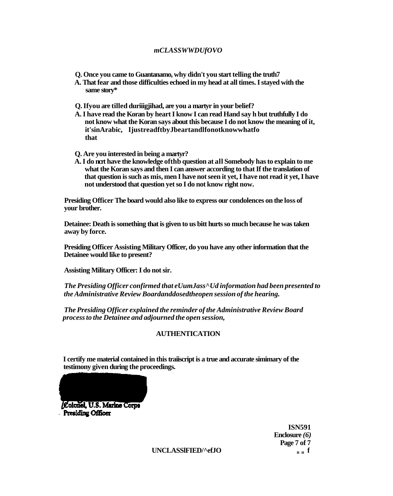### *mCLASSWWDUfOVO*

- **Q. Once you came to Guantanamo, why didn't you start telling the truth7**
- **A. That fear and those difficulties echoed in my head at all times. I stayed with the same story\***
- **Q. Ifyou are tilled duriiigjihad, are you a martyr in your belief?**
- **A. I have read the Koran by heart I know I can read Hand say h but truthfully I do not know what the Koran says about this because I do not know the meaning of it, it'sinArabic, IjustreadftbyJbeartandlfonotknowwhatfo that**
- **Q. Are you interested in being a martyr?**
- **A. I do ncrt have the knowledge ofthb question at all Somebody has to explain to me what the Koran says and then I can answer according to that If the translation of that question is such as mis, men I have not seen it yet, I have not read it yet, I have not understood that question yet so I do not know right now.**

**Presiding Officer The board would also like to express our condolences on the loss of your brother.** 

**Detainee: Death is something that is given to us bitt hurts so much because he was taken away by force.** 

**Presiding Officer Assisting Military Officer, do you have any other information that the Detainee would like to present?** 

**Assisting Military Officer: I do not sir.** 

*The Presiding Officer confirmed that eUumJass^Ud information had been presented to the Administrative Review Boardanddosedtheopen session of the hearing.* 

*The Presiding Officer explained the reminder of the Administrative Review Board process to the Detainee and adjourned the open session,* 

## **AUTHENTICATION**

**I certify me material contained in this traiiscript is a true and accurate simimary of the testimony given during the proceedings.** 



Colonel, U.S. Marine Corps Presiding Officer

> **ISN591 Enclosure** *(6)*  **Page 7 of 7**

UNCLASSIFIED/^efJO **n** n<sup>f</sup>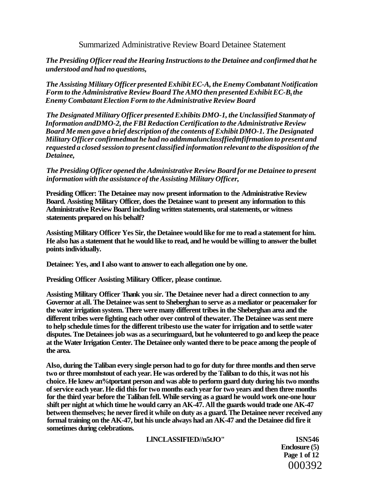## Summarized Administrative Review Board Detainee Statement

*The Presiding Officer read the Hearing Instructions to the Detainee and confirmed that he understood and had no questions,* 

*The Assisting Military Officer presented Exhibit EC-A, the Enemy Combatant Notification Form to the Administrative Review Board The AMO then presented Exhibit EC-B<sup>t</sup> the Enemy Combatant Election Form to the Administrative Review Board* 

*The Designated Military Officer presented Exhibits DMO-1, the Unclassified Stanmaty of Information andDMO-2, the FBI Redaction Certification to the Administrative Review Board Me men gave a brief description of the contents of Exhibit DMO-1. The Designated Military Officer confirmedmat he had no addmmalunclassffiedmfifrmation to present and requested a closed session to present classified information relevant to the disposition of the Detainee,* 

### *The Presiding Officer opened the Administrative Review Board for me Detainee to present information with the assistance of the Assisting Military Officer,*

**Presiding Officer: The Detainee may now present information to the Administrative Review Board. Assisting Military Officer, does the Detainee want to present any information to this Administrative Review Board including written statements, oral statements, or witness statements prepared on his behalf?** 

**Assisting Military Officer Yes Sir, the Detainee would like for me to read a statement for him. He also has a statement that he would like to read, and he would be willing to answer the bullet points individually.** 

**Detainee: Yes, and I also want to answer to each allegation one by one.** 

**Presiding Officer Assisting Military Officer, please continue.** 

**Assisting Military Officer Thank you sir. The Detainee never had a direct connection to any Governor at all. The Detainee was sent to Sheberghan to serve as a mediator or peacemaker for the water irrigation system. There were many different tribes in the Sheberghan area and the different tribes were fighting each other over control of thewater. The Detainee was sent mere to help schedule times for the different tribesto use the water for irrigation and to settle water disputes. Tne Detainees job was as a securimguard, but he volunteered to go and keep the peace at the Water Irrigation Center. The Detainee only wanted there to be peace among the people of the area.** 

**Also, during the Taliban every single person had to go for duty for three months and then serve two or three momhstout of each year. He was ordered by the Taliban to do this, it was not his choice. He knew an%tportant person and was able to perform guard duty during his two months of service each year. He did this for two months each year for two years and then three months for the third year before the Taliban fell. While serving as a guard he would work one-one hour shift per night at which time he would carry an AK-47. All the guards would trade one AK-47 between themselves; he never fired it while on duty as a guard. The Detainee never received any formal training on the AK-47, but his uncle always had an AK-47 and the Detainee did fire it sometimes during celebrations.** 

**LlNCLASSIFIED//n5tJO" ISN546** 

**Enclosure (5) Page 1 of 12**  000392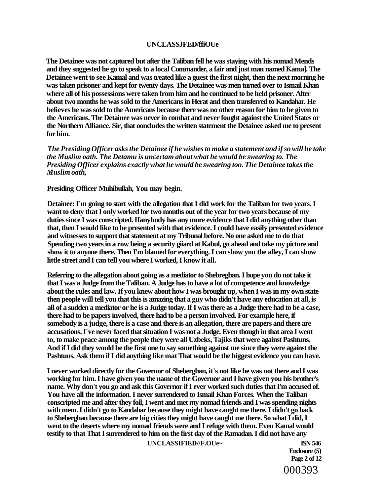#### **UNCLASSJFED/ffiOUe**

**The Detainee was not captured but after the Taliban fell he was staying with his nomad Mends and they suggested he go to speak to a local Commander, a fair and just man named Kama]. The Detainee went to see Kamal and was treated like a guest the first night, then the next morning he was taken prisoner and kept for twenty days. The Detainee was men turned over to Ismail Khan where all of his possessions were taken from him and he continued to be held prisoner. After about two months he was sold to the Americans in Herat and then transferred to Kandahar. He believes he was sold to the Americans because there was no other reason for him to be given to the Americans. The Detainee was never in combat and never fought against the United States or the Northern Alliance. Sir, that ooncludes the written statement the Detainee asked me to present for him.** 

*The Presiding Officer asks the Detainee if he wishes to make a statement and if so will he take the Muslim oath. The Detamu is uncertam about what he would be swearing to. The Presiding Officer explains exactly what he would be swearing too. The Detainee takes the Muslim oath,* 

**Presiding Officer Muhibullah, You may begin.** 

**Detainee: I'm going to start with the allegation that I did work for the Taliban for two years. I want to deny that I only worked for two months out of the year for two years because of my duties since I was conscripted. Ifanybody has any more evidence that I did anything other than that, then I would like to be presented with that evidence. I could have easily presented evidence and witnesses to support that statement at my Tribunal before. No one asked me to do that Spending two years in a row being a security giiard at Kabul, go ahead and take my picture and show it to anyone there. Then I'm blamed for everything. I can show you the alley, I can show little street and I can tell you where I worked, I know it all.** 

**Referring to the allegation about going as a mediator to Shebreghan. I hope you do not take it that I was a Judge from the Taliban. A Judge has to have a lot of competence and knowledge about the rules and law. If you knew about how I was brought up, when I was in my own state then people will tell you that this is amazing that a guy who didn't have any education at all, is all of a sudden a mediator or he is a Judge today. If I was there as a Judge there had to be a case, there had to be papers involved, there had to be a person involved. For example here, if somebody is a judge, there is a case and there is an allegation, there are papers and there are accusations. I've never faced that situation I was not a Judge. Even though in that area I went to, to make peace among the people they were all Uzbeks, Tajiks that were against Pashtuns. And if I did they would be the first one to say something against me since they were against the Pashtuns. Ask them if I did anything like mat That would be the biggest evidence you can have.** 

**I never worked directly for the Governor of Sheberghan, it's not like he was not there and I was working for him. I have given you the name of the Governor and I have given you his brother's name. Why don't you go and ask this Governor if I ever worked such duties that I'm accused of. You have all the information. I never surrendered to Ismail Khan Forces. When the Taliban conscripted me and after they foil, I went and met my nomad friends and I was spending nights with mem. I didn't go to Kandahar because they might have caught me there. I didn't go back to Sheberghan because there are big cities they might have caught me there. So what I did, I went to the deserts where my nomad friends were and I refuge with them. Even Kamal would testify to that That I surrendered to him on the first day of the Ramadan. I did not have any** 

**UNCLASSIFIED//F.OUe~ ISN 546** 

**Enclosure (5) Page 2 of 12**  000393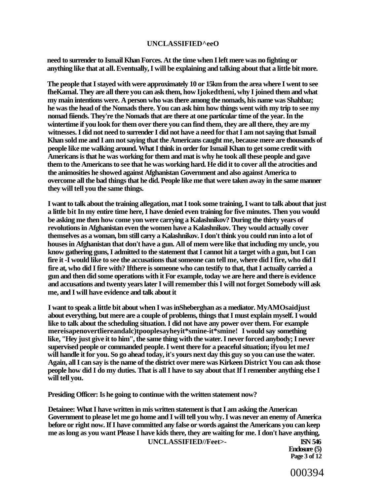### **UNCLASSIFIED^eeO**

**need to surrender to Ismail Khan Forces. At the time when I left mere was no fighting or anything like that at all. Eventually, I will be explaining and talking about that a little bit more.** 

**The people that I stayed with were approximately 10 or 15km from the area where I went to see fheKamal. They are all there you can ask them, how Ijokedtheni, why I joined them and what my main intentions were. A person who was there among the nomads, his name was Shahbaz; he was the head of the Nomads there. You can ask him how things went with my trip to see my nomad fiiends. They're the Nomads that are there at one particular time of the year. In the wintertime if you look for them over there you can find them, they are all there, they are my witnesses. I did not need to surrender I did not have a need for that I am not saying that Ismail Khan sold me and I am not saying that the Americans caught me, because mere are thousands of people like me walking around. What I think in order for Ismail Khan to get some credit with Americans is that he was working for them and mat is why he took all these people and gave them to the Americans to see that he was working hard. He did it to cover all the atrocities and the animosities he showed against Afghanistan Government and also against America to overcome all the bad things that he did. People like me that were taken away in the same manner they will tell you the same things.** 

**I want to talk about the training allegation, mat I took some training, I want to talk about that just a little bit In my entire time here, I have denied even training for five minutes. Then you would be asking me then how come yon were carrying a Kalashnikov? During the thirty years of revolutions in Afghanistan even the women have a Kalashnikov. They would actually cover themselves as a woman, bm still carry a Kalashnikov. I don't think you could run into a lot of houses in Afghanistan that don't have a gun. All of mem were like that including my uncle, you know gathering guns, I admitted to the statement that I cannot hit a target with a gun, but I can fire it -I would like to see the accusations that someone can tell me, where did I fire, who did I fire at, who did I fire with? Ifthere is someone who can testify to that, that I actually carried a gun and then did some operations with it For example, today we are here and there is evidence and accusations and twenty years later I will remember this I will not forget Somebody will ask me, and I will have evidence and talk about it** 

**I want to speak a little bit about when I was inSheberghan as a mediator. MyAMOsaidjust about everything, but mere are a couple of problems, things that I must explain myself. I would like to talk about the scheduling situation. I did not have any power over them. For example mereisapenovertliereandalc)tpooplesayheyit\*smine-it\*smine! I would say something like, "Hey just give it to him", the same thing with the water. I never forced anybody; I never supervised people or commanded people. I went there for a peaceful situation; ifyou let me***1*  **will handle it for you. So go ahead today, it's yours next day this guy so you can use the water. Again, all I can say is the name of the district over mere was Kirkeen District You can ask those people how did I do my duties. That is all I have to say about that If I remember anything else I will tell you.** 

**Presiding Officer: Is he going to continue with the written statement now?** 

**Detainee: What I have written in mis written statement is that I am asking the American Government to please let me go home and I will tell you why. I was never an enemy of America before or right now. If I have committed any false or words against the Americans you can keep me as long as you want Please I have kids there, they are waiting for me. I don't have anything,** 

**UNCLASSIFIED//Feet>- ISN 546** 

**Enclosure (5) Page 3 of 12** 

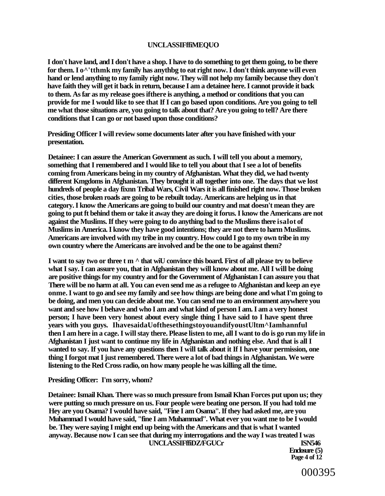#### **UNCLASSIFffiMEQUO**

**I don't have land, and I don't have a shop. I have to do something to get them going, to be there for them. I o^'tthmk my family has anythbg to eat right now. I don't think anyone will even hand or lend anything to my family right now. They will not help my family because they don't have faith they will get it back in return, because I am a detainee here. I cannot provide it back to them. As far as my release goes ifthere is anything, a method or conditions that you can provide for me I would like to see that If I can go based upon conditions. Are you going to tell me what those situations are, you going to talk about that? Are you going to tell? Are there conditions that I can go or not based upon those conditions?** 

**Presiding Officer I will review some documents later after you have finished with your presentation.** 

**Detainee: I can assure the American Government as such. I will tell you about a memory, something that I remembered and I would like to tell you about that I see a lot of benefits coming from Americans being in my country of Afghanistan. What they did, we had twenty different Kmgdoms in Afghanistan. They brought it all together into one. The days that we lost hundreds of people a day fixnn Tribal Wars, Civil Wars it is all finished right now. Those broken cities, those broken roads are going to be rebuilt today. Americans are helping us in that category. I know the Americans are going to build our country and mat doesn't mean they are going to put ft behind them or take it away they are doing it forus. I know the Americans are not against the Muslims. If they were going to do anything bad to the Muslims there isalot of Muslims in America. I know they have good intentions; they are not there to harm Muslims. Americans are involved with my tribe in my country. How could I go to my own tribe in my own country where the Americans are involved and be the one to be against them?** 

**I want to say two or three tm ^ that wiU convince this board. First of all please try to believe what I say. I can assure you, that in Afghanistan they will know about me. All I will be doing are positive things for my country and for the Government of Afghanistan I can assure you that There will be no harm at all. You can even send me as a refugee to Afghanistan and keep an eye onme. I want to go and see my family and see how things are being done and what I'm going to be doing, and men you can decide about me. You can send me to an environment anywhere you want and see how I behave and who I am and what kind of person I am. I am a very honest person; I have been very honest about every single thing I have said to I have spent three years with you guys. IhavesaidaUofthesethingstoyouandifyoustUltm^Iamhannful then I am here in a cage. I will stay there. Please listen to me, all I want to do is go run my life in Afghanistan I just want to continue my life in Afghanistan and nothing else. And that is all I wanted to say. If you have any questions then I will talk about it If I have your permission, one thing I forgot mat I just remembered. There were a lot of bad things in Afghanistan. We were listening to the Red Cross radio, on how many people he was killing all the time.** 

**Presiding Officer: I'm sorry, whom?** 

**Detainee: Ismail Khan. There was so much pressure from Ismail Khan Forces put upon us; they were putting so much pressure on us. Four people were beating one person. If you had told me Hey are you Osama? I would have said, "Fine I am Osama". If they had asked me, are you Muhammad I would have said, "fine I am Muhammad". What ever you want me to be I would be. They were saying I might end up being with the Americans and that is what I wanted anyway. Because now I can see that during my interrogations and the way I was treated I was UNCLASSIFffiDZ/FGUCr ISN546** 

**Enclosure (5) Page 4 of 12**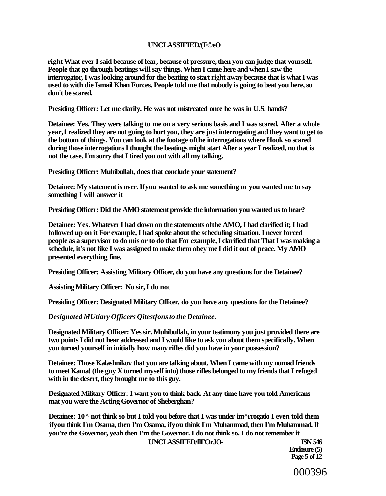### **UNCLASSIFIED/(F©eO**

**right What ever I said because of fear, because of pressure, then you can judge that yourself. People that go through beatings will say things. When I came here and when I saw the interrogator, I was looking around for the beating to start right away because that is what I was used to with die Ismail Khan Forces. People told me that nobody is going to beat you here, so don't be scared.** 

**Presiding Officer: Let me clarify. He was not mistreated once he was in U.S. hands?** 

**Detainee: Yes. They were talking to me on a very serious basis and I was scared. After a whole year,1 realized they are not going to hurt you, they are just interrogating and they want to get to the bottom of things. You can look at the footage ofthe interrogations where Hook so scared during those interrogations I thought the beatings might start After a year I realized, no that is not the case. I'm sorry that I tired you out with all my talking.** 

**Presiding Officer: Muhibullah, does that conclude your statement?** 

**Detainee: My statement is over. Ifyou wanted to ask me something or you wanted me to say something I will answer it** 

**Presiding Officer: Did the AMO statement provide the information you wanted us to hear?** 

**Detainee: Yes. Whatever I had down on the statements ofthe AMO, I had clarified it; I had followed up on it For example, I had spoke about the scheduling situation. I never forced people as a supervisor to do mis or to do that For example, I clarified that That I was making a schedule, it's not like I was assigned to make them obey me I did it out of peace. My AMO presented everything fine.** 

**Presiding Officer: Assisting Military Officer, do you have any questions for the Detainee?** 

**Assisting Military Officer: No sir, I do not** 

**Presiding Officer: Designated Military Officer, do you have any questions for the Detainee?** 

*Designated MUtiary Officers Qitestfons to the Detainee.* 

**Designated Military Officer: Yes sir. Muhibullah, in your testimony you just provided there are two points I did not hear addressed and I would like to ask you about them specifically. When you turned yourself in initially how many rifles did you have in your possession?** 

**Detainee: Those Kalashnikov that you are talking about. When I came with my nomad friends to meet Kama! (the guy X turned myself into) those rifles belonged to my friends that I refuged with in the desert, they brought me to this guy.** 

**Designated Military Officer: I want you to think back. At any time have you told Americans mat you were the Acting Governor of Sheberghan?** 

**Detainee: 10^ not think so but I told you before that I was under im^rrogatio I even told them ifyou think I'm Osama, then I'm Osama, ifyou think I'm Muhammad, then I'm Muhammad. If you're the Governor, yeah then I'm the Governor. I do not think so. I do not remember it** 

**UNCLASSIFED/flFOrJO- ISN 546** 

**Enclosure (5) Page 5 of 12**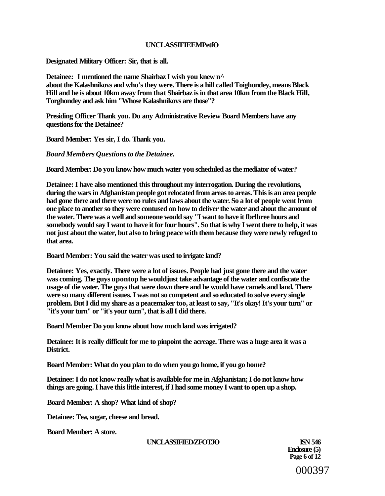### **UNCLASSIFIEEMPetfO**

**Designated Military Officer: Sir, that is all.** 

**Detainee: I mentioned the name Shairbaz I wish you knew n^ about the Kalashnikovs and who's they were. There is a hill called Toighondey, means Black Hill and he is about 10km away from that Shairbaz is in that area 10km from the Black Hill, Torghondey and ask him "Whose Kalashnikovs are those"?** 

**Presiding Officer Thank you. Do any Administrative Review Board Members have any questions for the Detainee?** 

**Board Member: Yes sir, I do. Thank you.** 

*Board Members Questions to the Detainee.* 

**Board Member: Do you know how much water you scheduled as the mediator of water?** 

**Detainee: I have also mentioned this throughout my interrogation. During the revolutions, during the wars in Afghanistan people got relocated from areas to areas. This is an area people had gone there and there were no rules and laws about the water. So a lot of people went from one place to another so they were contused on how to deliver the water and about the amount of the water. There was a well and someone would say "I want to have it fbrlhree hours and somebody would say I want to have it for four hours". So that is why I went there to help, it was not just about the water, but also to bring peace with them because they were newly refuged to that area.** 

**Board Member: You said the water was used to irrigate land?** 

**Detainee: Yes, exactly. There were a lot of issues. People had just gone there and the water was coming. The guys upontop he wouldjust take advantage of the water and confiscate the usage of die water. The guys that were down there and he would have camels and land. There were so many different issues. I was not so competent and so educated to solve every single problem. But I did my share as a peacemaker too, at least to say, "It's okay! It's your turn" or "it's your turn" or "it's your turn", that is all I did there.** 

**Board Member Do you know about how much land was irrigated?** 

**Detainee: It is really difficult for me to pinpoint the acreage. There was a huge area it was a District.** 

**Board Member: What do you plan to do when you go home, if you go home?** 

**Detainee: I do not know really what is available for me in Afghanistan; I do not know how things are going. I have this little interest, if I had some money I want to open up a shop.** 

**Board Member: A shop? What kind of shop?** 

**Detainee: Tea, sugar, cheese and bread.** 

**Board Member: A store.** 

UNCLASSIFIED/ZFOTJO ISN 546

Enchang (5) **Page 6 of 12**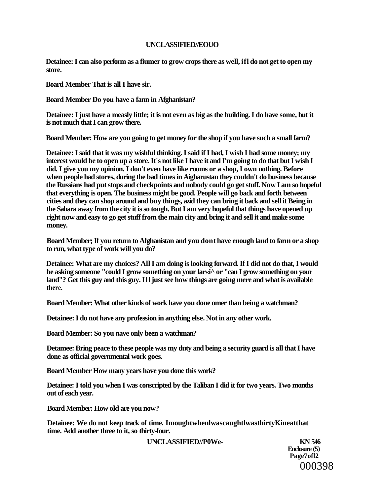### **UNCLASSIFIED//EOUO**

**Detainee: I can also perform as a fiumer to grow crops there as well, ifl do not get to open my store.** 

**Board Member That is all I have sir.** 

**Board Member Do you have a fann in Afghanistan?** 

**Detainee: I just have a measly little; it is not even as big as the building. I do have some, but it is not much that I can grow there.** 

**Board Member: How are you going to get money for the shop if you have such a small farm?** 

**Detainee: I said that it was my wishful thinking. I said if I had, I wish I had some money; my interest would be to open up a store. It's not like I have it and I'm going to do that but I wish I did. I give you my opinion. I don't even have like rooms or a shop, I own nothing. Before when people had stores, during the bad times in Aigharustan they couldn't do business because the Russians had put stops and checkpoints and nobody could go get stuff. Now I am so hopeful that everything is open. The business might be good. People will go back and forth between cities and they can shop around and buy things, azid they can bring it back and sell it Being in the Sahara away from the city it is so tough. But I am very hopeful that things have opened up right now and easy to go get stuff from the main city and bring it and sell it and make some money.** 

**Board Member; If you return to Afghanistan and you dont have enough land to farm or a shop to run, what type of work will you do?** 

**Detainee: What are my choices? All I am doing is looking forward. If I did not do that, I would be asking someone "could I grow something on your lar«i^ or "can I grow something on your land"? Get this guy and this guy. Ill just see how things are going mere and what is available there.** 

**Board Member: What other kinds of work have you done omer than being a watchman?** 

**Detainee: I do not have any profession in anything else. Not in any other work.** 

**Board Member: So you nave only been a watchman?** 

**Detamee: Bring peace to these people was my duty and being a security guard is all that I have done as official governmental work goes.** 

**Board Member How many years have you done this work?** 

**Detainee: I told you when I was conscripted by the Taliban I did it for two years. Two months out of each year.** 

**Board Member: How old are you now?** 

**Detainee: We do not keep track of time. ImoughtwhenlwascaughtlwasthirtyKineatthat time. Add another three to it, so thirty-four.** 

**UNCLASSIFIED//P0We- KN 546**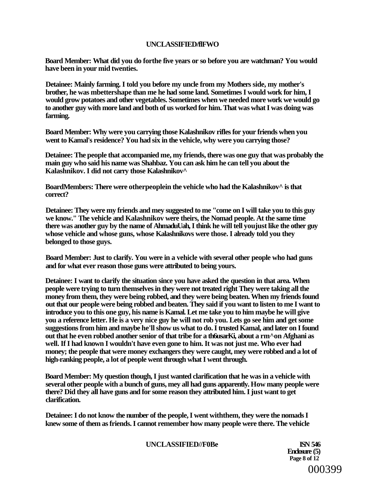### **UNCLASSIFIED/flFWO**

**Board Member: What did you do forthe five years or so before you are watchman? You would have been in your mid twenties.** 

**Detainee: Mainly farming. I told you before my uncle from my Mothers side, my mother's brother, he was mbettershape than me he had some land. Sometimes I would work for him, I would grow potatoes and other vegetables. Sometimes when we needed more work we would go to another guy with more land and both of us worked for him. That was what I was doing was farming.** 

**Board Member: Why were you carrying those Kalashnikov rifles for your friends when you went to Kamal's residence? You had six in the vehicle, why were you carrying those?** 

**Detainee: The people that accompanied me, my friends, there was one guy that was probably the main guy who said his name was Shahbaz. You can ask him he can tell you about the Kalashnikov. I did not carry those Kalashnikov^** 

**BoardMembers: There were otherpeoplein the vehicle who had the Kalashnikov^ is that correct?** 

**Detainee: They were my friends and mey suggested to me "come on I will take you to this guy we know." The vehicle and Kalashnikov were theirs, the Nomad people. At the same time there was another guy by the name of AhmaduUah, I think he will tell youjust like the other guy whose vehicle and whose guns, whose Kalashnikovs were those. I already told you they belonged to those guys.** 

**Board Member: Just to clarify. You were in a vehicle with several other people who had guns and for what ever reason those guns were attributed to being yours.** 

**Detainee: I want to clarify the situation since you have asked the question in that area. When people were trying to turn themselves in they were not treated right They were taking all the money from them, they were being robbed, and they were being beaten. When my friends found out that our people were being robbed and beaten. They said if you want to listen to me I want to introduce you to this one guy, his name is Kamal. Let me take you to him maybe he will give you a reference letter. He is a very nice guy he will not rob you. Lets go see him and get some suggestions from him and maybe he'll show us what to do. I trusted Kamal, and later on I found out that he even robbed another senior of that tribe for a th6usarKi, about a rm^on Afghani as well. If I had known I wouldn't have even gone to him. It was not just me. Who ever had money; the people that were money exchangers they were caught, mey were robbed and a lot of high-ranking people, a lot of people went through what I went through.** 

**Board Member: My question though, I just wanted clarification that he was in a vehicle with several other people with a bunch of guns, mey all had guns apparently. How many people were there? Did they all have guns and for some reason they attributed him. I just want to get clarification.** 

**Detainee: I do not know the number of the people, I went withthem, they were the nomads I knew some of them as friends. I cannot remember how many people were there. The vehicle** 

#### **UNCLASSIFIED//F0Be ISN 546**

**Enclosure (5) Page 8 of 12**  000399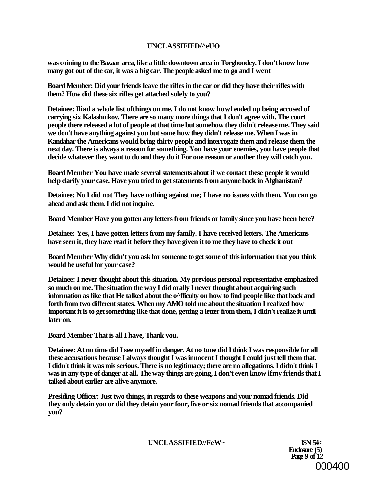## **UNCLASSIFIED/^eUO**

**was coining to the Bazaar area, like a little downtown area in Torghondey. I don't know how many got out of the car, it was a big car. The people asked me to go and I went** 

**Board Member: Did your friends leave the rifles in the car or did they have their rifles with them? How did these six rifles get attached solely to you?** 

**Detainee: Iliad a whole list ofthings on me. I do not know howl ended up being accused of carrying six Kalashnikov. There are so many more things that I don't agree with. The court people there released a lot of people at that time but somehow they didn't release me. They said we don't have anything against you but some how they didn't release me. When I was in Kandahar the Americans would bring thirty people and interrogate them and release them the next day. There is always a reason for something. You have your enemies, you have people that decide whatever they want to do and they do it For one reason or another they will catch you.** 

**Board Member You have made several statements about if we contact these people it would help clarify your case. Have you tried to get statements from anyone back in Afghanistan?** 

**Detainee: No I did not They have nothing against me; I have no issues with them. You can go ahead and ask them. I did not inquire.** 

**Board Member Have you gotten any letters from friends or family since you have been here?** 

**Detainee: Yes, I have gotten letters from my family. I have received letters. The Americans have seen it, they have read it before they have given it to me they have to check it out** 

**Board Member Why didn't you ask for someone to get some of this information that you think would be useful for your case?** 

**Detainee: I never thought about this situation. My previous personal representative emphasized so much on me. The situation the way I did orally I never thought about acquiring such information as like that He talked about the o^fficulty on how to find people like that back and forth from two different states. When my AMO told me about the situation I realized how important it is to get something like that done, getting a letter from them, I didn't realize it until later on.** 

**Board Member That is all I have, Thank you.** 

**Detainee: At no time did I see myself in danger. At no tune did I think I was responsible for all these accusations because I always thought I was innocent I thought I could just tell them that. I didn't think it was mis serious. There is no legitimacy; there are no allegations. I didn't think I was in any type of danger at all. The way things are going, I don't even know ifmy friends that I talked about earlier are alive anymore.** 

**Presiding Officer: Just two things, in regards to these weapons and your nomad friends. Did they only detain you or did they detain your four, five or six nomad friends that accompanied you?** 

UNCLASSIFIED//FeW~ **ISN 54**<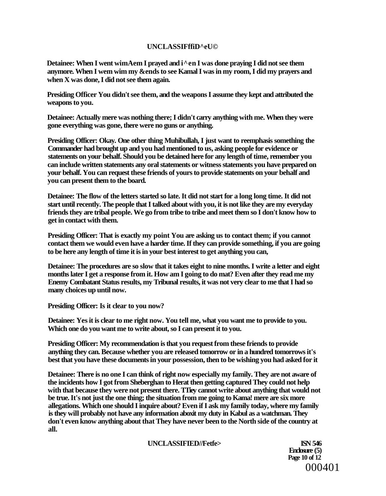## **UNCLASSIFffiD^eU©**

**Detainee: When I went wimAem I prayed and i^en I was done praying I did not see them anymore. When I wem wim my &ends to see Kamal I was in my room, I did my prayers and when X was done, I did not see them again.** 

**Presiding Officer You didn't see them, and the weapons I assume they kept and attributed the weapons to you.** 

**Detainee: Actually mere was nothing there; I didn't carry anything with me. When they were gone everything was gone, there were no guns or anything.** 

**Presiding Officer: Okay. One other thing Muhibullah, I just want to reemphasis something the Commander had brought up and you had mentioned to us, asking people for evidence or statements on your behalf. Should you be detained here for any length of time, remember you can include written statements any oral statements or witness statements you have prepared on your behalf. You can request these friends of yours to provide statements on your behalf and you can present them to the board.** 

**Detainee: The flow of the letters started so late. It did not start for a long long time. It did not start until recently. The people that I talked about with you, it is not like they are my everyday friends they are tribal people. We go from tribe to tribe and meet them so I don't know how to get in contact with them.** 

**Presiding Officer: That is exactly my point You are asking us to contact them; if you cannot contact them we would even have a harder time. If they can provide something, if you are going to be here any length of time it is in your best interest to get anything you can,** 

**Detainee: The procedures are so slow that it takes eight to nine months. I write a letter and eight months later I get a response from it. How am I going to do mat? Even after they read me my Enemy Combatant Status results, my Tribunal results, it was not very clear to me that I had so many choices up until now.** 

**Presiding Officer: Is it clear to you now?** 

**Detainee: Yes it is clear to me right now. You tell me, what you want me to provide to you. Which one do you want me to write about, so I can present it to you.** 

**Presiding Officer: My recommendation is that you request from these friends to provide anything they can. Because whether you are released tomorrow or in a hundred tomorrows it's best that you have these documents in your possession, then to be wishing you had asked for it** 

**Detainee: There is no one I can think of right now especially my family. They are not aware of the incidents how I got from Sheberghan to Herat then getting captured They could not help**  with that because they were not present there. They cannot write about anything that would not **be true. It's not just the one thing; the situation from me going to Kama! mere are six more allegations. Which one should I inquire about? Even if I ask my family today, where my family is they will probably not have any information aboxit my duty in Kabul as a watchman. They don't even know anything about that They have never been to the North side of the country at all.** 

## **UNCLASSIFIED//Fetfe> ISN 546**

**Enclosure (5) Page 10 of 12**  000401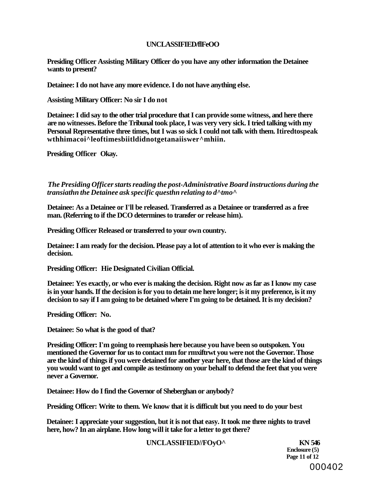### **UNCLASSIFIED/flFeOO**

**Presiding Officer Assisting Military Officer do you have any other information the Detainee wants to present?** 

**Detainee: I do not have any more evidence. I do not have anything else.** 

**Assisting Military Officer: No sir I do not** 

**Detainee: I did say to the other trial procedure that I can provide some witness, and here there are no witnesses. Before the Tribunal took place, I was very very sick. I tried talking with my Personal Representative three times, but I was so sick I could not talk with them. Itiredtospeak wthhimacoi^leoftimesbiitldidnotgetanaiiswer^mhiin.** 

**Presiding Officer Okay.** 

*The Presiding Officer starts reading the post-Administrative Board instructions during the transiathn the Detainee ask specific questhn relating to d^tmo^* 

**Detainee: As a Detainee or I'll be released. Transferred as a Detainee or transferred as a free man. (Referring to if the DCO determines to transfer or release him).** 

**Presiding Officer Released or transferred to your own country.** 

**Detainee: I am ready for the decision. Please pay a lot of attention to it who ever is making the decision.** 

**Presiding Officer: Hie Designated Civilian Official.** 

**Detainee: Yes exactly, or who ever is making the decision. Right now as far as I know my case is in your hands. If the decision is for you to detain me here longer; is it my preference, is it my decision to say if I am going to be detained where I'm going to be detained. It is my decision?** 

**Presiding Officer: No.** 

**Detainee: So what is the good of that?** 

**Presiding Officer: I'm going to reemphasis here because you have been so outspoken. You mentioned the Governor for us to contact mm for rmxiftrwt you were not the Governor. Those are the kind of things if you were detained for another year here, that those are the kind of things you would want to get and compile as testimony on your behalf to defend the feet that you were never a Governor.** 

**Detainee: How do I find the Governor of Sheberghan or anybody?** 

**Presiding Officer: Write to them. We know that it is difficult but you need to do your best** 

**Detainee: I appreciate your suggestion, but it is not that easy. It took me three nights to travel here, how? In an airplane. How long will it take for a letter to get there?** 

UNCLASSIFIED//FOyO^ KN 546

**Enclosure (5) Page 11 of 12**  000402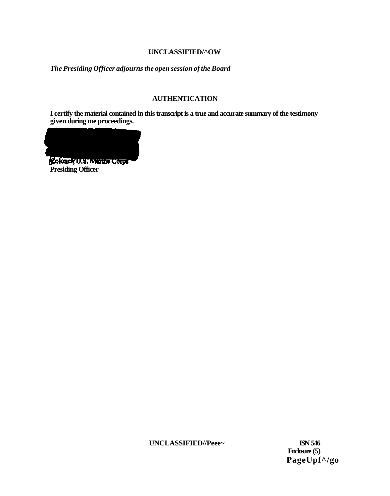### **UNCLASSIFIED/^OW**

*The Presiding Officer adjourns the open session of the Board* 

# **AUTHENTICATION**

**I certify the material contained in this transcript is a true and accurate summary of the testimony given during me proceedings.** 

**Colonek U.S. Marine Corps** 

**UNCLASSIFIED//Peee~ ISN 546** 

**Enclosure (5) PageUpf^/go**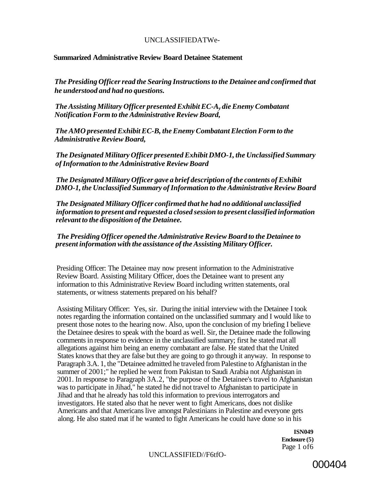#### UNCLASSIFIEDATWe-

#### **Summarized Administrative Review Board Detainee Statement**

*The Presiding Officer read the Searing Instructions to the Detainee and confirmed that he understood and had no questions.* 

*The Assisting Military Officer presented Exhibit EC-Ay die Enemy Combatant Notification Form to the Administrative Review Board,* 

*The AMO presented Exhibit EC-B, the Enemy Combatant Election Form to the Administrative Review Board,* 

*The Designated Military Officer presented Exhibit DMO-1, the Unclassified Summary of Information to the Administrative Review Board* 

*The Designated Military Officer gave a brief description of the contents of Exhibit DMO-1, the Unclassified Summary of Information to the Administrative Review Board* 

*The Designated Military Officer confirmed that he had no additional unclassified information to present and requested a closed session to present classified information relevant to the disposition of the Detainee.* 

*The Presiding Officer opened the Administrative Review Board to the Detainee to present information with the assistance of the Assisting Military Officer.* 

Presiding Officer: The Detainee may now present information to the Administrative Review Board. Assisting Military Officer, does the Detainee want to present any information to this Administrative Review Board including written statements, oral statements, or witness statements prepared on his behalf?

Assisting Military Officer: Yes, sir. During the initial interview with the Detainee I took notes regarding the information contained on the unclassified summary and I would like to present those notes to the hearing now. Also, upon the conclusion of my briefing I believe the Detainee desires to speak with the board as well. Sir, the Detainee made the following comments in response to evidence in the unclassified summary; first he stated mat all allegations against him being an enemy combatant are false. He stated that the United States knows that they are false but they are going to go through it anyway. In response to Paragraph 3.A. 1, the "Detainee admitted he traveled from Palestine to Afghanistan in the summer of 2001;" he replied he went from Pakistan to Saudi Arabia not Afghanistan in 2001. In response to Paragraph 3A.2, "the purpose of the Detainee's travel to Afghanistan was to participate in Jihad," he stated he did not travel to Afghanistan to participate in Jihad and that he already has told this information to previous interrogators and investigators. He stated also that he never went to fight Americans, does not dislike Americans and that Americans live amongst Palestinians in Palestine and everyone gets along. He also stated mat if he wanted to fight Americans he could have done so in his

**ISN049** 

**Enclosure (5)**  Page 1 of6

#### UNCLASSIFIED//F6tfO-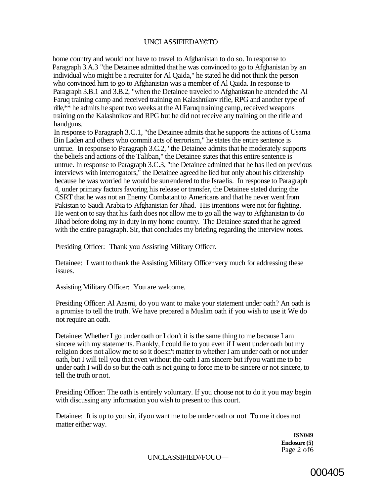### UNCLASSIFIEDA¥©TO

home country and would not have to travel to Afghanistan to do so. In response to Paragraph 3.A.3 "the Detainee admitted that he was convinced to go to Afghanistan by an individual who might be a recruiter for Al Qaida," he stated he did not think the person who convinced him to go to Afghanistan was a member of Al Qaida. In response to Paragraph 3.B.1 and 3.B.2, "when the Detainee traveled to Afghanistan he attended the Al Faruq training camp and received training on Kalashnikov rifle, RPG and another type of rifle,\*\* he admits he spent two weeks at the Al Faruq training camp, received weapons training on the Kalashnikov and RPG but he did not receive any training on the rifle and handguns.

In response to Paragraph 3.C.1, "the Detainee admits that he supports the actions of Usama Bin Laden and others who commit acts of terrorism," he states the entire sentence is untrue. In response to Paragraph 3.C.2, "the Detainee admits that he moderately supports the beliefs and actions of the Taliban," the Detainee states that this entire sentence is untrue. In response to Paragraph 3.C.3, "the Detainee admitted that he has lied on previous interviews with interrogators," the Detainee agreed he lied but only about his citizenship because he was worried he would be surrendered to the Israelis. In response to Paragraph 4, under primary factors favoring his release or transfer, the Detainee stated during the CSRT that he was not an Enemy Combatant to Americans and that he never went from Pakistan to Saudi Arabia to Afghanistan for Jihad. His intentions were not for fighting. He went on to say that his faith does not allow me to go all the way to Afghanistan to do Jihad before doing my in duty in my home country. The Detainee stated that he agreed with the entire paragraph. Sir, that concludes my briefing regarding the interview notes.

Presiding Officer: Thank you Assisting Military Officer.

Detainee: I want to thank the Assisting Military Officer very much for addressing these issues.

Assisting Military Officer: You are welcome.

Presiding Officer: Al Aasmi, do you want to make your statement under oath? An oath is a promise to tell the truth. We have prepared a Muslim oath if you wish to use it We do not require an oath.

Detainee: Whether I go under oath or I don't it is the same thing to me because I am sincere with my statements. Frankly, I could lie to you even if I went under oath but my religion does not allow me to so it doesn't matter to whether I am under oath or not under oath, but I will tell you that even without the oath I am sincere but ifyou want me to be under oath I will do so but the oath is not going to force me to be sincere or not sincere, to tell the truth or not.

Presiding Officer: The oath is entirely voluntary. If you choose not to do it you may begin with discussing any information you wish to present to this court.

Detainee: It is up to you sir, ifyou want me to be under oath or not To me it does not matter either way.

> **ISN049 Enclosure (5)**  Page 2 of6

UNCLASSIFIED//FOUO—

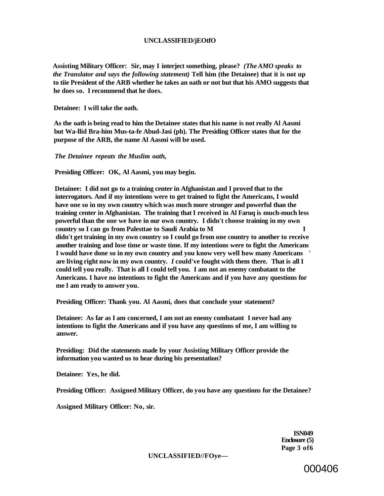#### **UNCLASSIFIED/jEOtfO**

**Assisting Military Officer: Sir, may I interject something, please?** *(The AMO speaks to the Translator and says the following statement)* **Tell him (the Detainee) that it is not up to tiie President of the ARB whether he takes an oath or not but that his AMO suggests that he does so. I recommend that he does.** 

**Detainee: I will take the oath.** 

**As the oath is being read to him the Detainee states that his name is not really Al Aasmi but Wa-llid Bra-him Mus-ta-fe Abud-Jasi (ph). The Presiding Officer states that for the purpose of the ARB, the name Al Aasmi will be used.** 

*The Detainee repeats the Muslim oath,* 

**Presiding Officer: OK, Al Aasmi, you may begin.** 

**Detainee: I did not go to a training center in Afghanistan and I proved that to the interrogators. And if my intentions were to get trained to fight the Americans, I would have one so in my own country which was much more stronger and powerful than the training center in Afghanistan. The training that I received in Al Faruq is much-much less powerful than the one we have in our own country. I didn't choose training in my own country so I can go from Palesttae to Saudi Arabia to M I didn't get training in my own country so I could go from one country to another to receive another training and lose time or waste time. If my intentions were to fight the Americans I would have done so in my own country and you know very well how many Americans ' are living right now in my own country.** *I* **could've fought with them there. That is all I could tell you really. That is all I could tell you. I am not an enemy combatant to the Americans. I have no intentions to fight the Americans and if you have any questions for me I am ready to answer you.** 

**Presiding Officer: Thank you. Al Aasmi, does that conclude your statement?** 

**Detainee: As far as I am concerned, I am not an enemy combatant I never had any intentions to fight the Americans and if you have any questions of me, I am willing to answer.** 

**Presiding: Did the statements made by your Assisting Military Officer provide the information you wanted us to hear during bis presentation?** 

**Detainee: Yes, he did.** 

**Presiding Officer: Assigned Military Officer, do you have any questions for the Detainee?** 

**Assigned Military Officer: No, sir.** 

**ISN049 Enclosure (5) Page 3 of6** 

**UNCLASSIFIED//FOye—**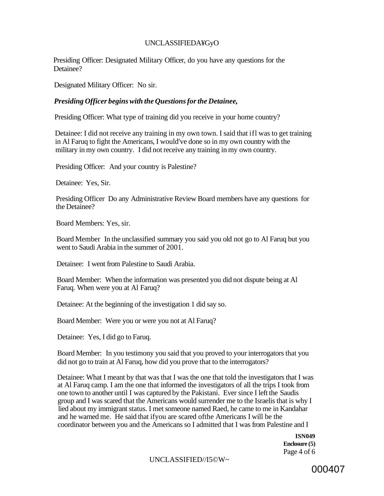### UNCLASSIFIEDA¥GyO

Presiding Officer: Designated Military Officer, do you have any questions for the Detainee?

Designated Military Officer: No sir.

#### *Presiding Officer begins with the Questions for the Detainee,*

Presiding Officer: What type of training did you receive in your home country?

Detainee: I did not receive any training in my own town. I said that ifl was to get training in Al Faruq to fight the Americans, I would've done so in my own country with the military in my own country. I did not receive any training in my own country.

Presiding Officer: And your country is Palestine?

Detainee: Yes, Sir.

Presiding Officer Do any Administrative Review Board members have any questions for the Detainee?

Board Members: Yes, sir.

Board Member In the unclassified summary you said you old not go to Al Faruq but you went to Saudi Arabia in the summer of 2001.

Detainee: I went from Palestine to Saudi Arabia.

Board Member: When the information was presented you did not dispute being at Al Faruq. When were you at Al Faruq?

Detainee: At the beginning of the investigation 1 did say so.

Board Member: Were you or were you not at Al Faruq?

Detainee: Yes, I did go to Faruq.

Board Member: In you testimony you said that you proved to your interrogators that you did not go to train at Al Faruq, how did you prove that to the interrogators?

Detainee: What I meant by that was that I was the one that told the investigators that I was at Al Faruq camp. I am the one that informed the investigators of all the trips I took from one town to another until I was captured by the Pakistani. Ever since I left the Saudis group and I was scared that the Americans would surrender me to the Israelis that is why I lied about my immigrant status. I met someone named Raed, he came to me in Kandahar and he warned me. He said that ifyou are scared ofthe Americans I will be the coordinator between you and the Americans so I admitted that I was from Palestine and I

> **ISN049 Enclosure (5)**  Page 4 of 6

UNCLASSIFIED//I5©W~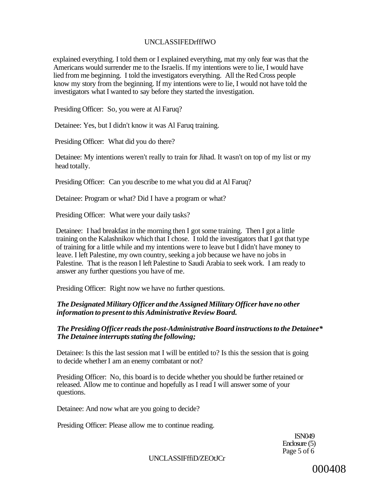### UNCLASSIFEDrfffWO

explained everything. I told them or I explained everything, mat my only fear was that the Americans would surrender me to the Israelis. If my intentions were to lie, I would have lied from me beginning. I told the investigators everything. All the Red Cross people know my story from the beginning. If my intentions were to lie, I would not have told the investigators what I wanted to say before they started the investigation.

Presiding Officer: So, you were at Al Faruq?

Detainee: Yes, but I didn't know it was Al Faruq training.

Presiding Officer: What did you do there?

Detainee: My intentions weren't really to train for Jihad. It wasn't on top of my list or my head totally.

Presiding Officer: Can you describe to me what you did at Al Faruq?

Detainee: Program or what? Did I have a program or what?

Presiding Officer: What were your daily tasks?

Detainee: I had breakfast in the morning then I got some training. Then I got a little training on the Kalashnikov which that I chose. I told the investigators that I got that type of training for a little while and my intentions were to leave but I didn't have money to leave. I left Palestine, my own country, seeking a job because we have no jobs in Palestine. That is the reason I left Palestine to Saudi Arabia to seek work. I am ready to answer any further questions you have of me.

Presiding Officer: Right now we have no further questions.

### *The Designated Military Officer and the Assigned Military Officer have no other information to present to this Administrative Review Board.*

### *The Presiding Officer reads the post-Administrative Board instructions to the Detainee\* The Detainee interrupts stating the following;*

Detainee: Is this the last session mat I will be entitled to? Is this the session that is going to decide whether I am an enemy combatant or not?

Presiding Officer: No, this board is to decide whether you should be further retained or released. Allow me to continue and hopefully as I read I will answer some of your questions.

Detainee: And now what are you going to decide?

Presiding Officer: Please allow me to continue reading.

ISN049 Enclosure (5) Page 5 of 6

UNCLASSIFffiD/ZEOtJCr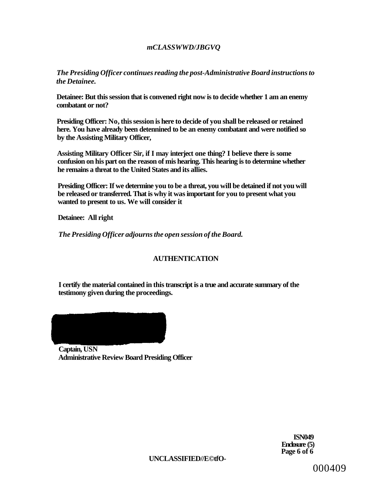## *mCLASSWWD/JBGVQ*

*The Presiding Officer continues reading the post-Administrative Board instructions to the Detainee.* 

**Detainee: But this session that is convened right now is to decide whether 1 am an enemy combatant or not?** 

**Presiding Officer: No, this session is here to decide of you shall be released or retained here. You have already been detennined to be an enemy combatant and were notified so by the Assisting Military Officer,** 

**Assisting Military Officer Sir, if I may interject one thing? I believe there is some confusion on his part on the reason of mis hearing. This hearing is to determine whether he remains a threat to the United States and its allies.** 

**Presiding Officer: If we determine you to be a threat, you will be detained if not you will be released or transferred. That is why it was important for you to present what you wanted to present to us. We will consider it** 

**Detainee: All right** 

*The Presiding Officer adjourns the open session of the Board.* 

## **AUTHENTICATION**

**I certify the material contained in this transcript is a true and accurate summary of the testimony given during the proceedings.** 



**Captain, USN Administrative Review Board Presiding Officer** 

> **ISN049 Enclosure (5) Page 6 of 6**

**UNCLASSIFIED//E©tfO-**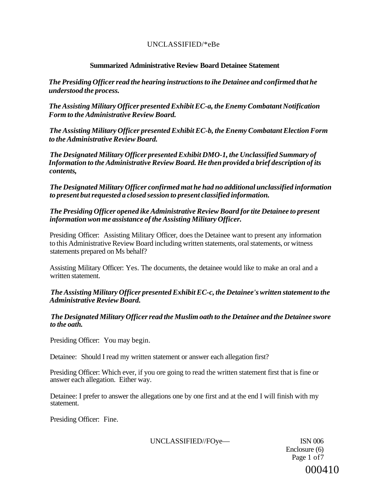## UNCLASSIFIED/\*eBe

## **Summarized Administrative Review Board Detainee Statement**

*The Presiding Officer read the hearing instructions to ihe Detainee and confirmed that he understood the process.* 

*The Assisting Military Officer presented Exhibit EC-a, the Enemy Combatant Notification Form to the Administrative Review Board.* 

*The Assisting Military Officer presented Exhibit EC-b, the Enemy Combatant Election Form to the Administrative Review Board.* 

*The Designated Military Officer presented Exhibit DMO-1, the Unclassified Summary of Information to the Administrative Review Board. He then provided a brief description of its contents,* 

*The Designated Military Officer confirmed mat he had no additional unclassified information to present but requested a closed session to present classified information.* 

*The Presiding Officer opened ike Administrative Review Board for tite Detainee to present information won me assistance of the Assisting Military Officer.* 

Presiding Officer: Assisting Military Officer, does the Detainee want to present any information to this Administrative Review Board including written statements, oral statements, or witness statements prepared on Ms behalf?

Assisting Military Officer: Yes. The documents, the detainee would like to make an oral and a written statement.

## *The Assisting Military Officer presented Exhibit EC-c, the Detainee's written statement to the Administrative Review Board.*

*The Designated Military Officer read the Muslim oath to the Detainee and the Detainee swore to the oath.* 

Presiding Officer: You may begin.

Detainee: Should I read my written statement or answer each allegation first?

Presiding Officer: Which ever, if you ore going to read the written statement first that is fine or answer each allegation. Either way.

Detainee: I prefer to answer the allegations one by one first and at the end I will finish with my statement.

Presiding Officer: Fine.

UNCLASSIFIED//FOye— ISN 006

Enclosure (6) Page 1 of7 000410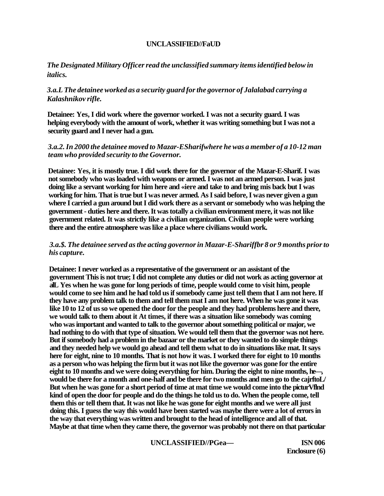### **UNCLASSIFIED//FaUD**

*The Designated Military Officer read the unclassified summary items identified below in italics.* 

## *3.a.L The detainee worked as a security guard for the governor of Jalalabad carrying a Kalashnikov rifle.*

**Detainee: Yes, I did work where the governor worked. I was not a security guard. I was helping everybody with the amount of work, whether it was writing something but I was not a security guard and I never had a gun.** 

### *3.a.2. In 2000 the detainee moved to Mazar-ESharifwhere he was a member of a 10-12 man team who provided security to the Governor.*

**Detainee: Yes, it is mostly true. I did work there for the governor of the Mazar-E-Sharif. I was not somebody who was loaded with weapons or armed. I was not an armed person. I was just doing like a servant working for him here and «iere and take to and bring mis back but I was working for him. That is true but I was never armed. As I said before, I was never given a gun where I carried a gun around but I did work there as a servant or somebody who was helping the government - duties here and there. It was totally a civilian environment mere, it was not like government related. It was strictly like a civilian organization. Civilian people were working there and the entire atmosphere was like a place where civilians would work.** 

### *3.a.\$. The detainee served as the acting governor in Mazar-E-Shariffbr 8 or 9 months prior to his capture.*

**Detainee: I never worked as a representative of the government or an assistant of the government This is not true; I did not complete any duties or did not work as acting governor at alL Yes when he was gone for long periods of time, people would come to visit him, people would come to see him and he had told us if somebody came just tell them that I am not here. If they have any problem talk to them and tell them mat I am not here. When he was gone it was like 10 to 12 of us so we opened the door for the people and they had problems here and there, we would talk to them about it At times, if there was a situation like somebody was coming who was important and wanted to talk to the governor about something political or major, we had nothing to do with that type of situation. We would tell them that the governor was not here. But if somebody had a problem in the bazaar or the market or they wanted to do simple things and they needed help we would go ahead and tell them what to do in situations like mat. It says here for eight, nine to 10 months. That is not how it was. I worked there for eight to 10 months as a person who was helping the firm but it was not like the governor was gone for the entire eight to 10 months and we were doing everything for him. During the eight to nine months, he—, would be there for a month and one-half and be there for two months and men go to the cajrftoL/ But when he was gone for a short period of time at mat time we would come into the picturVflnd kind of open the door for people and do the things he told us to do. When the people come, tell them this or tell them that. It was not like he was gone for eight months and we were all just doing this. I guess the way this would have been started was maybe there were a lot of errors in the way that everything was written and brought to the head of intelligence and all of that. Maybe at that time when they came there, the governor was probably not there on that particular** 

**UNCLASSIFIED//PGea— ISN 006** 

**Enclosure (6)**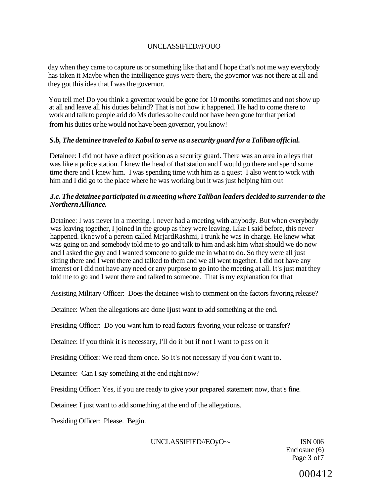## UNCLASSIFIED//FOUO

day when they came to capture us or something like that and I hope that's not me way everybody has taken it Maybe when the intelligence guys were there, the governor was not there at all and they got this idea that I was the governor.

You tell me! Do you think a governor would be gone for 10 months sometimes and not show up at all and leave all his duties behind? That is not how it happened. He had to come there to work and talk to people arid do Ms duties so he could not have been gone for that period

from his duties or he would not have been governor, you know!

### *S.b, The detainee traveled to Kabul to serve as a security guard for a Taliban official.*

Detainee: I did not have a direct position as a security guard. There was an area in alleys that was like a police station. I knew the head of that station and I would go there and spend some time there and I knew him. I was spending time with him as a guest I also went to work with him and I did go to the place where he was working but it was just helping him out

### *3.c. The detainee participated in a meeting where Taliban leaders decided to surrender to the Northern Alliance.*

Detainee: I was never in a meeting. I never had a meeting with anybody. But when everybody was leaving together, I joined in the group as they were leaving. Like I said before, this never happened. Iknewof a pereon called MrjardRashmi, I trunk he was in charge. He knew what was going on and somebody told me to go and talk to him and ask him what should we do now and I asked the guy and I wanted someone to guide me in what to do. So they were all just sitting there and I went there and talked to them and we all went together. I did not have any interest or I did not have any need or any purpose to go into the meeting at all. It's just mat they told me to go and I went there and talked to someone. That is my explanation for that

Assisting Military Officer: Does the detainee wish to comment on the factors favoring release?

Detainee: When the allegations are done Ijust want to add something at the end.

Presiding Officer: Do you want him to read factors favoring your release or transfer?

Detainee: If you think it is necessary, I'll do it but if not I want to pass on it

Presiding Officer: We read them once. So it's not necessary if you don't want to.

Detainee: Can I say something at the end right now?

Presiding Officer: Yes, if you are ready to give your prepared statement now, that's fine.

Detainee: I just want to add something at the end of the allegations.

Presiding Officer: Please. Begin.

UNCLASSIFIED//EOyO~- ISN 006

Enclosure (6) Page 3 of7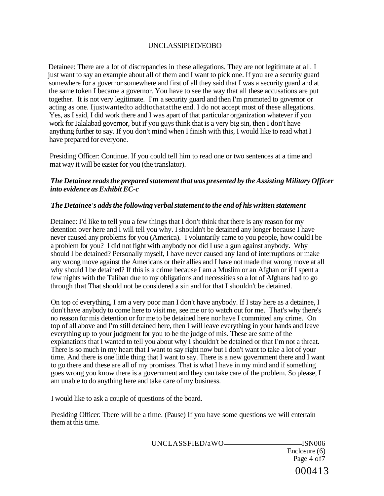## UNCLASSIPIED/EOBO

Detainee: There are a lot of discrepancies in these allegations. They are not legitimate at all. I just want to say an example about all of them and I want to pick one. If you are a security guard somewhere for a governor somewhere and first of all they said that I was a security guard and at the same token I became a governor. You have to see the way that all these accusations are put together. It is not very legitimate. I'm a security guard and then I'm promoted to governor or acting as one. Ijustwantedto addtothatatthe end. I do not accept most of these allegations. Yes, as I said, I did work there and I was apart of that particular organization whatever if you work for Jalalabad governor, but if you guys think that is a very big sin, then I don't have anything further to say. If you don't mind when I finish with this, I would like to read what I have prepared for everyone.

Presiding Officer: Continue. If you could tell him to read one or two sentences at a time and mat way it will be easier for you (the translator).

## *The Detainee reads the prepared statement that was presented by the Assisting Military Officer into evidence as Exhibit EC-c*

### *The Detainee's adds the following verbal statement to the end of his written statement*

Detainee: I'd like to tell you a few things that I don't think that there is any reason for my detention over here and I will tell you why. I shouldn't be detained any longer because I have never caused any problems for you (America). I voluntarily came to you people, how could I be a problem for you? I did not fight with anybody nor did I use a gun against anybody. Why should I be detained? Personally myself, I have never caused any land of interruptions or make any wrong move against the Americans or their allies and I have not made that wrong move at all why should I be detained? If this is a crime because I am a Muslim or an Afghan or if I spent a few nights with the Taliban due to my obligations and necessities so a lot of Afghans had to go through that That should not be considered a sin and for that I shouldn't be detained.

On top of everything, I am a very poor man I don't have anybody. If I stay here as a detainee, I don't have anybody to come here to visit me, see me or to watch out for me. That's why there's no reason for mis detention or for me to be detained here nor have I committed any crime. On top of all above and I'm still detained here, then I will leave everything in your hands and leave everything up to your judgment for you to be the judge of mis. These are some of the explanations that I wanted to tell you about why I shouldn't be detained or that I'm not a threat. There is so much in my heart that I want to say right now but I don't want to take a lot of your time. And there is one little thing that I want to say. There is a new government there and I want to go there and these are all of my promises. That is what I have in my mind and if something goes wrong you know there is a government and they can take care of the problem. So please, I am unable to do anything here and take care of my business.

I would like to ask a couple of questions of the board.

Presiding Officer: Tbere will be a time. (Pause) If you have some questions we will entertain them at this time.

UNCLASSFIED/aWO ISN006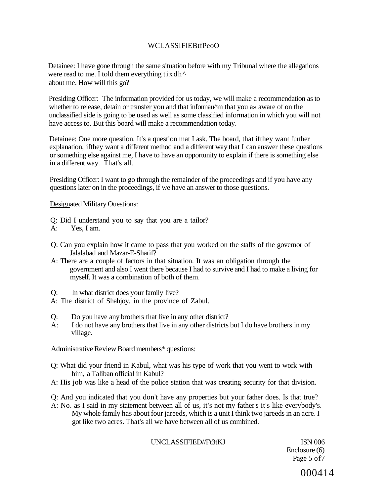## WCLASSIFlEBtfPeoO

Detainee: I have gone through the same situation before with my Tribunal where the allegations were read to me. I told them everything tixdh<sup> $\wedge$ </sup> about me. How will this go?

Presiding Officer: The information provided for us today, we will make a recommendation as to whether to release, detain or transfer you and that infonnau<sup> $\wedge$ </sup>m that you a» aware of on the unclassified side is going to be used as well as some classified information in which you will not have access to. But this board will make a recommendation today.

Detainee: One more question. It's a question mat I ask. The board, that ifthey want further explanation, ifthey want a different method and a different way that I can answer these questions or something else against me, I have to have an opportunity to explain if there is something else in a different way. That's all.

Presiding Officer: I want to go through the remainder of the proceedings and if you have any questions later on in the proceedings, if we have an answer to those questions.

Designated Military Ouestions:

Q: Did I understand you to say that you are a tailor?

A: Yes, I am.

- Q: Can you explain how it came to pass that you worked on the staffs of the governor of Jalalabad and Mazar-E-Sharif?
- A: There are a couple of factors in that situation. It was an obligation through the government and also I went there because I had to survive and I had to make a living for myself. It was a combination of both of them.
- Q: In what district does your family live?
- A: The district of Shahjoy, in the province of Zabul.
- Q: Do you have any brothers that live in any other district?
- A: I do not have any brothers that live in any other districts but I do have brothers in my village.

Administrative Review Board members\* questions:

- Q: What did your friend in Kabul, what was his type of work that you went to work with him, a Taliban official in Kabul?
- A: His job was like a head of the police station that was creating security for that division.
- Q: And you indicated that you don't have any properties but your father does. Is that true?
- A: No. as I said in my statement between all of us, it's not my father's it's like everybody's. My whole family has about four jareeds, which is a unit I think two jareeds in an acre. I got like two acres. That's all we have between all of us combined.

UNCLASSIFIED//Ft3tKJ<sup>—</sup> ISN 006

Enclosure (6) Page 5 of7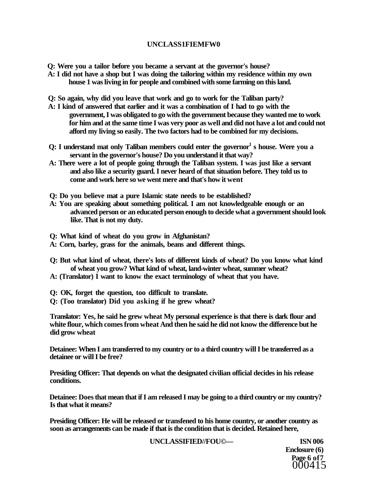## **UNCLASS1FIEMFW0**

- **Q: Were you a tailor before you became a servant at the governor's house?**
- **A: I did not have a shop but I was doing the tailoring within my residence within my own house 1 was living in for people and combined with some farming on this land.**

**Q: So again, why did you leave that work and go to work for the Taliban party?** 

- **A: I kind of answered that earlier and it was a combination of I had to go with the government, I was obligated to go with the government because they wanted me to work for him and at the same time I was very poor as well and did not have a lot and could not afford my living so easily. The two factors had to be combined for my decisions.**
- **Q: I understand mat only Taliban members could enter the governor<sup>1</sup> s house. Were you a servant in the governor's house? Do you understand it that way?**
- **A: There were a lot of people going through the Taliban system. I was just like a servant and also like a security guard. I never heard of that situation before. They told us to come and work here so we went mere and that's how it went**

**Q: Do you believe mat a pure Islamic state needs to be established?** 

**A: You are speaking about something political. I am not knowledgeable enough or an advanced person or an educated person enough to decide what a government should look like. That is not my duty.** 

**Q: What kind of wheat do you grow in Afghanistan?** 

- **A: Corn, barley, grass for the animals, beans and different things.**
- **Q: But what kind of wheat, there's lots of different kinds of wheat? Do you know what kind of wheat you grow? What kind of wheat, land-winter wheat, summer wheat?**
- **A: (Translator) I want to know the exact terminology of wheat that you have.**
- **Q: OK, forget the question, too difficult to translate.**
- **Q: (Too translator) Did you asking if he grew wheat?**

**Translator: Yes, he said he grew wheat My personal experience is that there is dark flour and white flour, which comes from wheat And then he said he did not know the difference but he did grow wheat** 

**Detainee: When I am transferred to my country or to a third country will I be transferred as a detainee or will I be free?** 

**Presiding Officer: That depends on what the designated civilian official decides in his release conditions.** 

**Detainee: Does that mean that if I am released I may be going to a third country or my country? Is that what it means?** 

**Presiding Officer: He will be released or transfened to his home country, or another country as soon as arrangements can be made if that is the condition that is decided. Retained here,** 

**UNCLASSIFIED//FOU©— ISN 006** 

**Enclosure (6) Page 6 of7**  000415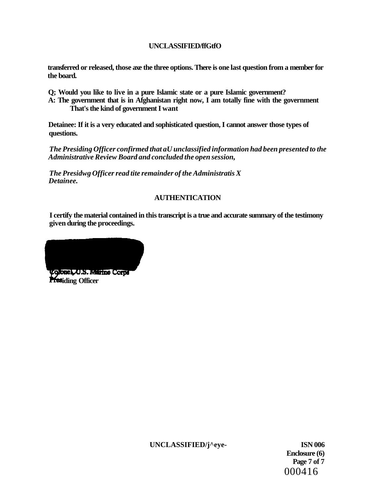## **UNCLASSIFIED/ffGtfO**

**transferred or released, those axe the three options. There is one last question from a member for the board.** 

**Q; Would you like to live in a pure Islamic state or a pure Islamic government?** 

**A: The government that is in Afghanistan right now, I am totally fine with the government That's the kind of government I want** 

**Detainee: If it is a very educated and sophisticated question, I cannot answer those types of questions.** 

*The Presiding Officer confirmed that aU unclassified information had been presented to the Administrative Review Board and concluded the open session,* 

*The Presidwg Officer read tite remainder of the Administratis X Detainee.* 

# **AUTHENTICATION**

**I certify the material contained in this transcript is a true and accurate summary of the testimony given during the proceedings.** 

ColoneLC.S. Marine Corps **Presiding Officer** 

**UNCLASSIFIED/j^eye- ISN 006** 

**Enclosure (6) Page 7 of 7**  000416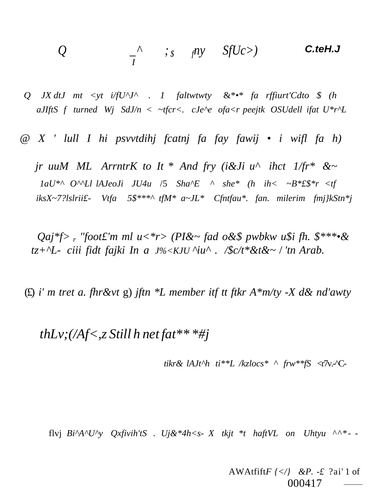$$
Q \qquad \qquad \frac{\wedge}{I} \qquad ; \quad \text{any} \qquad SfUc>) \qquad \qquad \text{C.teH.J}
$$

*Q JX dtJ mt <yt i/fU^J^ . 1 faltwtwty* &\*•\* *fa rffiurt'Cdto \$ (h aJIftS f turned Wj SdJ/n* < *~tfcr<. cJe^e ofa<r peejtk OSUdell ifat U\*r^L* 

@ *X ' lull I hi psvvtdihj fcatnj fa fay fawij • i wifl fa h)* 

*jr uuM ML ArrntrK to It \* And fry (i&Ji u^ ihct 1/fr\* &~ 1aU\*^ O^^Ll lAJeoJi JU4u* /5 *Sha^E* ^ *she\* (h ih< ~B\*£\$\*r <tf iksX~7?lslrii£- Vtfa 5\$\*\*\*^ tfM\* a~JL\* Cfntfau\*. fan. milerim fmj}kStn\*j* 

*Qaj\*f> <sup>r</sup> "foot£'m ml u<\*r> (PI&~ fad o&\$ pwbkw u\$i fh. \$\*\*\*•& tz+^L- ciii fidt fajki In a J%<KJU ^iu^ . /\$c/t\*&t&~* / *'tn Arab.* 

(£) *i' m tret a. fhr&vt* g) *jftn \*L member itf tt ftkr A\*m/ty -X d& nd'awty* 

*thLv;(/Af<,z Still h net fat\*\* \*#j* 

 $tikr$ & lAJt^h  $ti**L$  /kzlocs<sup>\*</sup> ^  $frw**fS$  <r7v.-^C-

flvj *Bi^A^U^y Qxfivih'tS . Uj&\*4h<s- X tkjt \*t haftVL on Uhtyu* ^^\*- -

AWAtfift*F {</} &P. -£* ?ai' 1 of 000417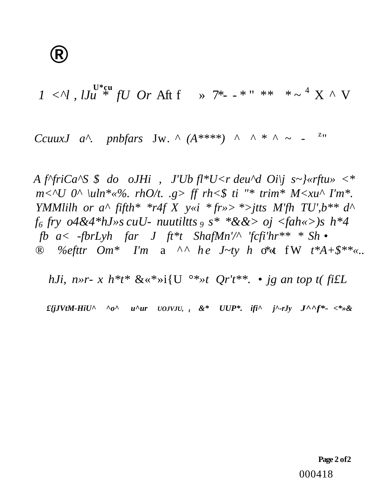**U\*cu**  *1* < $\sqrt{d}$ , *lJu*  $*$  *fU Or* Aft f  $*$  7\*--\*" \*\* \* ~ <sup>4</sup> X ^ V

*CcuuxJ a*<sup> $\wedge$ </sup> *pnbfars* Jw.  $\wedge$   $(A^{***})$   $\wedge$   $\wedge$  \*  $\wedge$  - <sup>z</sup>

A f<sup>*N*</sup>friCa<sup> $\wedge$ </sup>S  $\oint$  do oJHi, J'Ub  $\int$ l<sup>\*</sup>U < r deu $\land$ d Oi\j s~}«rftu» <\*  $m$ < $\sim$ U 0^ \uln\*«%. rhO/t. .g> ff rh<\$ ti "\* trim\* M<xu^ I'm\*. *YMMlilh or a* fifth\* \*r4f X y«i \* fr»> \*>jtts M'fh TU',b\*\* d^ *f6 fry o4&4\*hJ»s cuU- nuutiltts <sup>9</sup> s\* \*&&> oj <fah«>)s h\*4 fb a< -fbrLyh far J ft\*t ShafMn'/^ 'fcfi'hr\*\* \* Sh • ® %efttr Om\* I'm* a ^ ^ *h e J~ty h* o\*«t fW *t\*A+\$\*\*«..* 

*hJi, n»r- x h\*t\** &«\*»i{U *°\*»t Qr't\*\*.* • *jg an top t( fi£L* 

 $f_{ij}JVtM-HiU^{\wedge}$  ^o^ u^ur *UOJVJU*, *t* &\* *UUP*\*. if i^ j^-rJy  $J^{\wedge}$ ^f\*- <\*»&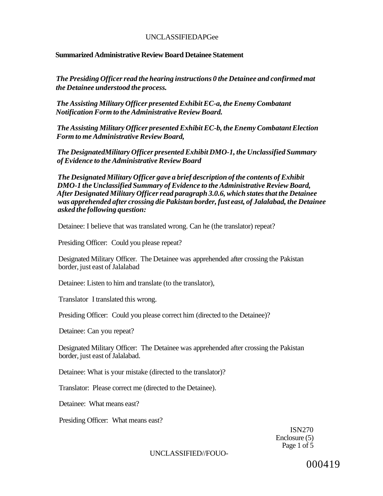### UNCLASSIFIEDAPGee

#### **Summarized Administrative Review Board Detainee Statement**

*The Presiding Officer read the hearing instructions 0 the Detainee and confirmed mat the Detainee understood the process.* 

*The Assisting Military Officer presented Exhibit EC-a, the Enemy Combatant Notification Form to the Administrative Review Board.* 

*The Assisting Military Officer presented Exhibit EC-b, the Enemy Combatant Election Form to me Administrative Review Board,* 

*The DesignatedMilitary Officer presented Exhibit DMO-1, the Unclassified Summary of Evidence to the Administrative Review Board* 

*The Designated Military Officer gave a brief description of the contents of Exhibit DMO-1 the Unclassified Summary of Evidence to the Administrative Review Board, After Designated Military Officer read paragraph 3.0.6, which states that the Detainee was apprehended after crossing die Pakistan border, fust east, of Jalalabad, the Detainee asked the following question:* 

Detainee: I believe that was translated wrong. Can he (the translator) repeat?

Presiding Officer: Could you please repeat?

Designated Military Officer. The Detainee was apprehended after crossing the Pakistan border, just east of Jalalabad

Detainee: Listen to him and translate (to the translator),

Translator I translated this wrong.

Presiding Officer: Could you please correct him (directed to the Detainee)?

Detainee: Can you repeat?

Designated Military Officer: The Detainee was apprehended after crossing the Pakistan border, just east of Jalalabad.

Detainee: What is your mistake (directed to the translator)?

Translator: Please correct me (directed to the Detainee).

Detainee: What means east?

Presiding Officer: What means east?

ISN270 Enclosure (5) Page 1 of 5

UNCLASSIFIED//FOUO-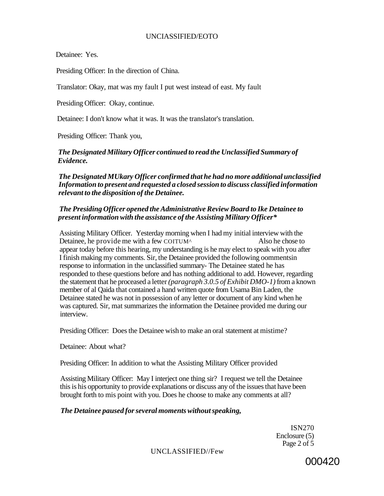### UNCIASSIFIED/EOTO

Detainee: Yes.

Presiding Officer: In the direction of China.

Translator: Okay, mat was my fault I put west instead of east. My fault

Presiding Officer: Okay, continue.

Detainee: I don't know what it was. It was the translator's translation.

Presiding Officer: Thank you,

*The Designated Military Officer continued to read the Unclassified Summary of Evidence.* 

*The Designated MUkary Officer confirmed that he had no more additional unclassified Information to present and requested a closed session to discuss classified information relevant to the disposition of the Detainee.* 

## *The Presiding Officer opened the Administrative Review Board to Ike Detainee to present information with the assistance of the Assisting Military Officer\**

Assisting Military Officer. Yesterday morning when I had my initial interview with the Detainee, he provide me with a few COITUM<sup>^</sup> Also he chose to appear today before this hearing, my understanding is he may elect to speak with you after I finish making my comments. Sir, the Detainee provided the following oommentsin response to information in the unclassified summary- The Detainee stated he has responded to these questions before and has nothing additional to add. However, regarding the statement that he proceased a letter *(paragraph 3.0.5 of Exhibit DMO-1)* from a known member of al Qaida that contained a hand written quote from Usama Bin Laden, the Detainee stated he was not in possession of any letter or document of any kind when he was captured. Sir, mat summarizes the information the Detainee provided me during our interview.

Presiding Officer: Does the Detainee wish to make an oral statement at mistime?

Detainee: About what?

Presiding Officer: In addition to what the Assisting Military Officer provided

Assisting Military Officer: May I interject one thing sir? I request we tell the Detainee this is his opportunity to provide explanations or discuss any of the issues that have been brought forth to mis point with you. Does he choose to make any comments at all?

### *The Detainee paused for several moments without speaking,*

ISN270 Enclosure (5) Page 2 of 5

UNCLASSIFIED//Few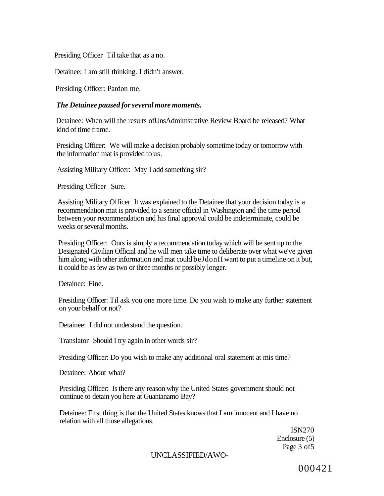Presiding Officer Til take that as a no.

Detainee: I am still thinking. I didn't answer.

Presiding Officer: Pardon me.

### *The Detainee paused for several more moments.*

Detainee: When will the results of UnsAdmimstrative Review Board be released? What kind of time frame.

Presiding Officer: We will make a decision probably sometime today or tomorrow with the information mat is provided to us.

Assisting Military Officer: May I add something sir?

Presiding Officer Sure.

Assisting Military Officer It was explained to the Detainee that your decision today is a recommendation mat is provided to a senior official in Washington and the time period between your recommendation and his final approval could be indeterminate, could be weeks or several months.

Presiding Officer: Ours is simply a recommendation today which will be sent up to the Designated Civilian Official and he will men take time to deliberate over what we've given him along with other information and mat could beJdonH want to put a timeline on it but, it could be as few as two or three months or possibly longer.

Detainee: Fine.

Presiding Officer: Til ask you one more time. Do you wish to make any further statement on your behalf or not?

Detainee: I did not understand the question.

Translator Should I try again in other words sir?

Presiding Officer: Do you wish to make any additional oral statement at mis time?

Detainee: About what?

Presiding Officer: Is there any reason why the United States government should not continue to detain you here at Guantanamo Bay?

Detainee: First thing is that the United States knows that I am innocent and I have no relation with all those allegations.

> ISN270 Enclosure (5) Page 3 of5

### UNCLASSIFIED/AWO-

000421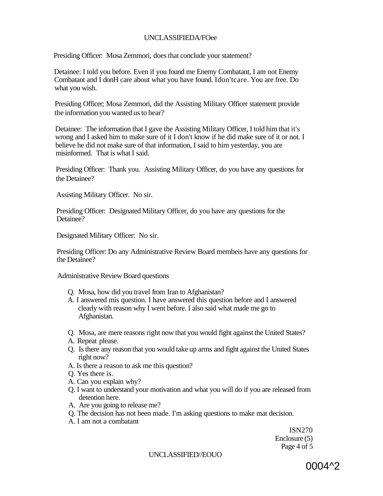### UNCLASSIFIEDA/FOee

Presiding Officer: Mosa Zemmori, does that conclude your statement?

Detainee: I told you before. Even if you found me Enemy Combatant, I am not Enemy Combatant and I donH care about what you have found. Idon'tcare. You are free. Do what you wish.

Presiding Officer; Mosa Zemmori, did the Assisting Military Officer statement provide the information you wanted us to hear?

Detainee: The information that I gave the Assisting Military Officer, I told him that it's wrong and I asked him to make sure of it I don't know if he did make sure of it or not. I believe he did not make sure of that information, I said to him yesterday, you are misinformed. That is what I said.

Presiding Officer: Thank you. Assisting Military Officer, do you have any questions for the Detainee?

Assisting Military Officer. No sir.

Presiding Officer: Designated Military Officer, do you have any questions for the Detainee?

Designated Military Officer: No sir.

Presiding Officer: Do any Administrative Review Board membeis have any questions for the Detainee?

Administrative Review Board questions

- Q. Mosa, how did you travel from Iran to Afghanistan?
- A. I answered mis question. I have answered this question before and I answered clearly with reason why I went before. I also said what made me go to Afghanistan.
- Q. Mosa, are mere reasons right now that you would fight against the United States?
- A. Repeat please.
- Q. Is there any reason that you would take up arms and fight against the United States right now?
- A. Is there a reason to ask me this question?
- Q. Yes there is.
- A. Can you explain why?
- Q. I want to understand your motivation and what you will do if you are released from detention here.
- A. Are you going to release me?
- Q. The decision has not been made. I'm asking questions to make mat decision.
- A. I am not a combatant

ISN270 Enclosure (5) Page 4 of 5

### UNCLASSIFIED//EOUO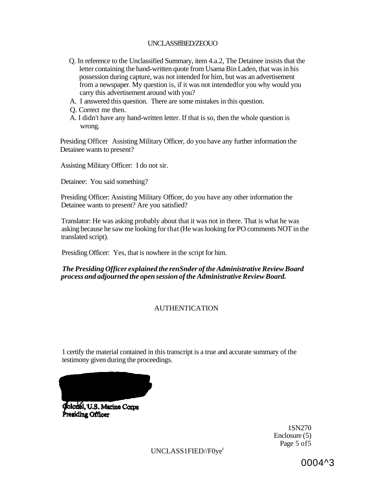### UNCLASSffBED/ZEOUO

- Q. In reference to the Unclassified Summary, item 4.a.2, The Detainee insists that the letter containing the hand-written quote from Usama Bin Laden, that was in his possession during capture, was not intended for him, but was an advertisement from a newspaper. My question is, if it was not intendedfor you why would you carry this advertisement around with you?
- A. I answered this question. There are some mistakes in this question.
- Q. Correct me then.
- A. I didn't have any hand-written letter. If that is so, then the whole question is wrong.

Presiding Officer Assisting Military Officer, do you have any further information the Detainee wants to present?

Assisting Military Officer: I do not sir.

Detainee: You said something?

Presiding Officer: Assisting Military Officer, do you have any other information the Detainee wants to present? Are you satisfied?

Translator: He was asking probably about that it was not in there. That is what he was asking because he saw me looking for that (He was looking for PO comments NOT in the translated script).

Presiding Officer: Yes, that is nowhere in the script for him.

### *The Presiding Officer explained the renSnder of the Administrative Review Board process and adjourned the open session of the Administrative Review Board.*

### AUTHENTICATION

1 certify the material contained in this transcript is a true and accurate summary of the testimony given during the proceedings.



Colonel, U.S. Marine Corps Presiding Officer

> 1SN270 Enclosure (5) Page 5 of5

UNCLASS1FIED//F0ye<sup>r</sup>

0004^3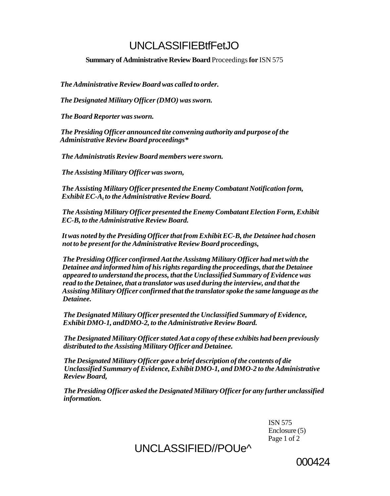# UNCLASSIFIEBtfFetJO

**Summary of Administrative Review Board** Proceedings **for** ISN 575

*The Administrative Review Board was called to order.* 

*The Designated Military Officer (DMO) was sworn.* 

*The Board Reporter was sworn.* 

*The Presiding Officer announced tite convening authority and purpose of the Administrative Review Board proceedings\** 

*The Administratis Review Board members were sworn.* 

*The Assisting Military Officer was sworn,* 

*The Assisting Military Officer presented the Enemy Combatant Notification form, Exhibit EC-A<sup>t</sup> to the Administrative Review Board.* 

*The Assisting Military Officer presented the Enemy Combatant Election Form, Exhibit EC-B, to the Administrative Review Board.* 

*It was noted by the Presiding Officer that from Exhibit EC-B, the Detainee had chosen not to be present for the Administrative Review Board proceedings,* 

*The Presiding Officer confirmed Aat the Assistmg Military Officer had met with the Detainee and informed him of his rights regarding the proceedings, that the Detainee appeared to understand the process, that the Unclassified Summary of Evidence was read to the Detainee, that a translator was used during the interview, and that the Assisting Military Officer confirmed that the translator spoke the same language as the Detainee.* 

*The Designated Military Officer presented the Unclassified Summary of Evidence, Exhibit DMO-1, andDMO-2, to the Administrative Review Board.* 

*The Designated Military Officer stated Aat a copy of these exhibits had been previously distributed to the Assisting Military Officer and Detainee.* 

*The Designated Military Officer gave a brief description of the contents of die Unclassified Summary of Evidence, Exhibit DMO-1, and DMO-2 to the Administrative Review Board,* 

*The Presiding Officer asked the Designated Military Officer for any further unclassified information.* 

> ISN 575 Enclosure (5) Page 1 of 2

# UNCLASSIFIED//POUe^

000424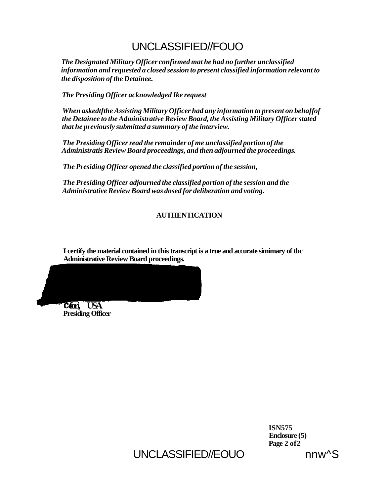# UNCLASSIFIED//FOUO

*The Designated Military Officer confirmed mat he had no further unclassified information and requested a closed session to present classified information relevant to the disposition of the Detainee.* 

*The Presiding Officer acknowledged Ike request* 

*When askedtfthe Assisting Military Officer had any information to present on behaffof the Detainee to the Administrative Review Board, the Assisting Military Officer stated that he previously submitted a summary of the interview.* 

*The Presiding Officer read the remainder of me unclassified portion of the Administratis Review Board proceedings, and then adjourned the proceedings.* 

*The Presiding Officer opened the classified portion of the session,* 

*The Presiding Officer adjourned the classified portion of the session and the Administrative Review Board was dosed for deliberation and voting.* 

### **AUTHENTICATION**

**I certify the material contained in this transcript is a true and accurate simimary of tbc Administrative Review Board proceedings.** 



**fori, USA Presiding Officer** 

> **ISN575 Enclosure (5) Page 2 of2**

## UNCLASSIFIED//EOUO nnw^S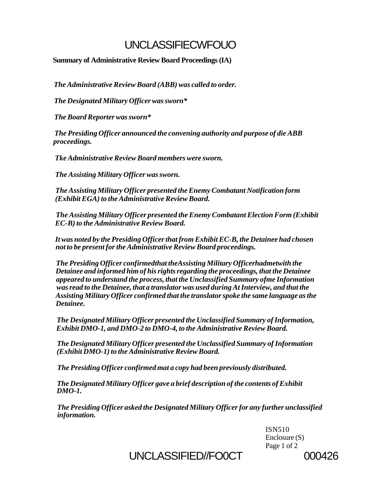# UNCLASSIFIECWFOUO

**Summary of Administrative Review Board Proceedings (IA)** 

*The Administrative Review Board (ABB) was called to order.* 

*The Designated Military Officer was sworn\** 

*The Board Reporter was sworn\** 

*The Presiding Officer announced the convening authority and purpose of die ABB proceedings.* 

*Tke Administrative Review Board members were sworn.* 

*The Assisting Military Officer was sworn.* 

*The Assisting Military Officer presented the Enemy Combatant Notification form (Exhibit EGA) to the Administrative Review Board.* 

*The Assisting Military Officer presented the Enemy Combatant Election Form (Exhibit EC-B) to the Administrative Review Board.* 

*It was noted by the Presiding Officer that from Exhibit EC-B, the Detainee had chosen not to be present for the Administrative Review Board proceedings.* 

*The Presiding Officer confirmedthat theAssisting Military Officerhadmetwith the Detainee and informed him of his rights regarding the proceedings, that the Detainee appeared to understand the process, that the Unclassified Summary ofme Information was read to the Detainee, that a translator was used during At Interview, and that the Assisting Military Officer confirmed that the translator spoke the same language as the Detainee.* 

*The Designated Military Officer presented the Unclassified Summary of Information, Exhibit DMO-1, and DMO-2 to DMO-4, to the Administrative Review Board.* 

*The Designated Military Officer presented the Unclassified Summary of Information (Exhibit DMO-1) to the Administrative Review Board.* 

*The Presiding Officer confirmed mat a copy had been previously distributed.* 

*The Designated Military Officer gave a brief description of the contents of Exhibit DMO-1.* 

*The Presiding Officer asked the Designated Military Officer for any further unclassified information.* 

> ISN510 Enclosure (S) Page 1 of 2

UNCLASSIFIED//FO0CT 000426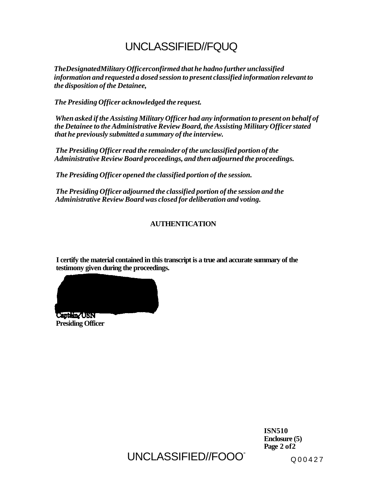# UNCLASSIFIED//FQUQ

*TheDesignatedMilitary Officerconfirmed that he hadno further unclassified information and requested a dosed session to present classified information relevant to the disposition of the Detainee,* 

*The Presiding Officer acknowledged the request.* 

*When asked if the Assisting Military Officer had any information to present on behalf of the Detainee to the Administrative Review Board, the Assisting Military Officer stated that he previously submitted a summary of the interview.* 

*The Presiding Officer read the remainder of the unclassified portion of the Administrative Review Board proceedings, and then adjourned the proceedings.* 

*The Presiding Officer opened the classified portion of the session.* 

*The Presiding Officer adjourned the classified portion of the session and the Administrative Review Board was closed for deliberation and voting.* 

### **AUTHENTICATION**

**I certify the material contained in this transcript is a true and accurate summary of the testimony given during the proceedings.** 

Captain / USN **Presiding Officer** 

> **ISN510 Enclosure (5) Page 2 of2**

## UNCLASSIFIED//FOOO-

Q0042 7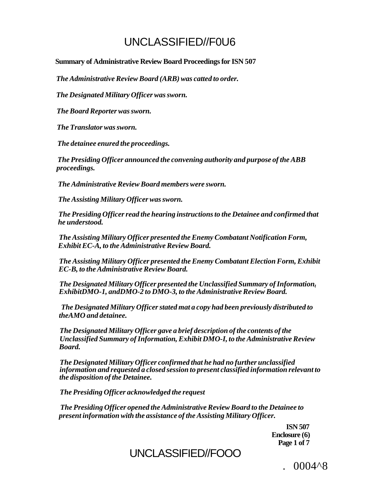# UNCLASSIFIED//F0U6

**Summary of Administrative Review Board Proceedings for ISN 507** 

*The Administrative Review Board (ARB) was catted to order.* 

*The Designated Military Officer was sworn.* 

*The Board Reporter was sworn.* 

*The Translator was sworn.* 

*The detainee enured the proceedings.* 

*The Presiding Officer announced the convening authority and purpose of the ABB proceedings.* 

*The Administrative Review Board members were sworn.* 

*The Assisting Military Officer was sworn.* 

*The Presiding Officer read the hearing instructions to the Detainee and confirmed that he understood.* 

*The Assisting Military Officer presented the Enemy Combatant Notification Form, Exhibit EC-A, to the Administrative Review Board.* 

*The Assisting Military Officer presented the Enemy Combatant Election Form, Exhibit EC-B, to the Administrative Review Board.* 

*The Designated Military Officer presented the Unclassified Summary of Information<sup>t</sup> ExhibitDMO-1, andDMO-2 to DMO-3, to the Administrative Review Board.* 

*The Designated Military Officer stated mat a copy had been previously distributed to theAMO and detainee.* 

*The Designated Military Officer gave a brief description of the contents of the Unclassified Summary of Information, Exhibit DMO-I, to the Administrative Review Board.* 

*The Designated Military Officer confirmed that he had no further unclassified information and requested a closed session to present classified information relevant to the disposition of the Detainee.* 

*The Presiding Officer acknowledged the request* 

*The Presiding Officer opened the Administrative Review Board to the Detainee to present information with the assistance of the Assisting Military Officer.* 

> **ISN 507 Enclosure (6) Page 1 of 7**

### UNCLASSIFIED//FOOO

. 0004^8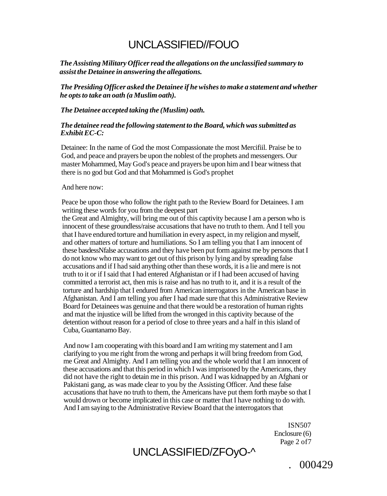## UNCLASSIFIED//FOUO

*The Assisting Military Officer read the allegations on the unclassified summary to assist the Detainee in answering the allegations.* 

*The Presiding Officer asked the Detainee if he wishes to make a statement and whether he opts to take an oath (a Muslim oath).* 

*The Detainee accepted taking the (Muslim) oath.* 

### *The detainee read the following statement to the Board, which was submitted as Exhibit EC-C:*

Detainee: In the name of God the most Compassionate the most Mercifiil. Praise be to God, and peace and prayers be upon the noblest of the prophets and messengers. Our master Mohammed, May God's peace and prayers be upon him and I bear witness that there is no god but God and that Mohammed is God's prophet

And here now:

Peace be upon those who follow the right path to the Review Board for Detainees. I am writing these words for you from the deepest part

the Great and Almighty, will bring me out of this captivity because I am a person who is innocent of these groundless/raise accusations that have no truth to them. And I tell you that I have endured torture and humiliation in every aspect, in my religion and myself, and other matters of torture and humiliations. So I am telling you that I am innocent of these basdessNfalse accusations and they have been put form against me by persons that I do not know who may want to get out of this prison by lying and by spreading false accusations and if I had said anything other than these words, it is a lie and mere is not truth to it or if I said that I had entered Afghanistan or if I had been accused of having committed a terrorist act, then mis is raise and has no truth to it, and it is a result of the torture and hardship that I endured from American interrogators in the American base in Afghanistan. And I am telling you after I had made sure that this Administrative Review Board for Detainees was genuine and that there would be a restoration of human rights and mat the injustice will be lifted from the wronged in this captivity because of the detention without reason for a period of close to three years and a half in this island of Cuba, Guantanamo Bay.

And now I am cooperating with this board and I am writing my statement and I am clarifying to you me right from the wrong and perhaps it will bring freedom from God, me Great and Almighty. And I am telling you and the whole world that I am innocent of these accusations and that this period in which I was imprisoned by the Americans, they did not have the right to detain me in this prison. And I was kidnapped by an Afghani or Pakistani gang, as was made clear to you by the Assisting Officer. And these false accusations that have no truth to them, the Americans have put them forth maybe so that I would drown or become implicated in this case or matter that I have nothing to do with. And I am saying to the Administrative Review Board that the interrogators that

> ISN507 Enclosure (6) Page 2 of7

UNCLASSIFIED/ZFOyO-^

. 000429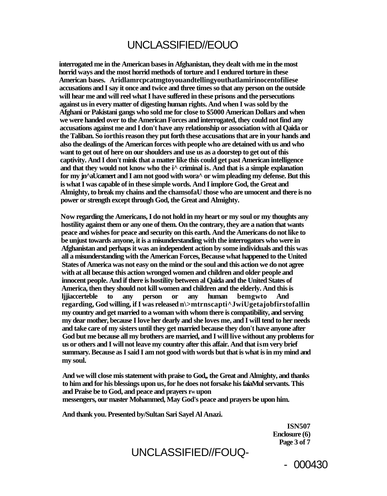## UNCLASSIFIED//EOUO

**interrogated me in the American bases in Afghanistan, they dealt with me in the most horrid ways and the most horrid methods of torture and I endured torture in these American bases. Aridlamrcpcatmgtoyouandtellingyouthatlamirinocentofiliese accusations and I say it once and twice and three times so that any person on the outside will hear me and will reel what I have suffered in these prisons and the persecutions against us in every matter of digesting human rights. And when I was sold by the Afghani or Pakistani gangs who sold me for close to \$5000 American Dollars and when we were handed over to the American Forces and interrogated, they could not find any accusations against me and I don't have any relationship or association with al Qaida or the Taliban. So iorthis reason they put forth these accusations that are in your hands and also the dealings of the American forces with people who are detained with us and who want to get out of here on our shoulders and use us as a doorstep to get out of this captivity. And I don't mink that a matter like this could get past American intelligence and that they would not know who the i^ criminal is. And that is a simple explanation for my jn^aUcamert and I am not good with wora^ or wim pleading my defense. But this is what I was capable of in these simple words. And I implore God, the Great and Almighty, to break my chains and the chamsofaU those who are umocent and there is no power or strength except through God, the Great and Almighty.** 

**Now regarding the Americans, I do not hold in my heart or my soul or my thoughts any hostility against them or any one of them. On the contrary, they are a nation that wants peace and wishes for peace and security on this earth. And the Americans do not like to be unjust towards anyone, it is a misunderstanding with the interrogators who were in Afghanistan and perhaps it was an independent action by some individuals and this was all a misunderstanding with the American Forces, Because what happened to the United States of America was not easy on the mind or the soul and this action we do not agree with at all because this action wronged women and children and older people and innocent people. And if there is hostility between al Qaida and the United States of America, then they should not kill women and children and the elderly. And this is ljjiaccerteble to any person or any human bemgwto And regarding, God willing, if I was released n\>mtrnscapti^JwiUgetajobfirstofallin my country and get married to a woman with whom there is compatibility, and serving my dear mother, because I love her dearly and she loves me, and I will tend to her needs and take care of my sisters until they get married because they don't have anyone after God but me because all my brothers are married, and I will live without any problems for us or others and I will not leave my country after this affair. And that ism very brief summary. Because as I said I am not good with words but that is what is in my mind and my soul.** 

**And we will close mis statement with praise to God,, the Great and Almighty, and thanks to him and for his blessings upon us, for he does not forsake his faiaMul servants. This and Praise be to God, and peace and prayers r« upon messengers, our master Mohammed, May God's peace and prayers be upon him.** 

**And thank you. Presented by/Sultan Sari Sayel Al Anazi.** 

**ISN507 Enclosure (6) Page 3 of 7** 

UNCLASSIFIED//FOUQ-

- 000430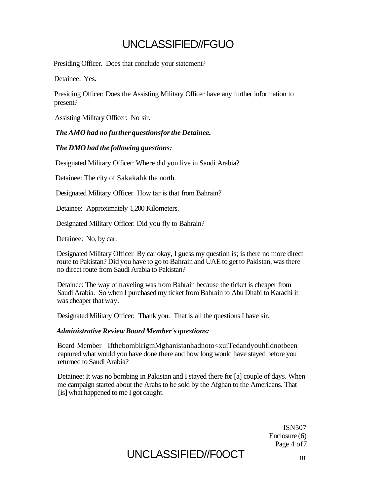## UNCLASSIFIED//FGUO

Presiding Officer. Does that conclude your statement?

Detainee: Yes.

Presiding Officer: Does the Assisting Military Officer have any further information to present?

Assisting Military Officer: No sir.

### *The AMO had no further questionsfor the Detainee.*

### *The DMO had the following questions:*

Designated Military Officer: Where did yon live in Saudi Arabia?

Detainee: The city of Sakakahk the north.

Designated Military Officer How tar is that from Bahrain?

Detainee: Approximately 1,200 Kilometers.

Designated Military Officer: Did you fly to Bahrain?

Detainee: No, by car.

Designated Military Officer By car okay, I guess my question is; is there no more direct route to Pakistan? Did you have to go to Bahrain and UAE to get to Pakistan, was there no direct route from Saudi Arabia to Pakistan?

Detainee: The way of traveling was from Bahrain because the ticket is cheaper from Saudi Arabia. So when I purchased my ticket from Bahrain to Abu Dhabi to Karachi it was cheaper that way.

Designated Military Officer: Thank you. That is all the questions I have sir.

### *Administrative Review Board Member's questions:*

Board Member IfthebombirigmMghanistanhadnoto<xuiTedandyouhfldnotbeen captured what would you have done there and how long would have stayed before you returned to Saudi Arabia?

Detainee: It was no bombing in Pakistan and I stayed there for [a] couple of days. When me campaign started about the Arabs to be sold by the Afghan to the Americans. That [is] what happened to me I got caught.

> ISN507 Enclosure (6) Page 4 of7

# UNCLASSIFIED//F0OCT nr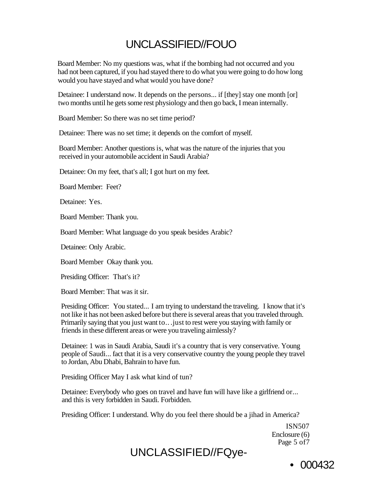# UNCLASSIFIED//FOUO

Board Member: No my questions was, what if the bombing had not occurred and you had not been captured, if you had stayed there to do what you were going to do how long would you have stayed and what would you have done?

Detainee: I understand now. It depends on the persons... if [they] stay one month [or] two months until he gets some rest physiology and then go back, I mean internally.

Board Member: So there was no set time period?

Detainee: There was no set time; it depends on the comfort of myself.

Board Member: Another questions is, what was the nature of the injuries that you received in your automobile accident in Saudi Arabia?

Detainee: On my feet, that's all; I got hurt on my feet.

Board Member: Feet?

Detainee: Yes.

Board Member: Thank you.

Board Member: What language do you speak besides Arabic?

Detainee: Only Arabic.

Board Member Okay thank you.

Presiding Officer: That's it?

Board Member: That was it sir.

Presiding Officer: You stated... I am trying to understand the traveling. I know that it's not like it has not been asked before but there is several areas that you traveled through. Primarily saying that you just want to.. .just to rest were you staying with family or friends in these different areas or were you traveling aimlessly?

Detainee: 1 was in Saudi Arabia, Saudi it's a country that is very conservative. Young people of Saudi... fact that it is a very conservative country the young people they travel to Jordan, Abu Dhabi, Bahrain to have fun.

Presiding Officer May I ask what kind of tun?

Detainee: Everybody who goes on travel and have fun will have like a girlfriend or... and this is very forbidden in Saudi. Forbidden.

Presiding Officer: I understand. Why do you feel there should be a jihad in America?

ISN507 Enclosure (6) Page 5 of7

UNCLASSIFIED//FQye-

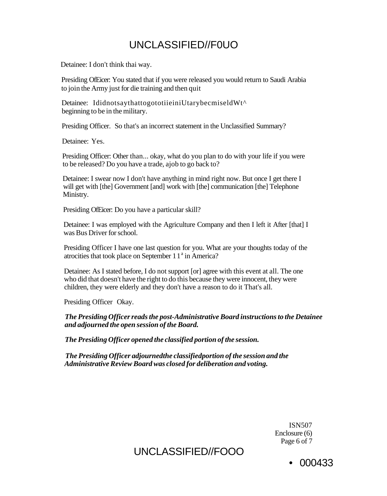# UNCLASSIFIED//F0UO

Detainee: I don't think thai way.

Presiding OfEicer: You stated that if you were released you would return to Saudi Arabia to join the Army just for die training and then quit

Detainee: IdidnotsaythattogototiieiniUtarybecmiseldWt^ beginning to be in the military.

Presiding Officer. So that's an incorrect statement in the Unclassified Summary?

Detainee: Yes.

Presiding Officer: Other than... okay, what do you plan to do with your life if you were to be released? Do you have a trade, ajob to go back to?

Detainee: I swear now I don't have anything in mind right now. But once I get there I will get with [the] Government [and] work with [the] communication [the] Telephone Ministry.

Presiding OfEicer: Do you have a particular skill?

Detainee: I was employed with the Agriculture Company and then I left it After [that] I was Bus Driver for school.

Presiding Officer I have one last question for you. What are your thoughts today of the atrocities that took place on September  $11<sup>a</sup>$  in America?

Detainee: As I stated before, I do not support [or] agree with this event at all. The one who did that doesn't have the right to do this because they were innocent, they were children, they were elderly and they don't have a reason to do it That's all.

Presiding Officer Okay.

*The Presiding Officer reads the post-Administrative Board instructions to the Detainee and adjourned the open session of the Board.* 

*The Presiding Officer opened the classified portion of the session.* 

*The Presiding Officer adjournedthe classifiedportion of the session and the Administrative Review Board was closed for deliberation and voting.* 

> ISN507 Enclosure (6) Page 6 of 7

## UNCLASSIFIED//FOOO

• 000433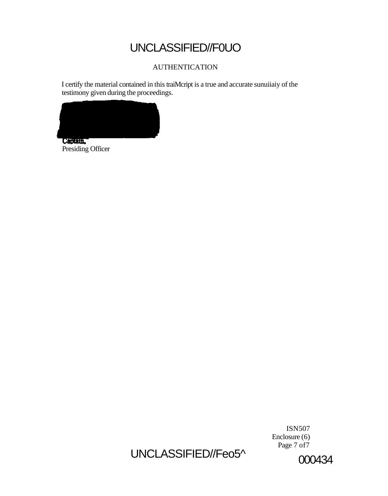# UNCLASSIFIED//F0UO

### AUTHENTICATION

I certify the material contained in this traiMcript is a true and accurate sunuiiaiy of the testimony given during the proceedings.



Captain, Presiding Officer

> ISN507 Enclosure (6) Page 7 of 7



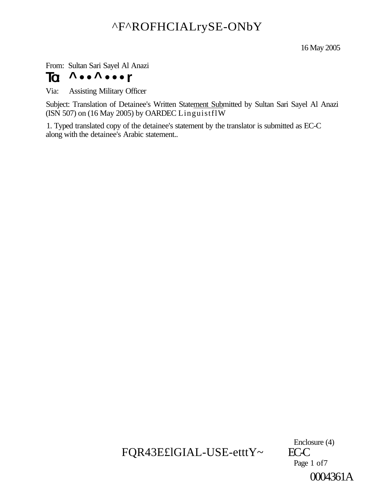# ^F^ROFHCIALrySE-ONbY

16 May 2005

From: Sultan Sari Sayel Al Anazi



Via: Assisting Military Officer

Subject: Translation of Detainee's Written Statement Submitted by Sultan Sari Sayel Al Anazi (ISN 507) on (16 May 2005) by OARDEC LinguistflW

1. Typed translated copy of the detainee's statement by the translator is submitted as EC-C along with the detainee's Arabic statement..

FQR43E£IGIAL-USE-etttY~ EC-C

Enclosure (4) Page 1 of7 0004361A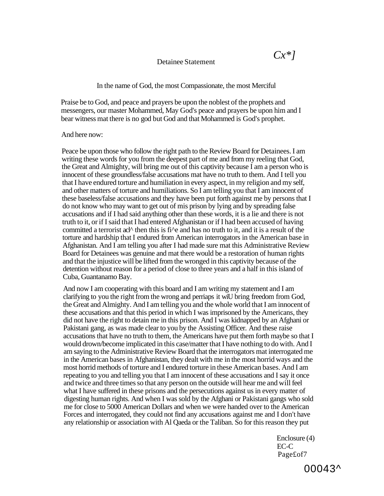#### Detainee Statement

*Cx\*]* 

#### In the name of God, the most Compassionate, the most Merciful

Praise be to God, and peace and prayers be upon the noblest of the prophets and messengers, our master Mohammed, May God's peace and prayers be upon him and I bear witness mat there is no god but God and that Mohammed is God's prophet.

#### And here now:

Peace be upon those who follow the right path to the Review Board for Detainees. I am writing these words for you from the deepest part of me and from my reeling that God, the Great and Almighty, will bring me out of this captivity because I am a person who is innocent of these groundless/false accusations mat have no truth to them. And I tell you that I have endured torture and humiliation in every aspect, in my religion and my self, and other matters of torture and humiliations. So I am telling you that I am innocent of these baseless/false accusations and they have been put forth against me by persons that I do not know who may want to get out of mis prison by lying and by spreading false accusations and if I had said anything other than these words, it is a lie and there is not truth to it, or if I said that I had entered Afghanistan or if I had been accused of having committed a terrorist ac<sup> $\wedge$ </sup> then this is fi $\wedge$ e and has no truth to it, and it is a result of the torture and hardship that I endured from American interrogators in the American base in Afghanistan. And I am telling you after I had made sure mat this Administrative Review Board for Detainees was genuine and mat there would be a restoration of human rights and that the injustice will be lifted from the wronged in this captivity because of the detention without reason for a period of close to three years and a half in this island of Cuba, Guantanamo Bay.

And now I am cooperating with this board and I am writing my statement and I am clarifying to you the right from the wrong and perriaps it wiU bring freedom from God, the Great and Almighty. And I am telling you and the whole world that I am innocent of these accusations and that this period in which I was imprisoned by the Americans, they did not have the right to detain me in this prison. And I was kidnapped by an Afghani or Pakistani gang, as was made clear to you by the Assisting Officer. And these raise accusations that have no truth to them, the Americans have put them forth maybe so that I would drown/become implicated in this case/matter that I have nothing to do with. And I am saying to the Administrative Review Board that the interrogators mat interrogated me in the American bases in Afghanistan, they dealt with me in the most horrid ways and the most horrid methods of torture and I endured torture in these American bases. And I am repeating to you and telling you that I am innocent of these accusations and I say it once and twice and three times so that any person on the outside will hear me and will feel what I have suffered in these prisons and the persecutions against us in every matter of digesting human rights. And when I was sold by the Afghani or Pakistani gangs who sold me for close to 5000 American Dollars and when we were handed over to the American Forces and interrogated, they could not find any accusations against me and I don't have any relationship or association with Al Qaeda or the Taliban. So for this reason they put

> Enclosure (4) EC-C Page£of7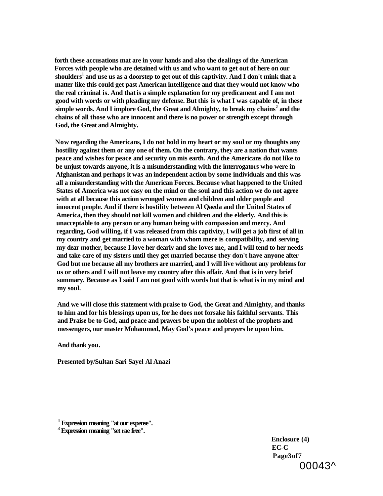**forth these accusations mat are in your hands and also the dealings of the American Forces with people who are detained with us and who want to get out of here on our shoulders<sup>1</sup> and use us as a doorstep to get out of this captivity. And I don't mink that a matter like this could get past American intelligence and that they would not know who the real criminal is. And that is a simple explanation for my predicament and I am not good with words or with pleading my defense. But this is what I was capable of, in these simple words. And I implore God, the Great and Almighty, to break my chains<sup>2</sup> and the chains of all those who are innocent and there is no power or strength except through God, the Great and Almighty.** 

**Now regarding the Americans, I do not hold in my heart or my soul or my thoughts any hostility against them or any one of them. On the contrary, they are a nation that wants peace and wishes for peace and security on mis earth. And the Americans do not like to be unjust towards anyone, it is a misunderstanding with the interrogators who were in Afghanistan and perhaps it was an independent action by some individuals and this was all a misunderstanding with the American Forces. Because what happened to the United States of America was not easy on the mind or the soul and this action we do not agree with at all because this action wronged women and children and older people and innocent people. And if there is hostility between Al Qaeda and the United States of America, then they should not kill women and children and the elderly. And this is unacceptable to any person or any human being with compassion and mercy. And regarding, God willing, if I was released from this captivity, I will get a job first of all in my country and get married to a woman with whom mere is compatibility, and serving my dear mother, because I love her dearly and she loves me, and I will tend to her needs and take care of my sisters until they get married because they don't have anyone after God but me because all my brothers are married, and I will live without any problems for us or others and I will not leave my country after this affair. And that is in very brief summary. Because as I said I am not good with words but that is what is in my mind and my soul.** 

**And we will close this statement with praise to God, the Great and Almighty, and thanks to him and for his blessings upon us, for he does not forsake his faithful servants. This and Praise be to God, and peace and prayers be upon the noblest of the prophets and messengers, our master Mohammed, May God's peace and prayers be upon him.** 

**And thank you.** 

**Presented by/Sultan Sari Sayel Al Anazi** 

**Enclosure (4) EC-C Page3of7**  00043^

**<sup>1</sup> Expression meaning "at our expense".** 

**<sup>3</sup> Expression meaning "set rae free".**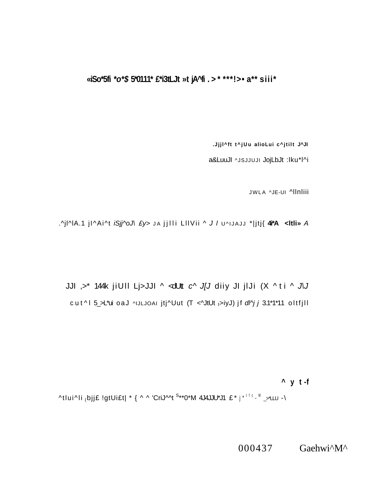## **«iSo\*5fi \*o\*\$ 5\*0111\* £\*i3tLJt »t jA^fi .> \* \*\*\*!>• a\*\* siii\***

**.Jjjl^ft t^jU u alioLui c^jtilt J^JI** 

a&LuuJI ^JSJJUJI JojLbJt :lku\*l^i

JWLA ^JE-UI ^llnliii

.^jl^lA.1 jI^Ai^t iSjj^oJ\ £y> J A jjll i LllVi i ^J l U^IJAJ J \*|jtj{ **4i\*A <ltli»** A

JJI ,>\* 144k jiUll Lj>JJI ^ < dUtt c^ J[J diiy JI jIJi (X ^t i ^ JV cut^l 5\_>L\*ui oaJ ^IJLJOAI jtj^Uut (T <^JtUt t>iyJ) jf dl^j j 3.1\*1\*11 oltfjll

**^ y t -f** 

^tlui^li <sub>(</sub>bjj£ !gtUi£t| \* { ^ ^ 'CriJ^^t <sup>S</sup>\*\*0\*M 4J4JJU\*J1 £\* j \* <sup>t f c</sup> · <sup>M</sup> \_>\*LU -\

000437 Gaehwi<sup>^</sup>M<sup>^</sup>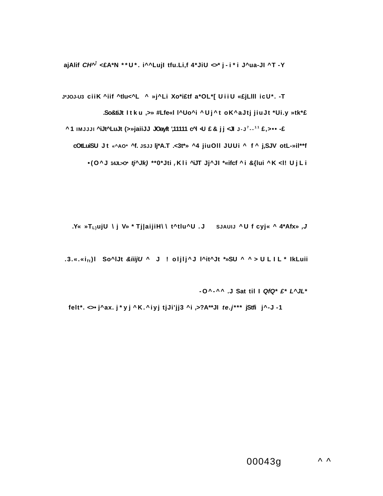**ajAlif CH^] <£A\*N \*\*U\*. i^^LujI tfu.Li,f 4\*JiU <>\* j-i\* i J^ua-JI ^T -Y** 

**J\*JOJ-U3 ciiK ^iif ^tlu<^L ^ »j^Li Xo\*i£tf a\*OL\*[ Uii U «£jLlll icU\*. -T .So&tiJt Itk u ,>» #Lfe«l l^Uo^i ^Uj^ t oK^aJtj jiuJt \*Ui.y »tk\*£** 

**^ 1 IMJJJI ^iJt^LuJt (>»jaiiJJ JOayft ',11111 c^l <U £ & jj <JI J-J <sup>7</sup> - - 1 1 £,>•• -£ cOtLuiSU J t «^AO\* ^f. JSJJ lj\*A.T .<3t\*» ^4 jiuOll JUUi ^ f ^ j,SJV otL-»il\*\*f •(O^ J 14JL>O\* tj^Jk) \*\*0\*Jti <sup>r</sup> K li ^iJT Jj^JI \*«ifcf ^ i &{lui ^ K <l! UjL i** 

**.Y« »TL)ujU \ j V» \* Tj|aijiH\ \ t^tlu^U .J SJAUIJ ^ U f cyj« ^ 4\*Afx» ,J** 

**.3.«.«i f t )l So^lJt &iiijU ^J ! oljlj^ J l^it^Jt \*»SU ^ ^>ULIL \* IkLuii** 

**-O^-^ ^ .J Sat til I QfQ\* £\* L^JL\*** 

**felt\*. <>• j^ax. j\*y j ^K.^iyj tjJi'jj3 ^i ,>?A\*\*JI te.j\*\*\* jStfi j^-J -1**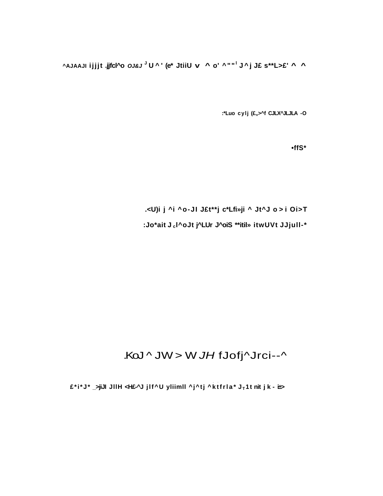**^AJAAJI ijjjt .jjfcl^o OJ&J <sup>J</sup> U ^ ' (e\* JtiiU v ^ o' ^"" <sup>l</sup> J^ j J£ s\*\*L>£' ^ ^** 

**:\*Luo cylj (£">^f CJLX^JLJLA -O** 

**•ffS\*** 

**.<U)i j ^i ^o-JI J£t\*\*j c\*Lfi»ji ^ Jt^J o> i Oi>T** 

**:Jo\*ait J <sup>c</sup>l^oJt j^LUr J^oiS \*\*itil» itwUVt JJjull-\*** 

# .KoJ ^ JW > W JH fJofj^Jrci--^

• \* \* **£\*i\*J\* \_>jiJI JllH <H£-^J jlf^U yliimll ^j^tj ^ktfrla\* J <sup>T</sup> 1t nit jk - i±>**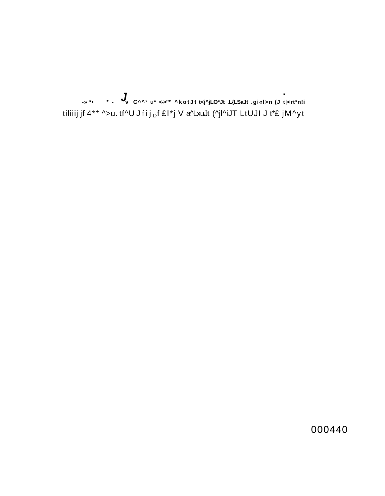**J**<br>V CAA<sup>9</sup> U<sup>\*</sup> <>"\* Akot.lt t<iAil O\*.lt 1 {l Sa.lt \_qi«l>n (.l tl **-» \*• \* - v C^^° u\* <->"\*' ^kotJ t t<j^jLO\*Jt .L{LSaJt .gi«l>n (J t|<rt\*n!i**  tiliiij jf 4\*\* ^>u. tf^U Jfij pf £l\*j V a^LxuJt (^jl^iJT LtUJI J t\*£ jM^yt

000440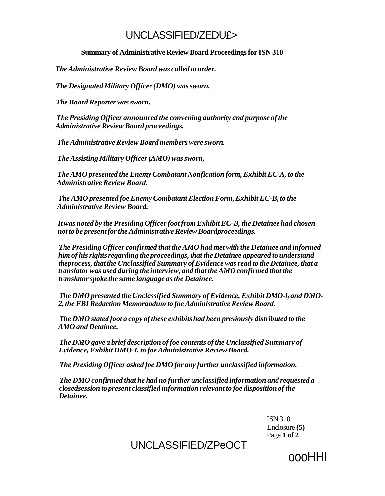## UNCLASSIFIED/ZEDU£>

### **Summary of Administrative Review Board Proceedings for ISN 310**

*The Administrative Review Board was called to order.* 

*The Designated Military Officer (DMO) was sworn.* 

*The Board Reporter was sworn.* 

*The Presiding Officer announced the convening authority and purpose of the Administrative Review Board proceedings.* 

*The Administrative Review Board members were sworn.* 

*The Assisting Military Officer (AMO) was sworn,* 

*The AMO presented the Enemy Combatant Notification form, Exhibit EC-A, to the Administrative Review Board.* 

*The AMO presented foe Enemy Combatant Election Form, Exhibit EC-B, to the Administrative Review Board.* 

*It was noted by the Presiding Officer foot from Exhibit EC-B, the Detainee had chosen not to be present for the Administrative Review Boardproceedings.* 

*The Presiding Officer confirmed that the AMO had met with the Detainee and informed him of his rights regarding the proceedings, that the Detainee appeared to understand theprocess, that the Unclassified Summary of Evidence was read to the Detainee, that a translator was used during the interview, and that the AMO confirmed that the translator spoke the same language as the Detainee.* 

*The DMO presented the Unclassified Summary of Evidence, Exhibit DMO-l<sup>f</sup> and DMO-2, the FBI Redaction Memorandum to foe Administrative Review Board.* 

*The DMO stated foot a copy of these exhibits had been previously distributed to the AMO and Detainee.* 

*The DMO gave a brief description of foe contents of the Unclassified Summary of Evidence, Exhibit DMO-I, to foe Administrative Review Board.* 

*The Presiding Officer asked foe DMO for any further unclassified information.* 

*The DMO confirmed that he had no further unclassified information and requested a closedsession to present classified information relevant to foe disposition of the Detainee.* 

> ISN 310 Enclosure **(5)**  Page **1 of 2**

## UNCLASSIFIED/ZPeOCT

oooHHI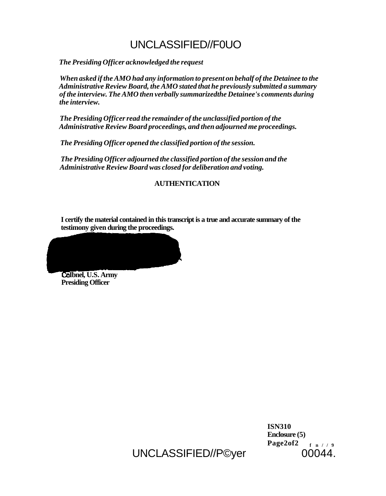# UNCLASSIFIED//F0UO

*The Presiding Officer acknowledged the request* 

*When asked if the AMO had any information to present on behalf of the Detainee to the Administrative Review Board, the AMO stated that he previously submitted a summary of the interview. The AMO then verbally summarizedthe Detainee's comments during the interview.* 

*The Presiding Officer read the remainder of the unclassified portion of the Administrative Review Board proceedings, and then adjourned me proceedings.* 

*The Presiding Officer opened the classified portion of the session.* 

*The Presiding Officer adjourned the classified portion of the session and the Administrative Review Board was closed for deliberation and voting.* 

### **AUTHENTICATION**

**I certify the material contained in this transcript is a true and accurate summary of the testimony given during the proceedings.** 

**Colbnel, U.S. Army Presiding Officer** 

> **ISN310 Enclosure (5) Page2of2 f n// <sup>9</sup>**

UNCLASSIFIED//P©yer 00044.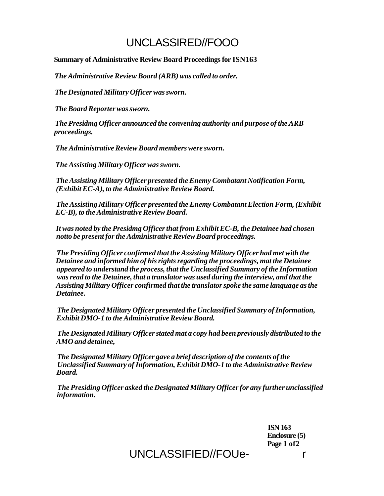# UNCLASSIRED//FOOO

**Summary of Administrative Review Board Proceedings for ISN163** 

*The Administrative Review Board (ARB) was called to order.* 

*The Designated Military Officer was sworn.* 

*The Board Reporter was sworn.* 

*The Presidmg Officer announced the convening authority and purpose of the ARB proceedings.* 

*The Administrative Review Board members were sworn.* 

*The Assisting Military Officer was sworn.* 

*The Assisting Military Officer presented the Enemy Combatant Notification Form, (Exhibit EC-A), to the Administrative Review Board.* 

*The Assisting Military Officer presented the Enemy Combatant Election Form, (Exhibit EC-B), to the Administrative Review Board.* 

*It was noted by the Presidmg Officer that from Exhibit EC-B, the Detainee had chosen notto be present for the Administrative Review Board proceedings.* 

*The Presiding Officer confirmed that the Assisting Military Officer had met with the Detainee and informed him of his rights regarding the proceedings, mat the Detainee appeared to understand the process, that the Unclassified Summary of the Information was read to the Detainee, that a translator was used during the interview, and that the Assisting Military Officer confirmed that the translator spoke the same language as the Detainee.* 

*The Designated Military Officer presented the Unclassified Summary of Information, Exhibit DMO-1 to the Administrative Review Board.* 

*The Designated Military Officer stated mat a copy had been previously distributed to the AMO and detainee,* 

*The Designated Military Officer gave a brief description of the contents of the Unclassified Summary of Information, Exhibit DMO-1 to the Administrative Review Board.* 

*The Presiding Officer asked the Designated Military Officer for any further unclassified information.* 

> **ISN 163 Enclosure (5) Page 1 of2**

UNCLASSIFIED//FOUE- r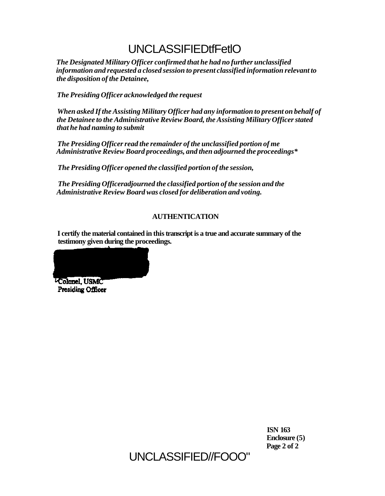# UNCLASSIFIEDtfFetlO

*The Designated Military Officer confirmed that he had no further unclassified information and requested a closed session to present classified information relevant to the disposition of the Detainee,* 

*The Presiding Officer acknowledged the request* 

*When asked If the Assisting Military Officer had any information to present on behalf of the Detainee to the Administrative Review Board, the Assisting Military Officer stated that he had naming to submit* 

*The Presiding Officer read the remainder of the unclassified portion of me Administrative Review Board proceedings, and then adjourned the proceedings\** 

*The Presiding Officer opened the classified portion of the session,* 

*The Presiding Officeradjourned the classified portion of the session and the Administrative Review Board was closed for deliberation and voting.* 

### **AUTHENTICATION**

**I certify the material contained in this transcript is a true and accurate summary of the testimony given during the proceedings.** 



**Presiding Officer** 

**ISN 163 Enclosure (5) Page 2 of 2** 

UNCLASSIFIED//FOOO"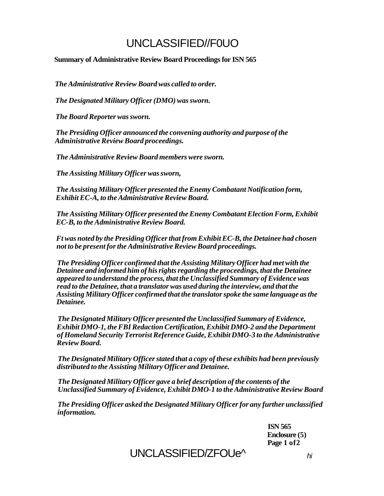## UNCLASSIFIED//F0UO

### **Summary of Administrative Review Board Proceedings for ISN 565**

*The Administrative Review Board was called to order.* 

*The Designated Military Officer (DMO) was sworn.* 

*The Board Reporter was sworn.* 

*The Presiding Officer announced the convening authority and purpose of the Administrative Review Board proceedings.* 

*The Administrative Review Board members were sworn.* 

*The Assisting Military Officer was sworn,* 

*The Assisting Military Officer presented the Enemy Combatant Notification form, Exhibit EC-A, to the Administrative Review Board.* 

*The Assisting Military Officer presented the Enemy Combatant Election Form, Exhibit EC-B, to the Administrative Review Board.* 

*Ft was noted by the Presiding Officer that from Exhibit EC-B, the Detainee had chosen not to be present for the Administrative Review Board proceedings.* 

*The Presiding Officer confirmed that the Assisting Military Officer had met with the Detainee and informed him of his rights regarding the proceedings, that the Detainee appeared to understand the process, that the Unclassified Summary of Evidence was read to the Detainee, that a translator was used during the interview, and that the Assisting Military Officer confirmed that the translator spoke the same language as the Detainee.* 

*The Designated Military Officer presented the Unclassified Summary of Evidence, Exhibit DMO-1, the FBI Redaction Certification, Exhibit DMO-2 and the Department of Homeland Security Terrorist Reference Guide, Exhibit DMO-3 to the Administrative Review Board.* 

*The Designated Military Officer stated that a copy of these exhibits had been previously distributed to the Assisting Military Officer and Detainee.* 

*The Designated Military Officer gave a brief description of the contents of the Unclassified Summary of Evidence, Exhibit DMO-1 to the Administrative Review Board* 

*The Presiding Officer asked the Designated Military Officer for any further unclassified information.* 

> **ISN 565 Enclosure (5) Page 1 of2**

UNCLASSIFIED/ZFOUe^ hi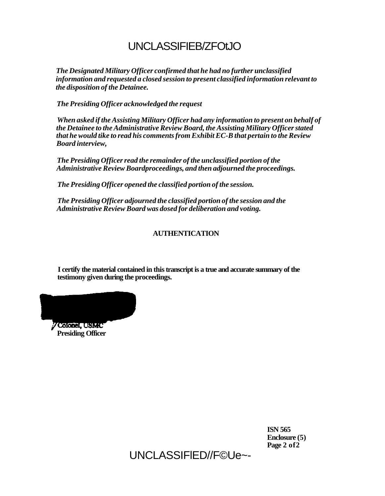# UNCLASSIFIEB/ZFOtJO

*The Designated Military Officer confirmed that he had no further unclassified information and requested a closed session to present classified information relevant to the disposition of the Detainee.* 

*The Presiding Officer acknowledged the request* 

*When asked if the Assisting Military Officer had any information to present on behalf of the Detainee to the Administrative Review Board, the Assisting Military Officer stated that he would tike to read his comments from Exhibit EC-B that pertain to the Review Board interview,* 

*The Presiding Officer read the remainder of the unclassified portion of the Administrative Review Boardproceedings, and then adjourned the proceedings.* 

*The Presiding Officer opened the classified portion of the session.* 

*The Presiding Officer adjourned the classified portion of the session and the Administrative Review Board was dosed for deliberation and voting.* 

### **AUTHENTICATION**

**I certify the material contained in this transcript is a true and accurate summary of the testimony given during the proceedings.** 

**// Colonel, USIMC Presiding Officer** 

> **ISN 565 Enclosure (5) Page 2 of2**

UNCLASSIFlED//F©Ue~-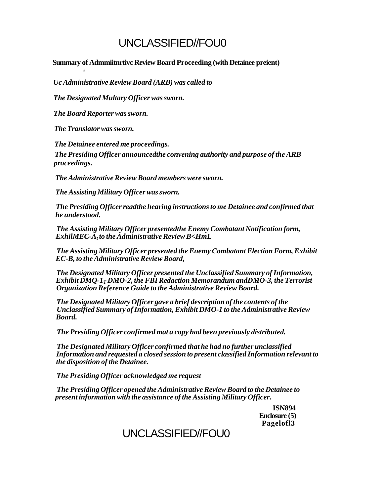## UNCLASSIFIED//FOU0

**Summary of Admmiitnrtivc Review Board Proceeding (with Detainee preient)** 

*Uc Administrative Review Board (ARB) was called to* 

*The Designated Multary Officer was sworn.* 

*The Board Reporter was sworn.* 

*The Translator was sworn.* 

s

*The Detainee entered me proceedings.* 

*The Presiding Officer announcedthe convening authority and purpose of the ARB proceedings.* 

*The Administrative Review Board members were sworn.* 

*The Assisting Military Officer was sworn.* 

*The Presiding Officer readthe hearing instructions to me Detainee and confirmed that he understood.* 

*The Assisting Military Officer presentedthe Enemy Combatant Notification form, ExhilMEC-A<sup>t</sup> to the Administrative Review B<HmL* 

*The Assisting Military Officer presented the Enemy Combatant Election Form, Exhibit EC-B, to the Administrative Review Board,* 

*The Designated Military Officer presented the Unclassified Summary of Information, Exhibit DMQ-1T DMO-2, the FBI Redaction Memorandum andDMO-3, the Terrorist Organization Reference Guide to the Administrative Review Board.* 

*The Designated Military Officer gave a brief description of the contents of the Unclassified Summary of Information, Exhibit DMO-1 to the Administrative Review Board.* 

*The Presiding Officer confirmed mat a copy had been previously distributed.* 

*The Designated Military Officer confirmed that he had no further unclassified Information and requested a closed session to present classified Information relevant to the disposition of the Detainee.* 

*The Presiding Officer acknowledged me request* 

*The Presiding Officer opened the Administrative Review Board to the Detainee to present information with the assistance of the Assisting Military Officer.* 

> **ISN894 Enclosure (5) Pagelofl3**

## UNCLASSIFIED//FOU0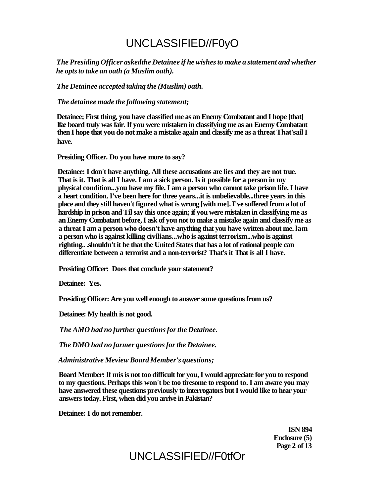# UNCLASSIFIED//F0yO

*The Presiding Officer askedthe Detainee if he wishes to make a statement and whether he opts to take an oath (a Muslim oath).* 

*The Detainee accepted taking the (Muslim) oath.* 

*The detainee made the following statement;* 

**Detainee; First thing, you have classified me as an Enemy Combatant and I hope [that] Ifae board truly was fair. If you were mistaken in classifying me as an Enemy Combatant then I hope that you do not make a mistake again and classify me as a threat That'sail I have.** 

**Presiding Officer. Do you have more to say?** 

**Detainee: I don't have anything. All these accusations are lies and they are not true. That is it. That is all I have. I am a sick person. Is it possible for a person in my physical condition...you have my file. I am a person who cannot take prison life. I have a heart condition. I've been here for three years...it is unbelievable...three years in this place and they still haven't figured what is wrong [with me]. I've suffered from a lot of hardship in prison and Til say this once again; if you were mistaken in classifying me as an Enemy Combatant before, I ask of you not to make a mistake again and classify me as a threat I am a person who doesn't have anything that you have written about me. lam a person who is against killing civilians...who is against terrorism...who is against righting.. .shouldn't it be that the United States that has a lot of rational people can differentiate between a terrorist and a non-terrorist? That's it That is all I have.** 

**Presiding Officer: Does that conclude your statement?** 

**Detainee: Yes.** 

**Presiding Officer: Are you well enough to answer some questions from us?** 

**Detainee: My health is not good.** 

*The AMO had no further questions for the Detainee.* 

*The DMO had no farmer questions for the Detainee.* 

*Administrative Meview Board Member's questions;* 

**Board Member: If mis is not too difficult for you, I would appreciate for you to respond to my questions. Perhaps this won't be too tiresome to respond to. I am aware you may have answered these questions previously to interrogators but I would like to hear your answers today. First, when did you arrive in Pakistan?** 

**Detainee: I do not remember.** 

**ISN 894 Enclosure (5) Page 2 of 13** 

## UNCLASSIFIED//F0tfOr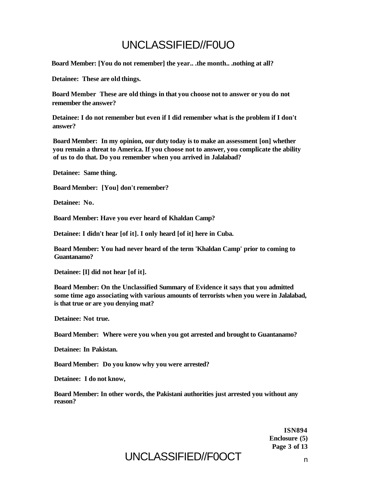## UNCLASSIFIED//F0UO

**Board Member: [You do not remember] the year.. .the month.. .nothing at all?** 

**Detainee: These are old things.** 

**Board Member These are old things in that you choose not to answer or you do not remember the answer?** 

**Detainee: I do not remember but even if I did remember what is the problem if I don't answer?** 

**Board Member: In my opinion, our duty today is to make an assessment [on] whether you remain a threat to America. If you choose not to answer, you complicate the ability of us to do that. Do you remember when you arrived in Jalalabad?** 

**Detainee: Same thing.** 

**Board Member: [You] don't remember?** 

**Detainee: No.** 

**Board Member: Have you ever heard of Khaldan Camp?** 

**Detainee: I didn't hear [of it]. I only heard [of it] here in Cuba.** 

**Board Member: You had never heard of the term 'Khaldan Camp' prior to coming to Guantanamo?** 

**Detainee: [I] did not hear [of it].** 

**Board Member: On the Unclassified Summary of Evidence it says that you admitted some time ago associating with various amounts of terrorists when you were in Jalalabad, is that true or are you denying mat?** 

**Detainee: Not true.** 

**Board Member: Where were you when you got arrested and brought to Guantanamo?** 

**Detainee: In Pakistan.** 

**Board Member: Do you know why you were arrested?** 

**Detainee: I do not know,** 

**Board Member: In other words, the Pakistani authorities just arrested you without any reason?** 

> **ISN894 Enclosure (5) Page 3 of 13**

### UNCLASSIFIED//F0OCT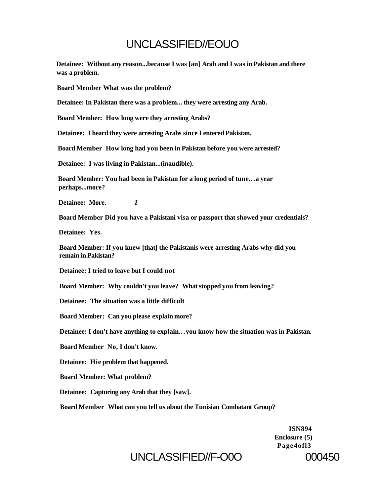### UNCLASSIFIED//EOUO

**Detainee: Without any reason...because I was [an] Arab and I was in Pakistan and there was a problem.** 

**Board Member What was the problem?** 

**Detainee: In Pakistan there was a problem... they were arresting any Arab.** 

**Board Member: How long were they arresting Arabs?** 

**Detainee: I heard they were arresting Arabs since I entered Pakistan.** 

**Board Member How long had you been in Pakistan before you were arrested?** 

**Detainee: I was living in Pakistan...(inaudible).** 

**Board Member: You had been in Pakistan for a long period of tune.. .a year perhaps...more?** 

**Detainee: More.** *I* 

**Board Member Did you have a Pakistani visa or passport that showed your credentials?** 

**Detainee: Yes.** 

**Board Member: If you knew [that] the Pakistanis were arresting Arabs why did you remain in Pakistan?** 

**Detainee: I tried to leave but I could not** 

**Board Member: Why couldn't you leave? What stopped you from leaving?** 

**Detainee: The situation was a little difficult** 

**Board Member: Can you please explain more?** 

**Detainee: I don't have anything to explain.. .you know how the situation was in Pakistan.** 

**Board Member No, I don't know.** 

**Detainee: Hie problem that happened.** 

**Board Member: What problem?** 

**Detainee: Capturing any Arab that they [saw].** 

**Board Member What can you tell us about the Tunisian Combatant Group?** 

**ISN894 Enclosure (5) Page4ofl3** 

UNCLASSIFIED//F-O0O 000450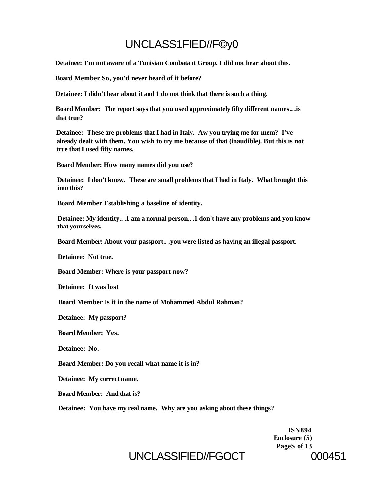## UNCLASS1FIED//F©y0

**Detainee: I'm not aware of a Tunisian Combatant Group. I did not hear about this.** 

**Board Member So, you'd never heard of it before?** 

**Detainee: I didn't hear about it and 1 do not think that there is such a thing.** 

**Board Member: The report says that you used approximately fifty different names.. .is that true?** 

**Detainee: These are problems that I had in Italy. Aw you trying me for mem? I've already dealt with them. You wish to try me because of that (inaudible). But this is not true that I used fifty names.** 

**Board Member: How many names did you use?** 

**Detainee: I don't know. These are small problems that I had in Italy. What brought this into this?** 

**Board Member Establishing a baseline of identity.** 

**Detainee: My identity.. .1 am a normal person.. .1 don't have any problems and you know that yourselves.** 

**Board Member: About your passport.. .you were listed as having an illegal passport.** 

**Detainee: Not true.** 

**Board Member: Where is your passport now?** 

**Detainee: It was lost** 

**Board Member Is it in the name of Mohammed Abdul Rahman?** 

**Detainee: My passport?** 

**Board Member: Yes.** 

**Detainee: No.** 

**Board Member: Do you recall what name it is in?** 

**Detainee: My correct name.** 

**Board Member: And that is?** 

**Detainee: You have my real name. Why are you asking about these things?** 

**ISN894 Enclosure (5) PageS of 13** 

## UNCLASSIFIED//FGOCT 000451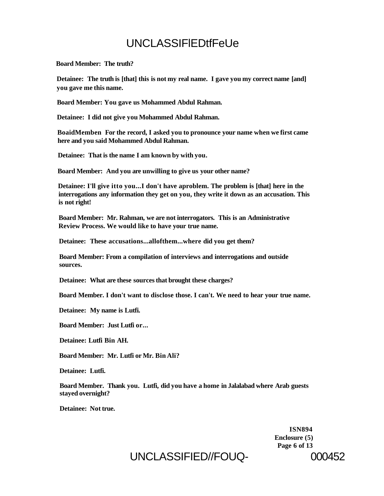## UNCLASSIFlEDtfFeUe

**Board Member: The truth?** 

**Detainee:** The truth is [that] this is not my real name. I gave you my correct name [and] **you gave me this name.** 

**Board Member: You gave us Mohammed Abdul Rahman.** 

**Detainee: I did not give you Mohammed Abdul Rahman.** 

**BoaidMemben For the record, I asked you to pronounce your name when we first came here and you said Mohammed Abdul Rahman.** 

**Detainee: That is the name I am known by with you.** 

**Board Member: And you are unwilling to give us your other name?** 

**Detainee: I'll give itto you...I don't have aproblem. The problem is [that] here in the interrogations any information they get on you, they write it down as an accusation. This is not right!** 

**Board Member: Mr. Rahman, we are not interrogators. This is an Administrative Review Process. We would like to have your true name.** 

**Detainee: These accusations...allofthem...where did you get them?** 

**Board Member: From a compilation of interviews and interrogations and outside sources.** 

**Detainee: What are these sources that brought these charges?** 

**Board Member. I don't want to disclose those. I can't. We need to hear your true name.** 

**Detainee: My name is Lutfi.** 

**Board Member: Just Lutfi or...** 

**Detainee: Lutfi Bin AH.** 

**Board Member: Mr. Lutfi or Mr. Bin Ali?** 

**Detainee: Lutfi.** 

**Board Member. Thank you. Lutfi, did you have a home in Jalalabad where Arab guests stayed overnight?** 

**Detainee: Not true.** 

**ISN894 Enclosure (5) Page 6 of 13** 

## UNCLASSIFIED//FOUQ- 000452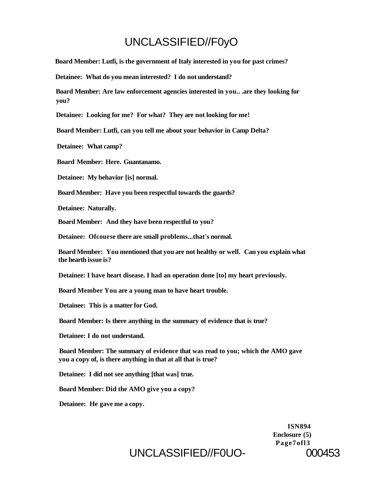# UNCLASSIFIED//F0yO

**Board Member: Lutfi, is the government of Italy interested in you for past crimes?** 

**Detainee: What do you mean interested? I do not understand?** 

**Board Member: Are law enforcement agencies interested in you.. .are they looking for you?** 

**Detainee: Looking for me? For what? They are not looking for me!** 

**Board Member: Lutfi, can you tell me about your behavior in Camp Delta?** 

**Detainee: What camp?** 

**Board Member: Here. Guantanamo.** 

**Detainee: My behavior [is] normal.** 

**Board Member: Have you been respectful towards the guards?** 

**Detainee: Naturally.** 

**Board Member: And they have been respectful to you?** 

**Detainee: Ofcourse there are small problems...that's normal.** 

**Board Member: You mentioned that you are not healthy or well. Can you explain what the hearth issue is?** 

**Detainee: I have heart disease. I had an operation done [to] my heart previously.** 

**Board Member You are a young man to have heart trouble.** 

**Detainee: This is a matter for God.** 

**Board Member: Is there anything in the summary of evidence that is true?** 

**Detainee: I do not understand.** 

**Board Member: The summary of evidence that was read to you; which the AMO gave you a copy of, is there anything in that at all that is true?** 

**Detainee: I did not see anything [that was] true.** 

**Board Member: Did the AMO give you a copy?** 

**Detainee: He gave me a copy.** 

**ISN894 Enclosure (5) Page7ofl3** 

UNCLASSIFIED//FOUO- 000453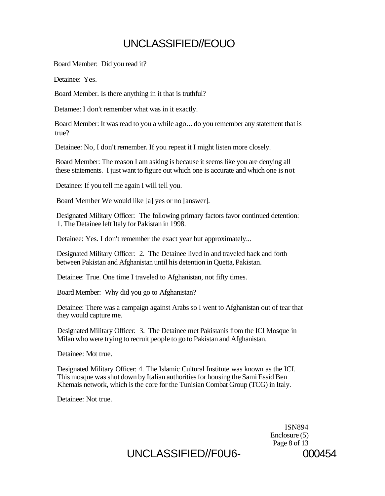# UNCLASSIFIED//EOUO

Board Member: Did you read it?

Detainee: Yes.

Board Member. Is there anything in it that is truthful?

Detamee: I don't remember what was in it exactly.

Board Member: It was read to you a while ago... do you remember any statement that is true?

Detainee: No, I don't remember. If you repeat it I might listen more closely.

Board Member: The reason I am asking is because it seems like you are denying all these statements. I just want to figure out which one is accurate and which one is not

Detainee: If you tell me again I will tell you.

Board Member We would like [a] yes or no [answer].

Designated Military Officer: The following primary factors favor continued detention: 1. The Detainee left Italy for Pakistan in 1998.

Detainee: Yes. I don't remember the exact year but approximately...

Designated Military Officer: 2. The Detainee lived in and traveled back and forth between Pakistan and Afghanistan until his detention in Quetta, Pakistan.

Detainee: True. One time I traveled to Afghanistan, not fifty times.

Board Member: Why did you go to Afghanistan?

Detainee: There was a campaign against Arabs so I went to Afghanistan out of tear that they would capture me.

Designated Military Officer: 3. The Detainee met Pakistanis from the ICI Mosque in Milan who were trying to recruit people to go to Pakistan and Afghanistan.

Detainee: Mot true.

Designated Military Officer: 4. The Islamic Cultural Institute was known as the ICI. This mosque was shut down by Italian authorities for housing the Sami Essid Ben Khemais network, which is the core for the Tunisian Combat Group (TCG) in Italy.

Detainee: Not true.

ISN894 Enclosure (5) Page 8 of 13

UNCLASSIFIED//F0U6- 000454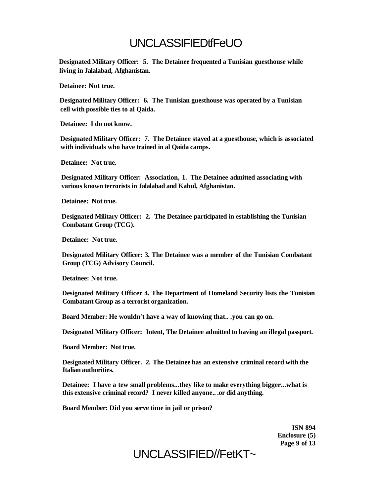# UNCLASSIFIFDttFeUO

**Designated Military Officer: 5. The Detainee frequented a Tunisian guesthouse while living in Jalalabad, Afghanistan.** 

**Detainee: Not true.** 

**Designated Military Officer: 6. The Tunisian guesthouse was operated by a Tunisian cell with possible ties to al Qaida.** 

**Detainee: I do not know.** 

**Designated Military Officer: 7. The Detainee stayed at a guesthouse, which is associated with individuals who have trained in al Qaida camps.** 

**Detainee: Not true.** 

**Designated Military Officer: Association, 1. The Detainee admitted associating with various known terrorists in Jalalabad and Kabul, Afghanistan.** 

**Detainee: Not true.** 

**Designated Military Officer: 2. The Detainee participated in establishing the Tunisian Combatant Group (TCG).** 

**Detainee: Not true.** 

**Designated Military Officer: 3. The Detainee was a member of the Tunisian Combatant Group (TCG) Advisory Council.** 

**Detainee: Not true.** 

**Designated Military Officer 4. The Department of Homeland Security lists the Tunisian Combatant Group as a terrorist organization.** 

**Board Member: He wouldn't have a way of knowing that.. .you can go on.** 

**Designated Military Officer: Intent, The Detainee admitted to having an illegal passport.** 

**Board Member: Not true.** 

**Designated Military Officer. 2. The Detainee has an extensive criminal record with the Italian authorities.** 

**Detainee: I have a tew small problems...they like to make everything bigger...what is this extensive criminal record? I never killed anyone.. .or did anything.** 

**Board Member: Did you serve time in jail or prison?** 

**ISN 894 Enclosure (5) Page 9 of 13** 

UNCLASSIFIED//FetKT~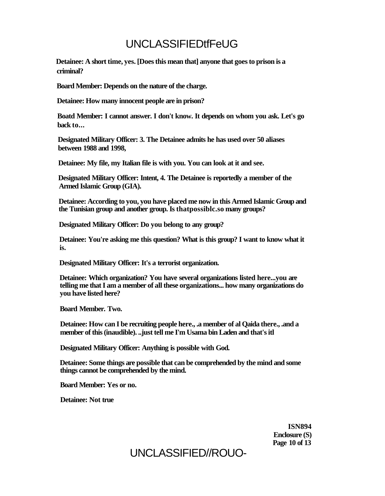## UNCLASSIFIEDtfFeUG

**Detainee: A short time, yes. [Does this mean that] anyone that goes to prison is a criminal?** 

**Board Member: Depends on the nature of the charge.** 

**Detainee: How many innocent people are in prison?** 

**Boatd Member: I cannot answer. I don't know. It depends on whom you ask. Let's go back to...** 

**Designated Military Officer: 3. The Detainee admits he has used over 50 aliases between 1988 and 1998,** 

**Detainee: My file, my Italian file is with you. You can look at it and see.** 

**Designated Military Officer: Intent, 4. The Detainee is reportedly a member of the Armed Islamic Group (GIA).** 

**Detainee: According to you, you have placed me now in this Armed Islamic Group and the Tunisian group and another group. Is thatpossiblc.so many groups?** 

**Designated Military Officer: Do you belong to any group?** 

**Detainee: You're asking me this question? What is this group? I want to know what it is.** 

**Designated Military Officer: It's a terrorist organization.** 

**Detainee: Which organization? You have several organizations listed here...you are telling me that I am a member of all these organizations... how many organizations do you have listed here?** 

**Board Member. Two.** 

**Detainee: How can I be recruiting people here., .a member of al Qaida there., .and a member of this (inaudible). ..just tell me I'm Usama bin Laden and that's itl** 

**Designated Military Officer: Anything is possible with God.** 

**Detainee: Some things are possible that can be comprehended by the mind and some things cannot be comprehended by the mind.** 

**Board Member: Yes or no.** 

**Detainee: Not true** 

**ISN894 Enclosure (S) Page 10 of 13** 

UNCLASSIFIED//ROUO-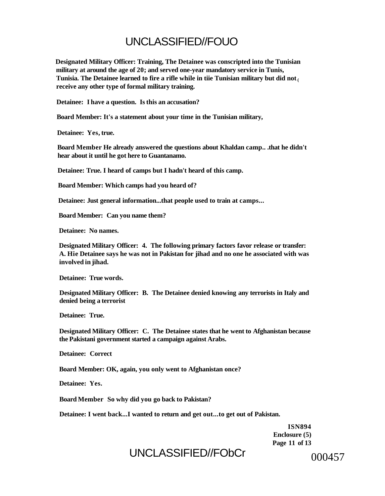## UNCLASSIFIED//FOUO

**Designated Military Officer: Training, The Detainee was conscripted into the Tunisian military at around the age of 20; and served one-year mandatory service in Tunis, Tunisia. The Detainee learned to fire a rifle while in tiie Tunisian military but did not( receive any other type of formal military training.** 

**Detainee: I have a question. Is this an accusation?** 

**Board Member: It's a statement about your time in the Tunisian military,** 

**Detainee: Yes, true.** 

**Board Member He already answered the questions about Khaldan camp.. .that he didn't hear about it until he got here to Guantanamo.** 

**Detainee: True. I heard of camps but I hadn't heard of this camp.** 

**Board Member: Which camps had you heard of?** 

**Detainee: Just general information...that people used to train at camps...** 

**Board Member: Can you name them?** 

**Detainee: No names.** 

**Designated Military Officer: 4. The following primary factors favor release or transfer: A. Hie Detainee says he was not in Pakistan for jihad and no one he associated with was involved in jihad.** 

**Detainee: True words.** 

**Designated Military Officer: B. The Detainee denied knowing any terrorists in Italy and denied being a terrorist** 

**Detainee: True.** 

**Designated Military Officer: C. The Detainee states that he went to Afghanistan because the Pakistani government started a campaign against Arabs.** 

**Detainee: Correct** 

**Board Member: OK, again, you only went to Afghanistan once?** 

**Detainee: Yes.** 

**Board Member So why did you go back to Pakistan?** 

**Detainee: I went back...I wanted to return and get out...to get out of Pakistan.** 

**ISN894 Enclosure (5) Page 11 of 13** 

# UNCLASSIFIED//FObCr 000457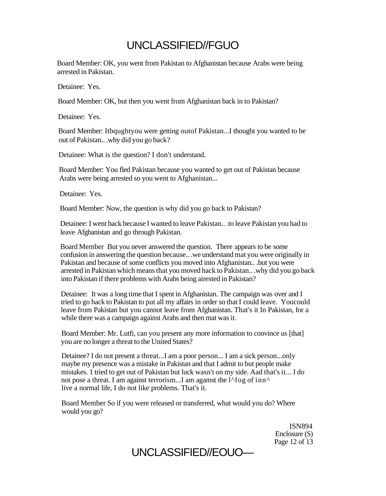# UNCLASSIFIED//FGUO

Board Member: OK, you went from Pakistan to Afghanistan because Arabs were being arrested in Pakistan.

Detainee: Yes.

Board Member: OK, but then you went from Afghanistan back in to Pakistan?

Detainee: Yes.

Board Member: Itbqughtyou were getting outof Pakistan...I thought you wanted to be out of Pakistan.. .why did you go back?

Detainee: What is the question? I don't understand.

Board Member: You fled Pakistan because you wanted to get out of Pakistan because Arabs were being arrested so you went to Afghanistan...

Detainee: Yes.

Board Member: Now, the question is why did you go back to Pakistan?

Detainee: I went back because I wanted to leave Pakistan.. .to leave Pakistan you had to leave Afghanistan and go through Pakistan.

Board Member But you never answered the question. There appears to be some confusion in answering the question because.. .we understand mat you were originally in Pakistan and because of some conflicts you moved into Afghanistan.. .but you were arrested in Pakistan which means that you moved hack to Pakistan.. .why did you go back into Pakistan if there problems with Arabs being airested in Pakistan?

Detainee: It was a long time that I spent in Afghanistan. The campaign was over and I tried to go hack to Pakistan to put all my affairs in order so that I could leave. Youcould leave from Pakistan but you cannot leave from Afghanistan. That's it In Pakistan, for a while there was a campaign against Arabs and then mat was it.

Board Member: Mr. Lutfi, can you present any more information to convince us [that] you are no longer a threat to the United States?

Detainee? I do not present a threat...I am a poor person... I am a sick person...only maybe my presence was a mistake in Pakistan and that I admit to but people make mistakes. 1 tried to get out of Pakistan but luck wasn't on my side. Aad that's it... I do not pose a threat. I am against terrorism...I am against the  $1^6$ fog of inn<sup> $\wedge$ </sup> live a normal life, I do not like problems. That's it.

Board Member So if you were released or transferred, what would you do? Where would you go?

> ISN894 Enclosure (S) Page 12 of 13

# UNCLASSIFIED//EOUO—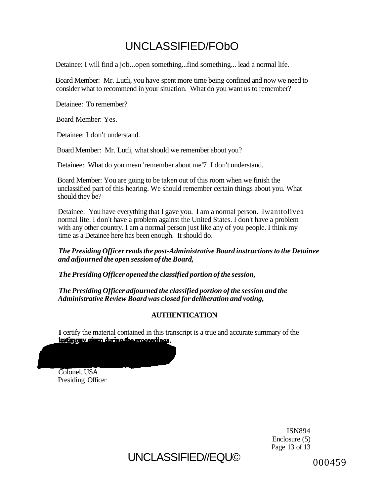# UNCLASSIFIED/FObO

Detainee: I will find a job...open something...find something... lead a normal life.

Board Member: Mr. Lutfi, you have spent more time being confined and now we need to consider what to recommend in your situation. What do you want us to remember?

Detainee: To remember?

Board Member: Yes.

Detainee: I don't understand.

Board Member: Mr. Lutfi, what should we remember about you?

Detainee: What do you mean 'remember about me'7 I don't understand.

Board Member: You are going to be taken out of this room when we finish the unclassified part of this hearing. We should remember certain things about you. What should they be?

Detainee: You have everything that I gave you. I am a normal person. Iwanttolivea normal lite. I don't have a problem against the United States. I don't have a problem with any other country. I am a normal person just like any of you people. I think my time as a Detainee here has been enough. It should do.

### *The Presiding Officer reads the post-Administrative Board instructions to the Detainee and adjourned the open session of the Board,*

#### *The Presiding Officer opened the classified portion of the session,*

*The Presiding Officer adjourned the classified portion of the session and the Administrative Review Board was closed for deliberation and voting,* 

### **AUTHENTICATION**

**I** certify the material contained in this transcript is a true and accurate summary of the **testing one** of the **testing** 

Colonel, USA Presiding Officer

> ISN894 Enclosure (5) Page 13 of 13

# UNCLASSIFIED//EQU© 000459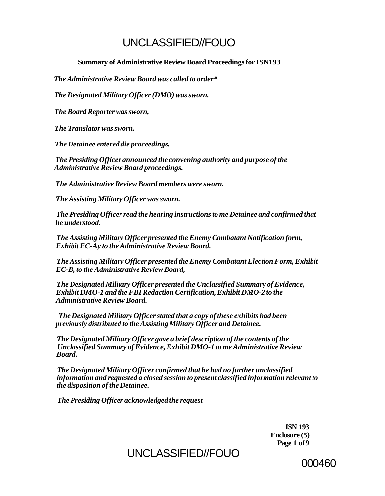## UNCLASSIFIED//FOUO

### **Summary of Administrative Review Board Proceedings for ISN193**

*The Administrative Review Board was called to order\** 

*The Designated Military Officer (DMO) was sworn.* 

*The Board Reporter was sworn,* 

*The Translator was sworn.* 

*The Detainee entered die proceedings.* 

*The Presiding Officer announced the convening authority and purpose of the Administrative Review Board proceedings.* 

*The Administrative Review Board members were sworn.* 

*The Assisting Military Officer was sworn.* 

*The Presiding Officer read the hearing instructions to me Detainee and confirmed that he understood.* 

*The Assisting Military Officer presented the Enemy Combatant Notification form, Exhibit EC-Ay to the Administrative Review Board.* 

*The Assisting Military Officer presented the Enemy Combatant Election Form, Exhibit EC-B, to the Administrative Review Board,* 

*The Designated Military Officer presented the Unclassified Summary of Evidence, Exhibit DMO-1 and the FBI Redaction Certification, Exhibit DMO-2 to the Administrative Review Board.* 

*The Designated Military Officer stated that a copy of these exhibits had been previously distributed to the Assisting Military Officer and Detainee.* 

*The Designated Military Officer gave a brief description of the contents of the Unclassified Summary of Evidence, Exhibit DMO-1 to me Administrative Review Board.* 

*The Designated Military Officer confirmed that he had no further unclassified information and requested a closed session to present classified information relevant to the disposition of the Detainee.* 

*The Presiding Officer acknowledged the request* 

**ISN 193 Enclosure (5) Page 1 of9** 

UNCLASSIFIED//FOUQ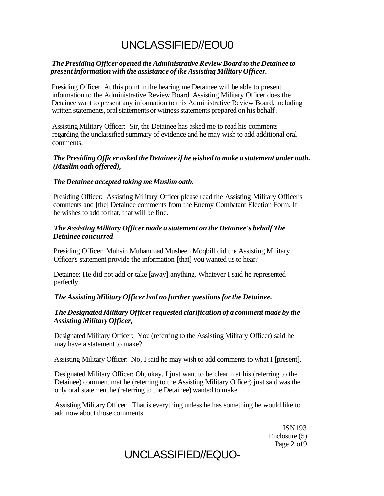# UNCLASSIFIED//EOU0

### *The Presiding Officer opened the Administrative Review Board to the Detainee to present information with the assistance of ike Assisting Military Officer.*

Presiding Officer At this point in the hearing me Detainee will be able to present information to the Administrative Review Board. Assisting Military Officer does the Detainee want to present any information to this Administrative Review Board, including written statements, oral statements or witness statements prepared on his behalf?

Assisting Military Officer: Sir, the Detainee has asked me to read his comments regarding the unclassified summary of evidence and he may wish to add additional oral comments.

### *The Presiding Officer asked the Detainee if he wished to make a statement under oath. (Muslim oath offered),*

#### *The Detainee accepted taking me Muslim oath.*

Presiding Officer: Assisting Military Officer please read the Assisting Military Officer's comments and [the] Detainee comments from the Enemy Combatant Election Form. If he wishes to add to that, that will be fine.

### *The Assisting Military Officer made a statement on the Detainee's behalf The Detainee concurred*

Presiding Officer Muhsin Muhammad Musheen Moqbill did the Assisting Military Officer's statement provide the information [that] you wanted us to hear?

Detainee: He did not add or take [away] anything. Whatever I said he represented perfectly.

#### *The Assisting Military Officer had no further questions for the Detainee.*

### *The Designated Military Officer requested clarification of a comment made by the Assisting Military Officer,*

Designated Military Officer: You (referring to the Assisting Military Officer) said he may have a statement to make?

Assisting Military Officer: No, I said he may wish to add comments to what I [present].

Designated Military Officer: Oh, okay. I just want to be clear mat his (referring to the Detainee) comment mat he (referring to the Assisting Military Officer) just said was the only oral statement he (referring to the Detainee) wanted to make.

Assisting Military Officer: That is everything unless he has something he would like to add now about those comments.

> ISN193 Enclosure (5) Page 2 of9

## UNCLASSIFIED//EQUO-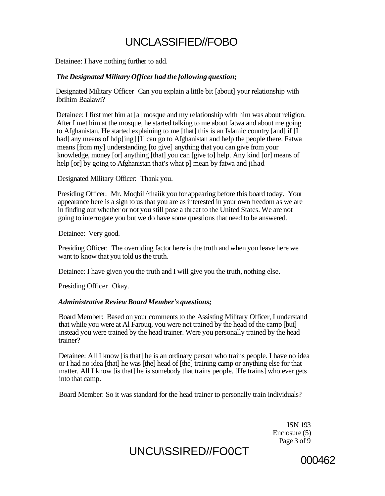# UNCLASSIFIED//FOBO

Detainee: I have nothing further to add.

### *The Designated Military Officer had the following question;*

Designated Military Officer Can you explain a little bit [about] your relationship with Ibrihim Baalawi?

Detainee: I first met him at [a] mosque and my relationship with him was about religion. After I met him at the mosque, he started talking to me about fatwa and about me going to Afghanistan. He started explaining to me [that] this is an Islamic country [and] if [I had] any means of hdp[ing] [I] can go to Afghanistan and help the people there. Fatwa means [from my] understanding [to give] anything that you can give from your knowledge, money [or] anything [that] you can [give to] help. Any kind [or] means of help [or] by going to Afghanistan that's what p] mean by fatwa and jihad

Designated Military Officer: Thank you.

Presiding Officer: Mr. Moqbill^thaiik you for appearing before this board today. Your appearance here is a sign to us that you are as interested in your own freedom as we are in finding out whether or not you still pose a threat to the United States. We are not going to interrogate you but we do have some questions that need to be answered.

Detainee: Very good.

Presiding Officer: The overriding factor here is the truth and when you leave here we want to know that you told us the truth.

Detainee: I have given you the truth and I will give you the truth, nothing else.

Presiding Officer Okay.

#### *Administrative Review Board Member's questions;*

Board Member: Based on your comments to the Assisting Military Officer, I understand that while you were at Al Farouq, you were not trained by the head of the camp [but] instead you were trained by the head trainer. Were you personally trained by the head trainer?

Detainee: All I know [is that] he is an ordinary person who trains people. I have no idea or I had no idea [that] he was [the] head of [the] training camp or anything else for that matter. All I know [is that] he is somebody that trains people. [He trains] who ever gets into that camp.

Board Member: So it was standard for the head trainer to personally train individuals?

ISN 193 Enclosure (5) Page 3 of 9

## UNCU\SSIRED//FO0CT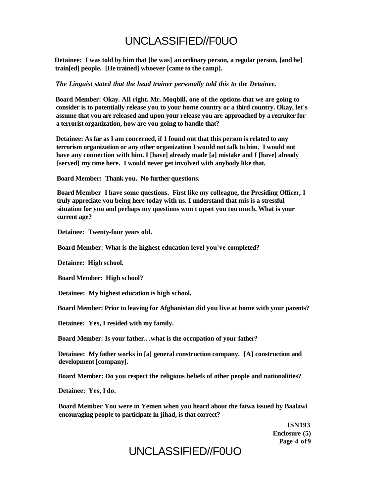## UNCLASSIFIED//F0UO

**Detainee: I was told by him that [he was] an ordinary person, a regular person, [and he] train[ed] people. [He trained] whoever [came to the camp].** 

*The Linguist stated that the head trainer personally told this to the Detainee.* 

**Board Member: Okay. All right. Mr. Moqbill, one of the options that we are going to consider is to potentially release you to your home country or a third country. Okay, let's assume that you are released and upon your release you are approached by a recruiter for a terrorist organization, how are you going to handle that?** 

**Detainee: As far as I am concerned, if 1 found out that this person is related to any terrorism organization or any other organization I would not talk to him. I would not have any connection with him. I [have] already made [a] mistake and I [have] already [served] my time here. I would never get involved with anybody like that.** 

**Board Member: Thank you. No further questions.** 

**Board Member I have some questions. First like my colleague, the Presiding Officer, I truly appreciate you being here today with us. I understand that mis is a stressful situation for you and perhaps my questions won't upset you too much. What is your current age?** 

**Detainee: Twenty-four years old.** 

**Board Member: What is the highest education level you've completed?** 

**Detainee: High school.** 

**Board Member: High school?** 

**Detainee: My highest education is high school.** 

**Board Member: Prior to leaving for Afghanistan did you live at home with your parents?** 

**Detainee: Yes, I resided with my family.** 

**Board Member: Is your father.. .what is the occupation of your father?** 

**Detainee: My father works in [a] general construction company. [A] construction and development [company].** 

**Board Member: Do you respect the religious beliefs of other people and nationalities?** 

**Detainee: Yes, I do.** 

**Board Member You were in Yemen when you heard about the fatwa issued by Baalawi encouraging people to participate in jihad, is that correct?** 

> **ISN193 Enclosure (5) Page 4 of9**

## UNCLASSIFIED//F0UO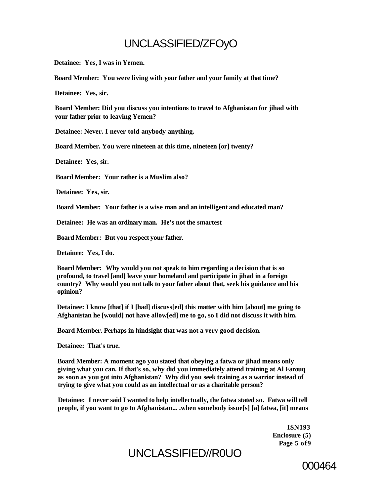## UNCLASSIFIED/ZFOyO

**Detainee: Yes, I was in Yemen.** 

**Board Member: You were living with your father and your family at that time?** 

**Detainee: Yes, sir.** 

**Board Member: Did you discuss you intentions to travel to Afghanistan for jihad with your father prior to leaving Yemen?** 

**Detainee: Never. I never told anybody anything.** 

**Board Member. You were nineteen at this time, nineteen [or] twenty?** 

**Detainee: Yes, sir.** 

**Board Member: Your rather is a Muslim also?** 

**Detainee: Yes, sir.** 

**Board Member: Your father is a wise man and an intelligent and educated man?** 

**Detainee: He was an ordinary man. He's not the smartest** 

**Board Member: But you respect your father.** 

**Detainee: Yes, I do.** 

**Board Member: Why would you not speak to him regarding a decision that is so profound, to travel [and] leave your homeland and participate in jihad in a foreign country? Why would you not talk to your father about that, seek his guidance and his opinion?** 

**Detainee: I know [that] if I [had] discuss[ed] this matter with him [about] me going to Afghanistan he [would] not have allow[ed] me to go, so I did not discuss it with him.** 

**Board Member. Perhaps in hindsight that was not a very good decision.** 

**Detainee: That's true.** 

**Board Member: A moment ago you stated that obeying a fatwa or jihad means only giving what you can. If that's so, why did you immediately attend training at Al Farouq as soon as you got into Afghanistan? Why did you seek training as a warrior instead of trying to give what you could as an intellectual or as a charitable person?** 

**Detainee: I never said I wanted to help intellectually, the fatwa stated so. Fatwa will tell people, if you want to go to Afghanistan... .when somebody issue[s] [a] fatwa, [it] means** 

> **ISN193 Enclosure (5) Page 5 of9**

UNCLASSIFIED//R0UO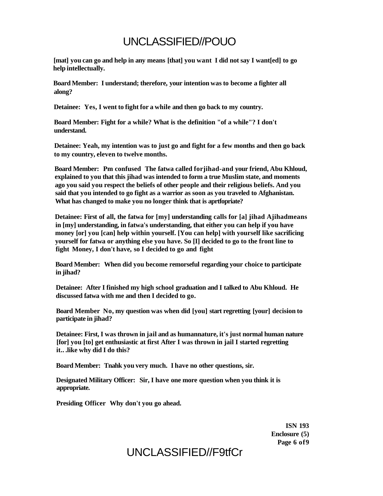## UNCLASSIFIED//POUO

**[mat] you can go and help in any means [that] you want I did not say I want[ed] to go help intellectually.** 

**Board Member: I understand; therefore, your intention was to become a fighter all along?** 

**Detainee: Yes, I went to fight for a while and then go back to my country.** 

**Board Member: Fight for a while? What is the definition "of a while"? I don't understand.** 

**Detainee: Yeah, my intention was to just go and fight for a few months and then go back to my country, eleven to twelve months.** 

**Board Member: Pm confused The fatwa called forjihad-and your friend, Abu Khloud, explained to you that this jihad was intended to form a true Muslim state, and moments ago you said you respect the beliefs of other people and their religious beliefs. And you said that you intended to go fight as a warrior as soon as you traveled to Afghanistan. What has changed to make you no longer think that is aprtfopriate?** 

**Detainee: First of all, the fatwa for [my] understanding calls for [a] jihad Ajihadmeans in [my] understanding, in fatwa's understanding, that either you can help if you have money [or] you [can] help within yourself. [You can help] with yourself like sacrificing yourself for fatwa or anything else you have. So [I] decided to go to the front line to fight Money, I don't have, so I decided to go and fight** 

**Board Member: When did you become remorseful regarding your choice to participate in jihad?** 

**Detainee: After I finished my high school graduation and I talked to Abu Khloud. He discussed fatwa with me and then I decided to go.** 

**Board Member No, my question was when did [you] start regretting [your] decision to participate in jihad?** 

**Detainee: First, I was thrown in jail and as humannature, it's just normal human nature [for] you [to] get enthusiastic at first After I was thrown in jail I started regretting it.. .like why did I do this?** 

**Board Member: Tnahk you very much. I have no other questions, sir.** 

**Designated Military Officer: Sir, I have one more question when you think it is appropriate.** 

**Presiding Officer Why don't you go ahead.** 

**ISN 193 Enclosure (5) Page 6 of9** 

UNCLASSIFIED//F9tfCr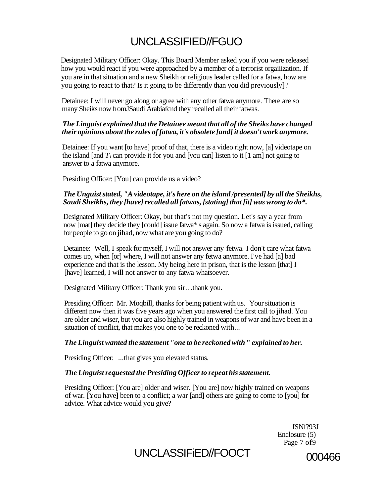# UNCLASSIFIED//FGUO

Designated Military Officer: Okay. This Board Member asked you if you were released how you would react if you were approached by a member of a terrorist orgaiiization. If you are in that situation and a new Sheikh or religious leader called for a fatwa, how are you going to react to that? Is it going to be differently than you did previously]?

Detainee: I will never go along or agree with any other fatwa anymore. There are so many Sheiks now fromJSaudi Arabiafcnd they recalled all their fatwas.

#### *The Linguist explained that the Detainee meant that all of the Sheiks have changed their opinions about the rules of fatwa, it's obsolete [and] it doesn't work anymore.*

Detainee: If you want [to have] proof of that, there is a video right now, [a] videotape on the island [and  $T\$  can provide it for you and [you can] listen to it [1 am] not going to answer to a fatwa anymore.

Presiding Officer: [You] can provide us a video?

### *The Unguist stated, "A videotape, it's here on the island /presented] by all the Sheikhs, Saudi Sheikhs, they [have] recalled all fatwas, [stating] that [it] was wrong to do\*.*

Designated Military Officer: Okay, but that's not my question. Let's say a year from now [mat] they decide they [could] issue fatwa\* s again. So now a fatwa is issued, calling for people to go on jihad, now what are you going to do?

Detainee: Well, I speak for myself, I will not answer any fetwa. I don't care what fatwa comes up, when [or] where, I will not answer any fetwa anymore. I've had [a] bad experience and that is the lesson. My being here in prison, that is the lesson [that] I [have] learned, I will not answer to any fatwa whatsoever.

Designated Military Officer: Thank you sir.. .thank you.

Presiding Officer: Mr. Moqbill, thanks for being patient with us. Your situation is different now then it was five years ago when you answered the first call to jihad. You are older and wiser, but you are also highly trained in weapons of war and have been in a situation of conflict, that makes you one to be reckoned with...

#### *The Linguist wanted the statement "one to be reckoned with* **"** *explained to her.*

Presiding Officer: ...that gives you elevated status.

#### *The Linguist requested the Presiding Officer to repeat his statement.*

Presiding Officer: [You are] older and wiser. [You are] now highly trained on weapons of war. [You have] been to a conflict; a war [and] others are going to come to [you] for advice. What advice would you give?

> ISNf?93J Enclosure (5) Page 7 of9

## UNCLASSIFiED//FOOCT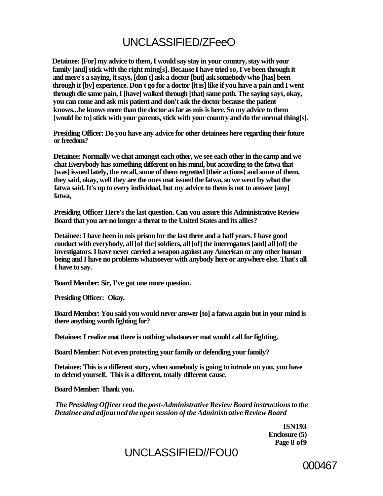## UNCLASSIFIED/ZFeeO

**Detainee: [For] my advice to them, I would say stay in your country, stay with your family [and] stick with the right ming[s]. Because I have tried so, I've been through it and mere's a saying, it says, [don't] ask a doctor [but] ask somebody who [has] been through it [by] experience. Don't go for a doctor [it is] like if you have a pain and I went through die same pain, I [have] walked through [that] same path. The saying says, okay, you can come and ask mis patient and don't ask the doctor because the patient knows...he knows more than the doctor as far as mis is here. So my advice to them [would be to] stick with your parents, stick with your country and do the normal thing[s].** 

**Presiding Officer: Do you have any advice for other detainees here regarding their future or freedom?** 

**Detainee: Normally we chat amongst each other, we see each other in the camp and we chat Everybody has something different on his mind, but according to the fatwa that [was] issued lately, the recall, some of them regretted [their actions] and some of them, they said, okay, well they are the ones mat issued the fatwa, so we went by what the fatwa said. It's up to every individual, but my advice to them is not to answer [any] fatwa,** 

**Presiding Officer Here's the last question. Can you assure this Administrative Review Board that you are no longer a threat to the United States and its allies?** 

**Detainee: I have been in mis prison for the last three and a half years. I have good conduct with everybody, all [of the] soldiers, all [of] the interrogators [and] all [of] the investigators. I have never carried a weapon against any American or any other human being and I have no problems whatsoever with anybody here or anywhere else. That's all I have to say.** 

**Board Member: Sir, I've got one more question.** 

**Presiding Officer: Okay.** 

**Board Member: You said you would never answer [to] a fatwa again but in your mind is there anything worth fighting for?** 

**Detainee: I realize mat there is nothing whatsoever mat would call for fighting.** 

**Board Member: Not even protecting your family or defending your family?** 

**Detainee: This is a different story, when somebody is going to intrude on you, you have to defend yourself. This is a different, totally different cause.** 

**Board Member: Thank you.** 

*The Presiding Officer read the post-Administrative Review Board instructions to the Detainee and adjourned the open session of the Administrative Review Board* 

> **ISN193 Enclosure (5) Page 8 of9**

UNCLASSIFIED//FOU0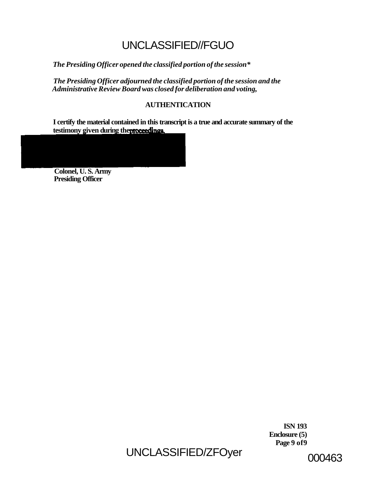# UNCLASSIFIED//FGUO

*The Presiding Officer opened the classified portion of the session\** 

*The Presiding Officer adjourned the classified portion of the session and the Administrative Review Board was closed for deliberation and voting,* 

### **AUTHENTICATION**

**I certify the material contained in this transcript is a true and accurate summary of the**  testimony given during the **proceedings**.

**Colonel, U. S. Army Presiding Officer** 

> **ISN 193 Enclosure (5) Page 9 of9**

UNCLASSIFIED/ZFOyer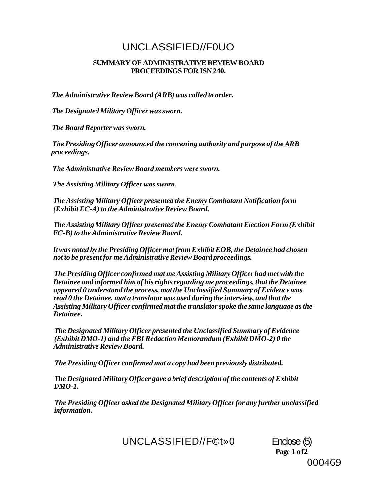## UNCLASSIFIED//F0UO

### **SUMMARY OF ADMINISTRATIVE REVIEW BOARD PROCEEDINGS FOR ISN 240.**

*The Administrative Review Board (ARB) was called to order.* 

*The Designated Military Officer was sworn.* 

*The Board Reporter was sworn.* 

*The Presiding Officer announced the convening authority and purpose of the ARB proceedings.* 

*The Administrative Review Board members were sworn.* 

*The Assisting Military Officer was sworn.* 

*The Assisting Military Officer presented the Enemy Combatant Notification form (Exhibit EC-A) to the Administrative Review Board.* 

*The Assisting Military Officer presented the Enemy Combatant Election Form (Exhibit EC-B) to the Administrative Review Board.* 

*It was noted by the Presiding Officer mat from Exhibit EOB, the Detainee had chosen not to be present for me Administrative Review Board proceedings.* 

*The Presiding Officer confirmed mat me Assisting Military Officer had met with the Detainee and informed him of his rights regarding me proceedings, that the Detainee appeared 0 understand the process, mat the Unclassified Summary of Evidence was read 0 the Detainee, mat a translator was used during the interview, and that the Assisting Military Officer confirmed mat the translator spoke the same language as the Detainee.* 

*The Designated Military Officer presented the Unclassified Summary of Evidence (Exhibit DMO-1) and the FBI Redaction Memorandum (Exhibit DMO-2) 0 the Administrative Review Board.* 

*The Presiding Officer confirmed mat a copy had been previously distributed.* 

*The Designated Military Officer gave a brief description of the contents of Exhibit DMO-1.* 

*The Presiding Officer asked the Designated Military Officer for any further unclassified information.* 

UNCLASSIFIED//F©t»0 Enclose (5)

**Page 1 of2**  000469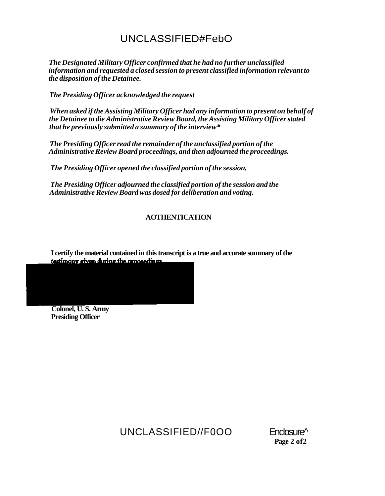## UNCLASSIFIED#FebO

*The Designated Military Officer confirmed that he had no further unclassified information and requested a closed session to present classified information relevant to the disposition of the Detainee.* 

*The Presiding Officer acknowledged the request* 

*When asked if the Assisting Military Officer had any information to present on behalf of the Detainee to die Administrative Review Board, the Assisting Military Officer stated that he previously submitted a summary of the interview\** 

*The Presiding Officer read the remainder of the unclassified portion of the Administrative Review Board proceedings, and then adjourned the proceedings.* 

*The Presiding Officer opened the classified portion of the session,* 

*The Presiding Officer adjourned the classified portion of the session and the Administrative Review Board was dosed for deliberation and voting.* 

### **AOTHENTICATION**

**I certify the material contained in this transcript is a true and accurate summary of the** 

**Colonel, U. S. Army Presiding Officer** 

UNCLASSIFIED//F0OO Enclosure<sup>^</sup>

**Page 2 of2**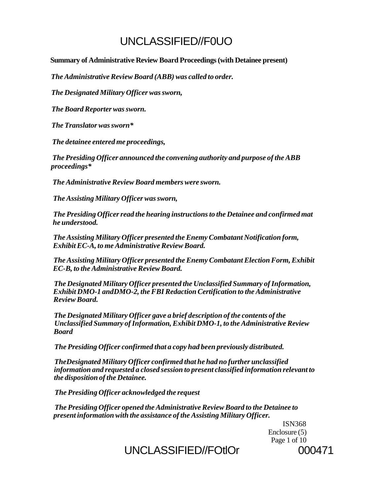## UNCLASSIFIED//F0UO

**Summary of Administrative Review Board Proceedings (with Detainee present)** 

*The Administrative Review Board (ABB) was called to order.* 

*The Designated Military Officer was sworn,* 

*The Board Reporter was sworn.* 

*The Translator was sworn\** 

*The detainee entered me proceedings,* 

*The Presiding Officer announced the convening authority and purpose of the ABB proceedings\** 

*The Administrative Review Board members were sworn.* 

*The Assisting Military Officer was sworn,* 

*The Presiding Officer read the hearing instructions to the Detainee and confirmed mat he understood.* 

*The Assisting Military Officer presented the Enemy Combatant Notification form, Exhibit EC-A, to me Administrative Review Board.* 

*The Assisting Military Officer presented the Enemy Combatant Election Form, Exhibit EC-B, to the Administrative Review Board.* 

*The Designated Military Officer presented the Unclassified Summary of Information, Exhibit DMO-1 andDMO-2, the FBI Redaction Certification to the Administrative Review Board.* 

*The Designated Military Officer gave a brief description of the contents of the Unclassified Summary of Information, Exhibit DMO-1, to the Administrative Review Board* 

*The Presiding Officer confirmed that a copy had been previously distributed.* 

*TheDesignated Military Officer confirmed that he had no further unclassified information and requested a closed session to present classified information relevant to the disposition of the Detainee.* 

*The Presiding Officer acknowledged the request* 

*The Presiding Officer opened the Administrative Review Board to the Detainee to present information with the assistance of the Assisting Military Officer.* 

> ISN368 Enclosure (5) Page 1 of 10

UNCLASSIFIED//FOtlOr 000471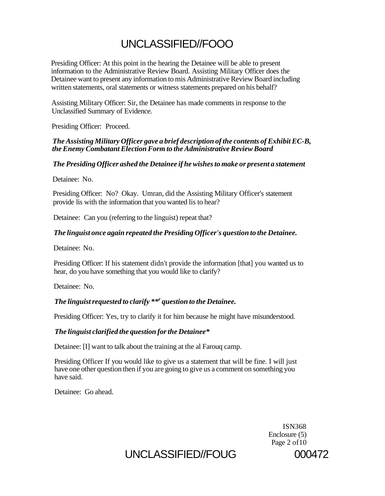# UNCLASSIFIED//FOOO

Presiding Officer: At this point in the hearing the Detainee will be able to present information to the Administrative Review Board. Assisting Military Officer does the Detainee want to present any information to mis Administrative Review Board including written statements, oral statements or witness statements prepared on his behalf?

Assisting Military Officer: Sir, the Detainee has made comments in response to the Unclassified Summary of Evidence.

Presiding Officer: Proceed.

### *The Assisting Military Officer gave a brief description of the contents of Exhibit EC-B, the Enemy Combatant Election Form to the Administrative Review Board*

### *The Presiding Officer ashed the Detainee if he wishes to make or present a statement*

Detainee: No.

Presiding Officer: No? Okay. Umran, did the Assisting Military Officer's statement provide lis with the information that you wanted lis to hear?

Detainee: Can you (referring to the linguist) repeat that?

### *The linguist once again repeated the Presiding Officer's question to the Detainee.*

Detainee: No.

Presiding Officer: If his statement didn't provide the information [that] you wanted us to hear, do you have something that you would like to clarify?

Detainee: No.

### *The linguist requested to clarify \*\*<sup>e</sup> question to the Detainee.*

Presiding Officer: Yes, try to clarify it for him because he might have misunderstood.

### *The linguist clarified the question for the Detainee\**

Detainee: [I] want to talk about the training at the al Farouq camp.

Presiding Officer If you would like to give us a statement that will be fine. I will just have one other question then if you are going to give us a comment on something you have said.

Detainee: Go ahead.

ISN368 Enclosure (5) Page 2 of 10

## UNCLASSIFIED//FOUG 000472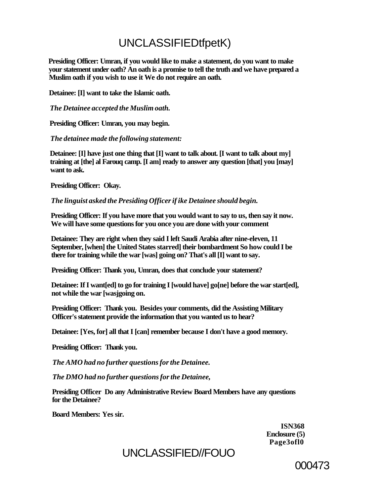# UNCLASSIFIEDtfpetK)

**Presiding Officer: Umran, if you would like to make a statement, do you want to make your statement under oath? An oath is a promise to tell the truth and we have prepared a Muslim oath if you wish to use it We do not require an oath.** 

**Detainee: [I] want to take the Islamic oath.** 

*The Detainee accepted the Muslim oath.* 

**Presiding Officer: Umran, you may begin.** 

*The detainee made the following statement:* 

**Detainee: [I] have just one thing that [I] want to talk about. [I want to talk about my] training at [the] al Farouq camp. [I am] ready to answer any question [that] you [may] want to ask.** 

**Presiding Officer: Okay.** 

*The linguist asked the Presiding Officer if ike Detainee should begin.* 

**Presiding Officer: If you have more that you would want to say to us, then say it now. We will have some questions for you once you are done with your comment** 

**Detainee: They are right when they said I left Saudi Arabia after nine-eleven, 11 September, [when] the United States starred] their bombardment So how could I be there for training while the war [was] going on? That's all [I] want to say.** 

**Presiding Officer: Thank you, Umran, does that conclude your statement?** 

Detainee: If I want[ed] to go for training I [would have] go[ne] before the war start[ed], **not while the war [wasjgoing on.** 

**Presiding Officer: Thank you. Besides your comments, did the Assisting Military Officer's statement provide the information that you wanted us to hear?** 

**Detainee: [Yes, for] all that I [can] remember because I don't have a good memory.** 

**Presiding Officer: Thank you.** 

*The AMO had no further questions for the Detainee.* 

*The DMO had no further questions for the Detainee,* 

**Presiding Officer Do any Administrative Review Board Members have any questions for the Detainee?** 

**Board Members: Yes sir.** 

**ISN368 Enclosure (5) Page3ofl0** 

## UNCLASSIFIED//FOUO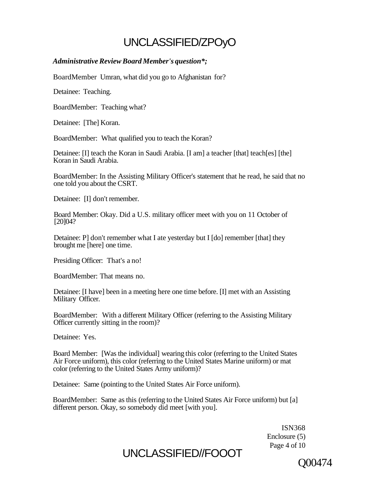# UNCLASSIFIED/ZPOyO

### *Administrative Review Board Member's question\*;*

BoardMember Umran, what did you go to Afghanistan for?

Detainee: Teaching.

BoardMember: Teaching what?

Detainee: [The] Koran.

BoardMember: What qualified you to teach the Koran?

Detainee: [I] teach the Koran in Saudi Arabia. [I am] a teacher [that] teach[es] [the] Koran in Saudi Arabia.

BoardMember: In the Assisting Military Officer's statement that he read, he said that no one told you about the CSRT.

Detainee: [I] don't remember.

Board Member: Okay. Did a U.S. military officer meet with you on 11 October of [20]04?

Detainee: P] don't remember what I ate yesterday but I [do] remember [that] they brought me [here] one time.

Presiding Officer: That's a no!

BoardMember: That means no.

Detainee: [I have] been in a meeting here one time before. [I] met with an Assisting Military Officer.

BoardMember: With a different Military Officer (referring to the Assisting Military Officer currently sitting in the room)?

Detainee: Yes.

Board Member: [Was the individual] wearing this color (referring to the United States Air Force uniform), this color (referring to the United States Marine uniform) or mat color (referring to the United States Army uniform)?

Detainee: Same (pointing to the United States Air Force uniform).

BoardMember: Same as this (referring to the United States Air Force uniform) but [a] different person. Okay, so somebody did meet [with you].

> ISN368 Enclosure (5) Page 4 of 10

## UNCLASSIFIED//FOOOT

Q00474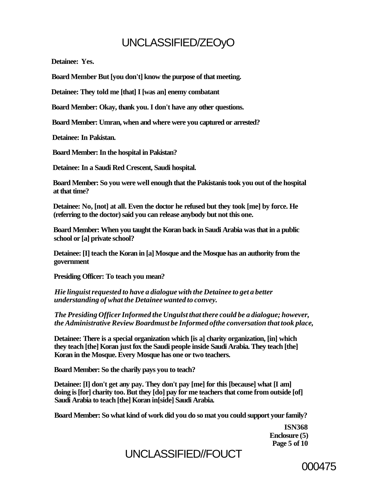## UNCLASSIFIED/ZEOyO

**Detainee: Yes.** 

**Board Member But [you don't] know the purpose of that meeting.** 

**Detainee: They told me [that] I [was an] enemy combatant** 

**Board Member: Okay, thank you. I don't have any other questions.** 

**Board Member: Umran, when and where were you captured or arrested?** 

**Detainee: In Pakistan.** 

**Board Member: In the hospital in Pakistan?** 

**Detainee: In a Saudi Red Crescent, Saudi hospital.** 

**Board Member: So you were well enough that the Pakistanis took you out of the hospital at that time?** 

**Detainee: No, [not] at all. Even the doctor he refused but they took [me] by force. He (referring to the doctor) said you can release anybody but not this one.** 

**Board Member: When you taught the Koran back in Saudi Arabia was that in a public school or [a] private school?** 

**Detainee: [I] teach the Koran in [a] Mosque and the Mosque has an authority from the government** 

**Presiding Officer: To teach you mean?** 

*Hie linguist requested to have a dialogue with the Detainee to get a better understanding of what the Detainee wanted to convey.* 

*The Presiding Officer Informed the Ungulst that there could be a dialogue; however, the Administrative Review Boardmust be Informed ofthe conversation that took place,* 

**Detainee: There is a special organization which [is a] charity organization, [in] which they teach [the] Koran just fox the Saudi people inside Saudi Arabia. They teach [the] Koran in the Mosque. Every Mosque has one or two teachers.** 

**Board Member: So the charily pays you to teach?** 

**Detainee: [I] don't get any pay. They don't pay [me] for this [because] what [I am] doing is [for] charity too. But they [do] pay for me teachers that come from outside [of] Saudi Arabia to teach [the] Koran in[side] Saudi Arabia.** 

**Board Member: So what kind of work did you do so mat you could support your family?** 

**ISN368 Enclosure (5) Page 5 of 10** 

UNCLASSIFIED//FOUCT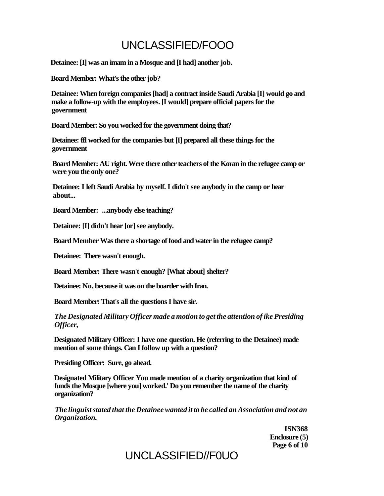# UNCLASSIFIED/FOOO

**Detainee: [I] was an imam in a Mosque and [I had] another job.** 

**Board Member: What's the other job?** 

**Detainee: When foreign companies [had] a contract inside Saudi Arabia [I] would go and make a follow-up with the employees. [I would] prepare official papers for the government** 

**Board Member: So you worked for the government doing that?** 

**Detainee: ffl worked for the companies but [I] prepared all these things for the government** 

**Board Member: AU right. Were there other teachers of the Koran in the refugee camp or were you the only one?** 

**Detainee: I left Saudi Arabia by myself. I didn't see anybody in the camp or hear about...** 

**Board Member: ...anybody else teaching?** 

**Detainee: [I] didn't hear [or] see anybody.** 

**Board Member Was there a shortage of food and water in the refugee camp?** 

**Detainee: There wasn't enough.** 

**Board Member: There wasn't enough? [What about] shelter?** 

**Detainee: No, because it was on the boarder with Iran.** 

**Board Member: That's all the questions I have sir.** 

### *The Designated Military Officer made a motion to get the attention of ike Presiding Officer,*

**Designated Military Officer: I have one question. He (referring to the Detainee) made mention of some things. Can I follow up with a question?** 

**Presiding Officer: Sure, go ahead.** 

**Designated Military Officer You made mention of a charity organization that kind of funds the Mosque [where you] worked.' Do you remember the name of the charity organization?** 

*The linguist stated that the Detainee wanted it to be called an Association and not an Organization.* 

> **ISN368 Enclosure (5) Page 6 of 10**

UNCLASSIFIED//F0UO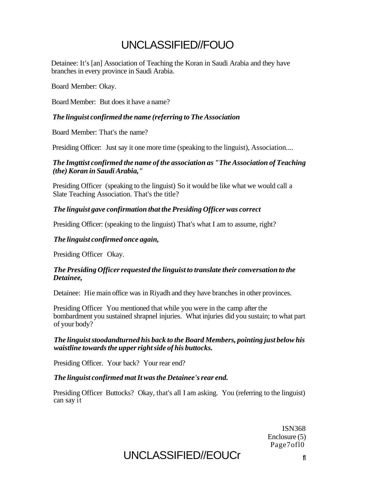# UNCLASSIFIED//FOUO

Detainee: It's [an] Association of Teaching the Koran in Saudi Arabia and they have branches in every province in Saudi Arabia.

Board Member: Okay.

Board Member: But does it have a name?

*The linguist confirmed the name (referring to The Association* 

Board Member: That's the name?

Presiding Officer: Just say it one more time (speaking to the linguist), Association....

### *The Imgttist confirmed the name of the association as "The Association of Teaching (the) Koran in Saudi Arabia,"*

Presiding Officer (speaking to the linguist) So it would be like what we would call a Slate Teaching Association. That's the title?

#### *The linguist gave confirmation that the Presiding Officer was correct*

Presiding Officer: (speaking to the linguist) That's what I am to assume, right?

#### *The linguist confirmed once again,*

Presiding Officer Okay.

#### *The Presiding Officer requested the linguist to translate their conversation to the Detainee,*

Detainee: Hie main office was in Riyadh and they have branches in other provinces.

Presiding Officer You mentioned that while you were in the camp after the bombardment you sustained shrapnel injuries. What injuries did you sustain; to what part of your body?

### *The linguist stoodandturned his back to the Board Members, pointing just below his waistline towards the upper right side of his buttocks.*

Presiding Officer. Your back? Your rear end?

### *The linguist confirmed mat It was the Detainee's rear end.*

Presiding Officer Buttocks? Okay, that's all I am asking. You (referring to the linguist) can say it

> ISN368 Enclosure (5) Page7ofl0

## UNCLASSIFIED//EOUCr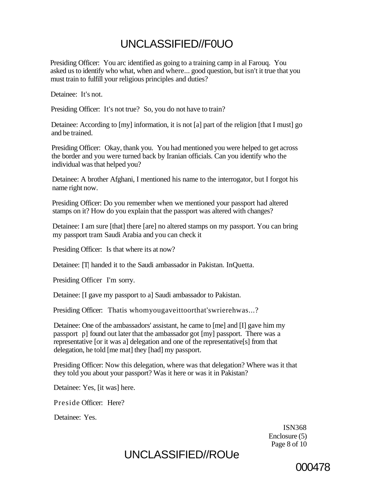# UNCLASSIFIED//F0UO

Presiding Officer: You arc identified as going to a training camp in al Farouq. You asked us to identify who what, when and where... good question, but isn't it true that you must train to fulfill your religious principles and duties?

Detainee: It's not.

Presiding Officer: It's not true? So, you do not have to train?

Detainee: According to [my] information, it is not [a] part of the religion [that I must] go and be trained.

Presiding Officer: Okay, thank you. You had mentioned you were helped to get across the border and you were turned back by Iranian officials. Can you identify who the individual was that helped you?

Detainee: A brother Afghani, I mentioned his name to the interrogator, but I forgot his name right now.

Presiding Officer: Do you remember when we mentioned your passport had altered stamps on it? How do you explain that the passport was altered with changes?

Detainee: I am sure [that] there [are] no altered stamps on my passport. You can bring my passport tram Saudi Arabia and you can check it

Presiding Officer: Is that where its at now?

Detainee: [T| handed it to the Saudi ambassador in Pakistan. InQuetta.

Presiding Officer I'm sorry.

Detainee: [I gave my passport to a] Saudi ambassador to Pakistan.

Presiding Officer: Thatis whomyougaveittoorthat'swrierehwas...?

Detainee: One of the ambassadors' assistant, he came to [me] and [I] gave him my passport p] found out later that the ambassador got [my] passport. There was a representative [or it was a] delegation and one of the representative[s] from that delegation, he told [me mat] they [had] my passport.

Presiding Officer: Now this delegation, where was that delegation? Where was it that they told you about your passport? Was it here or was it in Pakistan?

Detainee: Yes, [it was] here.

Preside Officer: Here?

Detainee: Yes.

ISN368 Enclosure (5) Page 8 of 10

## UNCLASSIFIED//ROUe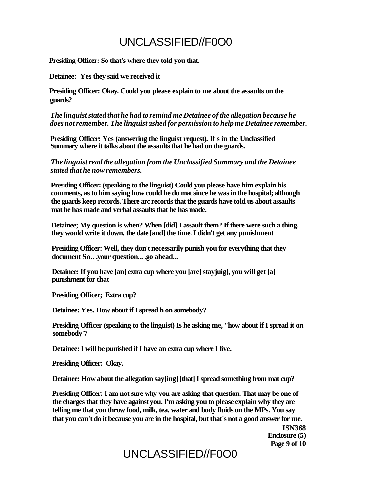## UNCLASSIFIED//F0O0

**Presiding Officer: So that's where they told you that.** 

**Detainee: Yes they said we received it** 

**Presiding Officer: Okay. Could you please explain to me about the assaults on the guards?** 

*The linguist stated that he had to remind me Detainee of the allegation because he does not remember. The linguist ashed for permission to help me Detainee remember.* 

**Presiding Officer: Yes (answering the linguist request). If s in the Unclassified Summary where it talks about the assaults that he had on the guards.** 

*The linguist read the allegation from the Unclassified Summary and the Detainee stated that he now remembers.* 

**Presiding Officer: (speaking to the linguist) Could you please have him explain his comments, as to him saying how could he do mat since he was in the hospital; although the guards keep records. There arc records that the guards have told us about assaults mat he has made and verbal assaults that he has made.** 

**Detainee; My question is when? When [did] I assault them? If there were such a thing, they would write it down, the date [and] the time. I didn't get any punishment** 

**Presiding Officer: Well, they don't necessarily punish you for everything that they document So.. .your question... .go ahead...** 

**Detainee: If you have [an] extra cup where you [are] stayjuig], you will get [a] punishment for that** 

**Presiding Officer; Extra cup?** 

**Detainee: Yes. How about if I spread h on somebody?** 

**Presiding Officer (speaking to the linguist) Is he asking me, "how about if I spread it on somebody'7** 

**Detainee: I will be punished if I have an extra cup where I live.** 

**Presiding Officer: Okay.** 

**Detainee: How about the allegation say[ing] [that] I spread something from mat cup?** 

**Presiding Officer: I am not sure why you are asking that question. That may be one of the charges that they have against you. I'm asking you to please explain why they are telling me that you throw food, milk, tea, water and body fluids on the MPs. You say that you can't do it because you are in the hospital, but that's not a good answer for me.** 

> **ISN368 Enclosure (5) Page 9 of 10**

## UNCLASSIFIED//F0O0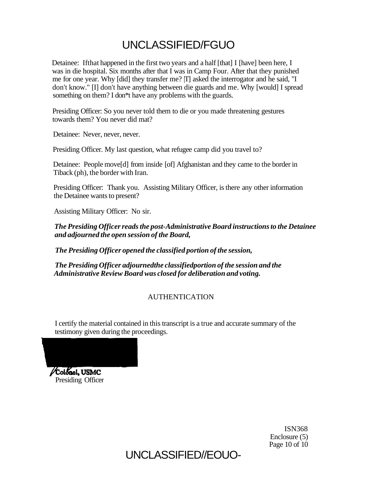# UNCLASSIFIED/FGUO

Detainee: Ifthat happened in the first two years and a half [that] I [have] been here, I was in die hospital. Six months after that I was in Camp Four. After that they punished me for one year. Why [did] they transfer me?  $\pi$ ] asked the interrogator and he said, "I don't know." [I] don't have anything between die guards and me. Why [would] I spread something on them? I don\*t have any problems with the guards.

Presiding Officer: So you never told them to die or you made threatening gestures towards them? You never did mat?

Detainee: Never, never, never.

Presiding Officer. My last question, what refugee camp did you travel to?

Detainee: People move[d] from inside [of] Afghanistan and they came to the border in Tiback (ph), the border with Iran.

Presiding Officer: Thank you. Assisting Military Officer, is there any other information the Detainee wants to present?

Assisting Military Officer: No sir.

*The Presiding Officer reads the post-Administrative Board instructions to the Detainee and adjourned the open session of the Board,* 

*The Presiding Officer opened the classified portion of the session,* 

*The Presiding Officer adjournedthe classifiedportion of the session and the Administrative Review Board was closed for deliberation and voting.* 

### AUTHENTICATION

I certify the material contained in this transcript is a true and accurate summary of the testimony given during the proceedings.

Colonel, USMC Presiding Officer

> ISN368 Enclosure (5) Page 10 of 10

UNCLASSIFIED//EOUO-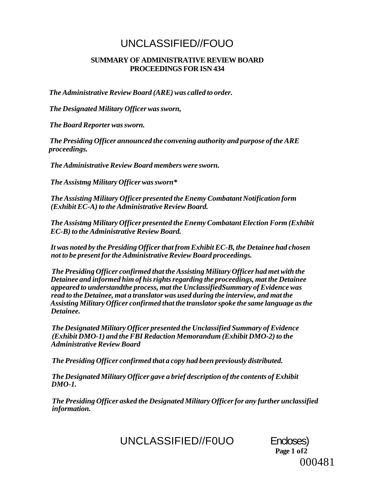## UNCLASSIFIED//FOUO

### **SUMMARY OF ADMINISTRATIVE REVIEW BOARD PROCEEDINGS FOR ISN 434**

*The Administrative Review Board (ARE) was called to order.* 

*The Designated Military Officer was sworn,* 

*The Board Reporter was sworn.* 

*The Presiding Officer announced the convening authority and purpose of the ARE proceedings.* 

*The Administrative Review Board members were sworn.* 

*The Assistmg Military Officer was sworn\** 

*The Assisting Military Officer presented the Enemy Combatant Notification form (Exhibit EC-A) to the Administrative Review Board.* 

*The Assistmg Military Officer presented the Enemy Combatant Election Form (Exhibit EC-B) to the Administrative Review Board.* 

*It was noted by the Presiding Officer that from Exhibit EC-B, the Detainee had chosen not to be present for the Administrative Review Board proceedings.* 

*The Presiding Officer confirmed that the Assisting Military Officer had met with the Detainee and informed him of his rights regarding the proceedings, mat the Detainee appeared to understandthe process, mat the UnclassifiedSummary of Evidence was read to the Detainee, mat a translator was used during the interview, and mat the Assisting Military Officer confirmed that the translator spoke the same language as the Detainee.* 

*The Designated Military Officer presented the Unclassified Summary of Evidence (Exhibit DMO-1) and the FBI Redaction Memorandum (Exhibit DMO-2) to the Administrative Review Board* 

*The Presiding Officer confirmed that a copy had been previously distributed.* 

*The Designated Military Officer gave a brief description of the contents of Exhibit DMO-1.* 

*The Presiding Officer asked the Designated Military Officer for any further unclassified information.* 

UNCLASSIFIED//F0UO Encloses)

**Page 1 of2**  000481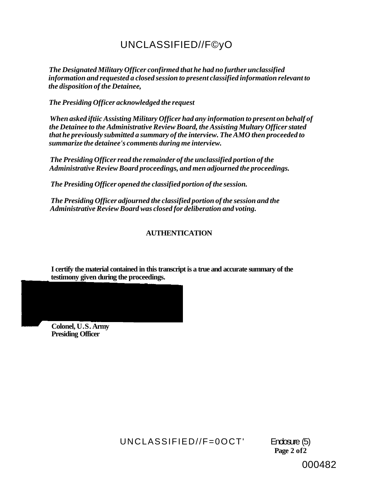## UNCLASSIFIED//F©yO

*The Designated Military Officer confirmed that he had no further unclassified information and requested a closed session to present classified information relevant to the disposition of the Detainee,* 

*The Presiding Officer acknowledged the request* 

*When asked iftiic Assisting Military Officer had any information to present on behalf of the Detainee to the Administrative Review Board, the Assisting Multary Officer stated that he previously submitted a summary of the interview. The AMO then proceeded to summarize the detainee's comments during me interview.* 

*The Presiding Officer read the remainder of the unclassified portion of the Administrative Review Board proceedings, and men adjourned the proceedings.* 

*The Presiding Officer opened the classified portion of the session.* 

*The Presiding Officer adjourned the classified portion of the session and the Administrative Review Board was closed for deliberation and voting.* 

### **AUTHENTICATION**

**I certify the material contained in this transcript is a true and accurate summary of the testimony given during the proceedings.** 

**Colonel, U.S. Army Presiding Officer** 

UNCLASSIFIED//F=0OCT' Endosure (5)

**Page 2 of2**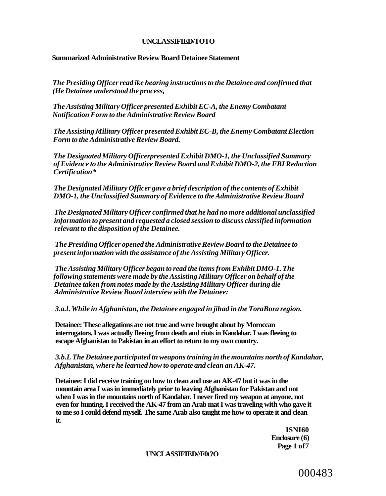### **UNCLASSIFIED/TOTO**

#### **Summarized Administrative Review Board Detainee Statement**

*The Presiding Officer read ike hearing instructions to the Detainee and confirmed that (He Detainee understood the process,* 

*The Assisting Military Officer presented Exhibit EC-A, the Enemy Combatant Notification Form to the Administrative Review Board* 

*The Assisting Military Officer presented Exhibit EC-B, the Enemy Combatant Election Form to the Administrative Review Board.* 

*The Designated Military Officerpresented Exhibit DMO-1, the Unclassified Summary of Evidence to the Administrative Review Board and Exhibit DMO-2, the FBI Redaction Certification\** 

*The Designated Military Officer gave a brief description of the contents of Exhibit DMO-1, the Unclassified Summary of Evidence to the Administrative Review Board* 

*The Designated Military Officer confirmed that he had no more additional unclassified information to present and requested a closed session to discuss classified information relevant to the disposition of the Detainee.* 

*The Presiding Officer opened the Administrative Review Board to the Detainee to present information with the assistance of the Assisting Military Officer.* 

*The Assisting Military Officer began to read the items from Exhibit DMO-1. The following statements were made by the Assisting Military Officer on behalf of the Detainee taken from notes made by the Assisting Military Officer during die Administrative Review Board interview with the Detainee:* 

*3.a.l***.** *While in Afghanistan, the Detainee engaged in jihad in the ToraBora region.* 

**Detainee: These allegations are not true and were brought about by Moroccan interrogators. I was actually fleeing from death and riots in Kandahar. I was fleeing to escape Afghanistan to Pakistan in an effort to return to my own country.** 

*3.b.L The Detainee participated tn weapons training in the mountains north of Kandahar, Afghanistan, where he learned how to operate and clean an AK-47.* 

**Detainee: I did receive training on how to clean and use an AK-47 but it was in the mountain area I was in immediately prior to leaving Afghanistan for Pakistan and not when I was in the mountains north of Kandahar. I never fired my weapon at anyone, not even for hunting. I received the AK-47 from an Arab mat I was traveling with who gave it to me so I could defend myself. The same Arab also taught me how to operate it and clean it.** 

> **ISNI60 Enclosure (6) Page 1 of7**

#### **UNCLASSIFIED//F0t?O**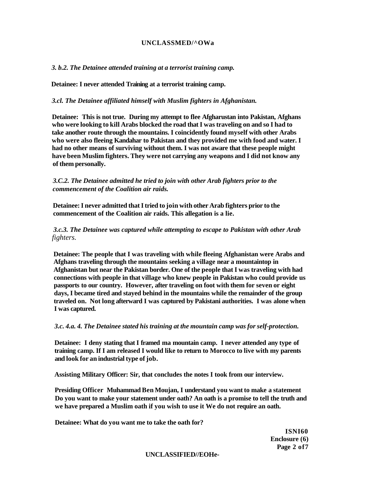#### **UNCLASSMED/^OWa**

#### *3. b.2. The Detainee attended training at a terrorist training camp.*

**Detainee: I never attended Training at a terrorist training camp.** 

*3.cl. The Detainee affiliated himself with Muslim fighters in Afghanistan.* 

**Detainee: This is not true. During my attempt to flee Afgharustan into Pakistan, Afghans who were looking to kill Arabs blocked the road that I was traveling on and so I had to take another route through the mountains. I coincidently found myself with other Arabs who were also fleeing Kandahar to Pakistan and they provided me with food and water. I had no other means of surviving without them. I was not aware that these people might have been Muslim fighters. They were not carrying any weapons and I did not know any of them personally.** 

*3.C.2. The Detainee admitted he tried to join with other Arab fighters prior to the commencement of the Coalition air raids.* 

**Detainee: I never admitted that I tried to join with other Arab fighters prior to the commencement of the Coalition air raids. This allegation is a lie.** 

*3.c.3. The Detainee was captured while attempting to escape to Pakistan with other Arab fighters.* 

**Detainee: The people that I was traveling with while fleeing Afghanistan were Arabs and Afghans traveling through the mountains seeking a village near a mountaintop in Afghanistan but near the Pakistan border. One of the people that I was traveling with had connections with people in that village who knew people in Pakistan who could provide us passports to our country. However, after traveling on foot with them for seven or eight days, I became tired and stayed behind in the mountains while the remainder of the group traveled on. Not long afterward I was captured by Pakistani authorities. I was alone when I was captured.** 

*3.c. 4.a. 4. The Detainee stated his training at the mountain camp was for self-protection.* 

**Detainee: I deny stating that I framed ma mountain camp. I never attended any type of training camp. If I am released I would like to return to Morocco to live with my parents and look for an industrial type of job.** 

**Assisting Military Officer: Sir, that concludes the notes I took from our interview.** 

**Presiding Officer Muhammad Ben Moujan, I understand you want to make a statement Do you want to make your statement under oath? An oath is a promise to tell the truth and we have prepared a Muslim oath if you wish to use it We do not require an oath.** 

**Detainee: What do you want me to take the oath for?** 

**ISNI60 Enclosure (6) Page 2 of7** 

**UNCLASSIFIED//EOHe-**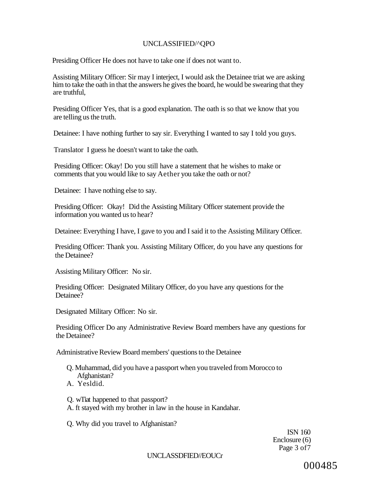### UNCLASSIFIED/^QPO

Presiding Officer He does not have to take one if does not want to.

Assisting Military Officer: Sir may I interject, I would ask the Detainee triat we are asking him to take the oath in that the answers he gives the board, he would be swearing that they are truthful,

Presiding Officer Yes, that is a good explanation. The oath is so that we know that you are telling us the truth.

Detainee: I have nothing further to say sir. Everything I wanted to say I told you guys.

Translator I guess he doesn't want to take the oath.

Presiding Officer: Okay! Do you still have a statement that he wishes to make or comments that you would like to say Aether you take the oath or not?

Detainee: I have nothing else to say.

Presiding Officer: Okay! Did the Assisting Military Officer statement provide the information you wanted us to hear?

Detainee: Everything I have, I gave to you and I said it to the Assisting Military Officer.

Presiding Officer: Thank you. Assisting Military Officer, do you have any questions for the Detainee?

Assisting Military Officer: No sir.

Presiding Officer: Designated Military Officer, do you have any questions for the Detainee?

Designated Military Officer: No sir.

Presiding Officer Do any Administrative Review Board members have any questions for the Detainee?

Administrative Review Board members' questions to the Detainee

- Q. Muhammad, did you have a passport when you traveled from Morocco to Afghanistan?
- A. Yesldid.
- Q. wTiat happened to that passport?
- A. ft stayed with my brother in law in the house in Kandahar.
- Q. Why did you travel to Afghanistan?

ISN 160 Enclosure (6) Page 3 of7

#### UNCLASSDFIED//EOUCr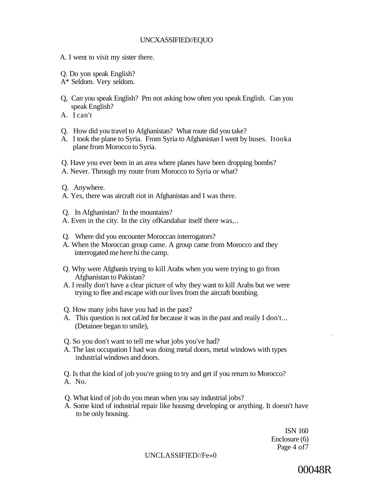### UNCXASSIFIED//EQUO

A. I went to visit my sister there.

- Q. Do yon speak English?
- A\* Seldom. Very seldom.
- Q, Can you speak English? Pm not asking how often you speak English. Can you speak English?
- A. I can't
- Q. How did you travel to Afghanistan? What route did you take?
- A. I took the plane to Syria. From Syria to Afghanistan I went by buses. Itooka plane from Morocco to Syria.
- Q. Have you ever been in an area where planes have been dropping bombs?
- A. Never. Through my route from Morocco to Syria or what?
- Q. Anywhere.
- A. Yes, there was aircraft riot in Afghanistan and I was there.
- Q. In Afghanistan? In the mountains?
- A. Even in the city. In the city ofKandahar itself there was,..
- Q. Where did you encounter Moroccan interrogators?
- A. When the Moroccan group came. A group came from Morocco and they interrogated me here hi the camp.
- Q. Why were Afghanis trying to kill Arabs when you were trying to go from Afghanistan to Pakistan?
- A. I really don't have a clear picture of why they want to kill Arabs but we were trying to flee and escape with our lives from the aircraft bombing.
- Q. How many jobs have you had in the past?
- A. This question is not caUed for because it was in the past and reaily I don't... (Detainee began to smile),
- Q. So you don't want to tell me what jobs you've had?
- A. The last occupation I had was doing metal doors, metal windows with types industrial windows and doors.

Q. Is that the kind of job you're going to try and get if you return to Morocco? A. No.

- Q. What kind of job do you mean when you say industrial jobs?
- A. Some kind of industrial repair like housmg developing or anything. It doesn't have to be only housing.

ISN 160 Enclosure (6) Page 4 of7

UNCLASSIFIED//Fe«0



i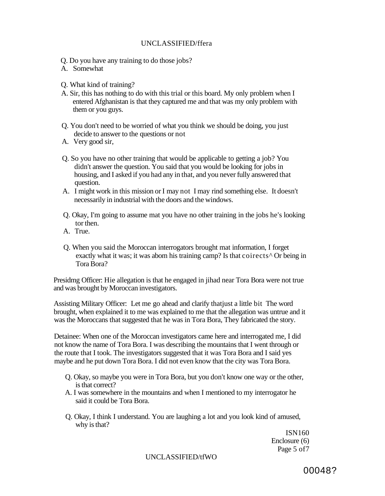### UNCLASSIFIED/ffera

- Q. Do you have any training to do those jobs?
- A. Somewhat
- Q. What kind of training?
- A. Sir, this has nothing to do with this trial or this board. My only problem when I entered Afghanistan is that they captured me and that was my only problem with them or you guys.
- Q. You don't need to be worried of what you think we should be doing, you just decide to answer to the questions or not
- A. Very good sir,
- Q. So you have no other training that would be applicable to getting a job? You didn't answer the question. You said that you would be looking for jobs in housing, and I asked if you had any in that, and you never fully answered that question.
- A. I might work in this mission or I may not I may rind something else. It doesn't necessarily in industrial with the doors and the windows.
- Q. Okay, I'm going to assume mat you have no other training in the jobs he's looking tor then.
- A. True.
- Q. When you said the Moroccan interrogators brought mat information, I forget exactly what it was; it was abom his training camp? Is that coirects<sup> $\wedge$ </sup> Or being in Tora Bora?

Presidmg Officer: Hie allegation is that he engaged in jihad near Tora Bora were not true and was brought by Moroccan investigators.

Assisting Military Officer: Let me go ahead and clarify thatjust a little bit The word brought, when explained it to me was explained to me that the allegation was untrue and it was the Moroccans that suggested that he was in Tora Bora, They fabricated the story.

Detainee: When one of the Moroccan investigators came here and interrogated me, I did not know the name of Tora Bora. I was describing the mountains that I went through or the route that I took. The investigators suggested that it was Tora Bora and I said yes maybe and he put down Tora Bora. I did not even know that the city was Tora Bora.

- Q. Okay, so maybe you were in Tora Bora, but you don't know one way or the other, is that correct?
- A. I was somewhere in the mountains and when I mentioned to my interrogator he said it could be Tora Bora.
- Q. Okay, I think I understand. You are laughing a lot and you look kind of amused, why is that?

ISN160 Enclosure (6) Page 5 of7

UNCLASSIFIED/tfWO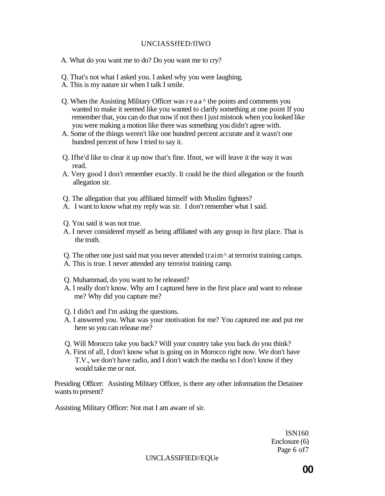### UNCIASSffED/flWO

- A. What do you want me to do? Do you want me to cry?
- Q. That's not what I asked you. I asked why you were laughing.
- A. This is my nature sir when I talk I smile.
- O. When the Assisting Military Officer was rea  $a^{\wedge}$  the points and comments you wanted to make it seemed like you wanted to clarify something at one point If you remember that, you can do that now if not then I just mistook when you looked like you were making a motion like there was something you didn't agree with.
- A. Some of the things weren't like one hundred percent accurate and it wasn't one hundred percent of how I tried to say it.
- Q. Ifhe'd like to clear it up now that's fine. Ifnot, we will leave it the way it was read.
- A. Very good I don't remember exactly. It could be the third allegation or the fourth allegation sir.
- Q. The allegation that you affiliated himself with Muslim fighters?
- A. I want to know what my reply was sir. I don't remember what I said.
- Q. You said it was not true.
- A. I never considered myself as being affiliated with any group in first place. That is the truth.
- Q. The other one just said mat you never attended traim $\wedge$  at terrorist training camps.
- A. This is true. I never attended any terrorist training camp.
- Q. Muhammad, do you want to be released?
- A. I really don't know. Why am I captured here in the first place and want to release me? Why did you capture me?
- Q. I didn't and I'm asking the questions.
- A. I answered you. What was your motivation for me? You captured me and put me here so you can release me?
- Q. Will Morocco take you back? Will your country take you back do you think?
- A. First of all, I don't know what is going on in Morocco right now. We don't have T.V., we don't have radio, and I don't watch the media so I don't know if they would take me or not.

Presiding Officer: Assisting Military Officer, is there any other information the Detainee wants to present?

Assisting Military Officer: Not mat I am aware of sir.

ISN160 Enclosure (6) Page 6 of7

UNCLASSIFIED//EQUe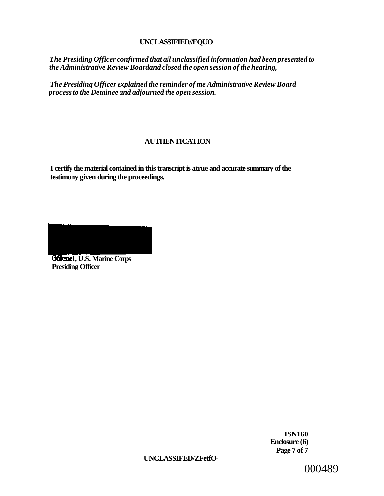### **UNCLASSIFIED//EQUO**

*The Presiding Officer confirmed that ail unclassified information had been presented to the Administrative Review Boardand closed the open session of the hearing,* 

*The Presiding Officer explained the reminder of me Administrative Review Board process to the Detainee and adjourned the open session.* 

### **AUTHENTICATION**

**I certify the material contained in this transcript is atrue and accurate summary of the testimony given during the proceedings.** 

**1, U.S. Marine Corps Presiding Officer** 

> **ISN160 Enclosure (6) Page 7 of 7**

**UNCLASSIFED/ZFetfO-**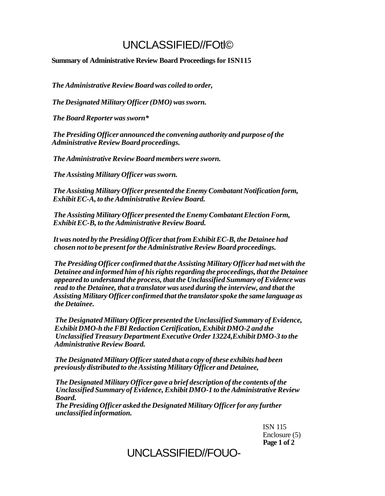# UNCLASSIFIED//FOtl©

### **Summary of Administrative Review Board Proceedings for ISN115**

*The Administrative Review Board was coiled to order,* 

*The Designated Military Officer (DMO) was sworn.* 

*The Board Reporter was sworn\** 

*The Presiding Officer announced the convening authority and purpose of the Administrative Review Board proceedings.* 

*The Administrative Review Board members were sworn.* 

*The Assisting Military Officer was sworn.* 

*The Assisting Military Officer presented the Enemy Combatant Notification form, Exhibit EC-A, to the Administrative Review Board.* 

*The Assisting Military Officer presented the Enemy Combatant Election Form, Exhibit EC-B, to the Administrative Review Board.* 

*It was noted by the Presiding Officer that from Exhibit EC-B, the Detainee had chosen not to be present for the Administrative Review Board proceedings.* 

*The Presiding Officer confirmed that the Assisting Military Officer had met with the Detainee and informed him of his rights regarding the proceedings, that the Detainee appeared to understand the process, that the Unclassified Summary of Evidence was read to the Detainee, that a translator was used during the interview, and that the Assisting Military Officer confirmed that the translator spoke the same language as the Detainee.* 

*The Designated Military Officer presented the Unclassified Summary of Evidence, Exhibit DMO-h the FBI Redaction Certification, Exhibit DMO-2 and the Unclassified Treasury Department Executive Order 13224,Exhibit DMO-3 to the Administrative Review Board.* 

*The Designated Military Officer stated that a copy of these exhibits had been previously distributed to the Assisting Military Officer and Detainee,* 

*The Designated Military Officer gave a brief description of the contents of the Unclassified Summary of Evidence, Exhibit DMO-1 to the Administrative Review Board.* 

*The Presiding Officer asked the Designated Military Officer for any further unclassified information.* 

> ISN 115 Enclosure (5) **Page 1 of 2**

UNCLASSIFIED//FOUO-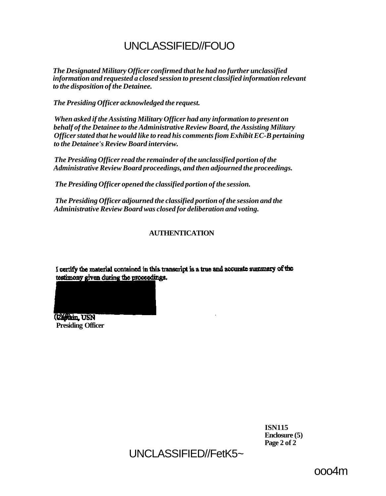# UNCLASSIFIED//FOUO

*The Designated Military Officer confirmed that he had no further unclassified information and requested a closed session to present classified information relevant to the disposition of the Detainee.* 

*The Presiding Officer acknowledged the request.* 

*When asked if the Assisting Military Officer had any information to present on behalf of the Detainee to the Administrative Review Board, the Assisting Military Officer stated that he would like to read his comments fiom Exhibit EC-B pertaining to the Detainee's Review Board interview.* 

*The Presiding Officer read the remainder of the unclassified portion of the Administrative Review Board proceedings, and then adjourned the proceedings.* 

*The Presiding Officer opened the classified portion of the session.* 

*The Presiding Officer adjourned the classified portion of the session and the Administrative Review Board was closed for deliberation and voting.* 

### **AUTHENTICATION**

I certify the material contained in this transcript is a true and accurate summary of the testimony given during the proceedings.

(Cliffain USN **Presiding Officer** 

> **ISN115 Enclosure (5) Page 2 of 2**

UNCLASSIFIED//FetK5~

ooo4m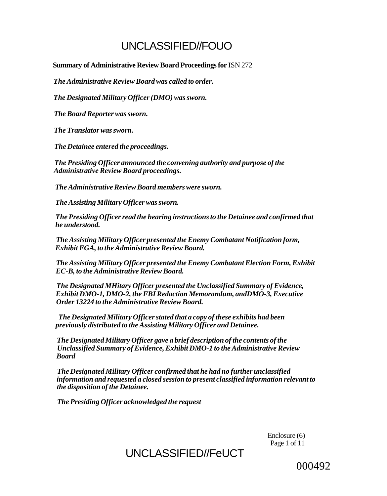### UNCLASSIFIED//FOUO

**Summary of Administrative Review Board Proceedings for** ISN 272

*The Administrative Review Board was called to order.* 

*The Designated Military Officer (DMO) was sworn.* 

*The Board Reporter was sworn.* 

*The Translator was sworn.* 

*The Detainee entered the proceedings.* 

*The Presiding Officer announced the convening authority and purpose of the Administrative Review Board proceedings.* 

*The Administrative Review Board members were sworn.* 

*The Assisting Military Officer was sworn.* 

*The Presiding Officer read the hearing instructions to the Detainee and confirmed that he understood.* 

*The Assisting Military Officer presented the Enemy Combatant Notification form, Exhibit EGA, to the Administrative Review Board.* 

*The Assisting Military Officer presented the Enemy Combatant Election Form, Exhibit EC-B, to the Administrative Review Board.* 

*The Designated MHitary Officer presented the Unclassified Summary of Evidence, Exhibit DMO-1, DMO-2, the FBI Redaction Memorandum, andDMO-3, Executive Order 13224 to the Administrative Review Board.* 

*The Designated Military Officer stated that a copy of these exhibits had been previously distributed to the Assisting Military Officer and Detainee.* 

*The Designated Military Officer gave a brief description of the contents of the Unclassified Summary of Evidence, Exhibit DMO-1 to the Administrative Review Board* 

*The Designated Military Officer confirmed that he had no further unclassified information and requested a closed session to present classified information relevant to the disposition of the Detainee.* 

*The Presiding Officer acknowledged the request* 

Enclosure (6) Page 1 of 11

#### UNCLASSIFIED//FeUCT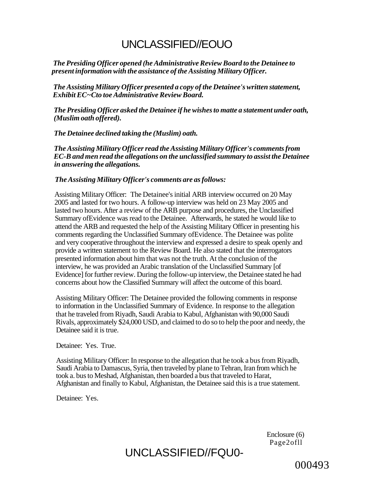## UNCLASSIFIED//EOUO

#### *The Presiding Officer opened (he Administrative Review Board to the Detainee to present information with the assistance of the Assisting Military Officer.*

*The Assisting Military Officer presented a copy of the Detainee's written statement, Exhibit EC~Cto toe Administrative Review Board.* 

*The Presiding Officer asked the Detainee if he wishes to matte a statement under oath, (Muslim oath offered).* 

*The Detainee declined taking the (Muslim) oath.* 

*The Assisting Military Officer read the Assisting Military Officer's comments from EC-B and men read the allegations on the unclassified summary to assist the Detainee in answering the allegations.* 

#### *The Assisting Military Officer's comments are as follows:*

Assisting Military Officer: The Detainee's initial ARB interview occurred on 20 May 2005 and lasted for two hours. A follow-up interview was held on 23 May 2005 and lasted two hours. After a review of the ARB purpose and procedures, the Unclassified Summary ofEvidence was read to the Detainee. Afterwards, he stated he would like to attend the ARB and requested the help of the Assisting Military Officer in presenting his comments regarding the Unclassified Summary ofEvidence. The Detainee was polite and very cooperative throughout the interview and expressed a desire to speak openly and provide a written statement to the Review Board. He also stated that the interrogators presented information about him that was not the truth. At the conclusion of the interview, he was provided an Arabic translation of the Unclassified Summary [of Evidence] for further review. During the follow-up interview, the Detainee stated he had concerns about how the Classified Summary will affect the outcome of this board.

Assisting Military Officer: The Detainee provided the following comments in response to information in the Unclassified Summary of Evidence. In response to the allegation that he traveled from Riyadh, Saudi Arabia to Kabul, Afghanistan with 90,000 Saudi Rivals, approximately \$24,000 USD, and claimed to do so to help the poor and needy, the Detainee said it is true.

Detainee: Yes. True.

Assisting Military Officer: In response to the allegation that he took a bus from Riyadh, Saudi Arabia to Damascus, Syria, then traveled by plane to Tehran, Iran from which he took a. bus to Meshad, Afghanistan, then boarded a bus that traveled to Harat, Afghanistan and finally to Kabul, Afghanistan, the Detainee said this is a true statement.

Detainee: Yes.

Enclosure (6) Page2ofll

#### UNCLASSIFIED//FQU0-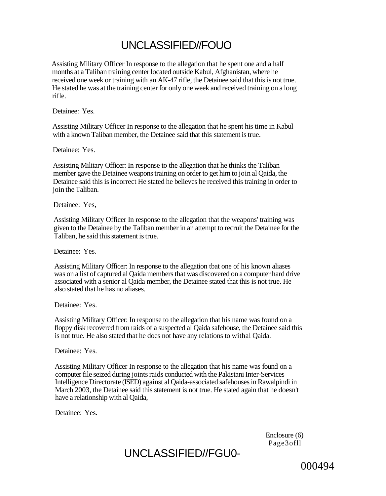# UNCLASSIFIED//FOUO

Assisting Military Officer In response to the allegation that he spent one and a half months at a Taliban training center located outside Kabul, Afghanistan, where he received one week or training with an AK-47 rifle, the Detainee said that this is not true. He stated he was at the training center for only one week and received training on a long rifle.

Detainee: Yes.

Assisting Military Officer In response to the allegation that he spent his time in Kabul with a known Taliban member, the Detainee said that this statement is true.

Detainee: Yes.

Assisting Military Officer: In response to the allegation that he thinks the Taliban member gave the Detainee weapons training on order to get him to join al Qaida, the Detainee said this is incorrect He stated he believes he received this training in order to join the Taliban.

Detainee: Yes,

Assisting Military Officer In response to the allegation that the weapons' training was given to the Detainee by the Taliban member in an attempt to recruit the Detainee for the Taliban, he said this statement is true.

Detainee: Yes.

Assisting Military Officer: In response to the allegation tbat one of his known aliases was on a list of captured al Qaida members that was discovered on a computer hard drive associated with a senior al Qaida member, the Detainee stated that this is not true. He also stated that he has no aliases.

Detainee: Yes.

Assisting Military Officer: In response to the allegation that his name was found on a floppy disk recovered from raids of a suspected al Qaida safehouse, the Detainee said this is not true. He also stated that he does not have any relations to withal Qaida.

Detainee: Yes.

Assisting Military Officer In response to the allegation that his name was found on a computer file seized during joints raids conducted with the Pakistani Inter-Services Intelligence Directorate (ISED) against al Qaida-associated safehouses in Rawalpindi in March 2003, the Detainee said this statement is not true. He stated again that he doesn't have a relationship with al Qaida,

Detainee: Yes.

Enclosure (6) Page3ofll

#### UNCLASSIFIED//FGU0-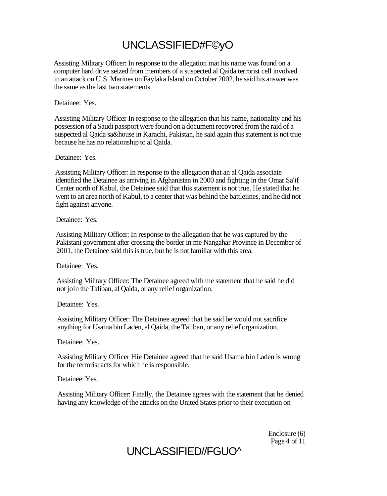# UNCLASSIFIED#F©yO

Assisting Military Officer: In response to the allegation mat his name was found on a computer hard drive seized from members of a suspected al Qaida terrorist cell involved in an attack on U.S. Marines on Faylaka Island on October 2002, he said his answer was the same as the last two statements.

Detainee: Yes.

Assisting Military Officer In response to the allegation that his name, nationality and his possession of a Saudi passport were found on a document recovered from the raid of a suspected al Qaida sa&house in Karachi, Pakistan, he said again this statement is not true because he has no relationship to al Qaida.

Detainee: Yes.

Assisting Military Officer: In response to the allegation that an al Qaida associate identified the Detainee as arriving in Afghanistan in 2000 and fighting in the Omar Sa'if Center north of Kabul, the Detainee said that this statement is not true. He stated that he went to an area north of Kabul, to a center that was behind the battleiines, and he did not fight against anyone.

Detainee: Yes.

Assisting Military Officer: In response to the allegation that he was captured by the Pakistani government after crossing the border in me Nangahar Province in December of 2001, the Detainee said this is true, but he is not familiar with this area.

Detainee: Yes.

Assisting Military Officer: The Detainee agreed with me statement that he said he did not join the Taliban, al Qaida, or any relief organization.

Detainee: Yes.

Assisting Military Officer: The Detainee agreed that he said be would not sacrifice anything for Usama bin Laden, al Qaida, the Taliban, or any relief organization.

Detainee: Yes.

Assisting Military Officer Hie Detainee agreed that he said Usama bin Laden is wrong for the terrorist acts for which he is responsible.

Detainee: Yes.

Assisting Military Officer: Finally, the Detainee agrees with the statement that he denied having any knowledge of the attacks on the United States prior to their execution on

> Enclosure (6) Page 4 of 11

UNCLASSIFIED//FGUO^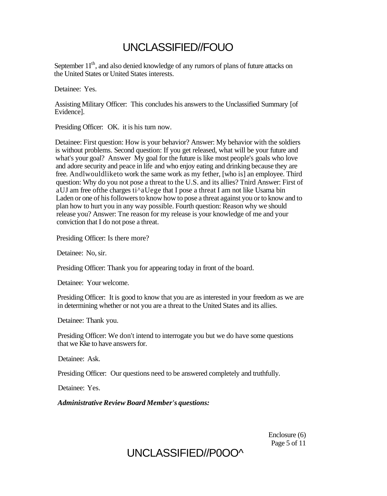## UNCLASSIFIED//FOUO

September  $1I<sup>th</sup>$ , and also denied knowledge of any rumors of plans of future attacks on the United States or United States interests.

Detainee: Yes.

Assisting Military Officer: This concludes his answers to the Unclassified Summary [of Evidence].

Presiding Officer: OK. it is his turn now.

Detainee: First question: How is your behavior? Answer: My behavior with the soldiers is without problems. Second question: If you get released, what will be your future and what's your goal? Answer My goal for the future is like most people's goals who love and adore security and peace in life and who enjoy eating and drinking because they are free. Andlwouldliketo work the same work as my fether, [who is] an employee. Third question: Why do you not pose a threat to the U.S. and its allies? Tnird Answer: First of aUJ am free ofthe charges ti^aUege that I pose a threat I am not like Usama bin Laden or one of his followers to know how to pose a threat against you or to know and to plan how to hurt you in any way possible. Fourth question: Reason why we should release you? Answer: Tne reason for my release is your knowledge of me and your conviction that I do not pose a threat.

Presiding Officer: Is there more?

Detainee: No, sir.

Presiding Officer: Thank you for appearing today in front of the board.

Detainee: Your welcome.

Presiding Officer: It is good to know that you are as interested in your freedom as we are in determining whether or not you are a threat to the United States and its allies.

Detainee: Thank you.

Presiding Officer: We don't intend to interrogate you but we do have some questions that we Kke to have answers for.

Detainee: Ask.

Presiding Officer: Our questions need to be answered completely and truthfully.

Detainee: Yes.

*Administrative Review Board Member's questions:* 

Enclosure (6) Page 5 of 11

#### UNCLASSIFIED//P0OO^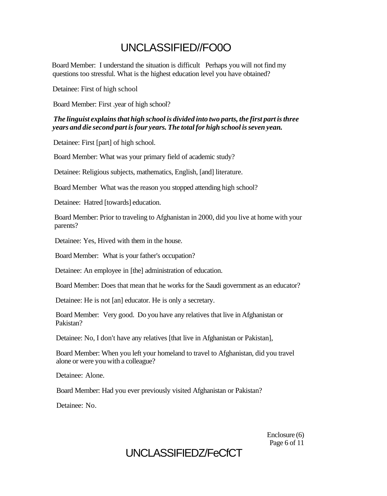## UNCLASSIFIED//FO0O

Board Member: I understand the situation is difficult Perhaps you will not find my questions too stressful. What is the highest education level you have obtained?

Detainee: First of high school

Board Member: First .year of high school?

*The linguist explains that high school is divided into two parts, the first part is three years and die second part is four years. The total for high school is seven yean.* 

Detainee: First [part] of high school.

Board Member: What was your primary field of academic study?

Detainee: Religious subjects, mathematics, English, [and] literature.

Board Member What was the reason you stopped attending high school?

Detainee: Hatred [towards] education.

Board Member: Prior to traveling to Afghanistan in 2000, did you live at home with your parents?

Detainee: Yes, Hived with them in the house.

Board Member: What is your father's occupation?

Detainee: An employee in [the] administration of education.

Board Member: Does that mean that he works for the Saudi government as an educator?

Detainee: He is not [an] educator. He is only a secretary.

Board Member: Very good. Do you have any relatives that live in Afghanistan or Pakistan?

Detainee: No, I don't have any relatives [that live in Afghanistan or Pakistan],

Board Member: When you left your homeland to travel to Afghanistan, did you travel alone or were you with a colleague?

Detainee: Alone.

Board Member: Had you ever previously visited Afghanistan or Pakistan?

Detainee: No.

Enclosure (6) Page 6 of 11

#### UNCLASSIFIEDZ/FeCfCT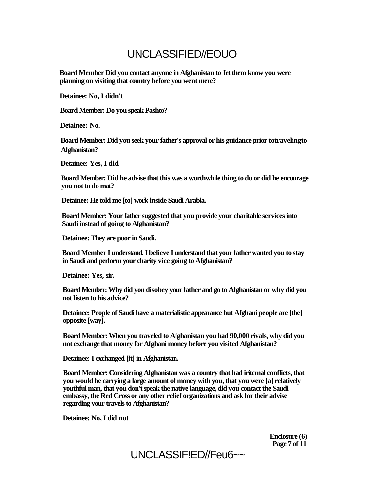## UNCLASSIFIED//EOUO

**Board Member Did you contact anyone in Afghanistan to Jet them know you were planning on visiting that country before you went mere?** 

**Detainee: No, I didn't** 

**Board Member: Do you speak Pashto?** 

**Detainee: No.** 

**Board Member: Did you seek your father's approval or his guidance prior totravelingto Afghanistan?** 

**Detainee: Yes, I did** 

**Board Member: Did he advise that this was a worthwhile thing to do or did he encourage you not to do mat?** 

**Detainee: He told me [to] work inside Saudi Arabia.** 

**Board Member: Your father suggested that you provide your charitable services into Saudi instead of going to Afghanistan?** 

**Detainee: They are poor in Saudi.** 

**Board Member I understand. I believe I understand that your father wanted you to stay in Saudi and perform your charity vice going to Afghanistan?** 

**Detainee: Yes, sir.** 

**Board Member: Why did yon disobey your father and go to Afghanistan or why did you not listen to his advice?** 

**Detainee: People of Saudi have a materialistic appearance but Afghani people are [the] opposite [way].** 

**Board Member: When you traveled to Afghanistan you had 90,000 rivals, why did you not exchange that money for Afghani money before you visited Afghanistan?** 

**Detainee: I exchanged [it] in Afghanistan.** 

**Board Member: Considering Afghanistan was a country that had iriternal conflicts, that you would be carrying a large amount of money with you, that you were [a] relatively youthful man, that you don't speak the native language, did you contact the Saudi embassy, the Red Cross or any other relief organizations and ask for their advise regarding your travels to Afghanistan?** 

**Detainee: No, I did not** 

**Enclosure (6) Page 7 of 11** 

UNCLASSIF!ED//Feu6~~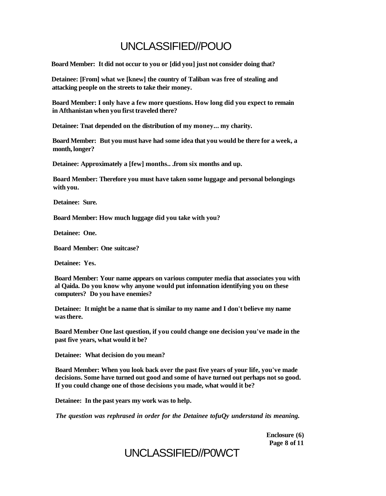## UNCLASSIFIED//POUO

**Board Member: It did not occur to you or [did you] just not consider doing that?** 

**Detainee: [From] what we [knew] the country of Taliban was free of stealing and attacking people on the streets to take their money.** 

**Board Member: I only have a few more questions. How long did you expect to remain in Afthanistan when you first traveled there?** 

**Detainee: Tnat depended on the distribution of my money... my charity.** 

**Board Member: But you must have had some idea that you would be there for a week, a month, longer?** 

**Detainee: Approximately a [few] months.. .from six months and up.** 

**Board Member: Therefore you must have taken some luggage and personal belongings with you.** 

**Detainee: Sure.** 

**Board Member: How much luggage did you take with you?** 

**Detainee: One.** 

**Board Member: One suitcase?** 

**Detainee: Yes.** 

**Board Member: Your name appears on various computer media that associates you with al Qaida. Do you know why anyone would put infonnation identifying you on these computers? Do you have enemies?** 

**Detainee: It might be a name that is similar to my name and I don't believe my name was there.** 

**Board Member One last question, if you could change one decision you've made in the past five years, what would it be?** 

**Detainee: What decision do you mean?** 

**Board Member: When you look back over the past five years of your life, you've made decisions. Some have turned out good and some of have turned out perhaps not so good. If you could change one of those decisions you made, what would it be?** 

**Detainee: In the past years my work was to help.** 

*The question was rephrased in order for the Detainee tofuQy understand its meaning.* 

**Enclosure (6) Page 8 of 11** 

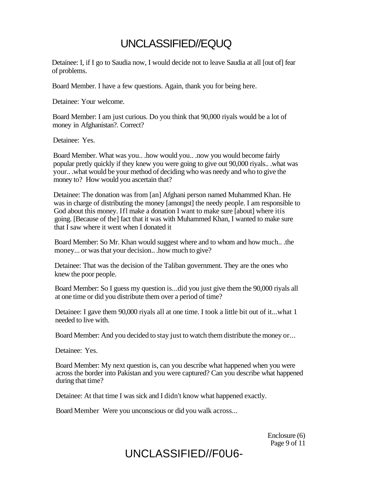## UNCLASSIFIED//EQUQ

Detainee: I, if I go to Saudia now, I would decide not to leave Saudia at all [out of] fear of problems.

Board Member. I have a few questions. Again, thank you for being here.

Detainee: Your welcome.

Board Member: I am just curious. Do you think that 90,000 riyals would be a lot of money in Afghanistan?. Correct?

Detainee: Yes.

Board Member. What was you.. .how would you.. .now you would become fairly popular pretly quickly if they knew you were going to give out 90,000 riyals.. .what was your.. .what would be your method of deciding who was needy and who to give the money to? How would you ascertain that?

Detainee: The donation was from [an] Afghani person named Muhammed Khan. He was in charge of distributing the money [amongst] the needy people. I am responsible to God about this money. Ifl make a donation I want to make sure [about] where itis going. [Because of the] fact that it was with Muhammed Khan, I wanted to make sure that I saw where it went when I donated it

Board Member: So Mr. Khan would suggest where and to whom and how much.. .the money... or was that your decision... how much to give?

Detainee: That was the decision of the Taliban government. They are the ones who knew the poor people.

Board Member: So I guess my question is...did you just give them the 90,000 riyals all at one time or did you distribute them over a period of time?

Detainee: I gave them 90,000 rivals all at one time. I took a little bit out of it...what 1 needed to live with.

Board Member: And you decided to stay just to watch them distribute the money or...

Detainee: Yes.

Board Member: My next question is, can you describe what happened when you were across the border into Pakistan and you were captured? Can you describe what happened during that time?

Detainee: At that time I was sick and I didn't know what happened exactly.

Board Member Were you unconscious or did you walk across...

Enclosure (6) Page 9 of 11

## UNCLASSIFIED//F0U6-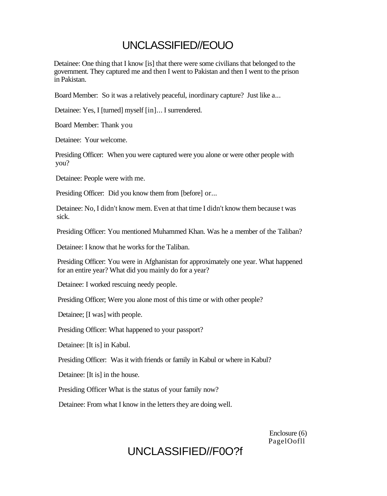## UNCLASSIFIED//EOUO

Detainee: One thing that I know [is] that there were some civilians that belonged to the government. They captured me and then I went to Pakistan and then I went to the prison in Pakistan.

Board Member: So it was a relatively peaceful, inordinary capture? Just like a...

Detainee: Yes, I [turned] myself [in]... I surrendered.

Board Member: Thank you

Detainee: Your welcome.

Presiding Officer: When you were captured were you alone or were other people with you?

Detainee: People were with me.

Presiding Officer: Did you know them from [before] or...

Detainee: No, I didn't know mem. Even at that time I didn't know them because t was sick.

Presiding Officer: You mentioned Muhammed Khan. Was he a member of the Taliban?

Detainee: I know that he works for the Taliban.

Presiding Officer: You were in Afghanistan for approximately one year. What happened for an entire year? What did you mainly do for a year?

Detainee: I worked rescuing needy people.

Presiding Officer; Were you alone most of this time or with other people?

Detainee; [I was] with people.

Presiding Officer: What happened to your passport?

Detainee: [It is] in Kabul.

Presiding Officer: Was it with friends or family in Kabul or where in Kabul?

Detainee: [It is] in the house.

Presiding Officer What is the status of your family now?

Detainee: From what I know in the letters they are doing well.

Enclosure (6) PagelOofll

## UNCLASSIFIED//F0O?f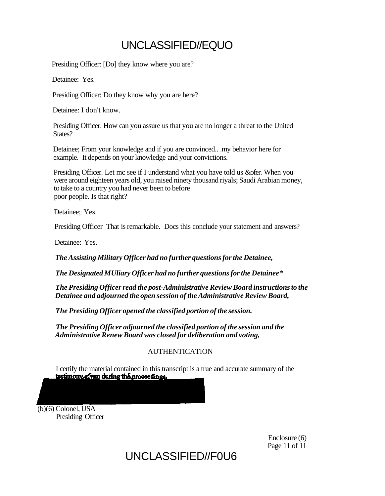# UNCLASSIFIED//EQUO

Presiding Officer: [Do] they know where you are?

Detainee: Yes.

Presiding Officer: Do they know why you are here?

Detainee: I don't know.

Presiding Officer: How can you assure us that you are no longer a threat to the United States?

Detainee; From your knowledge and if you are convinced.. .my behavior here for example. It depends on your knowledge and your convictions.

Presiding Officer. Let mc see if I understand what you have told us &ofer. When you were around eighteen years old, you raised ninety thousand riyals; Saudi Arabian money, to take to a country you had never been to before poor people. Is that right?

Detainee; Yes.

Presiding Officer That is remarkable. Docs this conclude your statement and answers?

Detainee: Yes.

*The Assisting Military Officer had no further questions for the Detainee,* 

*The Designated MUliary Officer had no further questions for the Detainee\** 

*The Presiding Officer read the post-Administrative Review Board instructions to the Detainee and adjourned the open session of the Administrative Review Board,* 

*The Presiding Officer opened the classified portion of the session.* 

*The Presiding Officer adjourned the classified portion of the session and the Administrative Renew Board was closed for deliberation and voting,* 

#### AUTHENTICATION

I certify the material contained in this transcript is a true and accurate summary of the **testimony of the setting the order of the setting of** 

(b)(6) Colonel, USA Presiding Officer

> Enclosure (6) Page 11 of 11

# UNCLASSIFIED//F0U6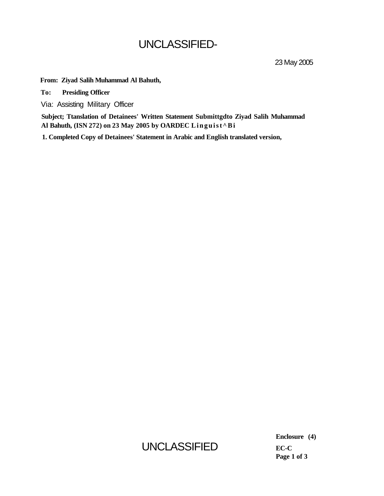# UNCLASSIFIED-

23 May 2005

**From: Ziyad Salih Muhammad Al Bahuth,** 

**To: Presiding Officer** 

Via: Assisting Military Officer

**Subject; Ttanslation of Detainees' Written Statement Submittgdto Ziyad Salih Muhammad Al Bahuth, (ISN 272) on 23 May 2005 by OARDEC Linguist^Bi** 

**1. Completed Copy of Detainees' Statement in Arabic and English translated version,** 



**Enclosure (4) EC-C Page 1 of 3**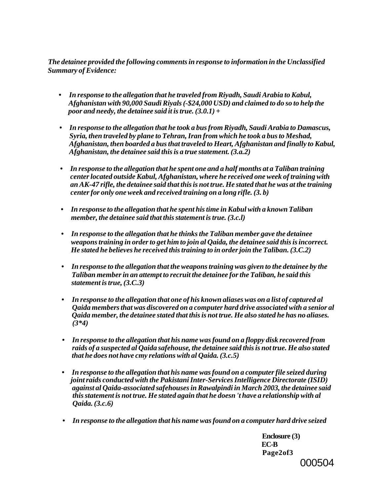*The detainee provided the following comments in response to information in the Unclassified Summary of Evidence:* 

- *In response to the allegation that he traveled from Riyadh, Saudi Arabia to Kabul, Afghanistan with 90,000 Saudi Riyals (-\$24,000 USD) and claimed to do so to help the poor and needy, the detainee said it is true. (3.0.1)* **+**
- **•** *In response to the allegation that he took a bus from Riyadh, Saudi Arabia to Damascus, Syria, then traveled by plane to Tehran, Iran from which he took a bus to Meshad, Afghanistan, then boarded a bus that traveled to Heart, Afghanistan and finally to Kabul, Afghanistan, the detainee said this is a true statement. (3.a.2)*
- *In response to the allegation that he spent one and a half months at a Taliban training center located outside Kabul, Afghanistan, where he received one week of training with an AK-47 rifle, the detainee said that this is not true. He stated that he was at the training center for only one week and received training on a long rifle. (3. b)*
- *In response to the allegation that he spent his time in Kabul with a known Taliban member, the detainee said that this statement is true. (3.c.l)*
- **•** *In response to the allegation that he thinks the Taliban member gave the detainee weapons training in order to get him to join al Qaida, the detainee said this is incorrect. He stated he believes he received this training to in order join the Taliban. (3.C.2)*
- **•** *In response to the allegation that the weapons training was given to the detainee by the Taliban member in an attempt to recruit the detainee for the Taliban, he said this statement is true, (3.C.3)*
- **•** *In response to the allegation that one of his known aliases was on a list of captured al Qaida members that was discovered on a computer hard drive associated with a senior al Qaida member, the detainee stated that this is not true. He also stated he has no aliases. (3\*4)*
- **•** *In response to the allegation that his name was found on a floppy disk recovered from raids of a suspected al Qaida safehouse, the detainee said this is not true. He also stated that he does not have cmy relations with al Qaida. (3.c.5)*
- **•** *In response to the allegation that his name was found on a computer file seized during joint raids conducted with the Pakistani Inter-Services Intelligence Directorate (ISID) against al Qaida-associated safehouses in Rawalpindi in March 2003, the detainee said this statement is not true. He stated again that he doesn 't have a relationship with al Qaida. (3.c.6)*
- **•** *In response to the allegation that his name was found on a computer hard drive seized*

**Enclosure (3) EC-B Page2of3**  000504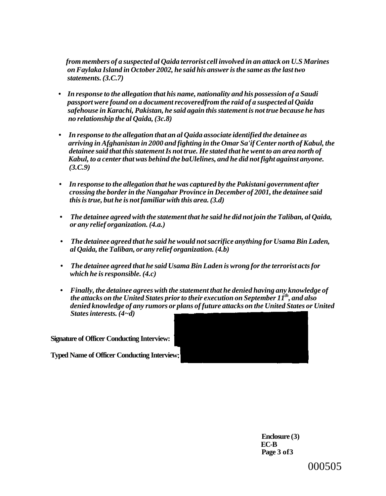*from members of a suspected al Qaida terrorist cell involved in an attack on U.S Marines on Faylaka Island in October 2002, he said his answer is the same as the last two statements. (3.C.7)* 

- **•** *In response to the allegation that his name, nationality and his possession of a Saudi passport were found on a document recoveredfrom the raid of a suspected al Qaida safehouse in Karachi, Pakistan, he said again this statement is not true because he has no relationship the al Qaida, (3c.8)*
- **•** *In response to the allegation that an al Qaida associate identified the detainee as arriving in Afghanistan in 2000 and fighting in the Omar Sa'if Center north of Kabul, the detainee said that this statement Is not true. He stated that he went to an area north of Kabul, to a center that was behind the baUlelines, and he did not fight against anyone. (3.C.9)*
- **•** *In response to the allegation that he was captured by the Pakistani government after crossing the border in the Nangahar Province in December of 2001, the detainee said this is true, but he is not familiar with this area. (3.d)*
- *The detainee agreed with the statement that he said he did not join the Taliban, al Qaida, or any relief organization. (4.a.)*
- *The detainee agreed that he said he would not sacrifice anything for Usama Bin Laden, al Qaida, the Taliban, or any relief organization. (4.b)*
- **•** *The detainee agreed that he said Usama Bin Laden is wrong for the terrorist acts for which he is responsible. (4.c)*
- **•** *Finally, the detainee agrees with the statement that he denied having any knowledge of the attacks on the United States prior to their execution on September 11th, and also denied knowledge of any rumors or plans of future attacks on the United States or United States interests. (4~d)*

**Signature of Officer Conducting Interview: Typed Name of Officer Conducting Interview:** 

> **Enclosure (3) EC-B Page 3 of3**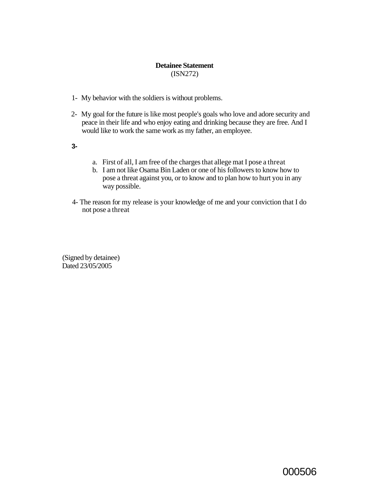#### **Detainee Statement**

(ISN272)

- 1- My behavior with the soldiers is without problems.
- 2- My goal for the future is like most people's goals who love and adore security and peace in their life and who enjoy eating and drinking because they are free. And I would like to work the same work as my father, an employee.

**3-**

- a. First of all, I am free of the charges that allege mat I pose a threat
- b. I am not like Osama Bin Laden or one of his followers to know how to pose a threat against you, or to know and to plan how to hurt you in any way possible.
- 4- The reason for my release is your knowledge of me and your conviction that I do not pose a threat

(Signed by detainee) Dated 23/05/2005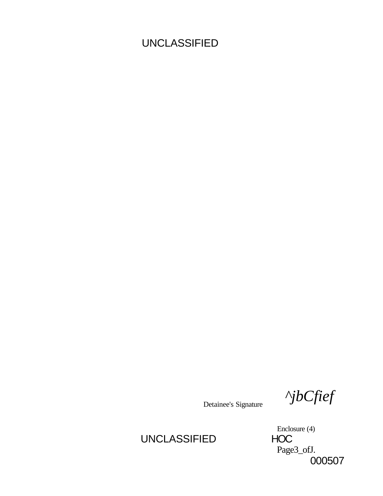# UNCLASSIFIED

*^jbCfief* 

Detainee's Signature

UNCLASSIFIED

Enclosure (4)<br>**HOC** Page3\_ofJ. 000507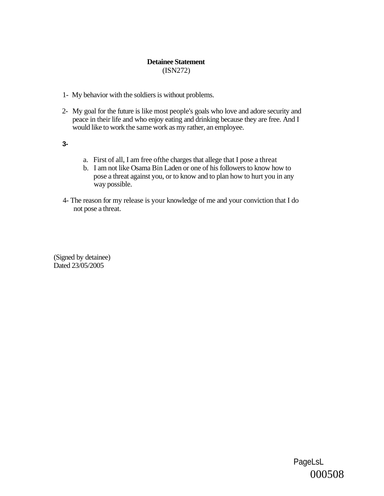#### **Detainee Statement**

(ISN272)

- 1- My behavior with the soldiers is without problems.
- 2- My goal for the future is like most people's goals who love and adore security and peace in their life and who enjoy eating and drinking because they are free. And I would like to work the same work as my rather, an employee.

**3-**

- a. First of all, I am free ofthe charges that allege that I pose a threat
- b. I am not like Osama Bin Laden or one of his followers to know how to pose a threat against you, or to know and to plan how to hurt you in any way possible.
- 4- The reason for my release is your knowledge of me and your conviction that I do not pose a threat.

(Signed by detainee) Dated 23/05/2005

> 000508 PageLsL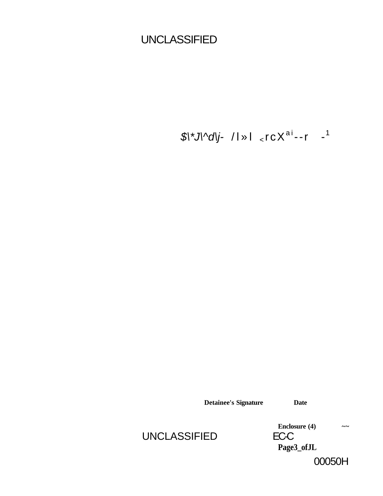# UNCLASSIFIED

 $$Y\$ 

**Detainee's Signature Date** 

UNCLASSIFIED

**Enclosure (4)** *~~*  **Page3\_ofJL** 

00050H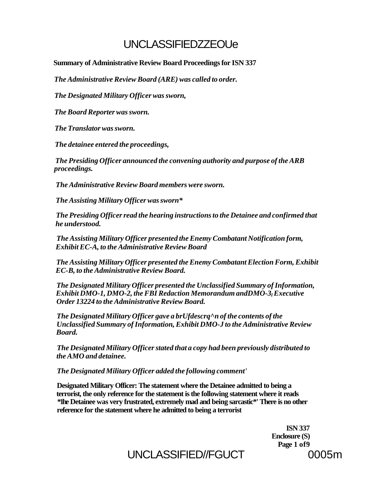#### UNCLASSIFIEDZZEOUe

**Summary of Administrative Review Board Proceedings for ISN 337** 

*The Administrative Review Board (ARE) was called to order.* 

*The Designated Military Officer was sworn,* 

*The Board Reporter was sworn.* 

*The Translator was sworn.* 

*The detainee entered the proceedings,* 

*The Presiding Officer announced the convening authority and purpose of the ARB proceedings.* 

*The Administrative Review Board members were sworn.* 

*The Assisting Military Officer was sworn\** 

*The Presiding Officer read the hearing instructions to the Detainee and confirmed that he understood.* 

*The Assisting Military Officer presented the Enemy Combatant Notification form, Exhibit EC-A, to the Administrative Review Board* 

*The Assisting Military Officer presented the Enemy Combatant Election Form, Exhibit EC-B, to the Administrative Review Board.* 

*The Designated Military Officer presented the Unclassified Summary of Information, Exhibit DMO-1, DMO-2, the FBI Redaction Memorandum andDMO-3<sup>l</sup> Executive Order 13224 to the Administrative Review Board.* 

*The Designated Military Officer gave a brUfdescrq^n of the contents of the Unclassified Summary of Information, Exhibit DMO-J to the Administrative Review Board.* 

*The Designated Military Officer stated that a copy had been previously distributed to the AMO and detainee.* 

*The Designated Military Officer added the following comment'* 

**Designated Military Officer: The statement where the Detainee admitted to being a terrorist, the only reference for the statement is the following statement where it reads \*1he Detainee was very frustrated, extremely mad and being sarcastic\*' There is no other reference for the statement where he admitted to being a terrorist** 

> **ISN 337 Enclosure (S) Page 1 of9**

UNCLASSIFIED//FGUCT 0005m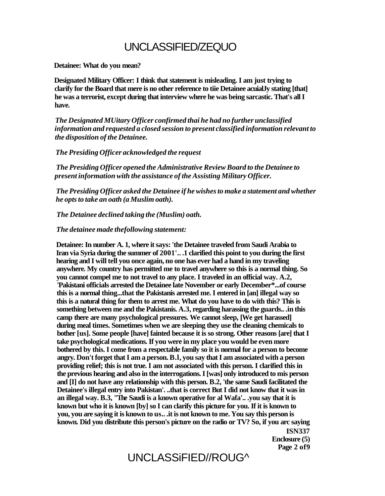#### UNCLASSIFIED/ZEQUO

**Detainee: What do you mean?** 

**Designated Military Officer: I think that statement is misleading. I am just trying to clarify for the Board that mere is no other reference to tiie Detainee acuialJy stating [that] he was a terrorist, except during that interview where he was being sarcastic. That's all I have.** 

*The Designated MUitary Officer confirmed thai he had no further unclassified information and requested a closed session to present classified information relevant to the disposition of the Detainee.* 

#### *The Presiding Officer acknowledged the request*

*The Presiding Officer opened the Administrative Review Board to the Detainee to present information with the assistance of the Assisting Military Officer.* 

*The Presiding Officer asked the Detainee if he wishes to make a statement and whether he opts to take an oath (a Muslim oath).* 

*The Detainee declined taking the (Muslim) oath.* 

#### *The detainee made thefollowing statement:*

**Detainee: In number A. 1, where it says: 'the Detainee traveled from Saudi Arabia to Iran via Syria during the summer of 2001'.. .1 clarified this point to you during the first hearing and I will tell you once again, no one has ever had a hand in my traveling anywhere. My country has permitted me to travel anywhere so this is a normal thing. So you cannot compel me to not travel to any place. I traveled in an official way. A.2, 'Pakistani officials arrested the Detainee late November or early December\*...of course this is a normal thing...that the Pakistanis arrested me. I entered in [an] illegal way so this is a natural thing for them to arrest me. What do you have to do with this? This is something between me and the Pakistanis. A.3, regarding harassing the guards.. .in this camp there are many psychological pressures. We cannot sleep, [We get harassed] during meal times. Sometimes when we are sleeping they use the cleaning chemicals to bother [us]. Some people [have] fainted because it is so strong. Other reasons [are] that I take psychological medications. If you were in my place you would be even more bothered by this. I come from a respectable family so it is normal for a person to become angry. Don't forget that I am a person. B.l, you say that I am associated with a person providing relief; this is not true. I am not associated with this person. I clarified this in the previous hearing and also in the interrogations. I [was] only introduced to mis person and [I] do not have any relationship with this person. B.2, 'the same Saudi facilitated the Detainee's illegal entry into Pakistan'. ..that is correct But I did not know that it was in an illegal way. B.3, "The Saudi is a known operative for al Wafa'.. .you say that it is known but who it is known [by] so I can clarify this picture for you. If it is known to you, you are saying it is known to us.. .it is not known to me. You say this person is known. Did you distribute this person's picture on the radio or TV? So, if you arc saying ISN337** 

**Enclosure (5) Page 2 of9** 

UNCLASSiFIED//ROUG^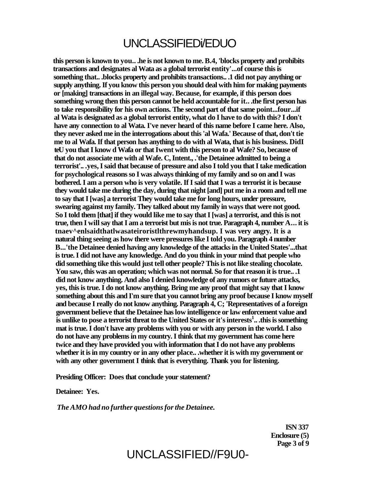#### UNCLASSIFIEDi/EDUO

**this person is known to you.. .he is not known to me. B.4, 'blocks property and prohibits transactions and designates al Wata as a global terrorist entity'...of course this is something that.. .blocks property and prohibits transactions.. .1 did not pay anything or supply anything. If you know this person you should deal with him for making payments or [making] transactions in an illegal way. Because, for example, if this person does something wrong then this person cannot be held accountable for it.. .the first person has to take responsibility for his own actions. The second part of that same point...four...if al Wata is designated as a global terrorist entity, what do I have to do with this? I don't have any connection to al Wata. I've never heard of this name before I came here. Also, they never asked me in the interrogations about this 'al Wafa.' Because of that, don't tie me to al Wafa. If that person has anything to do with al Wata, that is his business. DidI teU you that I know d Wafa or that Iwent with this person to al Wafe? So, because of that do not associate me with al Wafe. C, Intent., .'the Detainee admitted to being a terrorist'.. .yes, I said that because of pressure and also I told you that I take medication for psychological reasons so I was always thinking of my family and so on and I was bothered. I am a person who is very volatile. If I said that I was a terrorist it is because they would take me during the day, during that night [and] put me in a room and tell me to say that I [was] a terrorist They would take me for long hours, under pressure, swearing against my family. They talked about my family in ways that were not good. So I told them [that] if they would like me to say that I [was] a terrorist, and this is not true, then I will say that I am a terrorist but mis is not true. Paragraph 4, number A... it is tnaev^enlsaidthatlwasateiroristlthrewmyhandsup. I was very angry. It is a natural thing seeing as how there were pressures like I told you. Paragraph 4 number B...'the Detainee denied having any knowledge of the attacks in the United States'...that is true. I did not have any knowledge. And do you think in your mind that people who did something tike this would just tell other people? This is not like stealing chocolate. You saw, this was an operation; which was not normal. So for that reason it is true.. .1 did not know anything. And also I denied knowledge of any rumors or future attacks, yes, this is true. I do not know anything. Bring me any proof that might say that I know something about this and I'm sure that you cannot bring any proof because I know myself and because I really do not know anything. Paragraph 4, C; 'Representatives of a foreign government believe that the Detainee has low intelligence or law enforcement value and is unlike to pose a terrorist threat to the United States or it's interests<sup>1</sup> .. .this is something mat is true. I don't have any problems with you or with any person in the world. I also do not have any problems in my country. I think that my government has come here twice and they have provided you with information that I do not have any problems whether it is in my country or in any other place.. .whether it is with my government or with any other government I think that is everything. Thank you for listening.** 

**Presiding Officer: Does that conclude your statement?** 

**Detainee: Yes.** 

*The AMO had no further questions for the Detainee.* 

**ISN 337 Enclosure (5) Page 3 of 9** 

#### UNCLASSIFIED//F9U0-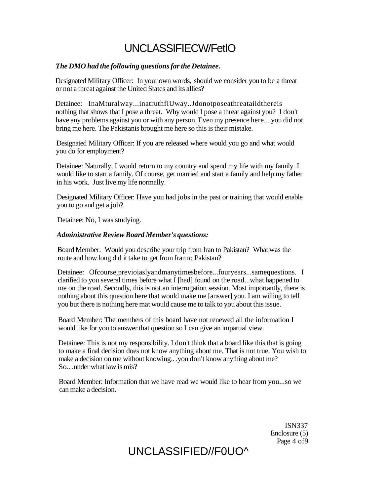## UNCLASSIFIECW/FetIO

#### *The DMO had the following questions far the Detainee.*

Designated Military Officer: In your own words, should we consider you to be a threat or not a threat against the United States and its allies?

Detainee: InaMturalway...inatruthfiUway..Jdonotposeathreataiidthereis nothing that shows that I pose a threat. Why would I pose a threat against you? I don't have any problems against you or with any person. Even my presence here... you did not bring me here. The Pakistanis brought me here so this is their mistake.

Designated Military Officer: If you are released where would you go and what would you do for employment?

Detainee: Naturally, I would return to my country and spend my life with my family. I would like to start a family. Of course, get married and start a family and help my father in his work. Just live my life normally.

Designated Military Officer: Have you had jobs in the past or training that would enable you to go and get a job?

Detainee: No, I was studying.

#### *Administrative Review Board Member's questions:*

Board Member: Would you describe your trip from Iran to Pakistan? What was the route and how long did it take to get from Iran to Pakistan?

Detainee: Ofcourse,previoiaslyandmanytimesbefore...fouryears...samequestions. I clarified to you several times before what I [had] found on the road...what happened to me on the road. Secondly, this is not an interrogation session. Most importantly, there is nothing about this question here that would make me [answer] you. I am willing to tell you but there is nothing here mat would cause me to talk to you about this issue.

Board Member: The members of this board have not renewed all the information I would like for you to answer that question so I can give an impartial view.

Detainee: This is not my responsibility. I don't think that a board like this that is going to make a final decision does not know anything about me. That is not true. You wish to make a decision on me without knowing.. .you don't know anything about me? So.. .under what law is mis?

Board Member: Information that we have read we would like to hear from you...so we can make a decision.

> ISN337 Enclosure (5) Page 4 of 9

## UNCLASSIFIED//F0UO^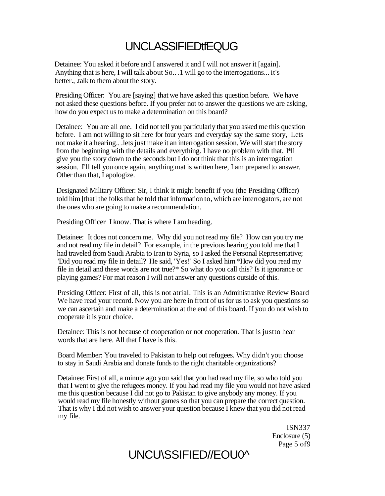# UNCLASSIFIEDtfEQUG

Detainee: You asked it before and I answered it and I will not answer it [again]. Anything that is here, I will talk about So.. .1 will go to the interrogations... it's better., .talk to them about the story.

Presiding Officer: You are [saying] that we have asked this question before. We have not asked these questions before. If you prefer not to answer the questions we are asking, how do you expect us to make a determination on this board?

Detainee: You are all one. I did not tell you particularly that you asked me this question before. I am not willing to sit here for four years and everyday say the same story, Lets not make it a hearing.. .lets just make it an interrogation session. We will start the story from the beginning with the details and everything. I have no problem with that. 1\*11 give you the story down to the seconds but I do not think that this is an interrogation session. I'll tell you once again, anything mat is written here, I am prepared to answer. Other than that, I apologize.

Designated Military Officer: Sir, I think it might benefit if you (the Presiding Officer) told him [that] the folks that he told that information to, which are interrogators, are not the ones who are going to make a recommendation.

Presiding Officer I know. That is where I am heading.

Detainee: It does not concern me. Why did you not read my file? How can you try me and not read my file in detail? For example, in the previous hearing you told me that I had traveled from Saudi Arabia to Iran to Syria, so I asked the Personal Representative; 'Did you read my file in detail?' He said, 'Yes!' So I asked him \*How did you read my file in detail and these words are not true?\* So what do you call this? Is it ignorance or playing games? For mat reason I will not answer any questions outside of this.

Presiding Officer: First of all, this is not atrial. This is an Administrative Review Board We have read your record. Now you are here in front of us for us to ask you questions so we can ascertain and make a determination at the end of this board. If you do not wish to cooperate it is your choice.

Detainee: This is not because of cooperation or not cooperation. That is justto hear words that are here. All that I have is this.

Board Member: You traveled to Pakistan to help out refugees. Why didn't you choose to stay in Saudi Arabia and donate funds to the right charitable organizations?

Detainee: First of all, a minute ago you said that you had read my file, so who told you that I went to give the refugees money. If you had read my file you would not have asked me this question because I did not go to Pakistan to give anybody any money. If you would read my file honestly without games so that you can prepare the correct question. That is why I did not wish to answer your question because I knew that you did not read my file.

> ISN337 Enclosure (5) Page 5 of 9

## UNCU\SSIFIED//EOU0^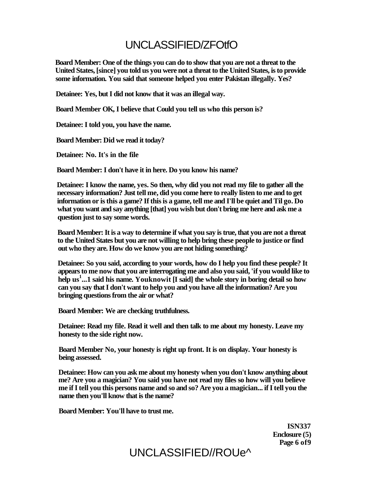## UNCLASSIFIED/ZFOtfO

**Board Member: One of the things you can do to show that you are not a threat to the United States, [since] you told us you were not a threat to the United States, is to provide some information. You said that someone helped you enter Pakistan illegally. Yes?** 

**Detainee: Yes, but I did not know that it was an illegal way.** 

**Board Member OK, I believe that Could you tell us who this person is?** 

**Detainee: I told you, you have the name.** 

**Board Member: Did we read it today?** 

**Detainee: No. It's in the file** 

**Board Member: I don't have it in here. Do you know his name?** 

**Detainee: I know the name, yes. So then, why did you not read my file to gather all the necessary information? Just tell me, did you come here to really listen to me and to get information or is this a game? If this is a game, tell me and I'll be quiet and Til go. Do what you want and say anything [that] you wish but don't bring me here and ask me a question just to say some words.** 

**Board Member: It is a way to determine if what you say is true, that you are not a threat to the United States but you are not willing to help bring these people to justice or find out who they are. How do we know you are not hiding something?** 

**Detainee: So you said, according to your words, how do I help you find these people? It appears to me now that you are interrogating me and also you said, 'if you would like to help us<sup>1</sup> ...1 said his name. Youknowit [I said] the whole story in boring detail so how can you say that I don't want to help you and you have all the information? Are you bringing questions from the air or what?** 

**Board Member: We are checking truthfulness.** 

**Detainee: Read my file. Read it well and then talk to me about my honesty. Leave my honesty to the side right now.** 

**Board Member No, your honesty is right up front. It is on display. Your honesty is being assessed.** 

**Detainee: How can you ask me about my honesty when you don't know anything about me? Are you a magician? You said you have not read my files so how will you believe me if I tell you this persons name and so and so? Are you a magician... if I tell you the name then you'll know that is the name?** 

**Board Member: You'll have to trust me.** 

**ISN337 Enclosure (5) Page 6 of9** 

UNCLASSIFIED//ROUe^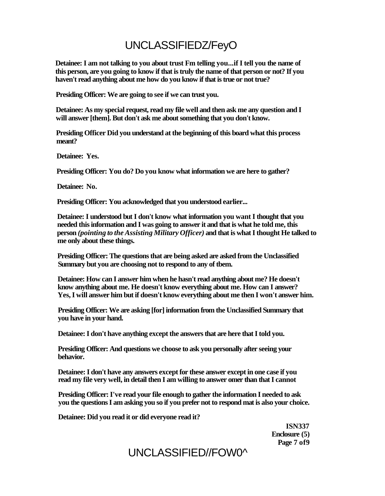# UNCLASSIFIEDZ/FeyO

**Detainee: I am not talking to you about trust Fm telling you...if I tell you the name of this person, are you going to know if that is truly the name of that person or not? If you haven't read anything about me how do you know if that is true or not true?** 

**Presiding Officer: We are going to see if we can trust you.** 

**Detainee: As my special request, read my file well and then ask me any question and I will answer [them]. But don't ask me about something that you don't know.** 

**Presiding Officer Did you understand at the beginning of this board what this process meant?** 

**Detainee: Yes.** 

**Presiding Officer: You do? Do you know what information we are here to gather?** 

**Detainee: No.** 

**Presiding Officer: You acknowledged that you understood earlier...** 

**Detainee: I understood but I don't know what information you want I thought that you needed this information and I was going to answer it and that is what he told me, this person** *(pointing to the Assisting Military Officer)* **and that is what I thought He talked to me only about these things.** 

**Presiding Officer: The questions that are being asked are asked from the Unclassified Summary but you are choosing not to respond to any of tbem.** 

**Detainee: How can I answer him when he hasn't read anything about me? He doesn't know anything about me. He doesn't know everything about me. How can I answer? Yes, I will answer him but if doesn't know everything about me then I won't answer him.** 

**Presiding Officer: We are asking [for] information from the Unclassified Summary that you have in your hand.** 

**Detainee: I don't have anything except the answers that are here that I told you.** 

**Presiding Officer: And questions we choose to ask you personally after seeing your behavior.** 

**Detainee: I don't have any answers except for these answer except in one case if you read my file very well, in detail then I am willing to answer omer than that I cannot** 

**Presiding Officer: I've read your file enough to gather the information I needed to ask you the questions I am asking you so if you prefer not to respond mat is also your choice.** 

**Detainee: Did you read it or did everyone read it?** 

**ISN337 Enclosure (5) Page 7 of9** 

UNCLASSIFIED//FOW0^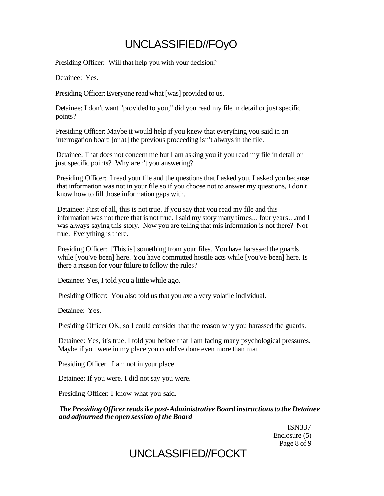# UNCLASSIFIED//FOyO

Presiding Officer: Will that help you with your decision?

Detainee: Yes.

Presiding Officer: Everyone read what [was] provided to us.

Detainee: I don't want "provided to you," did you read my file in detail or just specific points?

Presiding Officer: Maybe it would help if you knew that everything you said in an interrogation board [or at] the previous proceeding isn't always in the file.

Detainee: That does not concern me but I am asking you if you read my file in detail or just specific points? Why aren't you answering?

Presiding Officer: I read your file and the questions that I asked you, I asked you because that information was not in your file so if you choose not to answer my questions, I don't know how to fill those information gaps with.

Detainee: First of all, this is not true. If you say that you read my file and this information was not there that is not true. I said my story many times... four years.. .and I was always saying this story. Now you are telling that mis information is not there? Not true. Everything is there.

Presiding Officer: [This is] something from your files. You have harassed the guards while [you've been] here. You have committed hostile acts while [you've been] here. Is there a reason for your ftilure to follow the rules?

Detainee: Yes, I told you a little while ago.

Presiding Officer: You also told us that you axe a very volatile individual.

Detainee: Yes.

Presiding Officer OK, so I could consider that the reason why you harassed the guards.

Detainee: Yes, it's true. I told you before that I am facing many psychological pressures. Maybe if you were in my place you could've done even more than mat

Presiding Officer: I am not in your place.

Detainee: If you were. I did not say you were.

Presiding Officer: I know what you said.

*The Presiding Officer reads ike post-Administrative Board instructions to the Detainee and adjourned the open session of the Board* 

> ISN337 Enclosure (5) Page 8 of 9

### UNCLASSIFIED//FOCKT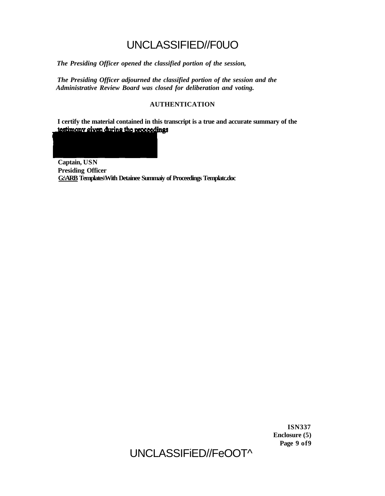## UNCLASSIFIED//F0UO

*The Presiding Officer opened the classified portion of the session,* 

*The Presiding Officer adjourned the classified portion of the session and the Administrative Review Board was closed for deliberation and voting.* 

#### **AUTHENTICATION**

**I certify the material contained in this transcript is a true and accurate summary of the** 

**Captain, USN Presiding Officer [G:\ARB](file://G:/ARB) Templates\With Detainee Summaiy of Proceedings Templatc.doc** 

> **ISN337 Enclosure (5) Page 9 of9**

UNCLASSIFiED//FeOOT^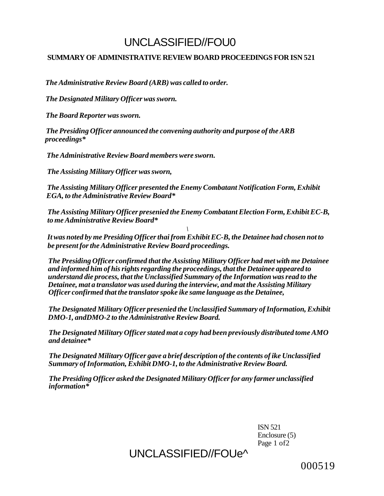# UNCLASSIFIED//FOU0

#### **SUMMARY OF ADMINISTRATIVE REVIEW BOARD PROCEEDINGS FOR ISN 521**

*The Administrative Review Board (ARB) was called to order.* 

*The Designated Military Officer was sworn.* 

*The Board Reporter was sworn.* 

*The Presiding Officer announced the convening authority and purpose of the ARB proceedings\** 

*The Administrative Review Board members were sworn.* 

*The Assisting Military Officer was sworn,* 

*The Assisting Military Officer presented the Enemy Combatant Notification Form, Exhibit EGA, to the Administrative Review Board\** 

*The Assisting Military Officer presenied the Enemy Combatant Election Form, Exhibit EC-B, to me Administrative Review Board\** 

*\ It was noted by me Presiding Officer thai from Exhibit EC-B, the Detainee had chosen not to be present for the Administrative Review Board proceedings.* 

*The Presiding Officer confirmed that the Assisting Military Officer had met with me Detainee and informed him of his rights regarding the proceedings, that the Detainee appeared to understand die process, that the Unclassified Summary of the Information was read to the Detainee, mat a translator was used during the interview, and mat the Assisting Military Officer confirmed that the translator spoke ike same language as the Detainee,* 

*The Designated Military Officer presenied the Unclassified Summary of Information, Exhibit DMO-1, andDMO-2 to the Administrative Review Board.* 

*The Designated Military Officer stated mat a copy had been previously distributed tome AMO and detainee\** 

*The Designated Military Officer gave a brief description of the contents of ike Unclassified Summary of Information, Exhibit DMO-1, to the Administrative Review Board.* 

*The Presiding Officer asked the Designated Military Officer for any farmer unclassified information\** 

> ISN 521 Enclosure (5) Page 1 of2

### UNCLASSIFIED//FOUe^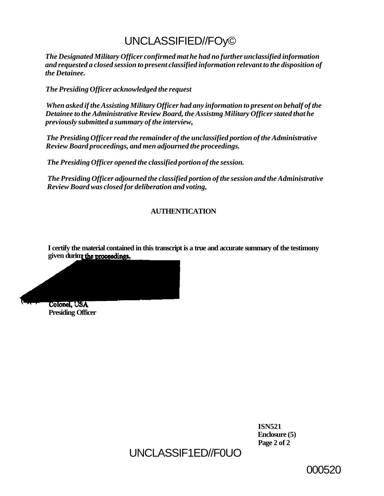# UNCLASSIFIED//FOy©

*The Designated Military Officer confirmed mat he had no further unclassified information and requested a closed session to present classified information relevant to the disposition of the Detainee.* 

*The Presiding Officer acknowledged the request* 

*When asked if the Assisting Military Officer had any information to present on behalf of the Detainee to the Administrative Review Board, the Assistmg Military Officer stated that he previously submitted a summary of the interview,* 

*The Presiding Officer read the remainder of the unclassified portion of the Administrative Review Board proceedings, and men adjourned the proceedings.* 

*The Presiding Officer opened the classified portion of the session.* 

*The Presiding Officer adjourned the classified portion of the session and the Administrative Review Board was closed for deliberation and voting,* 

#### **AUTHENTICATION**

**I certify the material contained in this transcript is a true and accurate summary of the testimony**  given during the proceedings.

Colonel, USA **Presiding Officer** 

> **ISN521 Enclosure (5) Page 2 of 2**

UNCLASSIF1ED//F0UO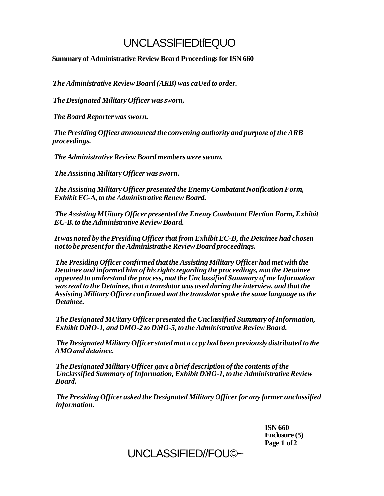## UNCLASSlFIEDtfEQUO

#### **Summary of Administrative Review Board Proceedings for ISN 660**

*The Administrative Review Board (ARB) was caUed to order.* 

*The Designated Military Officer was sworn,* 

*The Board Reporter was sworn.* 

*The Presiding Officer announced the convening authority and purpose of the ARB proceedings.* 

*The Administrative Review Board members were sworn.* 

*The Assisting Military Officer was sworn.* 

*The Assisting Military Officer presented the Enemy Combatant Notification Form, Exhibit EC-A, to the Administrative Renew Board.* 

*The Assisting MUitary Officer presented the Enemy Combatant Election Form, Exhibit EC-B, to the Administrative Review Board.* 

*It was noted by the Presiding Officer that from Exhibit EC-B, the Detainee had chosen not to be present for the Administrative Review Board proceedings.* 

*The Presiding Officer confirmed that the Assisting Military Officer had met with the Detainee and informed him of his rights regarding the proceedings, mat the Detainee appeared to understand the process, mat the Unclassified Summary of me Information was read to the Detainee, that a translator was used during the interview, and that the Assisting Military Officer confirmed mat the translator spoke the same language as the Detainee.* 

*The Designated MUitary Officer presented the Unclassified Summary of Information, Exhibit DMO-1, and DMO-2 to DMO-5, to the Administrative Review Board.* 

*The Designated Military Officer stated mat a ccpy had been previously distributed to the AMO and detainee.* 

*The Designated Military Officer gave a brief description of the contents of the Unclassified Summary of Information, Exhibit DMO-1, to the Administrative Review Board.* 

*The Presiding Officer asked the Designated Military Officer for any farmer unclassified information.* 

> **ISN 660 Enclosure (5) Page 1 of2**

UNCLASSIFIED//FOU©~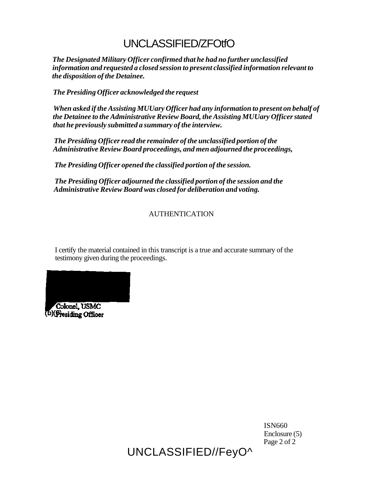## UNCLASSIFIED/ZFOtfO

*The Designated Military Officer confirmed that he had no further unclassified information and requested a closed session to present classified information relevant to the disposition of the Detainee.* 

*The Presiding Officer acknowledged the request* 

*When asked if the Assisting MUUary Officer had any information to present on behalf of the Detainee to the Administrative Review Board, the Assisting MUUary Officer stated that he previously submitted a summary of the interview.* 

*The Presiding Officer read the remainder of the unclassified portion of the Administrative Review Board proceedings, and men adjourned the proceedings,* 

*The Presiding Officer opened the classified portion of the session.* 

*The Presiding Officer adjourned the classified portion of the session and the Administrative Review Board was closed for deliberation and voting.* 

#### AUTHENTICATION

I certify the material contained in this transcript is a true and accurate summary of the testimony given during the proceedings.



(b)(f)esiding Officer

ISN660 Enclosure (5) Page 2 of 2

UNCLASSIFIED//FeyO^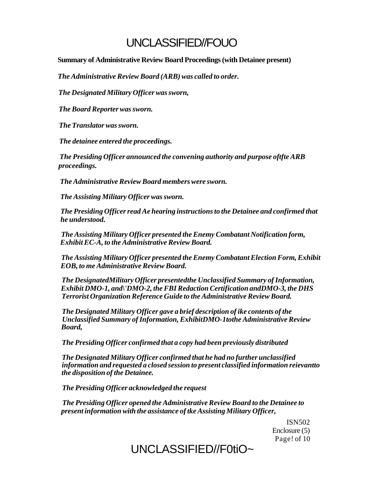# UNCLASSIFIED//FOUO

**Summary of Administrative Review Board Proceedings (with Detainee present)** 

*The Administrative Review Board (ARB) was called to order.* 

*The Designated Military Officer was sworn,* 

*The Board Reporter was sworn.* 

*The Translator was sworn.* 

*The detainee entered the proceedings.* 

*The Presiding Officer announced the convening authority and purpose oftfte ARB proceedings.* 

*The Administrative Review Board members were sworn.* 

*The Assisting Military Officer was sworn.* 

*The Presiding Officer read Ae hearing instructions to the Detainee and confirmed that he understood.* 

*The Assisting Military Officer presented the Enemy Combatant Notification form, Exhibit EC-A, to the Administrative Review Board.* 

*The Assisting Military Officer presented the Enemy Combatant Election Form, Exhibit EOB, to me Administrative Review Board.* 

*The DesignatedMilitary Officer presentedthe Unclassified Summary of Information, Exhibit DMO-1, and\'DMO-2, the FBI Redaction Certification andDMO-3, the DHS Terrorist Organization Reference Guide to the Administrative Review Board.* 

*The Designated Military Officer gave a brief description of ike contents of the Unclassified Summary of Information, ExhibitDMO-1tothe Administrative Review Board,* 

*The Presiding Officer confirmed that a copy had been previously distributed* 

*The Designated Military Officer confirmed that he had no further unclassified information and requested a closed session to present classified information reievantto the disposition of the Detainee.* 

*The Presiding Officer acknowledged the request* 

*The Presiding Officer opened the Administrative Review Board to the Detainee to present information with the assistance of tke Assisting Military Officer,* 

> ISN502 Enclosure (5) Page! of 10

UNCLASSIFIED//F0tiO~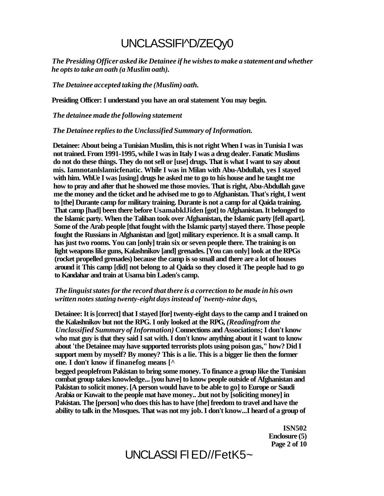## UNCLASSIFI^D/ZEQy0

*The Presiding Officer asked ike Detainee if he wishes to make a statement and whether he opts to take an oath (a Muslim oath).* 

*The Detainee accepted taking the (Muslim) oath.* 

**Presiding Officer: I understand you have an oral statement You may begin.** 

*The detainee made the following statement* 

*The Detainee replies to the Unclassified Summary of Information.* 

**Detainee: About being a Tunisian Muslim, this is not right When I was in Tunisia I was not trained. From 1991-1995, while I was in Italy I was a drug dealer. Fanatic Muslims do not do these things. They do not sell or [use] drugs. That is what I want to say about mis. Iamnotanlslamicfenatic. While I was in Milan with Abu-Abdullah, yes I stayed with him. WhUe I was [using] drugs he asked me to go to his house and he taught me how to pray and after that he showed me those movies. That is right, Abu-Abdullah gave me the money and the ticket and he advised me to go to Afghanistan. That's right, I went to [the] Durante camp for military training. Durante is not a camp for al Qaida training. That camp [had] been there before UsamabklJiden [got] to Afghanistan. It belonged to the Islamic party. When the Taliban took over Afghanistan, the Islamic party [fell apart]. Some of the Arab people [that fought with the Islamic party] stayed there. Those people fought the Russians in Afghanistan and [got] military experience. It is a small camp. It has just two rooms. You can [only] train six or seven people there. The training is on light weapons like guns, Kalashnikov [and] grenades. [You can only] look at the RPGs (rocket propelled grenades) because the camp is so small and there are a lot of houses around it This camp [did] not belong to al Qaida so they closed it The people had to go to Kandahar and train at Usama bin Laden's camp.** 

#### *The linguist states for the record that there is a correction to be made in his own written notes stating twenty-eight days instead of 'twenty-nine days,*

**Detainee: It is [correct] that I stayed [for] twenty-eight days to the camp and I trained on the Kalashnikov but not the RPG. I only looked at the RPG,** *(Readingfrom the Unclassified Summary of Information)* **Connections and Associations; I don't know who mat guy is that they said I sat with. I don't know anything about it I want to know about 'the Detainee may have supported terrorists plots using poison gas," how? Did I support mem by myself? By money? This is a lie. This is a bigger lie then the former one. I don't know if finanefog means [^** 

**begged peoplefrom Pakistan to bring some money. To finance a group like the Tunisian combat group takes knowledge... [you have] to know people outside of Afghanistan and Pakistan to solicit money. [A person would have to be able to go] to Europe or Saudi Arabia or Kuwait to the people mat have money.. .but not by [soliciting money] in Pakistan. The [person] who does this has to have [the] freedom to travel and have the ability to talk in the Mosques. That was not my job. I don't know...I heard of a group of** 

> **ISN502 Enclosure (5) Page 2 of 10**

UNCLASSI Fl ED//FetK5~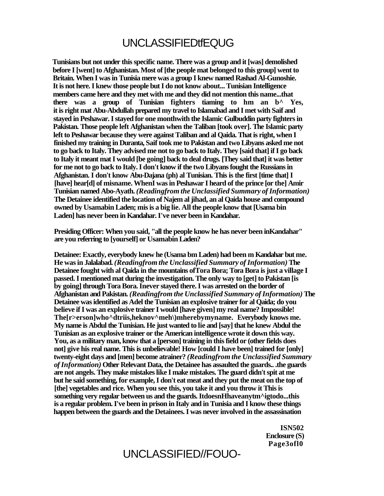#### UNCLASSIFIEDtfEQUG

**Tunisians but not under this specific name. There was a group and it [was] demolished before I [went] to Afghanistan. Most of [the people mat belonged to this group] went to Britain. When I was in Tunisia mere was a group I knew named Rashad Al-Gunoshie. It is not here. I knew those people but I do not know about... Tunisian Intelligence members came here and they met with me and they did not mention this name...that there was a group of Tunisian fighters tiaming to hm an b^ Yes, it is right mat Abu-Abdullah prepared my travel to Islamabad and I met with Saif and stayed in Peshawar. I stayed for one monthwith the Islamic Gulbuddin party fighters in Pakistan. Those people left Afghanistan when the Taliban [took over]. The Islamic party left to Peshawar because they were against Taliban and al Qaida. That is right, when I finished my training in Duranta, Saif took me to Pakistan and two Libyans asked me not to go back to Italy. They advised me not to go back to Italy. They [said that] if I go back to Italy it meant mat I would [be going] back to deal drugs. [They said that] it was better for me not to go back to Italy. I don't know if the two Libyans fought the Russians in Afghanistan. I don't know Abu-Dajana (ph) al Tunisian. This is the first [time that] I [have] hear[d] of misname. WhenI was in Peshawar I heard of the prince [or the] Amir Tunisian named Abo-Ayath.** *(Readingfrom the Unclassified Summary of Information)*  **The Detainee identified the location of Najem al jihad, an al Qaida house and compound owned by Usamabin Laden; mis is a big lie. All the people know that [Usama bin Laden] has never been in Kandahar. I've never been in Kandahar.** 

**Presiding Officer: When you said, "all the people know he has never been inKandahar" are you referring to [yourself] or Usamabin Laden?** 

**Detainee: Exactly, everybody knew he (Usama bm Laden) had been m Kandahar but me. He was in Jalalabad.** *(Readingfrom the Unclassified Summary of Information)* **The Detainee fought with al Qaida in the mountains ofTora Bora; Tora Bora is just a village I passed. I mentioned mat during the investigation. The only way to [get] to Pakistan [is by going] through Tora Bora. Inever stayed there. I was arrested on the border of Afghanistan and Pakistan.** *(Readingfrom the Unclassified Summary of Information)* **The Detainee was identified as Adel the Tunisian an explosive trainer for al Qaida; do you believe if I was an explosive trainer I would [have given] my real name? Impossible! The[r>erson]who^dtriis,heknov^meh\)mherebymyname. Everybody knows me. My name is Abdul the Tunisian. He just wanted to lie and [say] that he knew Abdul the Tunisian as an explosive trainer or the American intelligence wrote it down this way. You, as a military man, know that a [person] training in this field or (other fields does not] give his real name. This is unbelievable! How [could I have been] trained for [only] twenty-eight days and [men] become atrainer?** *(Readingfrom the Unclassified Summary of Information)* **Other Relevant Data, the Detainee has assaulted the guards.. .the guards are not angels. They make mistakes like I make mistakes. The guard didn't spit at me but he said something, for example, I don't eat meat and they put the meat on the top of [the] vegetables and rice. When you see this, you take it and you throw it This is something very regular between us and the guards. ItdoesnHhaveanytm^igtodo...this is a regular problem. I've been in prison in Italy and in Tunisia and I know these things happen between the guards and the Detainees. I was never involved in the assassination** 

> **ISN502 Enclosure (S) Page3ofl0**

UNCLASSIFIED//FOUO-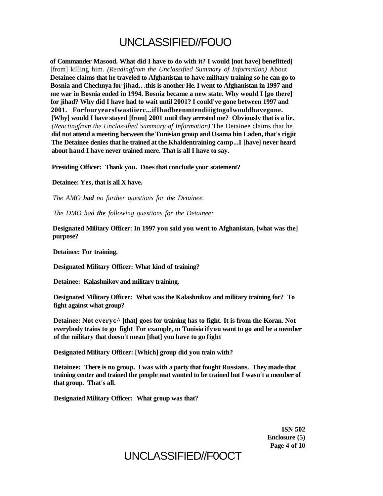#### UNCLASSIFIED//FOUO

**of Commander Masood. What did I have to do with it? I would [not have] benefitted]**  [from] killing him. *(Readingfrom the Unclassified Summary of Information)* About **Detainee claims that he traveled to Afghanistan to have military training so he can go to Bosnia and Chechnya for jihad.. .this is another He. I went to Afghanistan in 1997 and me war in Bosnia ended in 1994. Bosnia became a new state. Why would I [go there] for jihad? Why did I have had to wait until 2001? I could've gone between 1997 and 2001. ForfouryearsIwastiierc...ifIhadbeenmtendiiigtogoIwouldhavegone. [Why] would I have stayed [from] 2001 until they arrested me? Obviously that is a lie.**  *(Reactingfrom the Unclassified Summary of Information)* The Detainee claims that he **did not attend a meeting between the Tunisian group and Usama bin Laden, that's rigjit The Detainee denies that he trained at the Khaldentraining camp...I [have] never heard about hand I have never trained mere. That is all I have to say.** 

**Presiding Officer: Thank you. Does that conclude your statement?** 

**Detainee: Yes, that is all X have.** 

*The AMO had no further questions for the Detainee.* 

*The DMO had the following questions for the Detainee:* 

**Designated Military Officer: In 1997 you said you went to Afghanistan, [what was the] purpose?** 

**Detainee: For training.** 

**Designated Military Officer: What kind of training?** 

**Detainee: Kalashnikov and military training.** 

**Designated Military Officer: What was the Kalashnikov and military training for? To fight against what group?** 

**Detainee: Not everyc^ [that] goes for training has to fight. It is from the Koran. Not everybody trains to go fight For example, m Tunisia ifyou want to go and be a member of the military that doesn't mean [that] you have to go fight** 

**Designated Military Officer: [Which] group did you train with?** 

**Detainee: There is no group. I was with a party that fought Russians. They made that training center and trained the people mat wanted to be trained but I wasn't a member of that group. That's all.** 

**Designated Military Officer: What group was that?** 

**ISN 502 Enclosure (5) Page 4 of 10** 

UNCLASSIFIED//F0OCT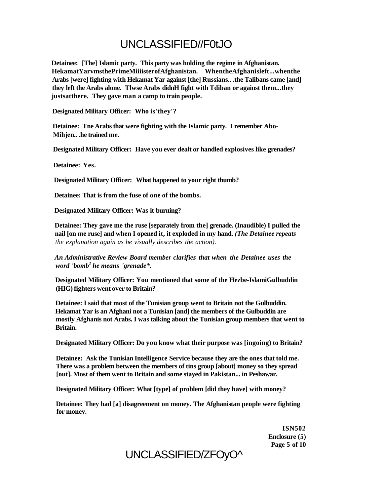#### UNCLASSIFIED//F0tJO

**Detainee: [The] Islamic party. This party was holding the regime in Afghanistan. HekamatYarvmsthePrimeMiiiisterofAfghanistan. WhentheAfghanisleft...whenthe Arabs [were] fighting with Hekamat Yar against [the] Russians.. .the Talibans came [and] they left the Arabs alone. Tlwse Arabs didnH fight with Tdiban or against them...they justsatthere. They gave man a camp to train people.** 

**Designated Military Officer: Who is'they'?** 

**Detainee: Tne Arabs that were fighting with the Islamic party. I remember Abo-Mihjen.. .he trained me.** 

**Designated Military Officer: Have you ever dealt or handled explosives like grenades?** 

**Detainee: Yes.** 

**Designated Military Officer: What happened to your right thumb?** 

**Detainee: That is from the fuse of one of the bombs.** 

**Designated Military Officer: Was it burning?** 

**Detainee: They gave me the ruse [separately from the] grenade. (Inaudible) I pulled the nail [on me ruse] and when I opened it, it exploded in my hand.** *(The Detainee repeats the explanation again as he visually describes the action).* 

*An Administrative Review Board member clarifies that when the Detainee uses the word 'bomb<sup>1</sup> he means 'grenade\*.* 

**Designated Military Officer: You mentioned that some of the Hezbe-IslamiGulbuddin (HIG) fighters went over to Britain?** 

**Detainee: I said that most of the Tunisian group went to Britain not the Gulbuddin. Hekamat Yar is an Afghani not a Tunisian [and] the members of the Gulbuddin are mostly Afghanis not Arabs. I was talking about the Tunisian group members that went to Britain.** 

**Designated Military Officer: Do you know what their purpose was [ingoing) to Britain?** 

**Detainee: Ask the Tunisian Intelligence Service because they are the ones that told me. There was a problem between the members of tins group [about] money so they spread [out]. Most of them went to Britain and some stayed in Pakistan... in Peshawar.** 

**Designated Military Officer: What [type] of problem [did they have] with money?** 

**Detainee: They had [a] disagreement on money. The Afghanistan people were fighting for money.** 

> **ISN502 Enclosure (5) Page 5 of 10**

UNCLASSIFIED/ZFOyO^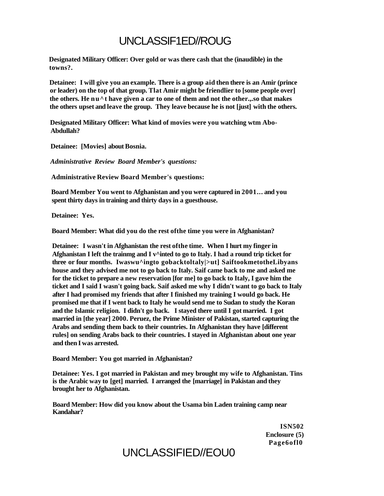### UNCLASSIF1ED//ROUG

**Designated Military Officer: Over gold or was there cash that the (inaudible) in the towns?.** 

**Detainee: I will give you an example. There is a group aid then there is an Amir (prince or leader) on the top of that group. Tlat Amir might be friendlier to [some people over] the others. He nu^t have given a car to one of them and not the other.,.so that makes the others upset and leave the group. They leave because he is not [just] with the others.** 

**Designated Military Officer: What kind of movies were you watching wtm Abo-Abdullah?** 

**Detainee: [Movies] about Bosnia.** 

*Administrative Review Board Member's questions:* 

**Administrative Review Board Member's questions:** 

**Board Member You went to Afghanistan and you were captured in 2001... and you spent thirty days in training and thirty days in a guesthouse.** 

**Detainee: Yes.** 

**Board Member: What did you do the rest ofthe time you were in Afghanistan?** 

**Detainee: I wasn't in Afghanistan the rest ofthe time. When I hurt my finger in**  Afghanistan I left the trainmg and I v<sup> $\land$ </sup> inted to go to Italy. I had a round trip ticket for **three or four months. Iwaswu^ingto gobacktoltaly|>ut] SaiftookmetotheLibyans house and they advised me not to go back to Italy. Saif came back to me and asked me for the ticket to prepare a new reservation [for me] to go back to Italy, I gave him the ticket and I said I wasn't going back. Saif asked me why I didn't want to go back to Italy after I had promised my friends that after I finished my training I would go back. He promised me that if I went back to Italy he would send me to Sudan to study the Koran**  and the Islamic religion. I didn't go back. I stayed there until I got married. I got **married in [the year] 2000. Peruez, the Prime Minister of Pakistan, started capturing the Arabs and sending them back to their countries. In Afghanistan they have [different rules] on sending Arabs back to their countries. I stayed in Afghanistan about one year and then I was arrested.** 

**Board Member: You got married in Afghanistan?** 

**Detainee: Yes. I got married in Pakistan and mey brought my wife to Afghanistan. Tins is the Arabic way to [get] married. I arranged the [marriage] in Pakistan and they brought her to Afghanistan.** 

**Board Member: How did you know about the Usama bin Laden training camp near Kandahar?** 

> **ISN502 Enclosure (5) Page6ofl0**

UNCLASSIFIED//EOU0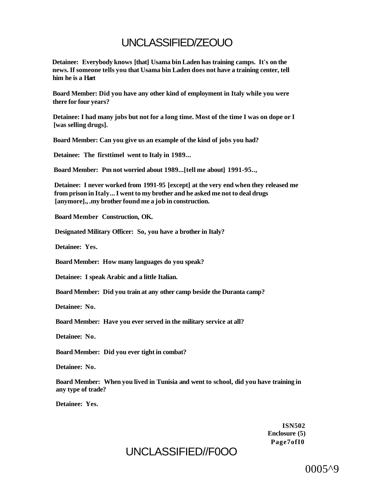## UNCLASSIFIED/ZEOUO

**Detainee: Everybody knows [that] Usama bin Laden has training camps. It's on the news. If someone tells you that Usama bin Laden does not have a training center, tell him he is a Hart** 

**Board Member: Did you have any other kind of employment in Italy while you were there for four years?** 

**Detainee: I had many jobs but not for a long time. Most of the time I was on dope or I [was selling drugs].** 

**Board Member: Can you give us an example of the kind of jobs you had?** 

**Detainee: The firsttimel went to Italy in 1989...** 

**Board Member: Pm not worried about 1989...[tell me about] 1991-95..,** 

**Detainee: I never worked from 1991-95 [except] at the very end when they released me from prison in Italy... I went to my brother and he asked me not to deal drugs [anymore]., .my brother found me a job in construction.** 

**Board Member Construction, OK.** 

**Designated Military Officer: So, you have a brother in Italy?** 

**Detainee: Yes.** 

**Board Member: How many languages do you speak?** 

**Detainee: I speak Arabic and a little Italian.** 

**Board Member: Did you train at any other camp beside the Duranta camp?** 

**Detainee: No.** 

**Board Member: Have you ever served in the military service at all?** 

**Detainee: No.** 

**Board Member: Did you ever tight in combat?** 

**Detainee: No.** 

**Board Member: When you lived in Tunisia and went to school, did you have training in any type of trade?** 

**Detainee: Yes.** 

**ISN502 Enclosure (5) Page7ofI0** 

### UNCLASSIFIED//F0OO

0005^9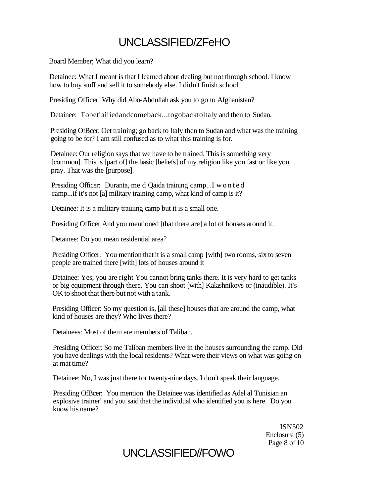## UNCLASSIFIED/ZFeHO

Board Member; What did you learn?

Detainee: What I meant is that I learned about dealing but not through school. I know how to buy stuff and sell it to somebody else. I didn't finish school

Presiding Officer Why did Abo-Abdullah ask you to go to Afghanistan?

Detainee: Tobetiaiiiedandcomeback...togobacktoltaly and then to Sudan.

Presiding OfBcer: Oet training; go back to Italy then to Sudan and what was the training going to be for? I am still confused as to what this training is for.

Detainee: Our religion says that we have to be trained. This is something very [common]. This is [part of] the basic [beliefs] of my religion like you fast or like you pray. That was the [purpose].

Presiding Officer: Duranta, me d Qaida training camp...I wonte d camp...if it's not [a] military training camp, what kind of camp is it?

Detainee: It is a military trauiing camp but it is a small one.

Presiding Officer And you mentioned [that there are] a lot of houses around it.

Detainee: Do you mean residential area?

Presiding Officer: You mention that it is a small camp [with] two rooms, six to seven people are trained there [with] lots of houses around it

Detainee: Yes, you are right You cannot bring tanks there. It is very hard to get tanks or big equipment through there. You can shoot [with] Kalashnikovs or (inaudible). It's OK to shoot that there but not with a tank.

Presiding Officer: So my question is, [all these] houses that are around the camp, what kind of houses are they? Who lives there?

Detainees: Most of them are members of Taliban.

Presiding Officer: So me Taliban members live in the houses surrounding the camp. Did you have dealings with the local residents? What were their views on what was going on at mat time?

Detainee: No, I was just there for twenty-nine days. I don't speak their language.

Presiding OfBcer: You mention 'the Detainee was identified as Adel al Tunisian an explosive trainer' and you said that the individual who identified you is here. Do you know his name?

> ISN502 Enclosure (5) Page 8 of 10

UNCLASSIFIED//FOWO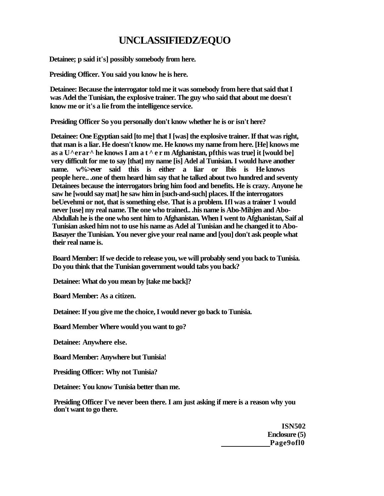### **UNCLASSIFIEDZ/EQUO**

**Detainee; p said it's] possibly somebody from here.** 

**Presiding Officer. You said you know he is here.** 

**Detainee: Because the interrogator told me it was somebody from here that said that I was Adel the Tunisian, the explosive trainer. The guy who said that about me doesn't know me or it's a lie from the intelligence service.** 

**Presiding Officer So you personally don't know whether he is or isn't here?** 

**Detainee: One Egyptian said [to me] that I [was] the explosive trainer. If that was right, that man is a liar. He doesn't know me. He knows my name from here. [He] knows me as a U^erar^ he knows I am a t^er m Afghanistan, pfthis was true] it [would be] very difficult for me to say [that] my name [is] Adel al Tunisian. I would have another name. w%>ever said this is either a liar or Ibis is He knows people here.. .one of them heard him say that he talked about two hundred and seventy Detainees because the interrogators bring him food and benefits. He is crazy. Anyone he saw he [would say mat] he saw him in [such-and-such] places. If the interrogators beUevehmi or not, that is something else. That is a problem. Ifl was a trainer 1 would never [use] my real name. The one who trained.. .his name is Abo-Mihjen and Abo-Abdullah he is the one who sent him to Afghanistan. When I went to Afghanistan, Saif al Tunisian asked him not to use his name as Adel al Tunisian and he changed it to Abo-Basayer the Tunisian. You never give your real name and [you] don't ask people what their real name is.** 

**Board Member: If we decide to release you, we will probably send you back to Tunisia. Do you think that the Tunisian government would tabs you back?** 

**Detainee: What do you mean by [take me back]?** 

**Board Member: As a citizen.** 

**Detainee: If you give me the choice, I would never go back to Tunisia.** 

**Board Member Where would you want to go?** 

**Detainee: Anywhere else.** 

**Board Member: Anywhere but Tunisia!** 

**Presiding Officer: Why not Tunisia?** 

**Detainee: You know Tunisia better than me.** 

**Presiding Officer I've never been there. I am just asking if mere is a reason why you don't want to go there.** 

> **ISN502 Enclosure (5) Page9ofl0**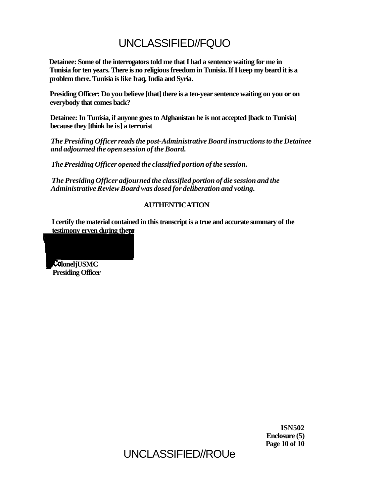## UNCLASSIFIED//FQUO

**Detainee: Some of the interrogators told me that I had a sentence waiting for me in Tunisia for ten years. There is no religious freedom in Tunisia. If I keep my beard it is a problem there. Tunisia is like Iraq, India and Syria.** 

**Presiding Officer: Do you believe [that] there is a ten-year sentence waiting on you or on everybody that comes back?** 

**Detainee: In Tunisia, if anyone goes to Afghanistan he is not accepted [back to Tunisia] because they [think he is] a terrorist** 

*The Presiding Officer reads the post-Administrative Board instructions to the Detainee and adjourned the open session of the Board.* 

*The Presiding Officer opened the classified portion of the session.* 

*The Presiding Officer adjourned the classified portion of die session and the Administrative Review Board was dosed for deliberation and voting.* 

#### **AUTHENTICATION**

**I certify the material contained in this transcript is a true and accurate summary of the testimony erven during the pr** 

**loneljUSMC Presiding Officer** 

> **ISN502 Enclosure (5) Page 10 of 10**

UNCLASSIFIED//ROUe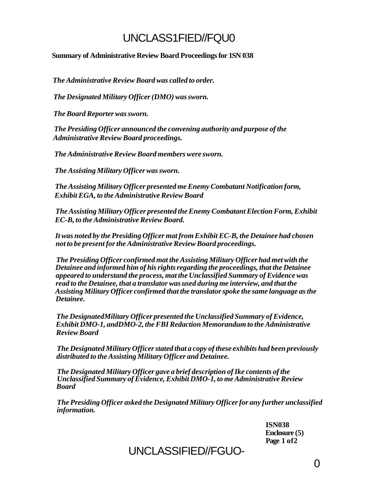## UNCLASS1FIED//FQU0

#### **Summary of Administrative Review Board Proceedings for 1SN 038**

*The Administrative Review Board was called to order.* 

*The Designated Military Officer (DMO) was sworn.* 

*The Board Reporter was sworn.* 

*The Presiding Officer announced the convening authority and purpose of the Administrative Review Board proceedings.* 

*The Administrative Review Board members were sworn.* 

*The Assisting Military Officer was sworn.* 

*The Assisting Military Officer presented me Enemy Combatant Notification form, Exhibit EGA, to the Administrative Review Board* 

*The Assisting Military Officer presented the Enemy Combatant Election Form, Exhibit EC-B, to the Administrative Review Board.* 

*It was noted by the Presiding Officer mat from Exhibit EC-B, the Detainee had chosen not to be present for the Administrative Review Board proceedings.* 

*The Presiding Officer confirmed mat the Assisting Military Officer had met with the Detainee and informed him of his rights regarding the proceedings, that the Detainee appeared to understand the process, mat the Unclassified Summary of Evidence was read to the Detainee, that a translator was used during me interview, and that the Assisting Military Officer confirmed that the translator spoke the same language as the Detainee.* 

*The DesignatedMilitary Officer presented the Unclassified Summary of Evidence, Exhibit DMO-1, andDMO-2, the FBI Redaction Memorandum to the Administrative Review Board* 

*The Designated Military Officer stated that a copy of these exhibits had been previously distributed to the Assisting Military Officer and Detainee.* 

*The Designated Military Officer gave a brief description of Ike contents of the Unclassified Summary of Evidence, Exhibit DMO-1, to me Administrative Review Board* 

*The Presiding Officer asked the Designated Military Officer for any further unclassified information.* 

> **ISN038 Enclosure (5) Page 1 of2**

UNCLASSIFIED//FGUO-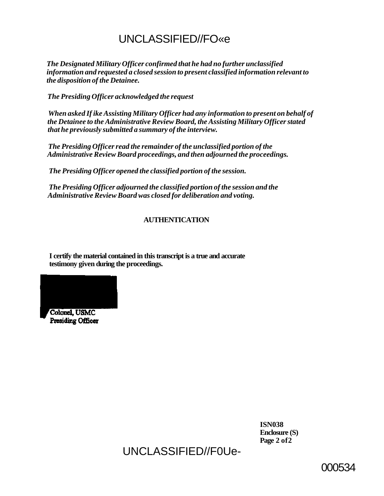# UNCLASSIFIED//FO«e

*The Designated Military Officer confirmed that he had no further unclassified information and requested a closed session to present classified information relevant to the disposition of the Detainee.* 

*The Presiding Officer acknowledged the request* 

*When asked If ike Assisting Military Officer had any information to present on behalf of the Detainee to the Administrative Review Board, the Assisting Military Officer stated that he previously submitted a summary of the interview.* 

*The Presiding Officer read the remainder of the unclassified portion of the Administrative Review Board proceedings, and then adjourned the proceedings.* 

*The Presiding Officer opened the classified portion of the session.* 

*The Presiding Officer adjourned the classified portion of the session and the Administrative Review Board was closed for deliberation and voting.* 

#### **AUTHENTICATION**

**I certify the material contained in this transcript is a true and accurate testimony given during the proceedings.** 



Colonel, USMC **Presiding Officer** 

> **ISN038 Enclosure (S) Page 2 of2**

UNCLASSIFIED//F0Ue-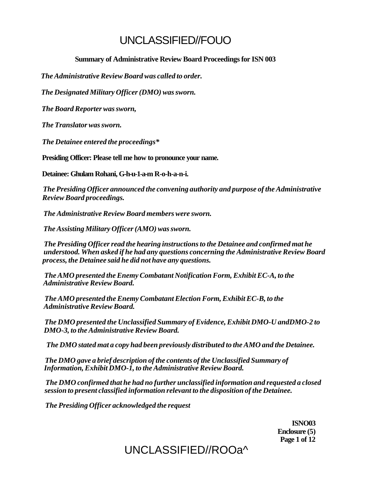## UNCLASSIFIED//FOUO

#### **Summary of Administrative Review Board Proceedings for ISN 003**

*The Administrative Review Board was called to order.* 

*The Designated Military Officer (DMO) was sworn.* 

*The Board Reporter was sworn,* 

*The Translator was sworn.* 

*The Detainee entered the proceedings\** 

**Presiding Officer: Please tell me how to pronounce your name.** 

**Detainee: Ghulam Rohani, G-h-u-1-a-m R-o-h-a-n-i.** 

*The Presiding Officer announced the convening authority and purpose of the Administrative Review Board proceedings.* 

*The Administrative Review Board members were sworn.* 

*The Assisting Military Officer (AMO) was sworn.* 

*The Presiding Officer read the hearing instructions to the Detainee and confirmed mat he understood. When asked if he had any questions concerning the Administrative Review Board process, the Detainee said he did not have any questions.* 

*The AMO presented the Enemy Combatant Notification Form, Exhibit EC-A, to the Administrative Review Board.* 

*The AMO presented the Enemy Combatant Election Form, Exhibit EC-B, to the Administrative Review Board.* 

*The DMO presented the Unclassified Summary of Evidence, Exhibit DMO-U andDMO-2 to DMO-3, to the Administrative Review Board.* 

*The DMO stated mat a copy had been previously distributed to the AMO and the Detainee.* 

*The DMO gave a brief description of the contents of the Unclassified Summary of Information, Exhibit DMO-1, to the Administrative Review Board.* 

*The DMO confirmed that he had no further unclassified information and requested a closed session to present classified information relevant to the disposition of the Detainee.* 

*The Presiding Officer acknowledged the request* 

**ISNO03 Enclosure (5) Page 1 of 12** 

UNCLASSIFIED//ROOa^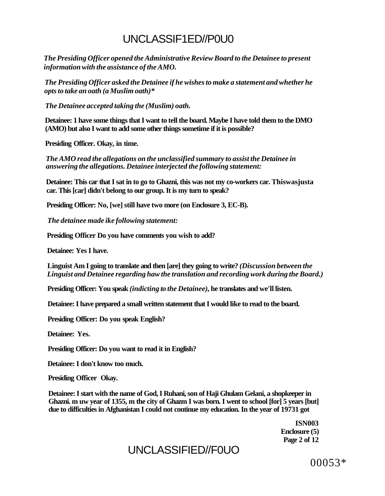## UNCLASSIF1ED//P0U0

*The Presiding Officer opened the Administrative Review Board to the Detainee to present information with the assistance of the AMO.* 

*The Presiding Officer asked the Detainee if he wishes to make a statement and whether he opts to take an oath (a Muslim oath)\** 

*The Detainee accepted taking the (Muslim) oath.* 

**Detainee: 1 have some things that I want to tell the board. Maybe I have told them to the DMO (AMO) but also I want to add some other things sometime if it is possible?** 

**Presiding Officer. Okay, in time.** 

*The AMO read the allegations on the unclassified summary to assist the Detainee in answering the allegations. Detainee interjected the following statement:* 

**Detainee: This car that I sat in to go to Ghazni, this was not my co-workers car. Thiswasjusta car. This [car] didn't belong to our group. It is my turn to speak?** 

**Presiding Officer: No, [we] still have two more (on Enclosure 3, EC-B).** 

*The detainee made ike following statement:* 

**Presiding Officer Do you have comments you wish to add?** 

**Detainee: Yes I have.** 

**Linguist Am I going to translate and then [are] they going to write?** *(Discussion between the Linguist and Detainee regarding haw the translation and recording work during the Board.)* 

**Presiding Officer: You speak** *(indicting to the Detainee),* **he translates and we'll listen.** 

**Detainee: I have prepared a small written statement that I would like to read to the board.** 

**Presiding Officer: Do you speak English?** 

**Detainee: Yes.** 

**Presiding Officer: Do you want to read it in English?** 

**Detainee: I don't know too much.** 

**Presiding Officer Okay.** 

**Detainee: I start with the name of God, I Ruhani, son of Haji Ghulam Gelani, a shopkeeper in Ghazni. m uw year of 1355, m the city of Ghazm I was born. I went to school [for] 5 years [but] due to difficulties in Afghanistan I could not continue my education. In the year of 19731 got** 

> **ISN003 Enclosure (5) Page 2 of 12**

### UNCLASSIFIED//F0UO

00053\*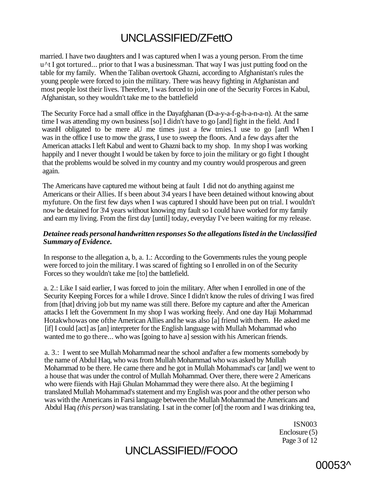# UNCLASSIFIED/ZFettO

married. I have two daughters and I was captured when I was a young person. From the time u^t I got tortured... prior to that I was a businessman. That way I was just putting food on the table for my family. When the Taliban overtook Ghazni, according to Afghanistan's rules the young people were forced to join the military. There was heavy fighting in Afghanistan and most people lost their lives. Therefore, I was forced to join one of the Security Forces in Kabul, Afghanistan, so they wouldn't take me to the battlefield

The Security Force had a small office in the Dayafghanan (D-a-y-a-f-g-h-a-n-a-n). At the same time I was attending my own business [so] I didn't have to go [and] fight in the field. And I wasnH obligated to be mere aU me times just a few tmies.1 use to go [anfl When I was in the office I use to mow the grass, I use to sweep the floors. And a few days after the American attacks I left Kabul and went to Ghazni back to my shop. In my shop I was working happily and I never thought I would be taken by force to join the military or go fight I thought that the problems would be solved in my country and my country would prosperous and green again.

The Americans have captured me without being at fault I did not do anything against me Americans or their Allies. If s been about 3\4 years I have been detained without knowing about myfuture. On the first few days when I was captured I should have been put on trial. I wouldn't now be detained for 3\4 years without knowing my fault so I could have worked for my family and earn my living. From the first day [until] today, everyday I've been waiting for my release.

#### *Detainee reads personal handwritten responses So the allegations listed in the Unclassified Summary of Evidence.*

In response to the allegation a, b, a. 1.: According to the Governments rules the young people were forced to join the military. I was scared of fighting so I enrolled in on of the Security Forces so they wouldn't take me [to] the battlefield.

a. 2.: Like I said earlier, I was forced to join the military. After when I enrolled in one of the Security Keeping Forces for a while I drove. Since I didn't know the rules of driving I was fired from [that] driving job but my name was still there. Before my capture and after the American attacks I left the Government In my shop I was working fteely. And one day Haji Mohammad Hotakwhowas one ofthe American Allies and he was also [a] friend with them. He asked me [if] I could [act] as [an] interpreter for the English language with Mullah Mohammad who wanted me to go there... who was [going to have a] session with his American friends.

a. 3.: I went to see Mullah Mohammad near the school and'after a few moments somebody by the name of Abdul Haq, who was from Mullah Mohammad who was asked by Mullah Mohammad to be there. He came there and he got in Mullah Mohammad's car [and] we went to a house that was under the control of Mullah Mohammad. Over there, there were 2 Americans who were fiiends with Haji Ghulan Mohammad they were there also. At the begiiming I translated Mullah Mohammad's statement and my English was poor and the other person who was with the Americans in Farsi language between the Mullah Mohammad the Americans and Abdul Haq *(this person)* was translating. I sat in the corner [of] the room and I was drinking tea,

> ISN003 Enclosure (5) Page 3 of 12



00053^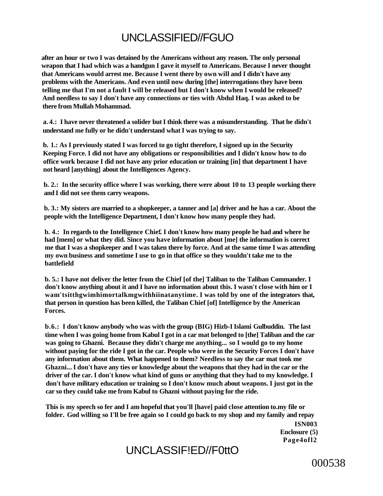# UNCLASSIFIED//FGUO

**after an hour or two I was detained by the Americans without any reason. The only personal weapon that I had which was a handgun I gave it myself to Americans. Because I never thought that Americans would arrest me. Because I went there by own will and I didn't have any problems with the Americans. And even until now during [the] interrogations they have been telling me that I'm not a fault I will be released but I don't know when I would be released? And needless to say I don't have any connections or ties with Abdul Haq. I was asked to be there from Mullah Mohammad.** 

**a. 4.: I have never threatened a solider but I think there was a misunderstanding. That he didn't understand me fully or he didn't understand what I was trying to say.** 

**b. 1.: As I previously stated I was forced to go tight therefore, I signed up in the Security Keeping Force. I did not have any obligations or responsibilities and I didn't know how to do office work because I did not have any prior education or training [in] that department I have not heard [anything] about the Intelligences Agency.** 

**b. 2.: In the security office where I was working, there were about 10 to 13 people working there and I did not see them carry weapons.** 

**b. 3.: My sisters are married to a shopkeeper, a tanner and [a] driver and he has a car. About the people with the Intelligence Department, I don't know how many people they had.** 

**b. 4.: In regards to the Intelligence Chie£ I don't know how many people he had and where he had [mem] or what they did. Since you have information about [me] the information is correct me that I was a shopkeeper and I was taken there by force. And at the same time I was attending my own business and sometime I use to go in that office so they wouldn't take me to the battlefield** 

**b. 5.: I have not deliver the letter from the Chief [of the] Taliban to the Taliban Commander. I don't know anything about it and I have no information about this. I wasn't close with him or I wam'tsitthgwimhimortalkmgwithhiinatanytime. I was told by one of the integrators that, that person in question has been killed, the Taliban Chief [of] Intelligence by the American Forces.** 

**b.6.: I don't know anybody who was with the group (BIG) Hizb-I Islami Gulbuddin. The last time when I was going home from Kabul I got in a car mat belonged to [the] Taliban and the car was going to Ghazni. Because they didn't charge me anything... so I would go to my home without paying for the ride I got in the car. People who were in the Security Forces I don't have any information about them. What happened to them? Needless to say the car mat took me Ghazni... I don't have any ties or knowledge about the weapons that they had in the car or the driver of the car. I don't know what kind of guns or anything that they had to my knowledge. I don't have military education or training so I don't know much about weapons. I just got in the car so they could take me from Kabul to Ghazni without paying for the ride.** 

**This is my speech so fer and I am hopeful that you'll [have] paid close attention to.my file or folder. God willing so I'll be free again so I could go back to my shop and my family and repay** 

> **ISN003 Enclosure (5) Page4ofl2**

## UNCLASSIF!ED//F0ttO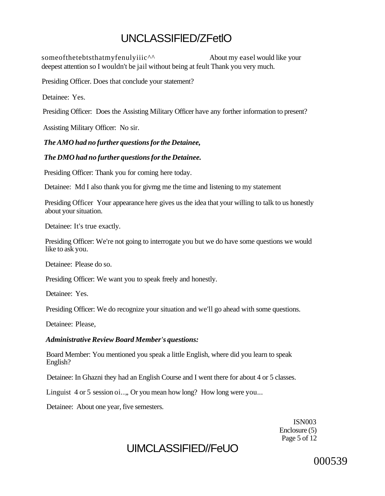# UNCLASSIFlED/ZFetlO

some of the tebtsthatmy fenulyiiic<sup> $\wedge$ </sup> About my easel would like your deepest attention so I wouldn't be jail without being at feult Thank you very much.

Presiding Officer. Does that conclude your statement?

Detainee: Yes.

Presiding Officer: Does the Assisting Military Officer have any forther information to present?

Assisting Military Officer: No sir.

#### *The AMO had no further questions for the Detainee,*

#### *The DMO had no further questions for the Detainee.*

Presiding Officer: Thank you for coming here today.

Detainee: Md I also thank you for givmg me the time and listening to my statement

Presiding Officer Your appearance here gives us the idea that your willing to talk to us honestly about your situation.

Detainee: It's true exactly.

Presiding Officer: We're not going to interrogate you but we do have some questions we would like to ask you.

Detainee: Please do so.

Presiding Officer: We want you to speak freely and honestly.

Detainee: Yes.

Presiding Officer: We do recognize your situation and we'll go ahead with some questions.

Detainee: Please,

#### *Administrative Review Board Member's questions:*

Board Member: You mentioned you speak a little English, where did you learn to speak English?

Detainee: In Ghazni they had an English Course and I went there for about 4 or 5 classes.

Linguist  $4$  or  $5$  session oi..., Or you mean how long? How long were you...

Detainee: About one year, five semesters.

ISN003 Enclosure (5) Page 5 of 12

## UIMCLASSIFIED//FeUO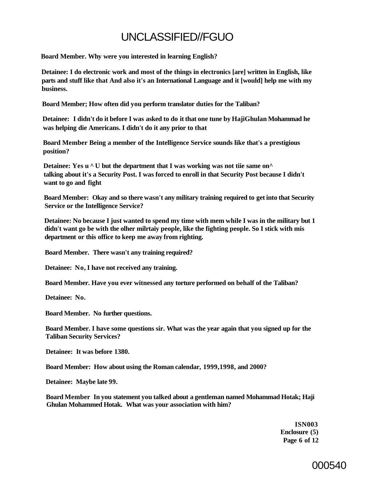## UNCLASSIFIED//FGUO

**Board Member. Why were you interested in learning English?** 

**Detainee: I do electronic work and most of the things in electronics [are] written in English, like parts and stuff like that And also it's an International Language and it [would] help me with my business.** 

**Board Member; How often did you perform translator duties for the Taliban?** 

**Detainee: I didn't do it before I was asked to do it that one tune by HajiGhulan Mohammad he was helping die Americans. I didn't do it any prior to that** 

**Board Member Being a member of the Intelligence Service sounds like that's a prestigious position?** 

**Detainee: Yes u^ U but the department that I was working was not tiie same on^ talking about it's a Security Post. I was forced to enroll in that Security Post because I didn't want to go and fight** 

**Board Member: Okay and so there wasn't any military training required to get into that Security Service or the Intelligence Service?** 

**Detainee: No because I just wanted to spend my time with mem while I was in the military but 1 didn't want go be with the olher milrtaiy people, like the fighting people. So I stick with mis department or this office to keep me away from righting.** 

**Board Member. There wasn't any training required?** 

**Detainee: No, I have not received any training.** 

**Board Member. Have you ever witnessed any torture performed on behalf of the Taliban?** 

**Detainee: No.** 

**Board Member. No further questions.** 

**Board Member. I have some questions sir. What was the year again that you signed up for the Taliban Security Services?** 

**Detainee: It was before 1380.** 

**Board Member: How about using the Roman calendar, 1999,1998, and 2000?** 

**Detainee: Maybe late 99.** 

**Board Member In you statement you talked about a gentleman named Mohammad Hotak; Haji Ghulan Mohammed Hotak. What was your association with him?** 

> **ISN003 Enclosure (5) Page 6 of 12**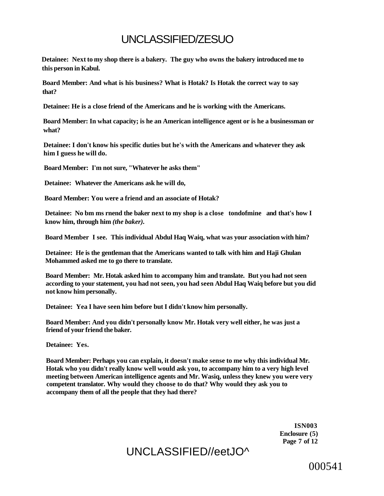## UNCLASSIFIED/ZESUO

**Detainee: Next to my shop there is a bakery. The guy who owns the bakery introduced me to this person in Kabul.** 

**Board Member: And what is his business? What is Hotak? Is Hotak the correct way to say that?** 

**Detainee: He is a close friend of the Americans and he is working with the Americans.** 

**Board Member: In what capacity; is he an American intelligence agent or is he a businessman or what?** 

**Detainee: I don't know his specific duties but he's with the Americans and whatever they ask him I guess he will do.** 

**Board Member: I'm not sure, "Whatever he asks them"** 

**Detainee: Whatever the Americans ask he will do,** 

**Board Member: You were a friend and an associate of Hotak?** 

**Detainee: No bm ms rnend the baker next to my shop is a close tondofmine and that's how I know him, through him** *(the baker).* 

**Board Member I see. This individual Abdul Haq Waiq, what was your association with him?** 

**Detainee: He is the gentleman that the Americans wanted to talk with him and Haji Ghulan Mohammed asked me to go there to translate.** 

**Board Member: Mr. Hotak asked him to accompany him and translate. But you had not seen according to your statement, you had not seen, you had seen Abdul Haq Waiq before but you did not know him personally.** 

**Detainee: Yea I have seen him before but I didn't know him personally.** 

**Board Member: And you didn't personally know Mr. Hotak very well either, he was just a friend of your friend the baker.** 

**Detainee: Yes.** 

**Board Member: Perhaps you can explain, it doesn't make sense to me why this individual Mr. Hotak who you didn't really know well would ask you, to accompany him to a very high level meeting between American intelligence agents and Mr. Wasiq, unless they knew you were very competent translator. Why would they choose to do that? Why would they ask you to accompany them of all the people that they had there?** 

> **ISN003 Enclosure (5) Page 7 of 12**

# UNCLASSIFIED//eetJO^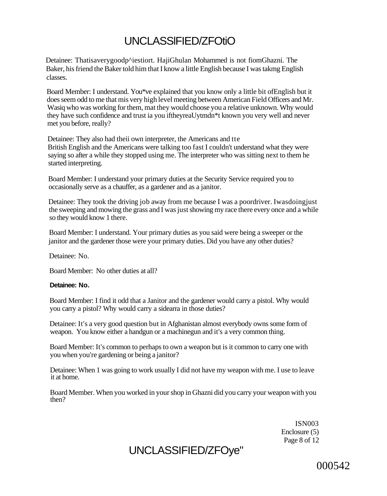## UNCLASSlFIED/ZFOtiO

Detainee: Thatisaverygoodp^iestiort. HajiGhulan Mohammed is not fiomGhazni. The Baker, his friend the Baker told him that I know a little English because I was takmg English classes.

Board Member: I understand. You\*ve explained that you know only a little bit ofEnglish but it does seem odd to me that mis very high level meeting between American Field Officers and Mr. Wasiq who was working for them, mat they would choose you a relative unknown. Why would they have such confidence and trust ia you iftheyreaUytmdn\*t known you very well and never met you before, really?

Detainee: They also had theii own interpreter, the Americans and tte British English and the Americans were talking too fast I couldn't understand what they were saying so after a while they stopped using me. The interpreter who was sitting next to them he started interpreting.

Board Member: I understand your primary duties at the Security Service required you to occasionally serve as a chauffer, as a gardener and as a janitor.

Detainee: They took the driving job away from me because I was a poordriver. Iwasdoingjust the sweeping and mowing the grass and I was just showing my race there every once and a while so they would know 1 there.

Board Member: I understand. Your primary duties as you said were being a sweeper or the janitor and the gardener those were your primary duties. Did you have any other duties?

Detainee: No.

Board Member: No other duties at all?

#### **Detainee: No.**

Board Member: I find it odd that a Janitor and the gardener would carry a pistol. Why would you carry a pistol? Why would carry a sidearra in those duties?

Detainee: It's a very good question but in Afghanistan almost everybody owns some form of weapon. You know either a handgun or a machinegun and it's a very common thing.

Board Member: It's common to perhaps to own a weapon but is it common to carry one with you when you're gardening or being a janitor?

Detainee: When 1 was going to work usually I did not have my weapon with me. I use to leave it at home.

Board Member. When you worked in your shop in Ghazni did you carry your weapon with you then?

> ISN003 Enclosure (5) Page 8 of 12

UNCLASSIFIED/ZFOye"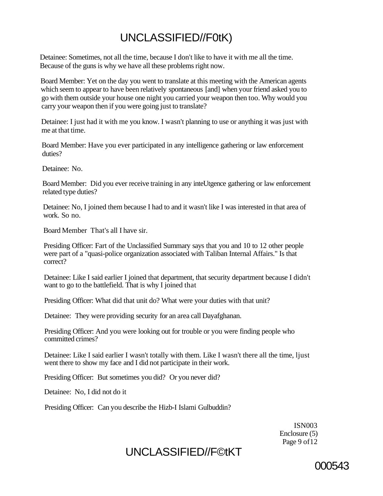# UNCLASSIFIED//F0tK)

Detainee: Sometimes, not all the time, because I don't like to have it with me all the time. Because of the guns is why we have all these problems right now.

Board Member: Yet on the day you went to translate at this meeting with the American agents which seem to appear to have been relatively spontaneous [and] when your friend asked you to go with them outside your house one night you carried your weapon then too. Why would you carry your weapon then if you were going just to translate?

Detainee: I just had it with me you know. I wasn't planning to use or anything it was just with me at that time.

Board Member: Have you ever participated in any intelligence gathering or law enforcement duties?

Detainee: No.

Board Member: Did you ever receive training in any inteUtgence gathering or law enforcement related type duties?

Detainee: No, I joined them because I had to and it wasn't like I was interested in that area of work. So no.

Board Member That's all I have sir.

Presiding Officer: Fart of the Unclassified Summary says that you and 10 to 12 other people were part of a "quasi-police organization associated with Taliban Internal Affairs." Is that correct?

Detainee: Like I said earlier I joined that department, that security department because I didn't want to go to the battlefield. That is why I joined that

Presiding Officer: What did that unit do? What were your duties with that unit?

Detainee: They were providing security for an area call Dayafghanan.

Presiding Officer: And you were looking out for trouble or you were finding people who committed crimes?

Detainee: Like I said earlier I wasn't totally with them. Like I wasn't there all the time, ljust went there to show my face and I did not participate in their work.

Presiding Officer: But sometimes you did? Or you never did?

Detainee: No, I did not do it

Presiding Officer: Can you describe the Hizb-I Islami Gulbuddin?

ISN003 Enclosure (5) Page 9 of 12

## UNCLASSIFIED//F©tKT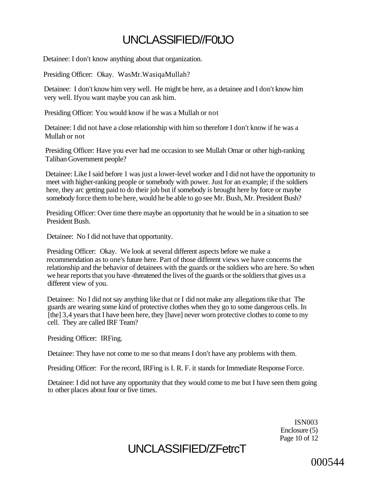# UNCLASSlFIED//F0tJO

Detainee: I don't know anything about that organization.

Presiding Officer: Okay. WasMr.WasiqaMullah?

Detainee: I don't know him very well. He might be here, as a detainee and I don't know him very well. Ifyou want maybe you can ask him.

Presiding Officer: You would know if he was a Mullah or not

Detainee: I did not have a close relationship with him so therefore I don't know if he was a Mullah or not

Presiding Officer: Have you ever had me occasion to see Mullah Omar or other high-ranking Taliban Government people?

Detainee: Like I said before 1 was just a lower-level worker and I did not have the opportunity to meet with higher-ranking people or somebody with power. Just for an example; if the soldiers here, they arc getting paid to do their job but if somebody is brought here by force or maybe somebody force them to be here, would he be able to go see Mr. Bush, Mr. President Bush?

Presiding Officer: Over time there maybe an opportunity that he would be in a situation to see President Bush.

Detainee: No I did not have that opportunity.

Presiding Officer: Okay. We look at several different aspects before we make a recommendation as to one's future here. Part of those different views we have concerns the relationship and the behavior of detainees with the guards or the soldiers who are here. So when we hear reports that you have -threatened the lives of the guards or the soldiers that gives us a different view of you.

Detainee: No I did not say anything like that or I did not make any allegations tike that The guards are wearing some kind of protective clothes when they go to some dangerous cells. In [the] 3,4 years that I have been here, they [have] never worn protective clothes to come to my cell. They are called IRF Team?

Presiding Officer: IRFing.

Detainee: They have not come to me so that means I don't have any problems with them.

Presiding Officer: For the record, IRFing is I. R. F. it stands for Immediate Response Force.

Detainee: I did not have any opportunity that they would come to me but I have seen them going to other places about four or five times.

> ISN003 Enclosure (5) Page 10 of 12

# UNCLASSIFIED/ZFetrcT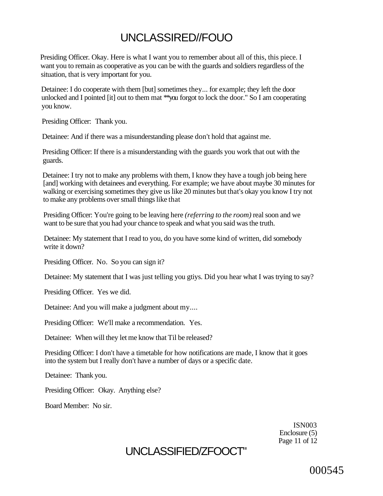# UNCLASSIRED//FOUO

Presiding Officer. Okay. Here is what I want you to remember about all of this, this piece. I want you to remain as cooperative as you can be with the guards and soldiers regardless of the situation, that is very important for you.

Detainee: I do cooperate with them [but] sometimes they... for example; they left the door unlocked and I pointed [it] out to them mat \*\* you forgot to lock the door." So I am cooperating you know.

Presiding Officer: Thank you.

Detainee: And if there was a misunderstanding please don't hold that against me.

Presiding Officer: If there is a misunderstanding with the guards you work that out with the guards.

Detainee: I try not to make any problems with them, I know they have a tough job being here [and] working with detainees and everything. For example; we have about maybe 30 minutes for walking or exercising sometimes they give us like 20 minutes but that's okay you know I try not to make any problems over small things like that

Presiding Officer: You're going to be leaving here *(referring to the room)* real soon and we want to be sure that you had your chance to speak and what you said was the truth.

Detainee: My statement that I read to you, do you have some kind of written, did somebody write it down?

Presiding Officer. No. So you can sign it?

Detainee: My statement that I was just telling you gtiys. Did you hear what I was trying to say?

Presiding Officer. Yes we did.

Detainee: And you will make a judgment about my....

Presiding Officer: We'll make a recommendation. Yes.

Detainee: When will they let me know that Til be released?

Presiding Officer: I don't have a timetable for how notifications are made, I know that it goes into the system but I really don't have a number of days or a specific date.

Detainee: Thank you.

Presiding Officer: Okay. Anything else?

Board Member: No sir.

ISN003 Enclosure (5) Page 11 of 12

## UNCLASSIFIED/ZFOOCT"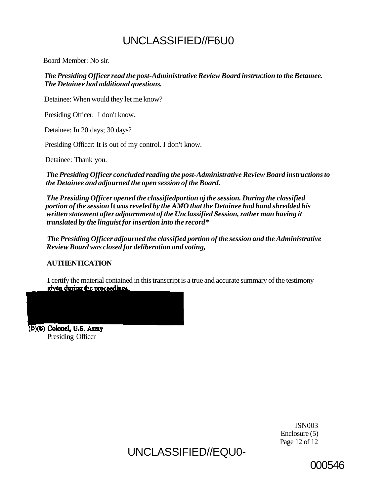# UNCLASSIFIED//F6U0

Board Member: No sir.

#### *The Presiding Officer read the post-Administrative Review Board instruction to the Betamee. The Detainee had additional questions.*

Detainee: When would they let me know?

Presiding Officer: I don't know.

Detainee: In 20 days; 30 days?

Presiding Officer: It is out of my control. I don't know.

Detainee: Thank you.

*The Presiding Officer concluded reading the post-Administrative Review Board instructions to the Detainee and adjourned the open session of the Board.* 

*The Presiding Officer opened the classifiedportion oj the session. During the classified portion of the session* **ft** *was reveled by the AMO that the Detainee had hand shredded his written statement after adjournment of the Unclassified Session, rather man having it translated by the linguist for insertion into the record\** 

*The Presiding Officer adjourned the classified portion of the session and the Administrative Review Board was closed for deliberation and voting,* 

#### **AUTHENTICATION**

**I** certify the material contained in this transcript is a true and accurate summary of the testimony **given during the proceedings.** 

(b)(6) Colonel, U.S. Anny Presiding Officer

> ISN003 Enclosure (5) Page 12 of 12

UNCLASSIFIED//EQU0-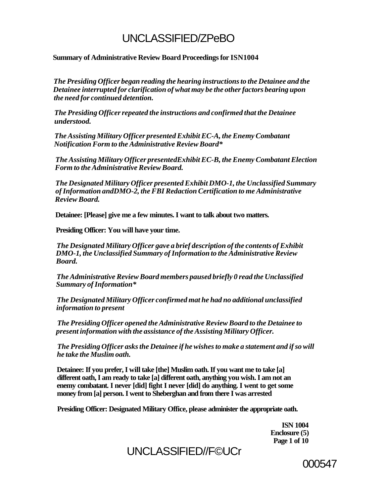## UNCLASSIFIED/ZPeBO

#### **Summary of Administrative Review Board Proceedings for ISN1004**

*The Presiding Officer began reading the hearing instructions to the Detainee and the Detainee interrupted for clarification of what may be the other factors bearing upon the need for continued detention.* 

*The Presiding Officer repeated the instructions and confirmed that the Detainee understood.* 

*The Assisting Military Officer presented Exhibit EC-A, the Enemy Combatant Notification Form to the Administrative Review Board\** 

*The Assisting Military Officer presentedExhibit EC-B, the Enemy Combatant Election Form to the Administrative Review Board.* 

*The Designated Military Officer presented Exhibit DMO-1, the Unclassified Summary of Information andDMO-2, the FBI Redaction Certification to me Administrative Review Board.* 

**Detainee: [Please] give me a few minutes. I want to talk about two matters.** 

**Presiding Officer: You will have your time.** 

*The Designated Military Officer gave a brief description of the contents of Exhibit DMO-1, the Unclassified Summary of Information to the Administrative Review Board.* 

*The Administrative Review Board members paused briefly 0 read the Unclassified Summary of Information\** 

*The Designated Military Officer confirmed mat he had no additional unclassified information to present* 

*The Presiding Officer opened the Administrative Review Board to the Detainee to present information with the assistance of the Assisting Military Officer.* 

*The Presiding Officer asks the Detainee if he wishes to make a statement and if so will he take the Muslim oath.* 

**Detainee: If you prefer, I will take [the] Muslim oath. If you want me to take [a] different oath, I am ready to take [a] different oath, anything you wish. I am not an enemy combatant. I never [did] fight I never [did] do anything. I went to get some money from [a] person. I went to Sheberghan and from there I was arrested** 

**Presiding Officer: Designated Military Office, please administer the appropriate oath.** 

**ISN 1004 Enclosure (5) Page 1 of 10** 

UNCLASSlFIED//F©UCr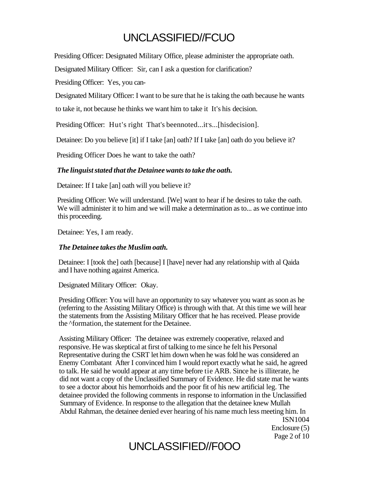## UNCLASSIFIED//FCUO

Presiding Officer: Designated Military Office, please administer the appropriate oath.

Designated Military Officer: Sir, can I ask a question for clarification?

Presiding Officer: Yes, you can-

Designated Military Officer: I want to be sure that he is taking the oath because he wants

to take it, not because he thinks we want him to take it It's his decision.

Presiding Officer: Hut's right That's beennoted...it's...[hisdecision].

Detainee: Do you believe [it] if I take [an] oath? If I take [an] oath do you believe it?

Presiding Officer Does he want to take the oath?

#### *The linguist stated that the Detainee wants to take the oath.*

Detainee: If I take [an] oath will you believe it?

Presiding Officer: We will understand. [We] want to hear if he desires to take the oath. We will administer it to him and we will make a determination as to... as we continue into this proceeding.

Detainee: Yes, I am ready.

#### *The Detainee takes the Muslim oath.*

Detainee: I [took the] oath [because] I [have] never had any relationship with al Qaida and I have nothing against America.

Designated Military Officer: Okay.

Presiding Officer: You will have an opportunity to say whatever you want as soon as he (referring to the Assisting Military Office) is through with that. At this time we will hear the statements from the Assisting Military Officer that he has received. Please provide the ^formation, the statement for the Detainee.

Assisting Military Officer: The detainee was extremely cooperative, relaxed and responsive. He was skeptical at first of talking to me since he felt his Personal Representative during the CSRT let him down when he was fold he was considered an Enemy Combatant After I convinced him I would report exactly what he said, he agreed to talk. He said he would appear at any time before tie ARB. Since he is illiterate, he did not want a copy of the Unclassified Summary of Evidence. He did state mat he wants to see a doctor about his hemorrhoids and the poor fit of his new artificial leg. The detainee provided the following comments in response to information in the Unclassified Summary of Evidence. In response to the allegation that the detainee knew Mullah Abdul Rahman, the detainee denied ever hearing of his name much less meeting him. In

ISN1004

Enclosure (5) Page 2 of 10

# UNCLASSIFIED//F0OO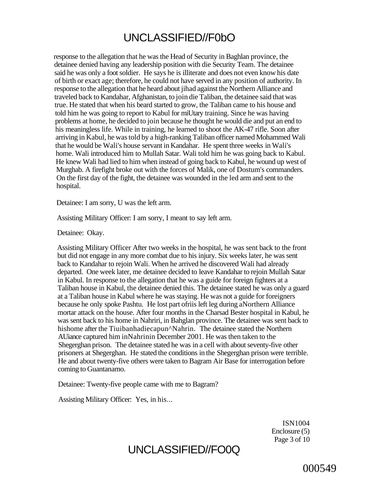## UNCLASSIFIED//F0bO

response to the allegation that he was the Head of Security in Baghlan province, the detainee denied having any leadership position with die Security Team. The detainee said he was only a foot soldier. He says he is illiterate and does not even know his date of birth or exact age; therefore, he could not have served in any position of authority. In response to the allegation that he heard about jihad against the Northern Alliance and traveled back to Kandahar, Afghanistan, to join die Taliban, the detainee said that was true. He stated that when his beard started to grow, the Taliban came to his house and told him he was going to report to Kabul for miUtary training. Since he was having problems at home, he decided to join because he thought he would die and put an end to his meaningless life. While in training, he learned to shoot the AK-47 rifle. Soon after arriving in Kabul, he was told by a high-ranking Taliban officer named Mohammed Wali that he would be Wali's house servant in Kandahar. He spent three weeks in Wali's home. Wali introduced him to Mullah Satar. Wali told him he was going back to Kabul. He knew Wali had lied to him when instead of going back to Kabul, he wound up west of Murghab. A firefight broke out with the forces of Malik, one of Dostum's commanders. On the first day of the fight, the detainee was wounded in the led arm and sent to the hospital.

Detainee: I am sorry, U was the left arm.

Assisting Military Officer: I am sorry, I meant to say left arm.

Detainee: Okay.

Assisting Military Officer After two weeks in the hospital, he was sent back to the front but did not engage in any more combat due to his injury. Six weeks later, he was sent back to Kandahar to rejoin Wali. When he arrived he discovered Wali had already departed. One week later, me detainee decided to leave Kandahar to rejoin Mullah Satar in Kabul. In response to the allegation that he was a guide for foreign fighters at a Taliban house in Kabul, the detainee denied this. The detainee stated he was only a guard at a Taliban house in Kabul where he was staying. He was not a guide for foreigners because he only spoke Pashtu. He lost part ofriis left leg during aNorthern Alliance mortar attack on the house. After four months in the Charsad Bester hospital in Kabul, he was sent back to his home in Nahriri, in Bahglan province. The detainee was sent back to hishome after the Tiuibanhadiecapun<sup> $\wedge$ </sup>Nahrin. The detainee stated the Northern AUiance captured him inNahrinin December 2001. He was then taken to the Shegerghan prison. The detainee stated he was in a cell with about seventy-five other prisoners at Shegerghan. He stated the conditions in the Shegerghan prison were terrible. He and about twenty-five others were taken to Bagram Air Base for interrogation before coming to Guantanamo.

Detainee: Twenty-five people came with me to Bagram?

Assisting Military Officer: Yes, in his...

ISN1004 Enclosure (5) Page 3 of 10

### UNCLASSIFIED//FO0Q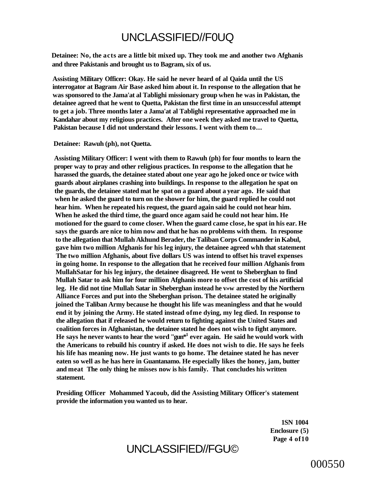### UNCLASSIFIED//F0UQ

**Detainee: No, the acts are a little bit mixed up. They took me and another two Afghanis and three Pakistanis and brought us to Bagram, six of us.** 

**Assisting Military Officer: Okay. He said he never heard of al Qaida until the US interrogator at Bagram Air Base asked him about it. In response to the allegation that he was sponsored to the Jama'at al Tablighi missionary group when he was in Pakistan, the detainee agreed that he went to Quetta, Pakistan the first time in an unsuccessful attempt to get a job. Three months later a Jama'at al Tablighi representative approached me in Kandahar about my religious practices. After one week they asked me travel to Quetta, Pakistan because I did not understand their lessons. I went with them to...** 

**Detainee: Rawuh (ph), not Quetta.** 

**Assisting Military Officer: I went with them to Rawuh (ph) for four months to learn the proper way to pray and other religious practices. In response to the allegation that he harassed the guards, the detainee stated about one year ago he joked once or twice with guards about airplanes crashing into buildings. In response to the allegation he spat on the guards, the detainee stated mat he spat on a guard about a year ago. He said that when he asked the guard to turn on the shower for him, the guard replied he could not hear him. When he repeated his request, the guard again said he could not hear him. When he asked the third time, the guard once agam said he could not hear him. He motioned for the guard to come closer. When the guard came close, he spat in his ear. He says the guards are nice to him now and that he has no problems with them. In response to the allegation that Mullah Akhund Berader, the Taliban Corps Commander in Kabul, gave him two million Afghanis for his leg injury, the detainee agreed whh that statement The two million Afghanis, about five dollars US was intend to offset his travel expenses in going home. In response to the allegation that he received four million Afghanis from MullahSatar for his leg injury, the detainee disagreed. He went to Sheberghan to find Mullah Satar to ask him for four million Afghanis more to offset the cost of his artificial leg. He did not tine Mullah Satar in Sheberghan instead he v»w arrested by the Northern Alliance Forces and put into the Sheberghan prison. The detainee stated he originally joined the Taliban Army because he thought his life was meaningless and that he would end it by joining the Army. He stated instead ofme dying, my leg died. In response to the allegation that if released he would return to fighting against the United States and coalition forces in Afghanistan, the detainee stated he does not wish to fight anymore.**  He says he never wants to hear the word "gun<sup>\*1</sup> ever again. He said he would work with **the Americans to rebuild his country if asked. He does not wish to die. He says he feels his life has meaning now. He just wants to go home. The detainee stated he has never eaten so well as he has here in Guantanamo. He especially likes the honey, jam, butter and meat The only thing he misses now is his family. That concludes his written statement.** 

**Presiding Officer Mohammed Yacoub, did the Assisting Military Officer's statement provide the information you wanted us to hear.** 

> **1SN 1004 Enclosure (5) Page 4 of10**

### UNCLASSIFIED//FGU©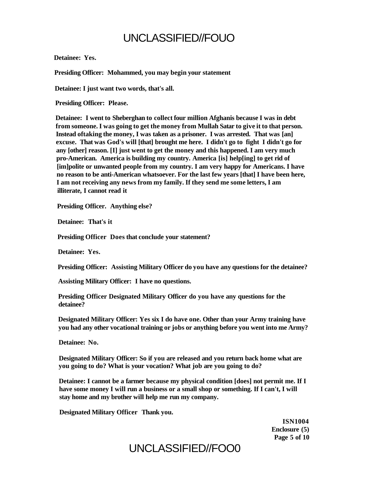## UNCLASSIFIED//FOUO

**Detainee: Yes.** 

**Presiding Officer: Mohammed, you may begin your statement** 

**Detainee: I just want two words, that's all.** 

**Presiding Officer: Please.** 

**Detainee: I went to Sheberghan to collect four million Afghanis because I was in debt from someone. I was going to get the money from Mullah Satar to give it to that person. Instead oftaking the money, I was taken as a prisoner. I was arrested. That was [an] excuse. That was God's will [that] brought me here. I didn't go to fight I didn't go for any [other] reason. [I] just went to get the money and this happened. I am very much pro-American. America is building my country. America [is] help[ing] to get rid of [im]polite or unwanted people from my country. I am very happy for Americans. I have no reason to be anti-American whatsoever. For the last few years [that] I have been here, I am not receiving any news from my family. If they send me some letters, I am illiterate, I cannot read it** 

**Presiding Officer. Anything else?** 

**Detainee: That's it** 

**Presiding Officer Does that conclude your statement?** 

**Detainee: Yes.** 

**Presiding Officer: Assisting Military Officer do you have any questions for the detainee?** 

**Assisting Military Officer: I have no questions.** 

**Presiding Officer Designated Military Officer do you have any questions for the detainee?** 

**Designated Military Officer: Yes six I do have one. Other than your Army training have you had any other vocational training or jobs or anything before you went into me Army?** 

**Detainee: No.** 

**Designated Military Officer: So if you are released and you return back home what are you going to do? What is your vocation? What job are you going to do?** 

**Detainee: I cannot be a farmer because my physical condition [does] not permit me. If I have some money I will run a business or a small shop or something. If I can't, I will stay home and my brother will help me run my company.** 

**Designated Military Officer Thank you.** 

**ISN1004 Enclosure (5) Page 5 of 10** 

# UNCLASSIFIED//FOO0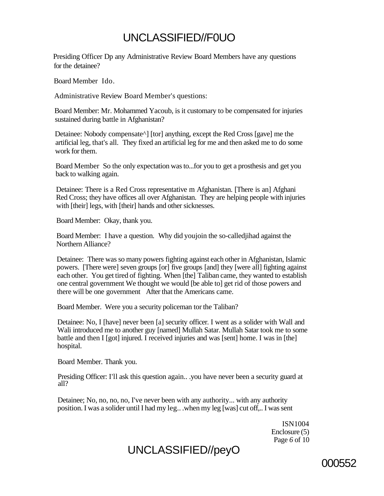## UNCLASSIFIED//F0UO

Presiding Officer Dp any Adrninistrative Review Board Members have any questions for the detainee?

Board Member Ido.

Administrative Review Board Member's questions:

Board Member: Mr. Mohammed Yacoub, is it customary to be compensated for injuries sustained during battle in Afghanistan?

Detainee: Nobody compensate^] [tor] anything, except the Red Cross [gave] me the artificial leg, that's all. They fixed an artificial leg for me and then asked me to do some work for them.

Board Member So the only expectation was to...for you to get a prosthesis and get you back to walking again.

Detainee: There is a Red Cross representative m Afghanistan. [There is an] Afghani Red Cross; they have offices all over Afghanistan. They are helping people with injuries with [their] legs, with [their] hands and other sicknesses.

Board Member: Okay, thank you.

Board Member: I have a question. Why did youjoin the so-calledjihad against the Northern Alliance?

Detainee: There was so many powers fighting against each other in Afghanistan, Islamic powers. [There were] seven groups [or] five groups [and] they [were all] fighting against each other. You get tired of fighting. When [the] Taliban came, they wanted to establish one central government We thought we would [be able to] get rid of those powers and there will be one government After that the Americans came.

Board Member. Were you a security policeman tor the Taliban?

Detainee: No, I [have] never been [a] security officer. I went as a solider with Wall and Wali introduced me to another guy [named] Mullah Satar. Mullah Satar took me to some battle and then I [got] injured. I received injuries and was [sent] home. I was in [the] hospital.

Board Member. Thank you.

Presiding Officer: I'll ask this question again.. .you have never been a security guard at all?

Detainee; No, no, no, no, I've never been with any authority... with any authority position. I was a solider until I had my leg.. .when my leg [was] cut off,.. I was sent

> ISN1004 Enclosure (5) Page *6* of 10

UNCLASSIFIED//peyO

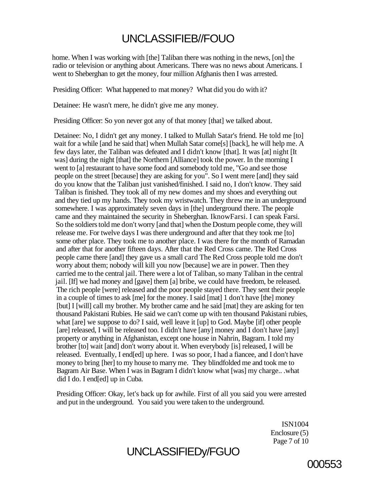## UNCLASSIFIEB//FOUO

home. When I was working with [the] Taliban there was nothing in the news, [on] the radio or television or anything about Americans. There was no news about Americans. I went to Sheberghan to get the money, four million Afghanis then I was arrested.

Presiding Officer: What happened to mat money? What did you do with it?

Detainee: He wasn't mere, he didn't give me any money.

Presiding Officer: So yon never got any of that money [that] we talked about.

Detainee: No, I didn't get any money. I talked to Mullah Satar's friend. He told me [to] wait for a while [and he said that] when Mullah Satar come[s] [back], he will help me. A few days later, the Taliban was defeated and I didn't know [that]. It was [at] night [It was] during the night [that] the Northern [Alliance] took the power. In the morning I went to [a] restaurant to have some food and somebody told me, "Go and see those people on the street [because] they are asking for you". So I went mere [and] they said do you know that the Taliban just vanished/finished. I said no, I don't know. They said Taliban is finished. They took all of my new domes and my shoes and everything out and they tied up my hands. They took my wristwatch. They threw me in an underground somewhere. I was approximately seven days in [the] underground there. The people came and they maintained the security in Sheberghan. IknowFarsi. I can speak Farsi. So the soldiers told me don't worry [and that] when the Dostum people come, they will release me. For twelve days I was there underground and after that they took me [to] some other place. They took me to another place. I was there for the month of Ramadan and after that for another fifteen days. After that the Red Cross came. The Red Cross people came there [and] they gave us a small card The Red Cross people told me don't worry about them; nobody will kill you now [because] we are in power. Then they carried me to the central jail. There were a lot of Taliban, so many Taliban in the central jail. [If] we had money and [gave] them [a] bribe, we could have freedom, be released. The rich people [were] released and the poor people stayed there. They sent their people in a couple of times to ask [me] for the money. I said [mat] 1 don't have [the] money [but] I [will] call my brother. My brother came and he said [mat] they are asking for ten thousand Pakistani Rubies. He said we can't come up with ten thousand Pakistani rubies, what [are] we suppose to do? I said, well leave it [up] to God. Maybe [if] other people [are] released, I will be released too. I didn't have [any] money and I don't have [any] property or anything in Afghanistan, except one house in Nahrin, Bagrarn. I told my brother [to] wait [and] don't worry about it. When everybody [is] released, I will be released. Eventually, I end[ed] up here. I was so poor, I had a fiancee, and I don't have money to bring [her] to my house to marry me. They blindfolded me and took me to Bagrarn Air Base. When I was in Bagram I didn't know what [was] my charge.. .what did I do. I end[ed] up in Cuba.

Presiding Officer: Okay, let's back up for awhile. First of all you said you were arrested and put in the underground. You said you were taken to the underground.

> ISN1004 Enclosure (5) Page 7 of 10

UNCLASSIFIEDy/FGUO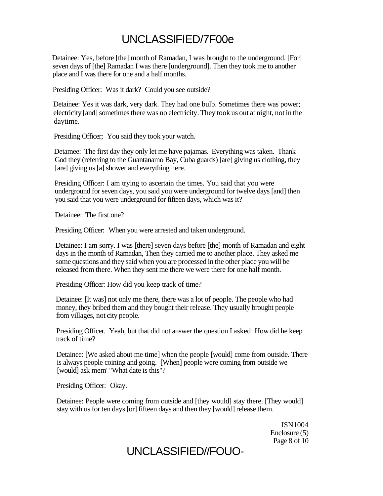## UNCLASSlFIED/7F00e

Detainee: Yes, before [the] month of Ramadan, I was brought to the underground. [For] seven days of [the] Ramadan I was there [underground]. Then they took me to another place and I was there for one and a half months.

Presiding Officer: Was it dark? Could you see outside?

Detainee: Yes it was dark, very dark. They had one bulb. Sometimes there was power; electricity [and] sometimes there was no electricity. They took us out at night, not in the daytime.

Presiding Officer; You said they took your watch.

Detamee: The first day they only let me have pajamas. Everything was taken. Thank God they (referring to the Guantanamo Bay, Cuba guards) [are] giving us clothing, they [are] giving us [a] shower and everything here.

Presiding Officer: I am trying to ascertain the times. You said that you were underground for seven days, you said you were underground for twelve days [and] then you said that you were underground for fifteen days, which was it?

Detainee: The first one?

Presiding Officer: When you were arrested and taken underground.

Detainee: I am sorry. I was [there] seven days before [the] month of Ramadan and eight days in the month of Ramadan, Then they carried me to another place. They asked me some questions and they said when you are processed in the other place you will be released from there. When they sent me there we were there for one half month.

Presiding Officer: How did you keep track of time?

Detainee: [It was] not only me there, there was a lot of people. The people who had money, they bribed them and they bought their release. They usually brought people from villages, not city people.

Presiding Officer. Yeah, but that did not answer the question I asked How did he keep track of time?

Detainee: [We asked about me time] when the people [would] come from outside. There is always people coining and going. [When] people were coming from outside we [would] ask mem' "What date is this"?

Presiding Officer: Okay.

Detainee: People were coming from outside and [they would] stay there. [They would] stay with us for ten days [or] fifteen days and then they [would] release them.

> ISN1004 Enclosure (5) Page 8 of 10

# UNCLASSIFIED//FOUO-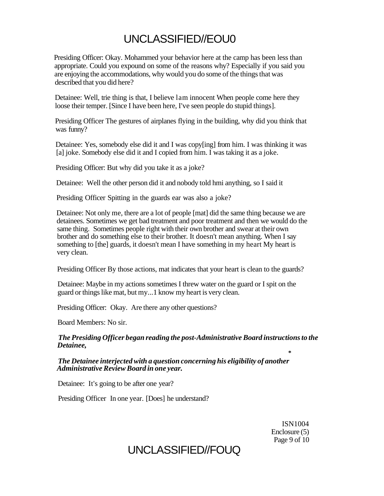# UNCLASSIFIED//EOU0

Presiding Officer: Okay. Mohammed your behavior here at the camp has been less than appropriate. Could you expound on some of the reasons why? Especially if you said you are enjoying the accommodations, why would you do some of the things that was described that you did here?

Detainee: Well, trie thing is that, I believe lam innocent When people come here they loose their temper. [Since I have been here, I've seen people do stupid things].

Presiding Officer The gestures of airplanes flying in the building, why did you think that was funny?

Detainee: Yes, somebody else did it and I was copy[ing] from him. I was thinking it was [a] joke. Somebody else did it and I copied from him. I was taking it as a joke.

Presiding Officer: But why did you take it as a joke?

Detainee: Well the other person did it and nobody told hmi anything, so I said it

Presiding Officer Spitting in the guards ear was also a joke?

Detainee: Not only me, there are a lot of people [mat] did the same thing because we are detainees. Sometimes we get bad treatment and poor treatment and then we would do the same thing. Sometimes people right with their own brother and swear at their own brother and do something else to their brother. It doesn't mean anything. When I say something to [the] guards, it doesn't mean I have something in my heart My heart is very clean.

Presiding Officer By those actions, mat indicates that your heart is clean to the guards?

Detainee: Maybe in my actions sometimes I threw water on the guard or I spit on the guard or things like mat, but my...1 know my heart is very clean.

Presiding Officer: Okay. Are there any other questions?

Board Members: No sir.

*The Presiding Officer began reading the post-Administrative Board instructions to the Detainee,* 

*The Detainee interjected with a question concerning his eligibility of another Administrative Review Board in one year.* 

Detainee: It's going to be after one year?

Presiding Officer In one year. [Does] he understand?

ISN1004 Enclosure (5) Page 9 of 10

**\*** 

## UNCLASSIFIED//FOUQ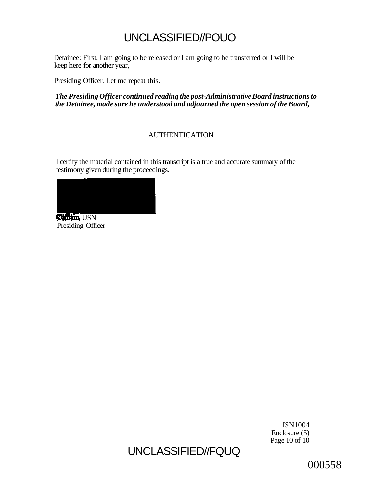# UNCLASSIFIED//POUO

Detainee: First, I am going to be released or I am going to be transferred or I will be keep here for another year,

Presiding Officer. Let me repeat this.

*The Presiding Officer continued reading the post-Administrative Board instructions to the Detainee, made sure he understood and adjourned the open session of the Board,* 

#### AUTHENTICATION

I certify the material contained in this transcript is a true and accurate summary of the testimony given during the proceedings.



**EXCHAIN**, USN Presiding Officer

> ISN1004 Enclosure (5) Page 10 of 10

UNCLASSIFIED//FQUQ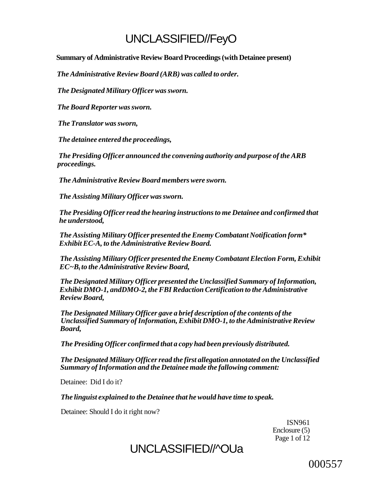# UNCLASSIFIED//FeyO

**Summary of Administrative Review Board Proceedings (with Detainee present)** 

*The Administrative Review Board (ARB) was called to order.* 

*The Designated Military Officer was sworn.* 

*The Board Reporter was sworn.* 

*The Translator was sworn,* 

*The detainee entered the proceedings,* 

*The Presiding Officer announced the convening authority and purpose of the ARB proceedings.* 

*The Administrative Review Board members were sworn.* 

*The Assisting Military Officer was sworn.* 

*The Presiding Officer read the hearing instructions to me Detainee and confirmed that he understood,* 

*The Assisting Military Officer presented the Enemy Combatant Notification form\* Exhibit EC-A, to the Administrative Review Board.* 

*The Assisting Military Officer presented the Enemy Combatant Election Form, Exhibit EC~B<sup>t</sup> to the Administrative Review Board,* 

*The Designated Military Officer presented the Unclassified Summary of Information, Exhibit DMO-1, andDMO-2, the FBI Redaction Certification to the Administrative Review Board,* 

*The Designated Military Officer gave a brief description of the contents of the Unclassified Summary of Information, Exhibit DMO-1, to the Administrative Review Board,* 

*The Presiding Officer confirmed that a copy had been previously distributed.* 

*The Designated Military Officer read the first allegation annotated on the Unclassified Summary of Information and the Detainee made the fallowing comment:* 

Detainee: Did I do it?

*The linguist explained to the Detainee that he would have time to speak.* 

Detainee: Should I do it right now?

ISN961 Enclosure (5) Page 1 of 12

# UNCLASSIFIFD//^OUa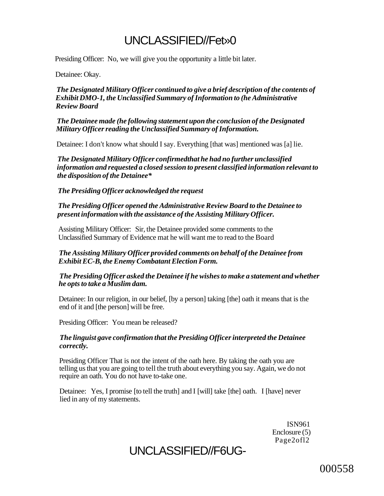# UNCLASSIFIED//Fet»0

Presiding Officer: No, we will give you the opportunity a little bit later.

Detainee: Okay.

*The Designated Military Officer continued to give a brief description of the contents of Exhibit DMO-1, the Unclassified Summary of Information to (he Administrative Review Board* 

*The Detainee made (he following statement upon the conclusion of the Designated Military Officer reading the Unclassified Summary of Information.* 

Detainee: I don't know what should I say. Everything [that was] mentioned was [a] lie.

*The Designated Military Officer confirmedthat he had no further unclassified information and requested a closed session to present classified information relevant to the disposition of the Detainee\** 

#### *The Presiding Officer acknowledged the request*

*The Presiding Officer opened the Administrative Review Board to the Detainee to present information with the assistance of the Assisting Military Officer.* 

Assisting Military Officer: Sir, the Detainee provided some comments to the Unclassified Summary of Evidence mat he will want me to read to the Board

*The Assisting Military Officer provided comments on behalf of the Detainee from Exhibit EC-B, the Enemy Combatant Election Form.* 

#### *The Presiding Officer asked the Detainee if he wishes to make a statement and whether he opts to take a Muslim dam.*

Detainee: In our religion, in our belief, [by a person] taking [the] oath it means that is the end of it and [the person] will be free.

Presiding Officer: You mean be released?

#### *The linguist gave confirmation that the Presiding Officer interpreted the Detainee correctly.*

Presiding Officer That is not the intent of the oath here. By taking the oath you are telling us that you are going to tell the truth about everything you say. Again, we do not require an oath. You do not have to-take one.

Detainee: Yes, I promise [to tell the truth] and I [will] take [the] oath. I [have] never lied in any of my statements.

> ISN961 Enclosure (5) Page2ofl2

# UNCLASSIFIED//F6UG-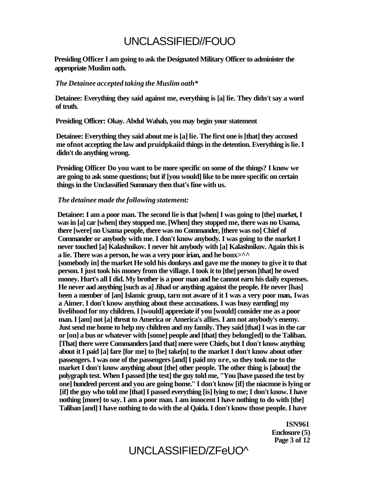#### UNCLASSIFIED//FOUO

**Presiding Officer I am going to ask the Designated Military Officer to administer the appropriate Muslim oath.** 

#### *The Detainee accepted taking the Muslim oath\**

**Detainee: Everything they said against me, everything is [a] lie. They didn't say a word of truth.** 

**Presiding Officer: Okay. Abdul Wahab, you may begin your statement** 

**Detainee: Everything they said about me is [a] lie. The first one is [that] they accused me ofnot accepting the law and pruidpkaiid things in the detention. Everything is lie. I didn't do anything wrong.** 

**Presiding Officer Do you want to be more specific on some of the things? I know we are going to ask some questions; but if [you would] like to be more specific on certain things in the Unclassified Summary then that's fine with us.** 

#### *The detainee made the following statement:*

**Detainee: I am a poor man. The second lie is that [when] I was going to [the] market, I was in [a] car [when] they stopped me. [When] they stopped me, there was no Usama, there [were] no Usama people, there was no Commander, [there was no] Chief of Commander or anybody with me. I don't know anybody. I was going to the market I never touched [a] Kalashnikov. I never hit anybody with [a] Kalashnikov. Again this is a lie. There was a person, he was a very poor irian, and he bonx>^^ [somebody in] the market He sold his donkeys and gave me the money to give it to that person. I just took his money from the village. I took it to [the] person [that] he owed money. Hurt's all I did. My brother is a poor man and he cannot earn his daily expenses. He never aad anything [such as a] Jihad or anything against the people. He never [has] been a member of [an] Islamic group, tarn not aware of it I was a very poor man.. Iwas a Aimer. I don't know anything about these accusations. I was busy earnfing] my livelihood for my children. I [would] appreciate if you [would] consider me as a poor man. I [am] not [a] threat to America or America's allies. I am not anybody's enemy. Just send me home to help my children and my family. They said [that] I was in the car or [on] a bus or whatever with [some] people and [that] they belong[ed] to the Taliban. [That] there were Commanders [and that] mere were Chiefs, but I don't know anything about it I paid [a] fare [for me] to [be] take[n] to the market I don't know about other passengers. I was one of the passengers [and] I paid my ore, so they took me to the market I don't know anything about [the] other people. The other thing is [about] the polygraph test. When I passed [the test] the guy told me, "You [have passed the test by one] hundred percent and you are going home.'' I don't know [if] the niacmne is lying or [if] the guy who told me [that] I passed everything [is] lying to me; I don't know. I have nothing [more] to say. I am a poor man. I am innocent I have nothing to do with [the] Taliban [and] I have nothing to do with the al Qaida. I don't know those people. I have** 

> **ISN961 Enclosure (5) Page 3 of 12**

### UNCLASSIFIED/ZFeUO^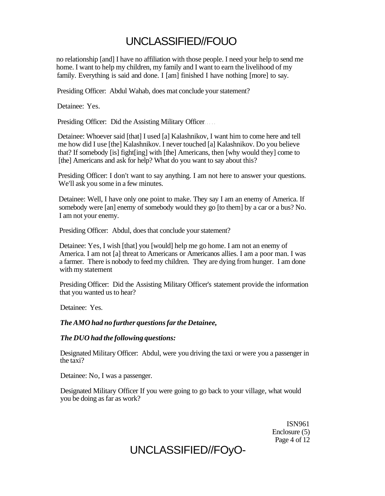## UNCLASSIFIED//FOUO

no relationship [and] I have no affiliation with those people. I need your help to send me home. I want to help my children, my family and I want to earn the livelihood of my family. Everything is said and done. I [am] finished I have nothing [more] to say.

Presiding Officer: Abdul Wahab, does mat conclude your statement?

Detainee: Yes.

Presiding Officer: Did the Assisting Military Officer

Detainee: Whoever said [that] I used [a] Kalashnikov, I want him to come here and tell me how did I use [the] Kalashnikov. I never touched [a] Kalashnikov. Do you believe that? If somebody [is] fight[ing] with [the] Americans, then [why would they] come to [the] Americans and ask for help? What do you want to say about this?

Presiding Officer: I don't want to say anything. I am not here to answer your questions. We'll ask you some in a few minutes.

Detainee: Well, I have only one point to make. They say I am an enemy of America. If somebody were [an] enemy of somebody would they go [to them] by a car or a bus? No. I am not your enemy.

Presiding Officer: Abdul, does that conclude your statement?

Detainee: Yes, I wish [that] you [would] help me go home. I am not an enemy of America. I am not [a] threat to Americans or Americanos allies. I am a poor man. I was a farmer. There is nobody to feed my children. They are dying from hunger. I am done with my statement

Presiding Officer: Did the Assisting Military Officer's statement provide the information that you wanted us to hear?

Detainee: Yes.

#### *The AMO had no further questions far the Detainee,*

*The DUO had the following questions:* 

Designated Military Officer: Abdul, were you driving the taxi or were you a passenger in the taxi?

Detainee: No, I was a passenger.

Designated Military Officer If you were going to go back to your village, what would you be doing as far as work?

> ISN961 Enclosure (5) Page 4 of 12

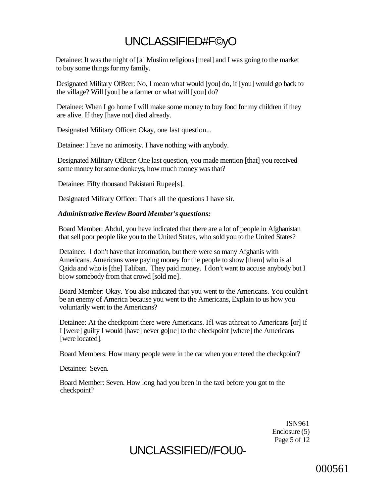# UNCLASSIFIED#F©yO

Detainee: It was the night of [a] Muslim religious [meal] and I was going to the market to buy some things for my family.

Designated Military OfBcer: No, I mean what would [you] do, if [you] would go back to the village? Will [you] be a farmer or what will [you] do?

Detainee: When I go home I will make some money to buy food for my children if they are alive. If they [have not] died already.

Designated Military Officer: Okay, one last question...

Detainee: I have no animosity. I have nothing with anybody.

Designated Military OfBcer: One last question, you made mention [that] you received some money for some donkeys, how much money was that?

Detainee: Fifty thousand Pakistani Rupee[s].

Designated Military Officer: That's all the questions I have sir.

#### *Administrative Review Board Member's questions:*

Board Member: Abdul, you have indicated that there are a lot of people in Afghanistan that sell poor people like you to the United States, who sold you to the United States?

Detainee: I don't have that information, but there were so many Afghanis with Americans. Americans were paying money for the people to show [them] who is al Qaida and who is [the] Taliban. They paid money. I don't want to accuse anybody but I biow somebody from that crowd [sold me].

Board Member: Okay. You also indicated that you went to the Americans. You couldn't be an enemy of America because you went to the Americans, Explain to us how you voluntarily went to the Americans?

Detainee: At the checkpoint there were Americans. Ifl was athreat to Americans [or] if I [were] guilty I would [have] never go[ne] to the checkpoint [where] the Americans [were located].

Board Members: How many people were in the car when you entered the checkpoint?

Detainee: Seven.

Board Member: Seven. How long had you been in the taxi before you got to the checkpoint?

> ISN961 Enclosure (5) Page 5 of 12

# UNCLASSIFIED//FOU0-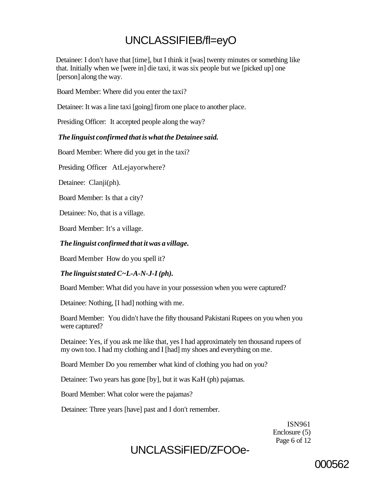# UNCLASSIFIEB/fl=eyO

Detainee: I don't have that [time], but I think it [was] twenty minutes or something like that. Initially when we [were in] die taxi, it was six people but we [picked up] one [person] along the way.

Board Member: Where did you enter the taxi?

Detainee: It was a line taxi [going] firom one place to another place.

Presiding Officer: It accepted people along the way?

#### *The linguist confirmed that is what the Detainee said.*

Board Member: Where did you get in the taxi?

Presiding Officer AtLejayorwhere?

Detainee: Clanji(ph).

Board Member: Is that a city?

Detainee: No, that is a village.

Board Member: It's a village.

#### *The linguist confirmed that it was a village.*

Board Member How do you spell it?

#### *The linguist stated C~L-A-N-J-I (ph).*

Board Member: What did you have in your possession when you were captured?

Detainee: Nothing, [I had] nothing with me.

Board Member: You didn't have the fifty thousand Pakistani Rupees on you when you were captured?

Detainee: Yes, if you ask me like that, yes I had approximately ten thousand rupees of my own too. I had my clothing and I [had] my shoes and everything on me.

Board Member Do you remember what kind of clothing you had on you?

Detainee: Two years has gone [by], but it was KaH (ph) pajamas.

Board Member: What color were the pajamas?

Detainee: Three years [have] past and I don't remember.

ISN961 Enclosure (5) Page 6 of 12

## UNCLASSiFIED/ZFOOe-

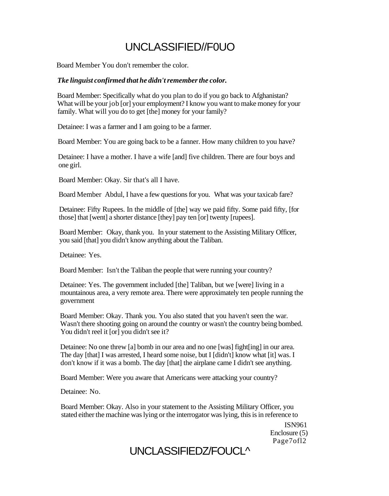# UNCLASSIFIED//F0UO

Board Member You don't remember the color.

#### *Tke linguist confirmed that he didn't remember the color.*

Board Member: Specifically what do you plan to do if you go back to Afghanistan? What will be your job [or] your employment? I know you want to make money for your family. What will you do to get [the] money for your family?

Detainee: I was a farmer and I am going to be a farmer.

Board Member: You are going back to be a fanner. How many children to you have?

Detainee: I have a mother. I have a wife [and] five children. There are four boys and one girl.

Board Member: Okay. Sir that's all I have.

Board Member Abdul, I have a few questions for you. What was your taxicab fare?

Detainee: Fifty Rupees. In the middle of [the] way we paid fifty. Some paid fifty, [for those] that [went] a shorter distance [they] pay ten [or] twenty [rupees].

Board Member: Okay, thank you. In your statement to the Assisting Military Officer, you said [that] you didn't know anything about the Taliban.

Detainee: Yes.

Board Member: Isn't the Taliban the people that were running your country?

Detainee: Yes. The government included [the] Taliban, but we [were] living in a mountainous area, a very remote area. There were approximately ten people running the government

Board Member: Okay. Thank you. You also stated that you haven't seen the war. Wasn't there shooting going on around the country or wasn't the country being bombed. You didn't reel it [or] you didn't see it?

Detainee: No one threw [a] bomb in our area and no one [was] fight[ing] in our area. The day [that] I was arrested, I heard some noise, but I [didn't] know what [it] was. I don't know if it was a bomb. The day [that] the airplane came I didn't see anything.

Board Member: Were you aware that Americans were attacking your country?

Detainee: No.

Board Member: Okay. Also in your statement to the Assisting Military Officer, you stated either the machine was lying or the interrogator was lying, this is in reference to

> ISN961 Enclosure (5) Page7ofl2

## UNCLASSIFIEDZ/FOUCL^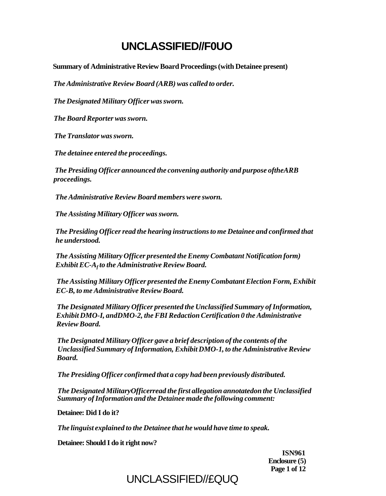## **UNCLASSIFIED//F0UO**

**Summary of Administrative Review Board Proceedings (with Detainee present)** 

*The Administrative Review Board (ARB) was called to order.* 

*The Designated Military Officer was sworn.* 

*The Board Reporter was sworn.* 

*The Translator was sworn.* 

*The detainee entered the proceedings.* 

*The Presiding Officer announced the convening authority and purpose oftheARB proceedings.* 

*The Administrative Review Board members were sworn.* 

*The Assisting Military Officer was sworn.* 

*The Presiding Officer read the hearing instructions to me Detainee and confirmed that he understood.* 

*The Assisting Military Officer presented the Enemy Combatant Notification form) Exhibit EC-A<sup>f</sup> to the Administrative Review Board.* 

*The Assisting Military Officer presented the Enemy Combatant Election Form, Exhibit EC-B, to me Administrative Review Board.* 

*The Designated Military Officer presented the Unclassified Summary of Information, Exhibit DMO-I, andDMO-2, the FBI Redaction Certification 0 the Administrative Review Board.* 

*The Designated Military Officer gave a brief description of the contents of the Unclassified Summary of Information, Exhibit DMO-1, to the Administrative Review Board.* 

*The Presiding Officer confirmed that a copy had been previously distributed.* 

*The Designated MilitaryOfficerread the first allegation annotatedon the Unclassified Summary of Information and the Detainee made the following comment:* 

**Detainee: Did I do it?** 

*The linguist explained to the Detainee that he would have time to speak.* 

**Detainee: Should I do it right now?** 

**ISN961 Enclosure (5) Page 1 of 12** 

### UNCLASSIFIED//£QUQ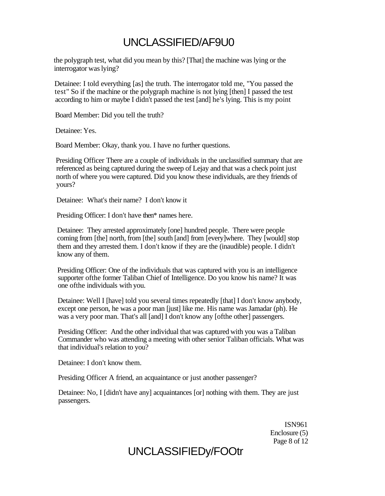## UNCLASSIFIED/AF9U0

the polygraph test, what did you mean by this? [That] the machine was lying or the interrogator was lying?

Detainee: I told everything [as] the truth. The interrogator told me, "You passed the test" So if the machine or the polygraph machine is not lying [then] I passed the test according to him or maybe I didn't passed the test [and] he's lying. This is my point

Board Member: Did you tell the truth?

Detainee: Yes.

Board Member: Okay, thank you. I have no further questions.

Presiding Officer There are a couple of individuals in the unclassified summary that are referenced as being captured during the sweep of Lejay and that was a check point just north of where you were captured. Did you know these individuals, are they friends of yours?

Detainee: What's their name? I don't know it

Presiding Officer: I don't have then\* names here.

Detainee: They arrested approximately [one] hundred people. There were people coming from [the] north, from [the] south [and] from [every]where. They [would] stop them and they arrested them. I don't know if they are the (inaudible) people. I didn't know any of them.

Presiding Officer: One of the individuals that was captured with you is an intelligence supporter ofthe former Taliban Chief of Intelligence. Do you know his name? It was one ofthe individuals with you.

Detainee: Well I [have] told you several times repeatedly [that] I don't know anybody, except one person, he was a poor man [just] like me. His name was Jamadar (ph). He was a very poor man. That's all [and] I don't know any [ofthe other] passengers.

Presiding Officer: And the other individual that was captured with you was a Taliban Commander who was attending a meeting with other senior Taliban officials. What was that individual's relation to you?

Detainee: I don't know them.

Presiding Officer A friend, an acquaintance or just another passenger?

Detainee: No, I [didn't have any] acquaintances [or] nothing with them. They are just passengers.

> ISN961 Enclosure (5) Page 8 of 12

## UNCLASSIFIEDy/FOOtr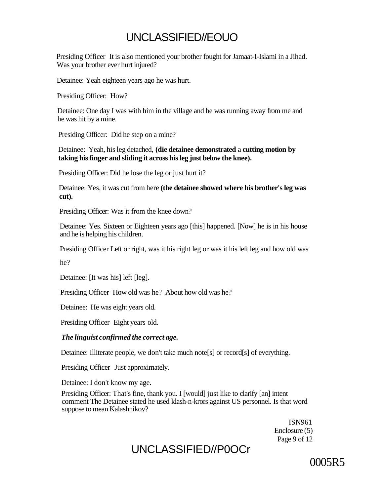## UNCLASSIFIED//EOUO

Presiding Officer It is also mentioned your brother fought for Jamaat-I-Islami in a Jihad. Was your brother ever hurt injured?

Detainee: Yeah eighteen years ago he was hurt.

Presiding Officer: How?

Detainee: One day I was with him in the village and he was running away from me and he was hit by a mine.

Presiding Officer: Did he step on a mine?

Detainee: Yeah, his leg detached, **(die detainee demonstrated** a **cutting motion by taking his finger and sliding it across his leg just below the knee).** 

Presiding Officer: Did he lose the leg or just hurt it?

Detainee: Yes, it was cut from here **(the detainee showed where his brother's leg was cut).** 

Presiding Officer: Was it from the knee down?

Detainee: Yes. Sixteen or Eighteen years ago [this] happened. [Now] he is in his house and he is helping his children.

Presiding Officer Left or right, was it his right leg or was it his left leg and how old was

he?

Detainee: [It was his] left [leg].

Presiding Officer How old was he? About how old was he?

Detainee: He was eight years old.

Presiding Officer Eight years old.

#### *The linguist confirmed the correct age.*

Detainee: Illiterate people, we don't take much note[s] or record[s] of everything.

Presiding Officer Just approximately.

Detainee: I don't know my age.

Presiding Officer: That's fine, thank you. I [would] just like to clarify [an] intent comment The Detainee stated he used klash-n-krors against US personnel. Is that word suppose to mean Kalashnikov?

> ISN961 Enclosure (5) Page 9 of 12

## UNCLASSIFIED//P0OCr

 $0005R5$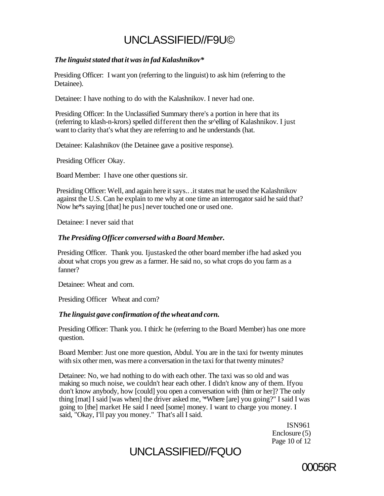## UNCLASSIFIED//F9U©

#### *The linguist stated that it was in fad Kalashnikov\**

Presiding Officer: I want yon (referring to the linguist) to ask him (referring to the Detainee).

Detainee: I have nothing to do with the Kalashnikov. I never had one.

Presiding Officer: In the Unclassified Summary there's a portion in here that its (referring to klash-n-krors) spelled different then the sr^elling of Kalashnikov. I just want to clarity that's what they are referring to and he understands (hat.

Detainee: Kalashnikov (the Detainee gave a positive response).

Presiding Officer Okay.

Board Member: I have one other questions sir.

Presiding Officer: Well, and again here it says.. .it states mat he used the Kalashnikov against the U.S. Can he explain to me why at one time an interrogator said he said that? Now he\*s saying [that] he pus] never touched one or used one.

Detainee: I never said that

### *The Presiding Officer conversed with a Board Member.*

Presiding Officer. Thank you. Ijustasked the other board member ifhe had asked you about what crops you grew as a farmer. He said no, so what crops do you farm as a fanner?

Detainee: Wheat and corn.

Presiding Officer Wheat and corn?

### *The linguist gave confirmation of the wheat and corn.*

Presiding Officer: Thank you. I thirJc he (referring to the Board Member) has one more question.

Board Member: Just one more question, Abdul. You are in the taxi for twenty minutes with six other men, was mere a conversation in the taxi for that twenty minutes?

Detainee: No, we had nothing to do with each other. The taxi was so old and was making so much noise, we couldn't hear each other. I didn't know any of them. Ifyou don't know anybody, how [could] you open a conversation with {him or her]? The only thing [mat] I said [was when] the driver asked me, '\*Where [are] you going?" I said I was going to [the] market He said I need [some] money. I want to charge you money. I said, "Okay, I'll pay you money." That's all I said.

> ISN961 Enclosure (5) Page 10 of 12

# UNCLASSIFIED//FQUO

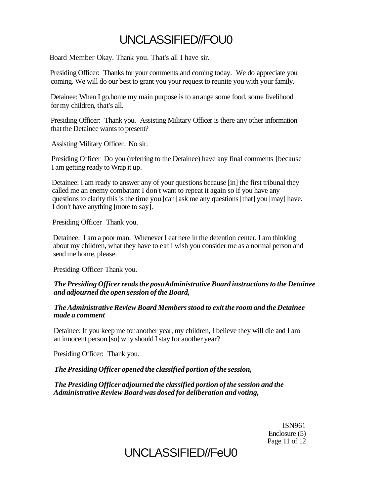# UNCLASSIFIED//FOU0

Board Member Okay. Thank you. That's all I have sir.

Presiding Officer: Thanks for your comments and coming today. We do appreciate you coming. We will do our best to grant you your request to reunite you with your family.

Detainee: When I go.home my main purpose is to arrange some food, some livelihood for my children, that's all.

Presiding Officer: Thank you. Assisting Military Officer is there any other information that the Detainee wants to present?

Assisting Military Officer. No sir.

Presiding Officer Do you (referring to the Detainee) have any final comments [because I am getting ready to Wrap it up.

Detainee: I am ready to answer any of your questions because [in] the first tribunal they called me an enemy combatant I don't want to repeat it again so if you have any questions to clarity this is the time you [can] ask me any questions [that] you [may] have. I don't have anything [more to say].

Presiding Officer Thank you.

Detainee: I am a poor man. Whenever I eat here in the detention center, I am thinking about my children, what they have to eat I wish you consider me as a normal person and send me home, please.

Presiding Officer Thank you.

#### *The Presiding Officer reads the posuAdministrative Board instructions to the Detainee and adjourned the open session of the Board,*

#### *The Administrative Review Board Members stood to exit the room and the Detainee made a comment*

Detainee: If you keep me for another year, my children, I believe they will die and I am an innocent person [so] why should I stay for another year?

Presiding Officer: Thank you.

#### *The Presiding Officer opened the classified portion of the session,*

*The Presiding Officer adjourned the classified portion of the session and the Administrative Review Board was dosed for deliberation and voting,* 

> ISN961 Enclosure (5) Page 11 of 12

# UNCLASSIFIFD//FeU0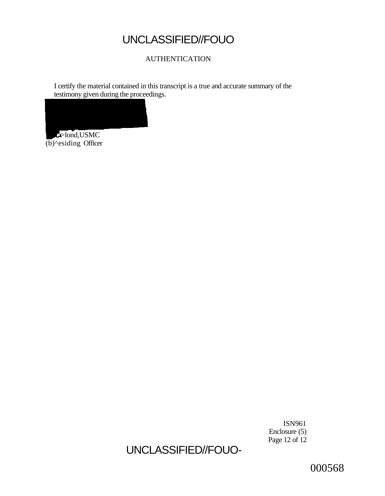# UNCLASSIFIED//FOUO

### AUTHENTICATION

I certify the material contained in this transcript is a true and accurate summary of the testimony given during the proceedings.



 $(b)$ <sup>^</sup>esiding Officer

ISN961 Enclosure (5) Page 12 of 12

UNCLASSIFIED//FOUO-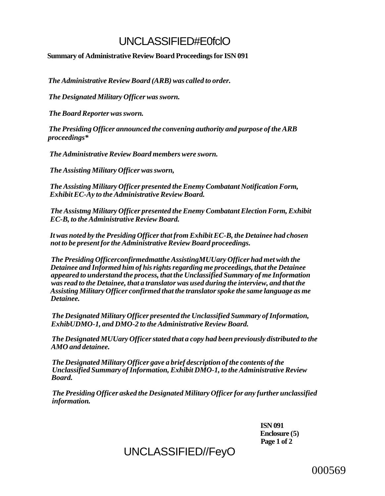## UNCLASSIFIED#E0fclO

**Summary of Administrative Review Board Proceedings for ISN 091** 

*The Administrative Review Board (ARB) was called to order.* 

*The Designated Military Officer was sworn.* 

*The Board Reporter was sworn.* 

*The Presiding Officer announced the convening authority and purpose of the ARB proceedings\** 

*The Administrative Review Board members were sworn.* 

*The Assisting Military Officer was sworn,* 

*The Assisting Military Officer presented the Enemy Combatant Notification Form, Exhibit EC-Ay to the Administrative Review Board.* 

*The Assistmg Military Officer presented the Enemy Combatant Election Form, Exhibit EC-B, to the Administrative Review Board.* 

*It was noted by the Presiding Officer that from Exhibit EC-B, the Detainee had chosen not to be present for the Administrative Review Board proceedings.* 

*The Presiding Officerconfirmedmatthe AssistingMUUary Officer had met with the Detainee and Informed him of his rights regarding me proceedings, that the Detainee appeared to understand the process, that the Unclassified Summary of me Information was read to the Detainee, that a translator was used during the interview, and that the Assisting Military Officer confirmed that the translator spoke the same language as me Detainee.* 

*The Designated Military Officer presented the Unclassified Summary of Information, ExhibUDMO-1, and DMO-2 to the Administrative Review Board.* 

*The Designated MUUary Officer stated that a copy had been previously distributed to the AMO and detainee.* 

*The Designated Military Officer gave a brief description of the contents of the Unclassified Summary of Information, Exhibit DMO-1, to the Administrative Review Board.* 

*The Presiding Officer asked the Designated Military Officer for any further unclassified information.* 

> **ISN 091 Enclosure (5) Page 1 of 2**

UNCLASSIFIED//FeyO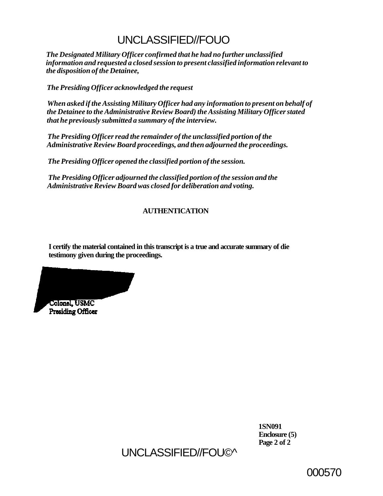## UNCLASSIFIED//FOUO

*The Designated Military Officer confirmed that he had no further unclassified information and requested a closed session to present classified information relevant to the disposition of the Detainee,* 

*The Presiding Officer acknowledged the request* 

*When asked if the Assisting Military Officer had any information to present on behalf of the Detainee to the Administrative Review Board) the Assisting Military Officer stated that he previously submitted a summary of the interview.* 

*The Presiding Officer read the remainder of the unclassified portion of the Administrative Review Board proceedings, and then adjourned the proceedings.* 

*The Presiding Officer opened the classified portion of the session.* 

*The Presiding Officer adjourned the classified portion of the session and the Administrative Review Board was closed for deliberation and voting.* 

### **AUTHENTICATION**

**I certify the material contained in this transcript is a true and accurate summary of die testimony given during the proceedings.** 

Colonel, USMC Presiding Officer

> **1SN091 Enclosure (5) Page 2 of 2**

UNCLASSIFIED//FOU©^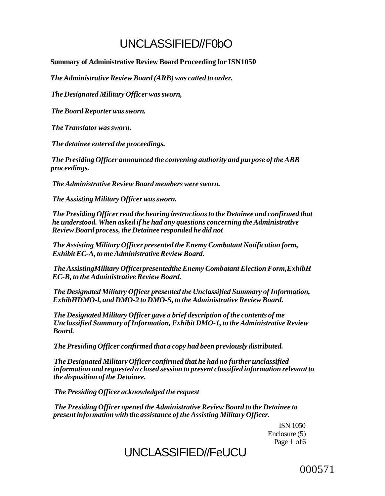## UNCLASSIFIED//F0bO

**Summary of Administrative Review Board Proceeding for ISN1050** 

*The Administrative Review Board (ARB) was catted to order.* 

*The Designated Military Officer was sworn,* 

*The Board Reporter was sworn.* 

*The Translator was sworn.* 

*The detainee entered the proceedings.* 

*The Presiding Officer announced the convening authority and purpose of the ABB proceedings.* 

*The Administrative Review Board members were sworn.* 

*The Assisting Military Officer was sworn.* 

*The Presiding Officer read the hearing instructions to the Detainee and confirmed that he understood. When asked if he had any questions concerning the Administrative Review Board process, the Detainee responded he did not* 

*The Assisting Military Officer presented the Enemy Combatant Notification form, Exhibit EC-A, to me Administrative Review Board.* 

*The AssistingMilitary Officerpresentedthe Enemy Combatant Election Form,ExhibH EC-B, to the Administrative Review Board.* 

*The Designated Military Officer presented the Unclassified Summary of Information, ExhibHDMO-l, and DMO-2 to DMO-S, to the Administrative Review Board.* 

*The Designated Military Officer gave a brief description of the contents of me Unclassified Summary of Information, Exhibit DMO-1, to the Administrative Review Board.* 

*The Presiding Officer confirmed that a copy had been previously distributed.* 

*The Designated Military Officer confirmed that he had no further unclassified information and requested a closed session to present classified information relevant to the disposition of the Detainee.* 

*The Presiding Officer acknowledged the request* 

*The Presiding Officer opened the Administrative Review Board to the Detainee to present information with the assistance of the Assisting Military Officer.* 

> ISN 1050 Enclosure (5) Page 1 of6

# UNCLASSIFIFD//FeUCU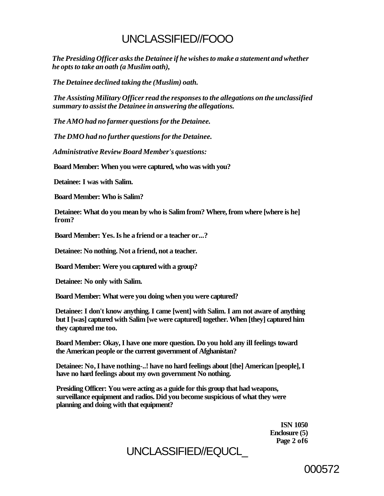## UNCLASSIFIED//FOOO

*The Presiding Officer asks the Detainee if he wishes to make a statement and whether he opts to take an oath (a Muslim oath),* 

*The Detainee declined taking the (Muslim) oath.* 

*The Assisting Military Officer read the responses to the allegations on the unclassified summary to assist the Detainee in answering the allegations.* 

*The AMO had no farmer questions for the Detainee.* 

*The DMO had no further questions for the Detainee.* 

*Administrative Review Board Member's questions:* 

**Board Member: When you were captured, who was with you?** 

**Detainee: I was with Salim.** 

**Board Member: Who is Salim?** 

**Detainee: What do you mean by who is Salim from? Where, from where [where is he] from?** 

**Board Member: Yes. Is he a friend or a teacher or...?** 

**Detainee: No nothing. Not a friend, not a teacher.** 

**Board Member: Were you captured with a group?** 

**Detainee: No only with Salim.** 

**Board Member: What were you doing when you were captured?** 

**Detainee: I don't know anything. I came [went] with Salim. I am not aware of anything but I [was] captured with Salim [we were captured] together. When [they] captured him they captured me too.** 

**Board Member: Okay, I have one more question. Do you hold any ill feelings toward the American people or the current government of Afghanistan?** 

**Detainee: No, I have nothing-..! have no hard feelings about [the] American [people], I have no hard feelings about my own government No nothing.** 

**Presiding Officer: You were acting as a guide for this group that had weapons, surveillance equipment and radios. Did you become suspicious of what they were planning and doing with that equipment?** 

> **ISN 1050 Enclosure (5) Page 2 of6**

UNCLASSIFIED//EQUCL\_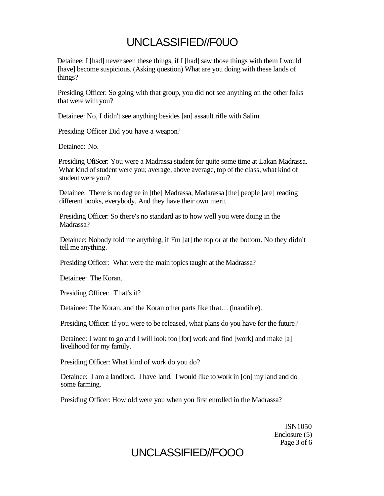## UNCLASSIFIED//F0UO

Detainee: I [had] never seen these things, if I [had] saw those things with them I would [have] become suspicious. (Asking question) What are you doing with these lands of things?

Presiding Officer: So going with that group, you did not see anything on the other folks that were with you?

Detainee: No, I didn't see anything besides [an] assault rifle with Salim.

Presiding Officer Did you have a weapon?

Detainee: No.

Presiding OfiScer: You were a Madrassa student for quite some time at Lakan Madrassa. What kind of student were you; average, above average, top of the class, what kind of student were you?

Detainee: There is no degree in [the] Madrassa, Madarassa [the] people [are] reading different books, everybody. And they have their own merit

Presiding Officer: So there's no standard as to how well you were doing in the Madrassa?

Detainee: Nobody told me anything, if Fm [at] the top or at the bottom. No they didn't tell me anything.

Presiding Officer: What were the main topics taught at the Madrassa?

Detainee: The Koran.

Presiding Officer: That's it?

Detainee: The Koran, and the Koran other parts like that... (inaudible).

Presiding Officer: If you were to be released, what plans do you have for the future?

Detainee: I want to go and I will look too [for] work and find [work] and make [a] livelihood for my family.

Presiding Officer: What kind of work do you do?

Detainee: I am a landlord. I have land. I would like to work in [on] my land and do some farming.

Presiding Officer: How old were you when you first enrolled in the Madrassa?

ISN1050 Enclosure (5) Page 3 of 6

## UNCLASSIFIED//FOOO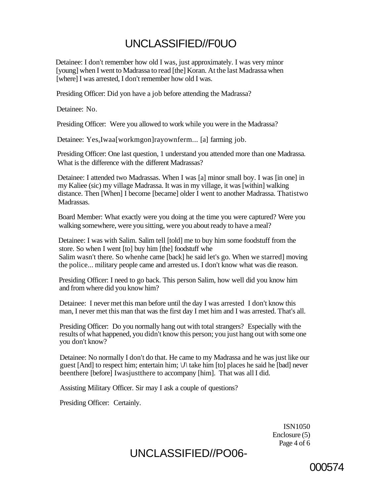## UNCLASSIFIED//F0UO

Detainee: I don't remember how old I was, just approximately. I was very minor [young] when I went to Madrassa to read [the] Koran. At the last Madrassa when [where] I was arrested, I don't remember how old I was.

Presiding Officer: Did yon have a job before attending the Madrassa?

Detainee: No.

Presiding Officer: Were you allowed to work while you were in the Madrassa?

Detainee: Yes<sub>s</sub>Iwaa[workmgon]rayownferm... [a] farming job.

Presiding Officer: One last question, 1 understand you attended more than one Madrassa. What is the difference with the different Madrassas?

Detainee: I attended two Madrassas. When I was [a] minor small boy. I was [in one] in my Kaliee (sic) my village Madrassa. It was in my village, it was [within] walking distance. Then [When] I become [became] older I went to another Madrassa. Thatistwo **Madrassas** 

Board Member: What exactly were you doing at the time you were captured? Were you walking somewhere, were you sitting, were you about ready to have a meal?

Detainee: I was with Salim. Salim tell [told] me to buy him some foodstuff from the store. So when I went [to] buy him [the] foodstuff whe Salim wasn't there. So whenhe came [back] he said let's go. When we starred] moving

the police... military people came and arrested us. I don't know what was die reason.

Presiding Officer: I need to go back. This person Salim, how well did you know him and from where did you know him?

Detainee: I never met this man before until the day I was arrested I don't know this man, I never met this man that was the first day I met him and I was arrested. That's all.

Presiding Officer: Do you normally hang out with total strangers? Especially with the results of what happened, you didn't know this person; you just hang out with some one you don't know?

Detainee: No normally I don't do that. He came to my Madrassa and he was just like our guest [And] to respect him; entertain him; *\J\* take him [to] places he said he [bad] never beenthere [before] Iwasjustthere to accompany [him]. That was all I did.

Assisting Military Officer. Sir may I ask a couple of questions?

Presiding Officer: Certainly.

ISN1050 Enclosure (5) Page 4 of 6

## UNCLASSIFIED//PO06-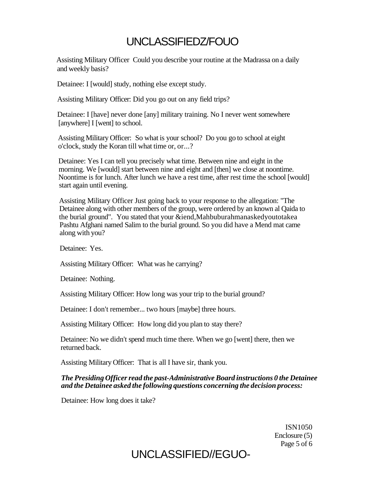## UNCLASSIFIEDZ/FOUO

Assisting Military Officer Could you describe your routine at the Madrassa on a daily and weekly basis?

Detainee: I [would] study, nothing else except study.

Assisting Military Officer: Did you go out on any field trips?

Detainee: I [have] never done [any] military training. No I never went somewhere [anywhere] I [went] to school.

Assisting Military Officer: So what is your school? Do you go to school at eight o'clock, study the Koran till what time or, or...?

Detainee: Yes I can tell you precisely what time. Between nine and eight in the morning. We [would] start between nine and eight and [then] we close at noontime. Noontime is for lunch. After lunch we have a rest time, after rest time the school [would] start again until evening.

Assisting Military Officer Just going back to your response to the allegation: "The Detainee along with other members of the group, were ordered by an known al Qaida to the burial ground". You stated that your &iend,Mahbuburahmanaskedyoutotakea Pashtu Afghani named Salim to the burial ground. So you did have a Mend mat came along with you?

Detainee: Yes.

Assisting Military Officer: What was he carrying?

Detainee: Nothing.

Assisting Military Officer: How long was your trip to the burial ground?

Detainee: I don't remember... two hours [maybe] three hours.

Assisting Military Officer: How long did you plan to stay there?

Detainee: No we didn't spend much time there. When we go [went] there, then we returned back.

Assisting Military Officer: That is all I have sir, thank you.

#### *The Presiding Officer read the past-Administrative Board instructions 0 the Detainee and the Detainee asked the following questions concerning the decision process:*

Detainee: How long does it take?

ISN1050 Enclosure (5) Page 5 of 6

## UNCLASSIFIED//EGUO-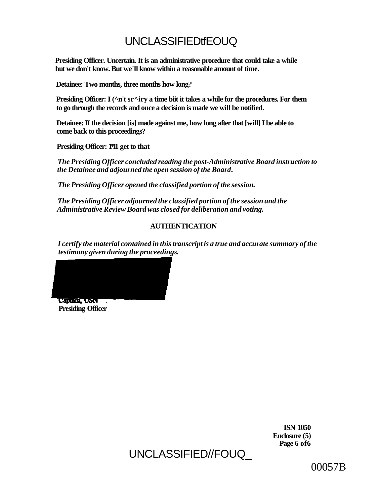## UNCLASSIFIEDtfEOUQ

**Presiding Officer. Uncertain. It is an administrative procedure that could take a while but we don't know. But we'll know within a reasonable amount of time.** 

**Detainee: Two months, three months how long?** 

Presiding Officer: I (<sup> $\wedge$ </sup>n't sr $\wedge$ iry a time biit it takes a while for the procedures. For them **to go through the records and once a decision is made we will be notified.** 

**Detainee: If the decision [is] made against me, how long after that [will] I be able to come back to this proceedings?** 

**Presiding Officer: 1\*11 get to that** 

*The Presiding Officer concluded reading the post-Administrative Board instruction to the Detainee and adjourned the open session of the Board***.** 

*The Presiding Officer opened the classified portion of the session.* 

*The Presiding Officer adjourned the classified portion of the session and the Administrative Review Board was closed for deliberation and voting.* 

### **AUTHENTICATION**

*I certify the material contained in this transcript is a true and accurate summary of the testimony given during the proceedings.* 



**Presiding Officer** 

**ISN 1050 Enclosure (5) Page 6 of6** 

UNCLASSIFIED//FOUQ\_

00057B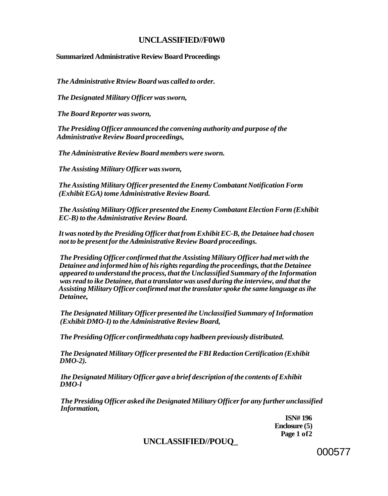### **UNCLASSIFIED//F0W0**

**Summarized Administrative Review Board Proceedings** 

*The Administrative Rtview Board was called to order.* 

*The Designated Military Officer was sworn,* 

*The Board Reporter was sworn,* 

*The Presiding Officer announced the convening authority and purpose of the Administrative Review Board proceedings,* 

*The Administrative Review Board members were sworn.* 

*The Assisting Military Officer was sworn,* 

*The Assisting Military Officer presented the Enemy Combatant Notification Form (Exhibit EGA) tome Administrative Review Board.* 

*The Assisting Military Officer presented the Enemy Combatant Election Form (Exhibit EC-B) to the Administrative Review Board.* 

*It was noted by the Presiding Officer that from Exhibit EC-B, the Detainee had chosen not to be present for the Administrative Review Board proceedings.* 

*The Presiding Officer confirmed that the Assisting Military Officer had met with the Detainee and informed him of his rights regarding the proceedings, that the Detainee appeared to understand the process, that the Unclassified Summary of the Information was read to ike Detainee, that a translator was used during the interview, and that the Assisting Military Officer confirmed mat the translator spoke the same language as ihe Detainee,* 

*The Designated Military Officer presented ihe Unclassified Summary of Information (Exhibit DMO-I) to the Administrative Review Board,* 

*The Presiding Officer confirmedthata copy hadbeen previously distributed.* 

*The Designated Military Officer presented the FBI Redaction Certification (Exhibit DMO-2).* 

*Ihe Designated Military Officer gave a brief description of the contents of Exhibit DMO-l* 

*The Presiding Officer asked ihe Designated Military Officer for any further unclassified Information,* 

> **ISN# 196 Enclosure (5) Page 1 of2**

### **UNCLASSIFIED//POUQ\_**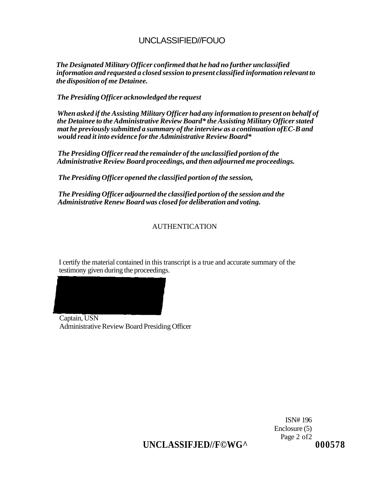### UNCLASSIFIED//FOUO

*The Designated Military Officer confirmed that he had no further unclassified information and requested a closed session to present classified information relevant to the disposition of me Detainee.* 

*The Presiding Officer acknowledged the request* 

*When asked if the Assisting Military Officer had any information to present on behalf of the Detainee to the Administrative Review Board\* the Assisting Military Officer stated mat he previously submitted a summary of the interview as a continuation ofEC-B and would read it into evidence for the Administrative Review Board\** 

*The Presiding Officer read the remainder of the unclassified portion of the Administrative Review Board proceedings, and then adjourned me proceedings.* 

*The Presiding Officer opened the classified portion of the session,* 

*The Presiding Officer adjourned the classified portion of the session and the Administrative Renew Board was closed for deliberation and voting.* 

### AUTHENTICATION

I certify the material contained in this transcript is a true and accurate summary of the testimony given during the proceedings.



Captain, USN Administrative Review Board Presiding Officer

> ISN# 196 Enclosure (5) Page 2 of2

### UNCLASSIFJED//F©WG^ 000578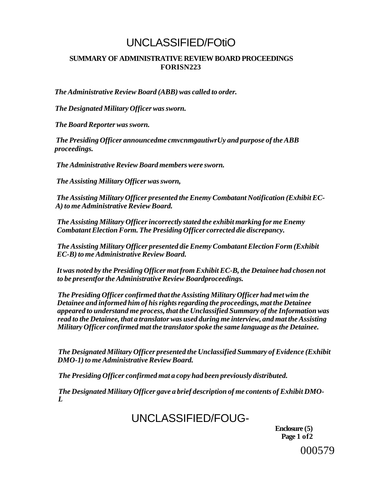## UNCLASSIFIED/FOtiO

### **SUMMARY OF ADMINISTRATIVE REVIEW BOARD PROCEEDINGS FORISN223**

*The Administrative Review Board (ABB) was called to order.* 

*The Designated Military Officer was sworn.* 

*The Board Reporter was sworn.* 

*The Presiding Officer announcedme cmvcnmgautiwrUy and purpose of the ABB proceedings.* 

*The Administrative Review Board members were sworn.* 

*The Assisting Military Officer was sworn,* 

*The Assisting Military Officer presented the Enemy Combatant Notification (Exhibit EC-A) to me Administrative Review Board.* 

*The Assisting Military Officer incorrectly stated the exhibit marking for me Enemy Combatant Election Form. The Presiding Officer corrected die discrepancy.* 

*The Assisting Military Officer presented die Enemy Combatant Election Form (Exhibit EC-B) to me Administrative Review Board.* 

*It was noted by the Presiding Officer mat from Exhibit EC-B, the Detainee had chosen not to be presentfor the Administrative Review Boardproceedings.* 

*The Presiding Officer confirmed that the Assisting Military Officer had met wim the Detainee and informed him of his rights regarding the proceedings, mat the Detainee appeared to understand me process, that the Unclassified Summary of the Information was read to the Detainee, that a translator was used during me interview, and mat the Assisting Military Officer confirmed mat the translator spoke the same language as the Detainee.* 

*The Designated Military Officer presented the Unclassified Summary of Evidence (Exhibit DMO-1) to me Administrative Review Board.* 

*The Presiding Officer confirmed mat a copy had been previously distributed.* 

*The Designated Military Officer gave a brief description of me contents of Exhibit DMO-L* 

## UNCLASSIFIED/FOUG-

**Enclosure (5) Page 1 of2**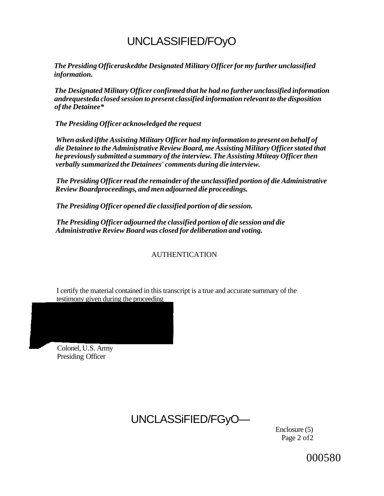## UNCLASSIFIED/FOyO

*The Presiding Officeraskedthe Designated Military Officer for my further unclassified information.* 

*The Designated Military Officer confirmed that he had no further unclassified information andrequesteda closed session to present classified information relevant to the disposition of the Detainee\** 

*The Presiding Officer acknowledged the request* 

*When asked ifthe Assisting Military Officer had my information to present on behalf of die Detainee to the Administrative Review Board, me Assisting Military Officer stated that he previously submitted a summary of the interview. The Assisting Mtiteay Officer then verbally summarized the Detainees' comments during die interview.* 

*The Presiding Officer read the remainder of the unclassified portion of die Administrative Review Boardproceedings, and men adjourned die proceedings.* 

*The Presiding Officer opened die classified portion of die session.* 

*The Presiding Officer adjourned the classified portion of die session and die Administrative Review Board was closed for deliberation and voting.* 

### AUTHENTICATION

I certify the material contained in this transcript is a true and accurate summary of the testimony given during the proceeding

Colonel, U.S. Army Presiding Officer

UNCLASSiFIED/FGyO—

Enclosure (5) Page 2 of2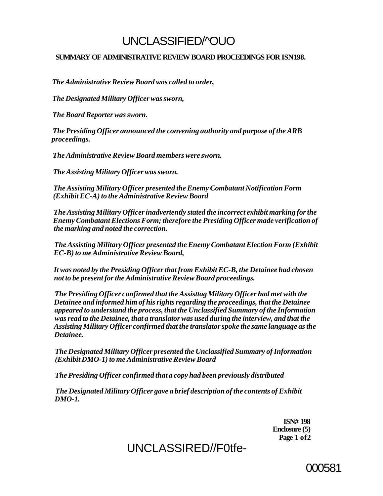## UNCLASSIFIED/^OUO

### **SUMMARY OF ADMINISTRATIVE REVIEW BOARD PROCEEDINGS FOR ISN198.**

*The Administrative Review Board was called to order,* 

*The Designated Military Officer was sworn,* 

*The Board Reporter was sworn.* 

*The Presiding Officer announced the convening authority and purpose of the ARB proceedings.* 

*The Administrative Review Board members were sworn.* 

*The Assisting Military Officer was sworn.* 

*The Assisting Military Officer presented the Enemy Combatant Notification Form (Exhibit EC-A) to the Administrative Review Board* 

*The Assisting Military Officer inadvertently stated the incorrect exhibit marking for the Enemy Combatant Elections Form; therefore the Presiding Officer made verification of the marking and noted the correction.* 

*The Assisting Military Officer presented the Enemy Combatant Election Form (Exhibit EC-B) to me Administrative Review Board,* 

*It was noted by the Presiding Officer that from Exhibit EC-B, the Detainee had chosen not to be present for the Administrative Review Board proceedings.* 

*The Presiding Officer confirmed that the Assisttag Military Officer had met with the Detainee and informed him of his rights regarding the proceedings, that the Detainee appeared to understand the process, that the Unclassified Summary of the Information was read to the Detainee, that a translator was used during the interview, and that the Assisting Military Officer confirmed that the translator spoke the same language as the Detainee.* 

*The Designated Military Officer presented the Unclassified Summary of Information (Exhibit DMO-1) to me Administrative Review Board* 

*The Presiding Officer confirmed that a copy had been previously distributed* 

*The Designated Military Officer gave a brief description of the contents of Exhibit DMO-1.* 

> **ISN# 198 Enclosure (5) Page 1 of2**

UNCLASSIRED//F0tfe-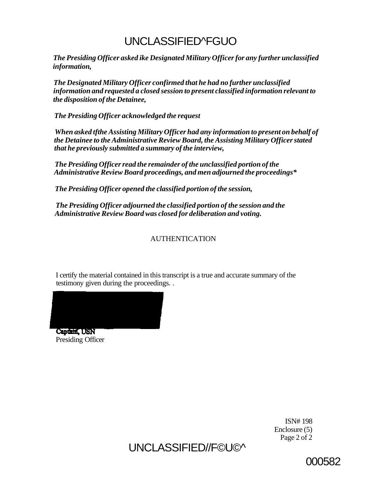## UNCLASSIFIED^FGUO

*The Presiding Officer asked ike Designated Military Officer for any further unclassified information,* 

*The Designated Military Officer confirmed that he had no further unclassified information and requested a closed session to present classified information relevant to the disposition of the Detainee,* 

*The Presiding Officer acknowledged the request* 

*When asked tfthe Assisting Military Officer had any information to present on behalf of the Detainee to the Administrative Review Board, the Assisting Military Officer stated that he previously submitted a summary of the interview,* 

*The Presiding Officer read the remainder of the unclassified portion of the Administrative Review Board proceedings, and men adjourned the proceedings\** 

*The Presiding Officer opened the classified portion of the session,* 

*The Presiding Officer adjourned the classified portion of the session and the Administrative Review Board was closed for deliberation and voting.* 

### AUTHENTICATION

I certify the material contained in this transcript is a true and accurate summary of the testimony given during the proceedings. .

Captain, USN Presiding Officer

> ISN# 198 Enclosure (5) Page 2 of 2

UNCLASSIFIED//F©U©^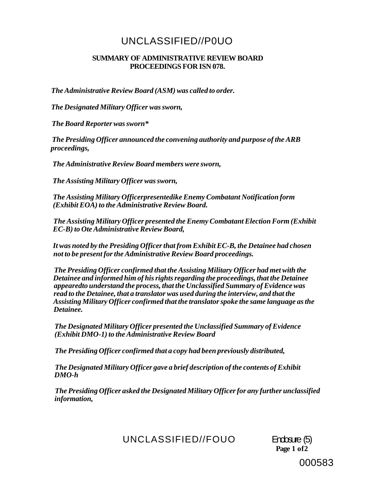### UNCLASSIFIED//P0UO

### **SUMMARY OF ADMINISTRATIVE REVIEW BOARD PROCEEDINGS FOR ISN 078.**

*The Administrative Review Board (ASM) was called to order.* 

*The Designated Military Officer was sworn,* 

*The Board Reporter was sworn\** 

*The Presiding Officer announced the convening authority and purpose of the ARB proceedings,* 

*The Administrative Review Board members were sworn,* 

*The Assisting Military Officer was sworn,* 

*The Assisting Military Officerpresentedike Enemy Combatant Notification form (Exhibit EOA) to the Administrative Review Board.* 

*The Assisting Military Officer presented the Enemy Combatant Election Form (Exhibit EC-B) to Ote Administrative Review Board,* 

*It was noted by the Presiding Officer that from Exhibit EC-B, the Detainee had chosen not to be present for the Administrative Review Board proceedings.* 

*The Presiding Officer confirmed that the Assisting Military Officer had met with the Detainee and informed him of his rights regarding the proceedings, that the Detainee appearedto understand the process, that the Unclassified Summary of Evidence was read to the Detainee, that a translator was used during the interview, and that the Assisting Military Officer confirmed that the translator spoke the same language as the Detainee.* 

*The Designated Military Officer presented the Unclassified Summary of Evidence (Exhibit DMO-1) to the Administrative Review Board* 

*The Presiding Officer confirmed that a copy had been previously distributed,* 

*The Designated Military Officer gave a brief description of the contents of Exhibit DMO-h* 

*The Presiding Officer asked the Designated Military Officer for any further unclassified information,* 

UNCLASSIFIED//FOUO Endosure (5)

**Page 1 of2**